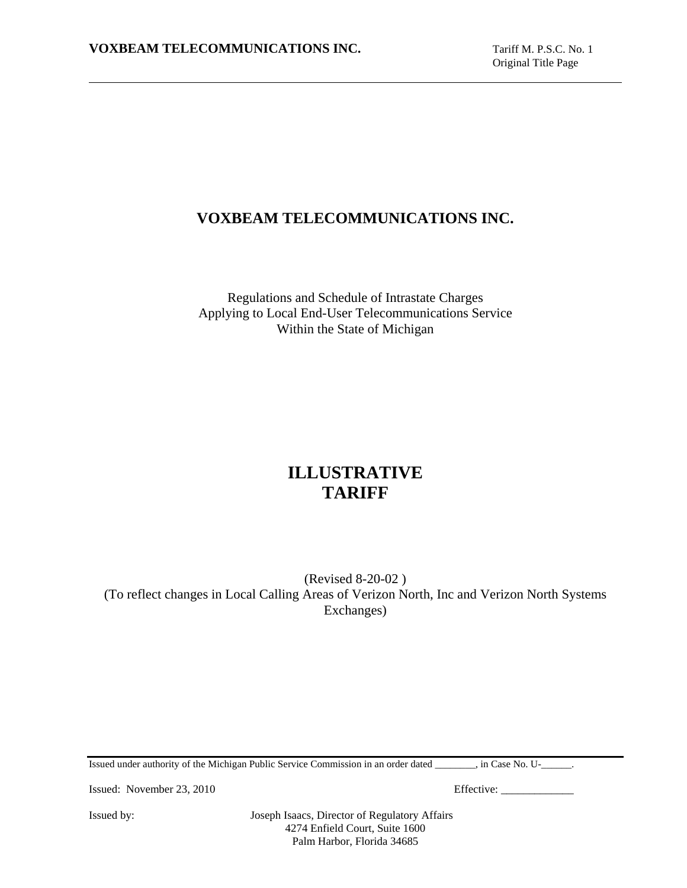# **VOXBEAM TELECOMMUNICATIONS INC.**

Regulations and Schedule of Intrastate Charges Applying to Local End-User Telecommunications Service Within the State of Michigan

# **ILLUSTRATIVE TARIFF**

(Revised 8-20-02 ) (To reflect changes in Local Calling Areas of Verizon North, Inc and Verizon North Systems Exchanges)

Issued under authority of the Michigan Public Service Commission in an order dated \_\_\_\_\_\_\_\_, in Case No. U-\_\_\_\_\_\_.

Issued: November 23, 2010 Effective: \_\_\_\_\_\_\_\_\_\_\_\_\_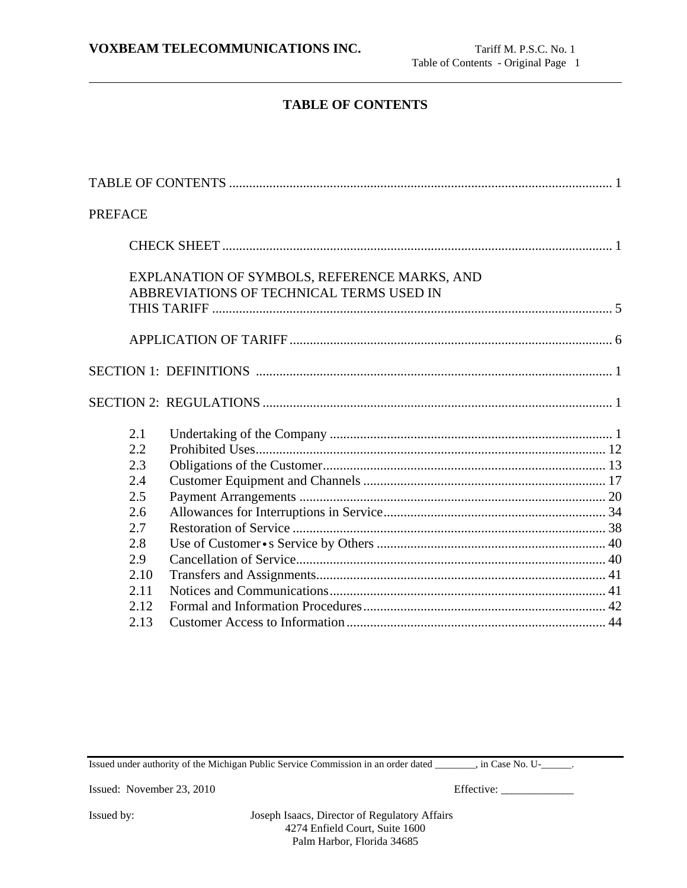# **TABLE OF CONTENTS**

| <b>PREFACE</b>                                                                      |                                                                                          |
|-------------------------------------------------------------------------------------|------------------------------------------------------------------------------------------|
|                                                                                     |                                                                                          |
|                                                                                     | EXPLANATION OF SYMBOLS, REFERENCE MARKS, AND<br>ABBREVIATIONS OF TECHNICAL TERMS USED IN |
|                                                                                     |                                                                                          |
|                                                                                     |                                                                                          |
|                                                                                     |                                                                                          |
| 2.1<br>2.2<br>2.3<br>2.4<br>2.5<br>2.6<br>2.7<br>2.8<br>2.9<br>2.10<br>2.11<br>2.12 |                                                                                          |
| 2.13                                                                                |                                                                                          |

Issued under authority of the Michigan Public Service Commission in an order dated \_\_\_\_\_\_\_\_, in Case No. U-\_\_\_\_\_\_.

Issued: November 23, 2010 Effective: \_\_\_\_\_\_\_\_\_\_\_\_\_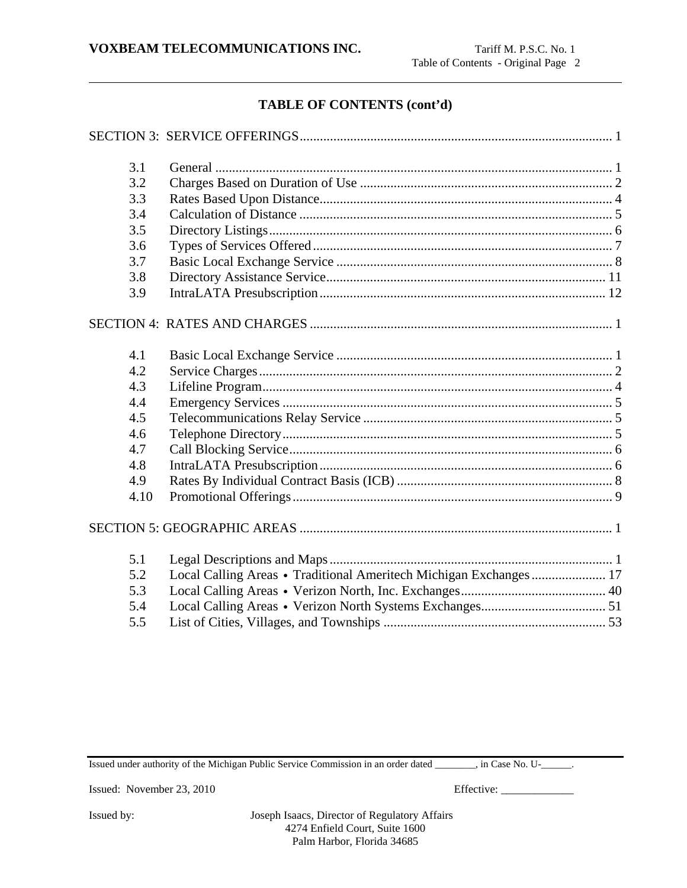# **TABLE OF CONTENTS (cont'd)**

| 3.1  |                                                                    |
|------|--------------------------------------------------------------------|
| 3.2  |                                                                    |
| 3.3  |                                                                    |
| 3.4  |                                                                    |
| 3.5  |                                                                    |
| 3.6  |                                                                    |
| 3.7  |                                                                    |
| 3.8  |                                                                    |
| 3.9  |                                                                    |
|      |                                                                    |
| 4.1  |                                                                    |
| 4.2  |                                                                    |
| 4.3  |                                                                    |
| 4.4  |                                                                    |
| 4.5  |                                                                    |
| 4.6  |                                                                    |
| 4.7  |                                                                    |
| 4.8  |                                                                    |
| 4.9  |                                                                    |
| 4.10 |                                                                    |
|      |                                                                    |
| 5.1  |                                                                    |
| 5.2  | Local Calling Areas • Traditional Ameritech Michigan Exchanges  17 |
| 5.3  |                                                                    |
| 5.4  |                                                                    |
| 5.5  |                                                                    |

Issued under authority of the Michigan Public Service Commission in an order dated \_\_\_\_\_\_\_\_, in Case No. U-\_\_\_\_\_\_.

Issued: November 23, 2010 Effective: \_\_\_\_\_\_\_\_\_\_\_\_\_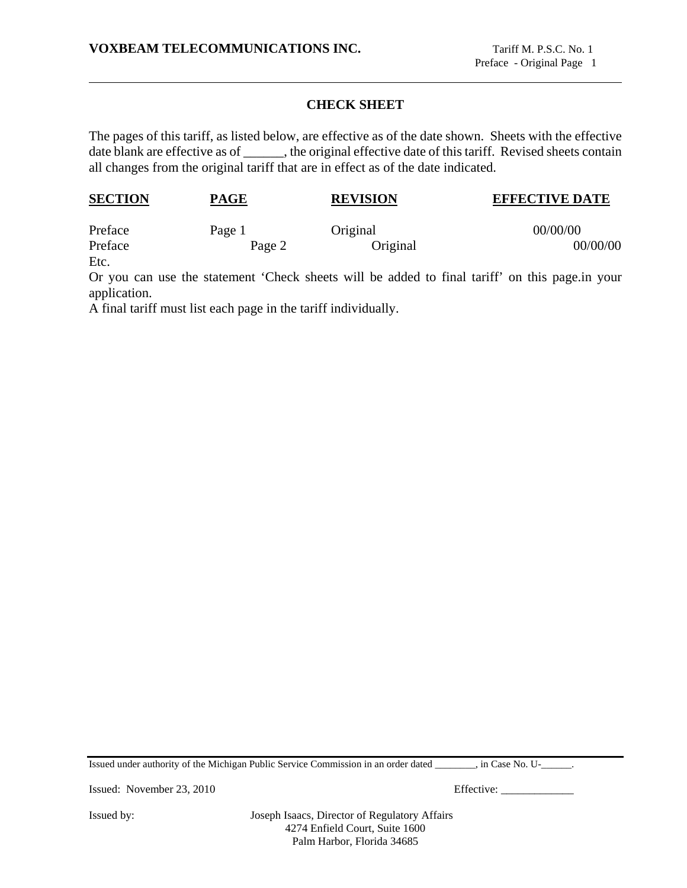# **CHECK SHEET**

The pages of this tariff, as listed below, are effective as of the date shown. Sheets with the effective date blank are effective as of \_\_\_\_\_\_, the original effective date of this tariff. Revised sheets contain all changes from the original tariff that are in effect as of the date indicated.

| <b>SECTION</b> | PAGE   | <b>REVISION</b> | <b>EFFECTIVE DATE</b> |
|----------------|--------|-----------------|-----------------------|
| Preface        | Page 1 | Original        | 00/00/00              |
| Preface        | Page 2 | Original        | 00/00/00              |

Etc.

Or you can use the statement 'Check sheets will be added to final tariff' on this page.in your application.

A final tariff must list each page in the tariff individually.

Issued under authority of the Michigan Public Service Commission in an order dated \_\_\_\_\_\_\_\_, in Case No. U-\_\_\_\_\_\_.

Issued: November 23, 2010 Effective: \_\_\_\_\_\_\_\_\_\_\_\_\_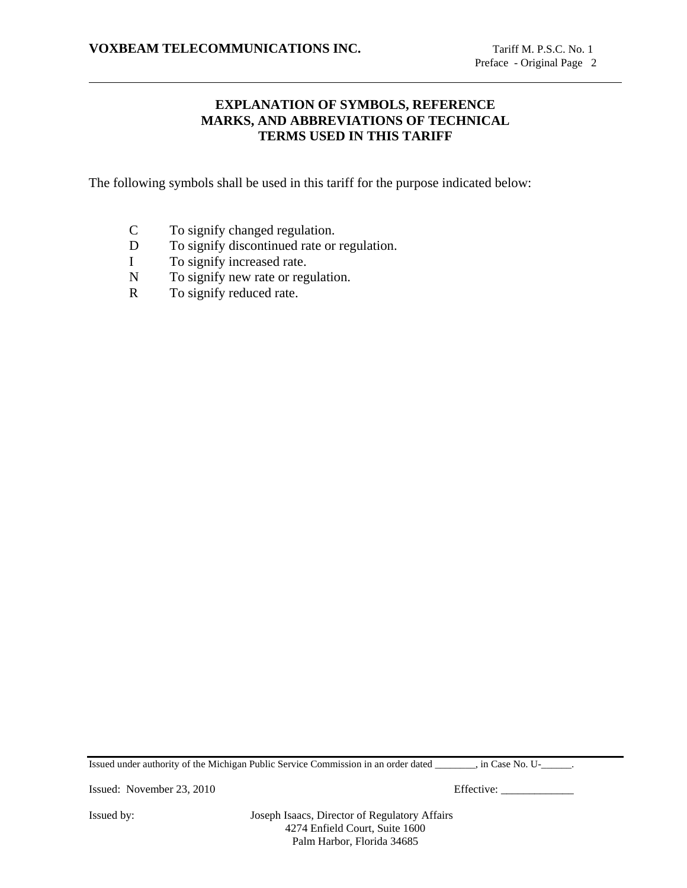# **EXPLANATION OF SYMBOLS, REFERENCE MARKS, AND ABBREVIATIONS OF TECHNICAL TERMS USED IN THIS TARIFF**

The following symbols shall be used in this tariff for the purpose indicated below:

- C To signify changed regulation.
- D To signify discontinued rate or regulation.
- I To signify increased rate.
- N To signify new rate or regulation.
- R To signify reduced rate.

Issued under authority of the Michigan Public Service Commission in an order dated \_\_\_\_\_\_\_\_, in Case No. U-\_\_\_\_\_\_.

Issued: November 23, 2010 Effective: \_\_\_\_\_\_\_\_\_\_\_\_\_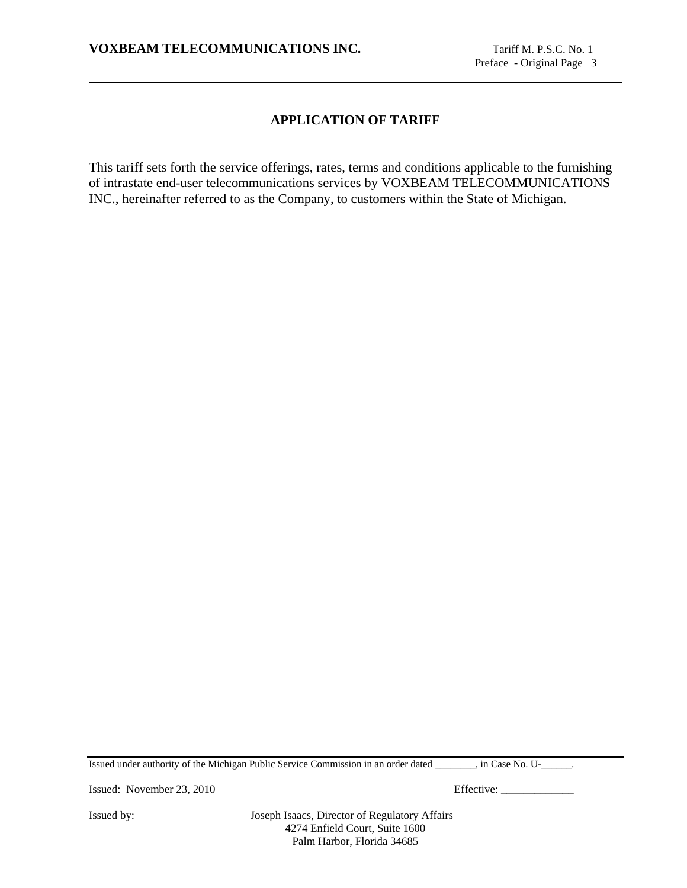# **APPLICATION OF TARIFF**

This tariff sets forth the service offerings, rates, terms and conditions applicable to the furnishing of intrastate end-user telecommunications services by VOXBEAM TELECOMMUNICATIONS INC., hereinafter referred to as the Company, to customers within the State of Michigan.

Issued under authority of the Michigan Public Service Commission in an order dated \_\_\_\_\_\_\_\_, in Case No. U-\_\_\_\_\_\_.

Issued: November 23, 2010 Effective: \_\_\_\_\_\_\_\_\_\_\_\_\_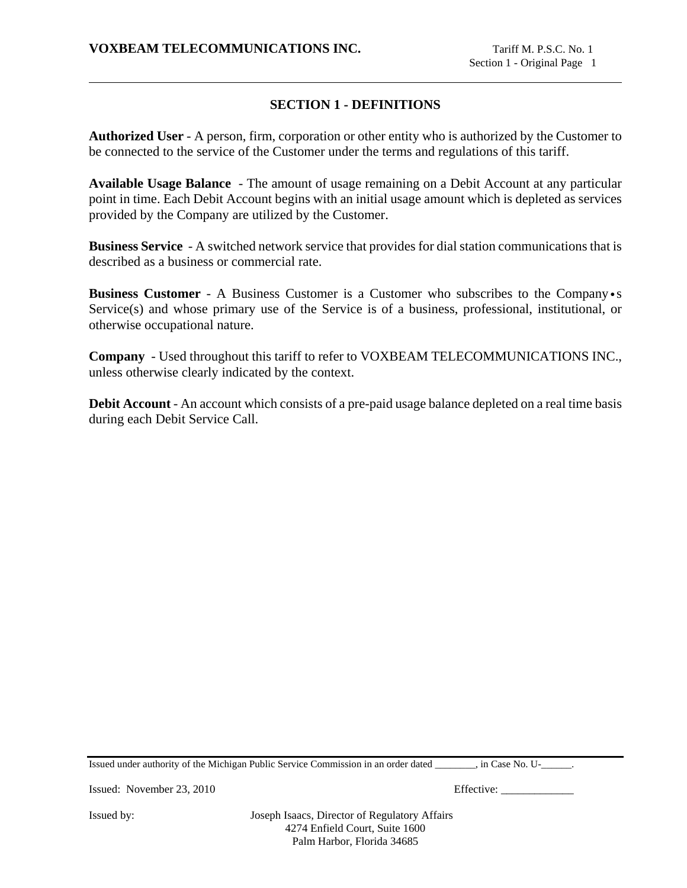# **SECTION 1 - DEFINITIONS**

**Authorized User** - A person, firm, corporation or other entity who is authorized by the Customer to be connected to the service of the Customer under the terms and regulations of this tariff.

**Available Usage Balance** - The amount of usage remaining on a Debit Account at any particular point in time. Each Debit Account begins with an initial usage amount which is depleted as services provided by the Company are utilized by the Customer.

**Business Service** - A switched network service that provides for dial station communications that is described as a business or commercial rate.

**Business Customer** - A Business Customer is a Customer who subscribes to the Company•s Service(s) and whose primary use of the Service is of a business, professional, institutional, or otherwise occupational nature.

**Company** - Used throughout this tariff to refer to VOXBEAM TELECOMMUNICATIONS INC., unless otherwise clearly indicated by the context.

**Debit Account** - An account which consists of a pre-paid usage balance depleted on a real time basis during each Debit Service Call.

Issued under authority of the Michigan Public Service Commission in an order dated \_\_\_\_\_\_\_\_, in Case No. U-\_\_\_\_\_\_.

Issued: November 23, 2010 Effective: \_\_\_\_\_\_\_\_\_\_\_\_\_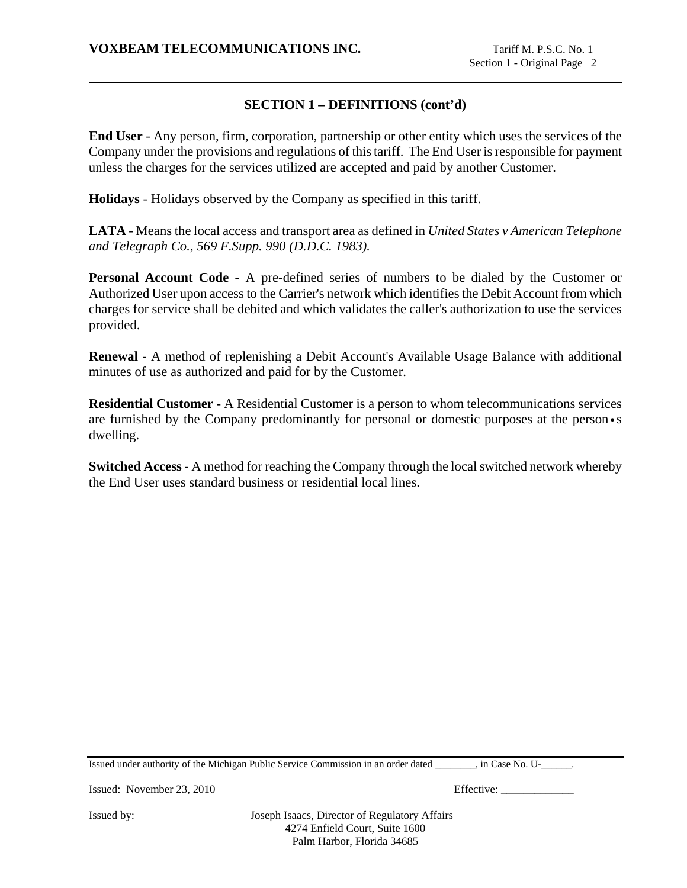# **SECTION 1 – DEFINITIONS (cont'd)**

**End User** - Any person, firm, corporation, partnership or other entity which uses the services of the Company under the provisions and regulations of this tariff. The End User is responsible for payment unless the charges for the services utilized are accepted and paid by another Customer.

**Holidays** - Holidays observed by the Company as specified in this tariff.

**LATA** - Means the local access and transport area as defined in *United States v American Telephone and Telegraph Co., 569 F.Supp. 990 (D.D.C. 1983).*

**Personal Account Code** - A pre-defined series of numbers to be dialed by the Customer or Authorized User upon access to the Carrier's network which identifies the Debit Account from which charges for service shall be debited and which validates the caller's authorization to use the services provided.

**Renewal** - A method of replenishing a Debit Account's Available Usage Balance with additional minutes of use as authorized and paid for by the Customer.

**Residential Customer -** A Residential Customer is a person to whom telecommunications services are furnished by the Company predominantly for personal or domestic purposes at the person•s dwelling.

**Switched Access** - A method for reaching the Company through the local switched network whereby the End User uses standard business or residential local lines.

Issued under authority of the Michigan Public Service Commission in an order dated \_\_\_\_\_\_\_\_, in Case No. U-\_\_\_\_\_\_.

Issued: November 23, 2010 Effective: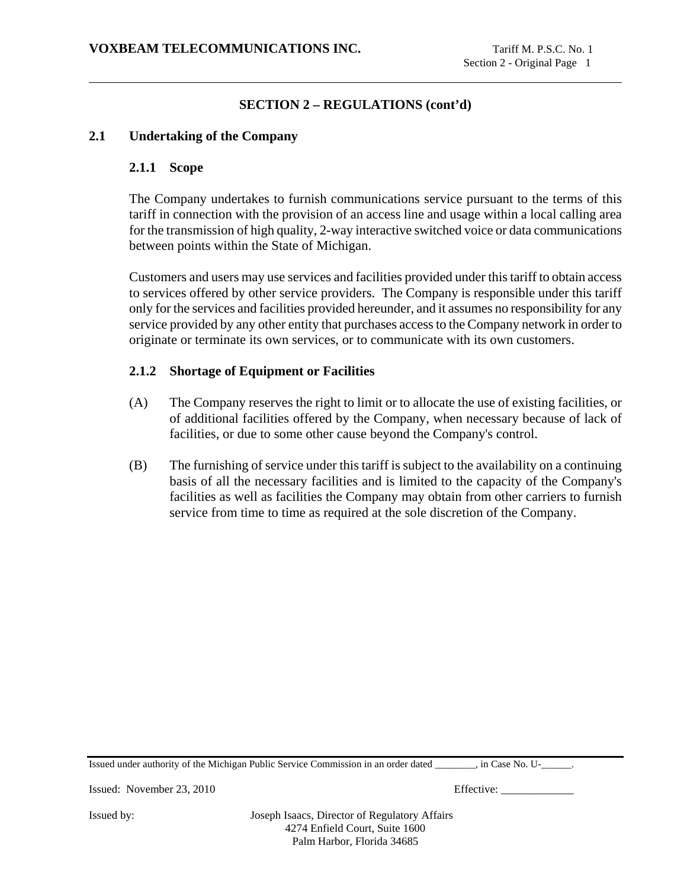# **2.1 Undertaking of the Company**

#### **2.1.1 Scope**

The Company undertakes to furnish communications service pursuant to the terms of this tariff in connection with the provision of an access line and usage within a local calling area for the transmission of high quality, 2-way interactive switched voice or data communications between points within the State of Michigan.

Customers and users may use services and facilities provided under this tariff to obtain access to services offered by other service providers. The Company is responsible under this tariff only for the services and facilities provided hereunder, and it assumes no responsibility for any service provided by any other entity that purchases access to the Company network in order to originate or terminate its own services, or to communicate with its own customers.

#### **2.1.2 Shortage of Equipment or Facilities**

- (A) The Company reserves the right to limit or to allocate the use of existing facilities, or of additional facilities offered by the Company, when necessary because of lack of facilities, or due to some other cause beyond the Company's control.
- (B) The furnishing of service under this tariff is subject to the availability on a continuing basis of all the necessary facilities and is limited to the capacity of the Company's facilities as well as facilities the Company may obtain from other carriers to furnish service from time to time as required at the sole discretion of the Company.

Issued under authority of the Michigan Public Service Commission in an order dated \_\_\_\_\_\_\_\_, in Case No. U-\_\_\_\_\_\_.

Issued: November 23, 2010 Effective: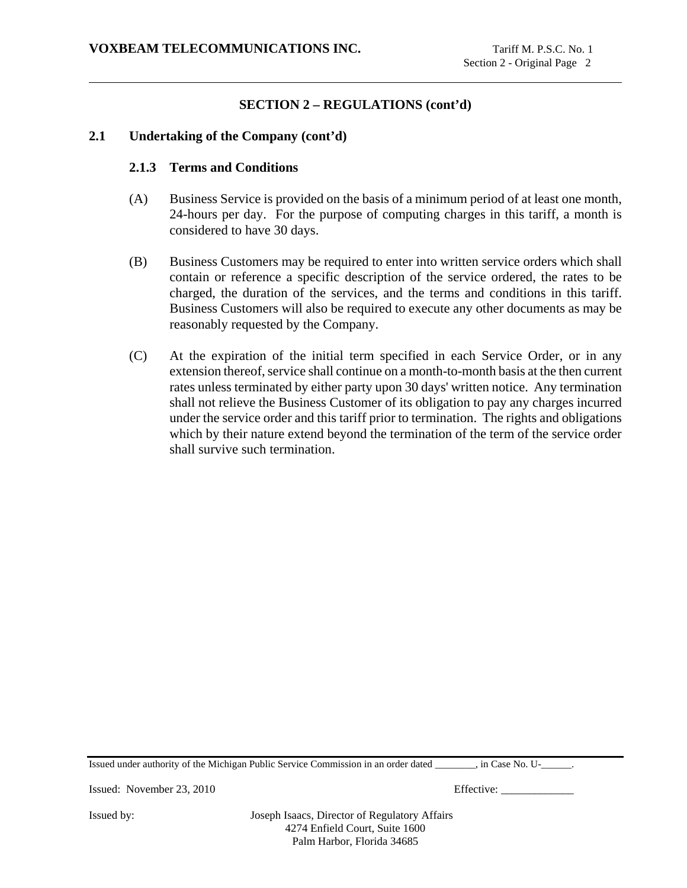# **2.1 Undertaking of the Company (cont'd)**

#### **2.1.3 Terms and Conditions**

- (A) Business Service is provided on the basis of a minimum period of at least one month, 24-hours per day. For the purpose of computing charges in this tariff, a month is considered to have 30 days.
- (B) Business Customers may be required to enter into written service orders which shall contain or reference a specific description of the service ordered, the rates to be charged, the duration of the services, and the terms and conditions in this tariff. Business Customers will also be required to execute any other documents as may be reasonably requested by the Company.
- (C) At the expiration of the initial term specified in each Service Order, or in any extension thereof, service shall continue on a month-to-month basis at the then current rates unless terminated by either party upon 30 days' written notice. Any termination shall not relieve the Business Customer of its obligation to pay any charges incurred under the service order and this tariff prior to termination. The rights and obligations which by their nature extend beyond the termination of the term of the service order shall survive such termination.

Issued under authority of the Michigan Public Service Commission in an order dated \_\_\_\_\_\_\_\_, in Case No. U-\_\_\_\_\_\_.

Issued: November 23, 2010 Effective: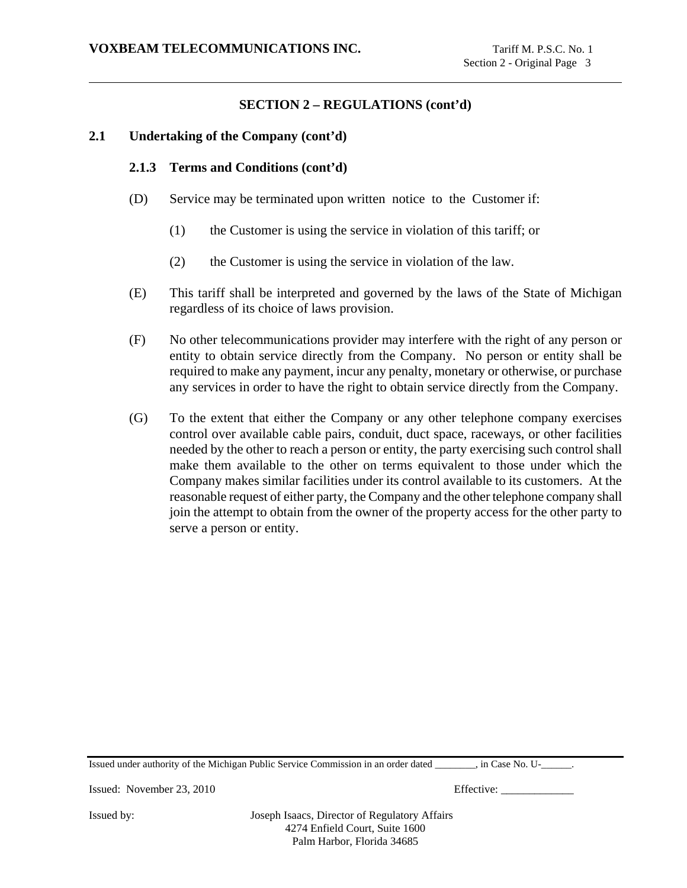# **2.1 Undertaking of the Company (cont'd)**

# **2.1.3 Terms and Conditions (cont'd)**

- (D) Service may be terminated upon written notice to the Customer if:
	- (1) the Customer is using the service in violation of this tariff; or
	- (2) the Customer is using the service in violation of the law.
- (E) This tariff shall be interpreted and governed by the laws of the State of Michigan regardless of its choice of laws provision.
- (F) No other telecommunications provider may interfere with the right of any person or entity to obtain service directly from the Company. No person or entity shall be required to make any payment, incur any penalty, monetary or otherwise, or purchase any services in order to have the right to obtain service directly from the Company.
- (G) To the extent that either the Company or any other telephone company exercises control over available cable pairs, conduit, duct space, raceways, or other facilities needed by the other to reach a person or entity, the party exercising such control shall make them available to the other on terms equivalent to those under which the Company makes similar facilities under its control available to its customers. At the reasonable request of either party, the Company and the other telephone company shall join the attempt to obtain from the owner of the property access for the other party to serve a person or entity.

Issued under authority of the Michigan Public Service Commission in an order dated \_\_\_\_\_\_\_\_, in Case No. U-\_\_\_\_\_\_.

Issued: November 23, 2010 Effective: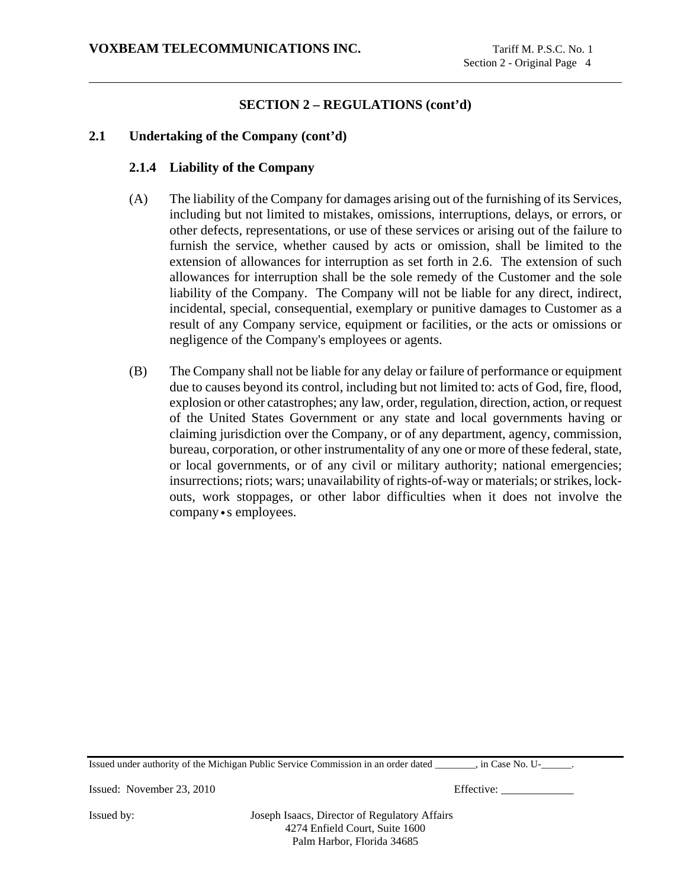# **2.1 Undertaking of the Company (cont'd)**

# **2.1.4 Liability of the Company**

- (A) The liability of the Company for damages arising out of the furnishing of its Services, including but not limited to mistakes, omissions, interruptions, delays, or errors, or other defects, representations, or use of these services or arising out of the failure to furnish the service, whether caused by acts or omission, shall be limited to the extension of allowances for interruption as set forth in 2.6. The extension of such allowances for interruption shall be the sole remedy of the Customer and the sole liability of the Company. The Company will not be liable for any direct, indirect, incidental, special, consequential, exemplary or punitive damages to Customer as a result of any Company service, equipment or facilities, or the acts or omissions or negligence of the Company's employees or agents.
- (B) The Company shall not be liable for any delay or failure of performance or equipment due to causes beyond its control, including but not limited to: acts of God, fire, flood, explosion or other catastrophes; any law, order, regulation, direction, action, or request of the United States Government or any state and local governments having or claiming jurisdiction over the Company, or of any department, agency, commission, bureau, corporation, or other instrumentality of any one or more of these federal, state, or local governments, or of any civil or military authority; national emergencies; insurrections; riots; wars; unavailability of rights-of-way or materials; or strikes, lockouts, work stoppages, or other labor difficulties when it does not involve the company•s employees.

Issued under authority of the Michigan Public Service Commission in an order dated \_\_\_\_\_\_\_\_, in Case No. U-\_\_\_\_\_\_.

Issued: November 23, 2010 Effective: \_\_\_\_\_\_\_\_\_\_\_\_\_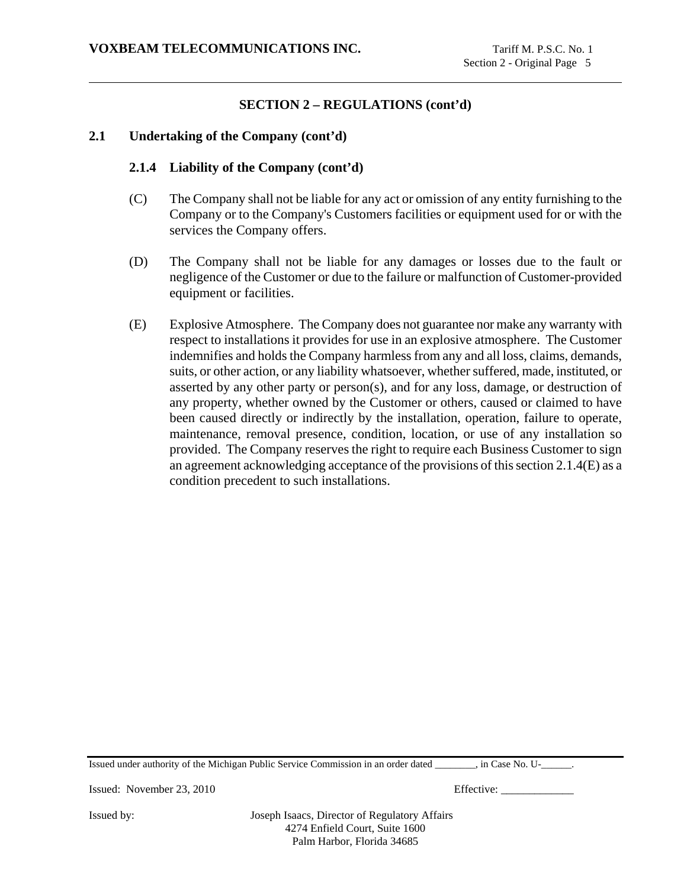# **2.1 Undertaking of the Company (cont'd)**

### **2.1.4 Liability of the Company (cont'd)**

- (C) The Company shall not be liable for any act or omission of any entity furnishing to the Company or to the Company's Customers facilities or equipment used for or with the services the Company offers.
- (D) The Company shall not be liable for any damages or losses due to the fault or negligence of the Customer or due to the failure or malfunction of Customer-provided equipment or facilities.
- (E) Explosive Atmosphere. The Company does not guarantee nor make any warranty with respect to installations it provides for use in an explosive atmosphere. The Customer indemnifies and holds the Company harmless from any and all loss, claims, demands, suits, or other action, or any liability whatsoever, whether suffered, made, instituted, or asserted by any other party or person(s), and for any loss, damage, or destruction of any property, whether owned by the Customer or others, caused or claimed to have been caused directly or indirectly by the installation, operation, failure to operate, maintenance, removal presence, condition, location, or use of any installation so provided. The Company reserves the right to require each Business Customer to sign an agreement acknowledging acceptance of the provisions of this section 2.1.4(E) as a condition precedent to such installations.

Issued under authority of the Michigan Public Service Commission in an order dated \_\_\_\_\_\_\_\_, in Case No. U-\_\_\_\_\_\_.

Issued: November 23, 2010 Effective: \_\_\_\_\_\_\_\_\_\_\_\_\_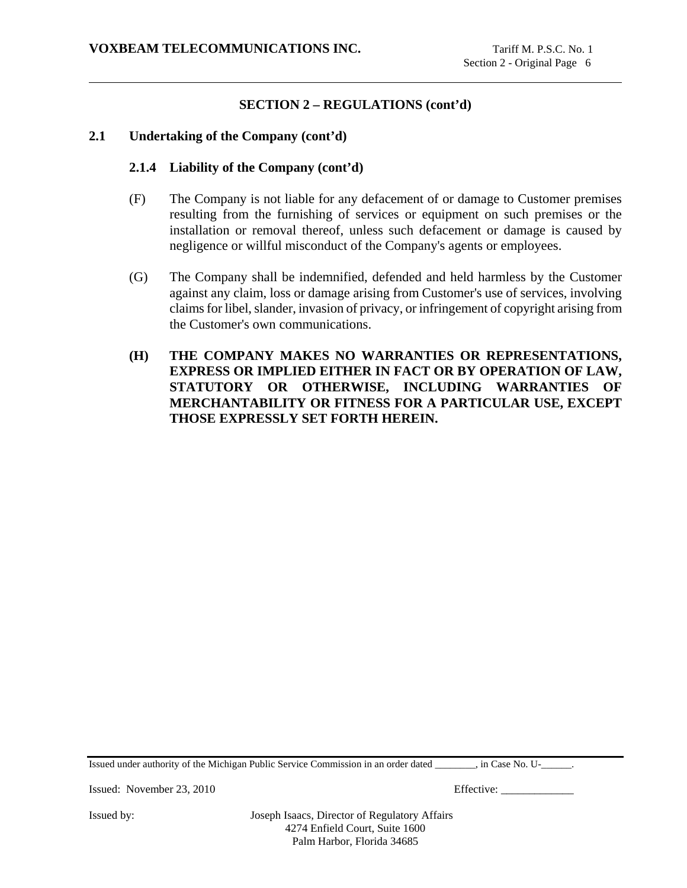### **2.1 Undertaking of the Company (cont'd)**

### **2.1.4 Liability of the Company (cont'd)**

- (F) The Company is not liable for any defacement of or damage to Customer premises resulting from the furnishing of services or equipment on such premises or the installation or removal thereof, unless such defacement or damage is caused by negligence or willful misconduct of the Company's agents or employees.
- (G) The Company shall be indemnified, defended and held harmless by the Customer against any claim, loss or damage arising from Customer's use of services, involving claims for libel, slander, invasion of privacy, or infringement of copyright arising from the Customer's own communications.
- **(H) THE COMPANY MAKES NO WARRANTIES OR REPRESENTATIONS, EXPRESS OR IMPLIED EITHER IN FACT OR BY OPERATION OF LAW, STATUTORY OR OTHERWISE, INCLUDING WARRANTIES OF MERCHANTABILITY OR FITNESS FOR A PARTICULAR USE, EXCEPT THOSE EXPRESSLY SET FORTH HEREIN.**

Issued under authority of the Michigan Public Service Commission in an order dated \_\_\_\_\_\_\_\_, in Case No. U-\_\_\_\_\_\_.

Issued: November 23, 2010 Effective: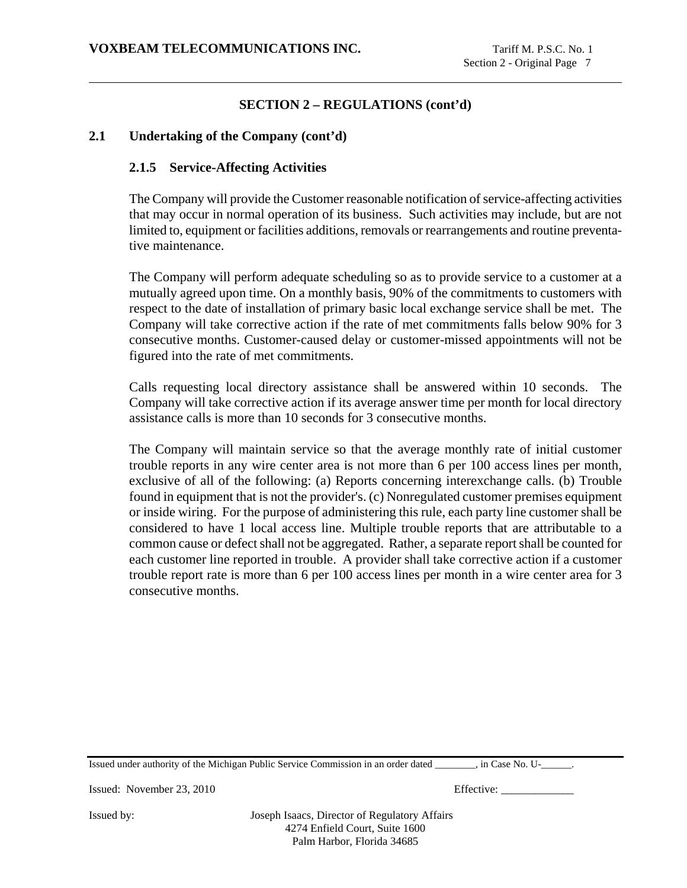# **2.1 Undertaking of the Company (cont'd)**

# **2.1.5 Service-Affecting Activities**

The Company will provide the Customer reasonable notification of service-affecting activities that may occur in normal operation of its business. Such activities may include, but are not limited to, equipment or facilities additions, removals or rearrangements and routine preventative maintenance.

The Company will perform adequate scheduling so as to provide service to a customer at a mutually agreed upon time. On a monthly basis, 90% of the commitments to customers with respect to the date of installation of primary basic local exchange service shall be met. The Company will take corrective action if the rate of met commitments falls below 90% for 3 consecutive months. Customer-caused delay or customer-missed appointments will not be figured into the rate of met commitments.

Calls requesting local directory assistance shall be answered within 10 seconds. The Company will take corrective action if its average answer time per month for local directory assistance calls is more than 10 seconds for 3 consecutive months.

The Company will maintain service so that the average monthly rate of initial customer trouble reports in any wire center area is not more than 6 per 100 access lines per month, exclusive of all of the following: (a) Reports concerning interexchange calls. (b) Trouble found in equipment that is not the provider's. (c) Nonregulated customer premises equipment or inside wiring. For the purpose of administering this rule, each party line customer shall be considered to have 1 local access line. Multiple trouble reports that are attributable to a common cause or defect shall not be aggregated. Rather, a separate report shall be counted for each customer line reported in trouble. A provider shall take corrective action if a customer trouble report rate is more than 6 per 100 access lines per month in a wire center area for 3 consecutive months.

Issued under authority of the Michigan Public Service Commission in an order dated \_\_\_\_\_\_\_\_, in Case No. U-\_\_\_\_\_\_.

Issued: November 23, 2010 Effective: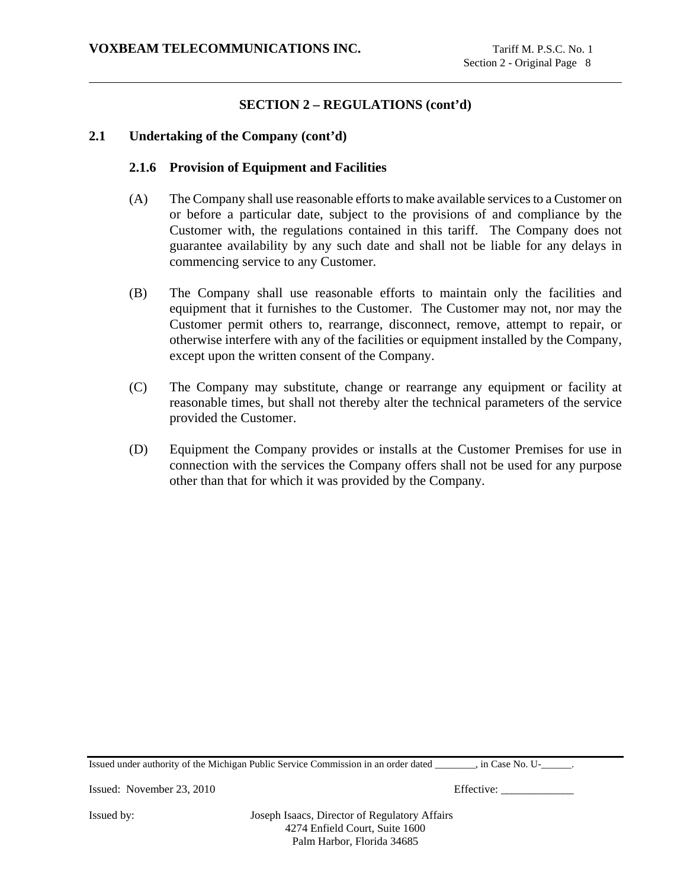# **2.1 Undertaking of the Company (cont'd)**

#### **2.1.6 Provision of Equipment and Facilities**

- (A) The Company shall use reasonable efforts to make available services to a Customer on or before a particular date, subject to the provisions of and compliance by the Customer with, the regulations contained in this tariff. The Company does not guarantee availability by any such date and shall not be liable for any delays in commencing service to any Customer.
- (B) The Company shall use reasonable efforts to maintain only the facilities and equipment that it furnishes to the Customer. The Customer may not, nor may the Customer permit others to, rearrange, disconnect, remove, attempt to repair, or otherwise interfere with any of the facilities or equipment installed by the Company, except upon the written consent of the Company.
- (C) The Company may substitute, change or rearrange any equipment or facility at reasonable times, but shall not thereby alter the technical parameters of the service provided the Customer.
- (D) Equipment the Company provides or installs at the Customer Premises for use in connection with the services the Company offers shall not be used for any purpose other than that for which it was provided by the Company.

Issued under authority of the Michigan Public Service Commission in an order dated \_\_\_\_\_\_\_\_, in Case No. U-\_\_\_\_\_\_.

Issued: November 23, 2010 Effective: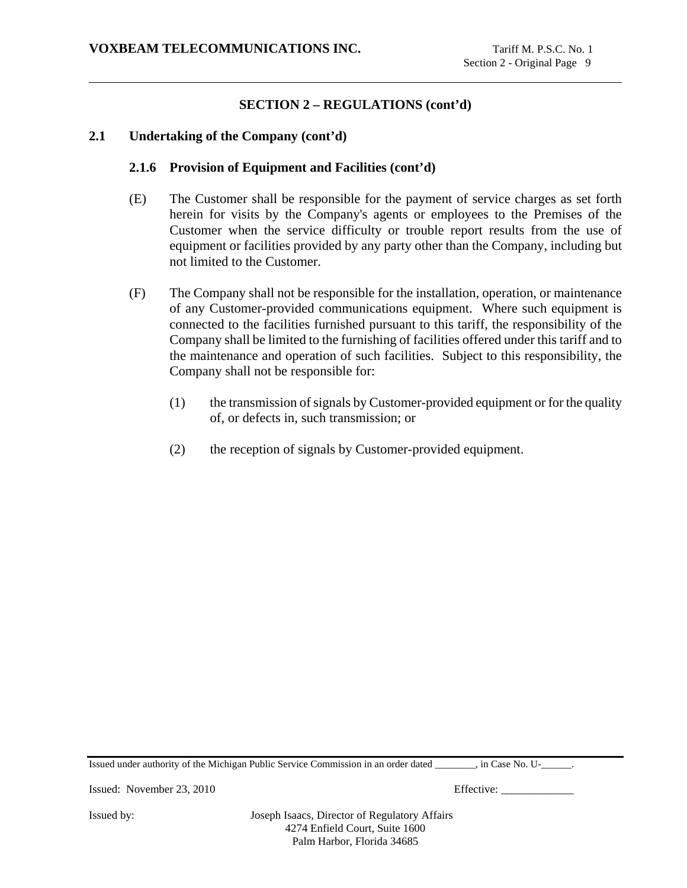# **2.1 Undertaking of the Company (cont'd)**

# **2.1.6 Provision of Equipment and Facilities (cont'd)**

- (E) The Customer shall be responsible for the payment of service charges as set forth herein for visits by the Company's agents or employees to the Premises of the Customer when the service difficulty or trouble report results from the use of equipment or facilities provided by any party other than the Company, including but not limited to the Customer.
- (F) The Company shall not be responsible for the installation, operation, or maintenance of any Customer-provided communications equipment. Where such equipment is connected to the facilities furnished pursuant to this tariff, the responsibility of the Company shall be limited to the furnishing of facilities offered under this tariff and to the maintenance and operation of such facilities. Subject to this responsibility, the Company shall not be responsible for:
	- (1) the transmission of signals by Customer-provided equipment or for the quality of, or defects in, such transmission; or
	- (2) the reception of signals by Customer-provided equipment.

Issued under authority of the Michigan Public Service Commission in an order dated \_\_\_\_\_\_\_\_, in Case No. U-\_\_\_\_\_\_.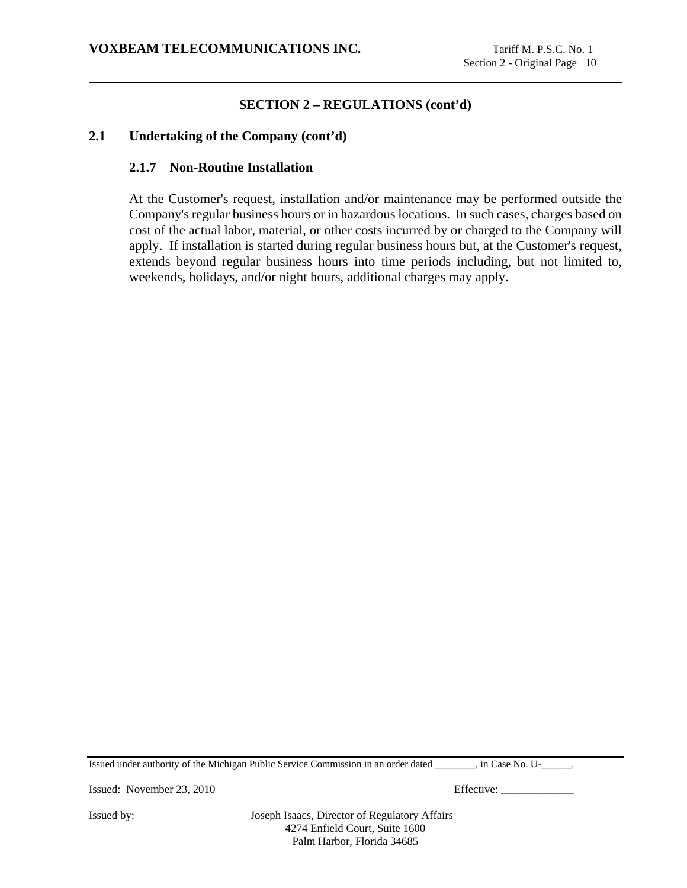# **2.1 Undertaking of the Company (cont'd)**

### **2.1.7 Non-Routine Installation**

At the Customer's request, installation and/or maintenance may be performed outside the Company's regular business hours or in hazardous locations. In such cases, charges based on cost of the actual labor, material, or other costs incurred by or charged to the Company will apply. If installation is started during regular business hours but, at the Customer's request, extends beyond regular business hours into time periods including, but not limited to, weekends, holidays, and/or night hours, additional charges may apply.

Issued under authority of the Michigan Public Service Commission in an order dated \_\_\_\_\_\_\_\_, in Case No. U-\_\_\_\_\_\_.

Issued: November 23, 2010 Effective: \_\_\_\_\_\_\_\_\_\_\_\_\_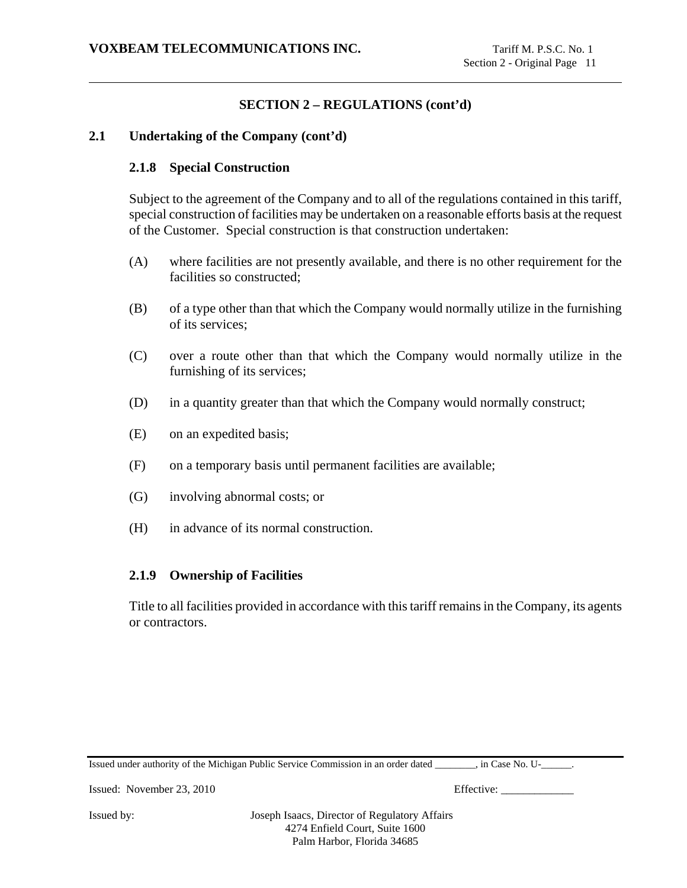# **2.1 Undertaking of the Company (cont'd)**

#### **2.1.8 Special Construction**

Subject to the agreement of the Company and to all of the regulations contained in this tariff, special construction of facilities may be undertaken on a reasonable efforts basis at the request of the Customer. Special construction is that construction undertaken:

- (A) where facilities are not presently available, and there is no other requirement for the facilities so constructed;
- (B) of a type other than that which the Company would normally utilize in the furnishing of its services;
- (C) over a route other than that which the Company would normally utilize in the furnishing of its services;
- (D) in a quantity greater than that which the Company would normally construct;
- (E) on an expedited basis;
- (F) on a temporary basis until permanent facilities are available;
- (G) involving abnormal costs; or
- (H) in advance of its normal construction.

#### **2.1.9 Ownership of Facilities**

Title to all facilities provided in accordance with this tariff remains in the Company, its agents or contractors.

Issued under authority of the Michigan Public Service Commission in an order dated \_\_\_\_\_\_\_\_, in Case No. U-\_\_\_\_\_\_.

Issued: November 23, 2010 Effective: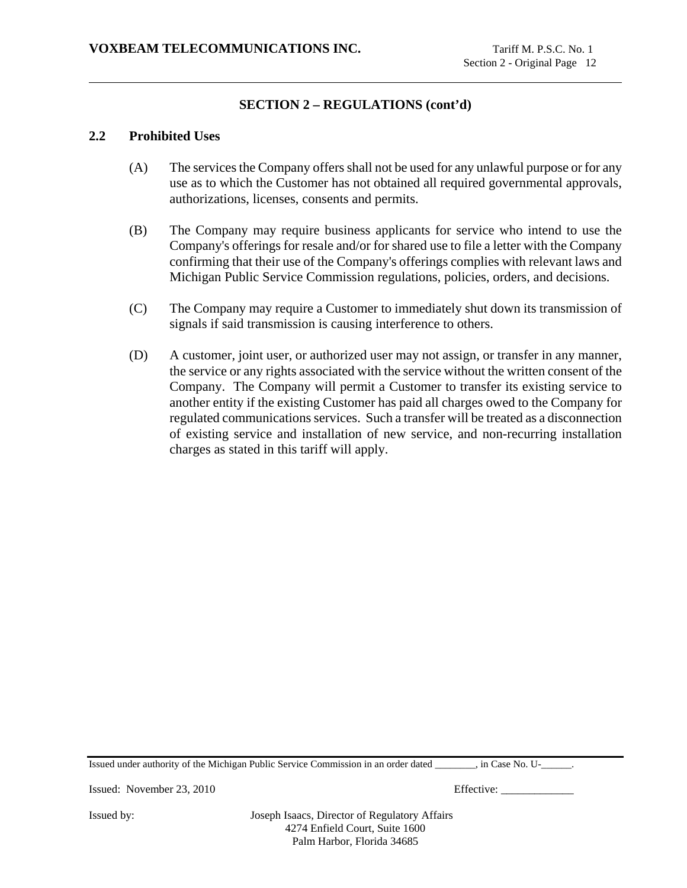### **2.2 Prohibited Uses**

- (A) The services the Company offers shall not be used for any unlawful purpose or for any use as to which the Customer has not obtained all required governmental approvals, authorizations, licenses, consents and permits.
- (B) The Company may require business applicants for service who intend to use the Company's offerings for resale and/or for shared use to file a letter with the Company confirming that their use of the Company's offerings complies with relevant laws and Michigan Public Service Commission regulations, policies, orders, and decisions.
- (C) The Company may require a Customer to immediately shut down its transmission of signals if said transmission is causing interference to others.
- (D) A customer, joint user, or authorized user may not assign, or transfer in any manner, the service or any rights associated with the service without the written consent of the Company. The Company will permit a Customer to transfer its existing service to another entity if the existing Customer has paid all charges owed to the Company for regulated communications services. Such a transfer will be treated as a disconnection of existing service and installation of new service, and non-recurring installation charges as stated in this tariff will apply.

Issued under authority of the Michigan Public Service Commission in an order dated \_\_\_\_\_\_\_\_, in Case No. U-\_\_\_\_\_\_.

Issued: November 23, 2010 Effective: \_\_\_\_\_\_\_\_\_\_\_\_\_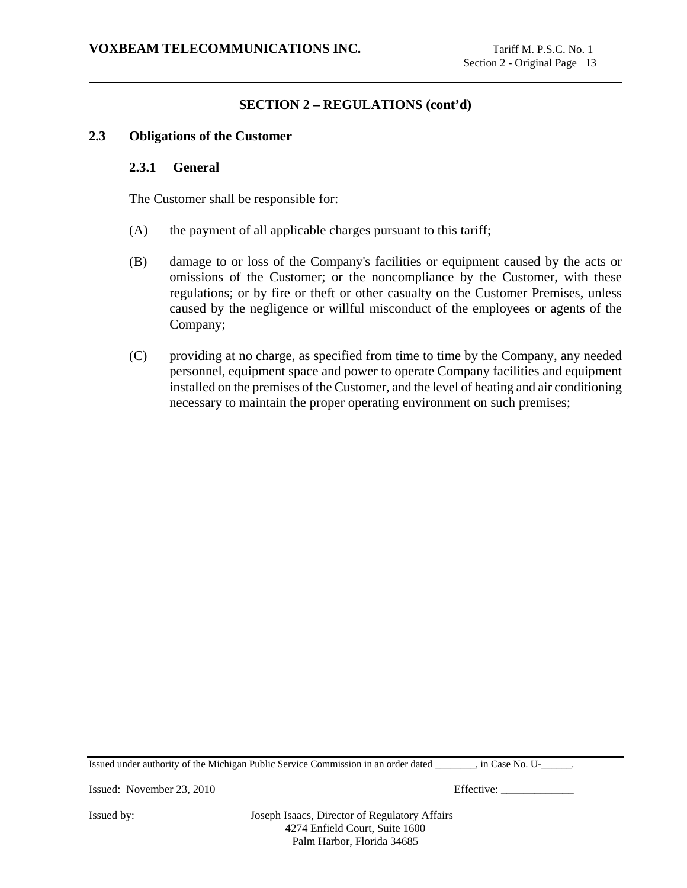### **2.3 Obligations of the Customer**

#### **2.3.1 General**

The Customer shall be responsible for:

- (A) the payment of all applicable charges pursuant to this tariff;
- (B) damage to or loss of the Company's facilities or equipment caused by the acts or omissions of the Customer; or the noncompliance by the Customer, with these regulations; or by fire or theft or other casualty on the Customer Premises, unless caused by the negligence or willful misconduct of the employees or agents of the Company;
- (C) providing at no charge, as specified from time to time by the Company, any needed personnel, equipment space and power to operate Company facilities and equipment installed on the premises of the Customer, and the level of heating and air conditioning necessary to maintain the proper operating environment on such premises;

Issued under authority of the Michigan Public Service Commission in an order dated \_\_\_\_\_\_\_\_, in Case No. U-\_\_\_\_\_\_.

Issued: November 23, 2010 Effective: \_\_\_\_\_\_\_\_\_\_\_\_\_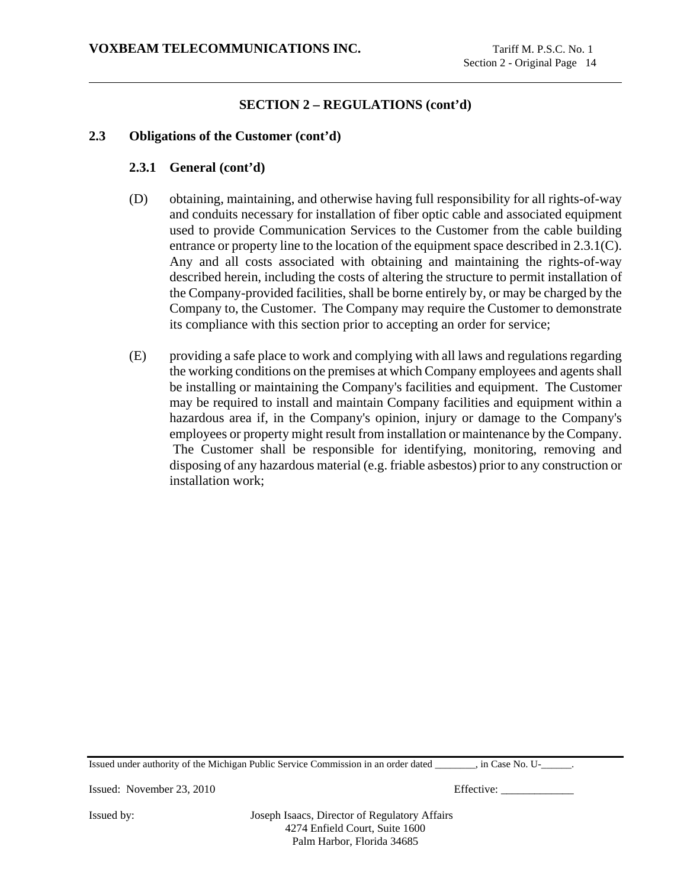# **2.3 Obligations of the Customer (cont'd)**

### **2.3.1 General (cont'd)**

- (D) obtaining, maintaining, and otherwise having full responsibility for all rights-of-way and conduits necessary for installation of fiber optic cable and associated equipment used to provide Communication Services to the Customer from the cable building entrance or property line to the location of the equipment space described in 2.3.1(C). Any and all costs associated with obtaining and maintaining the rights-of-way described herein, including the costs of altering the structure to permit installation of the Company-provided facilities, shall be borne entirely by, or may be charged by the Company to, the Customer. The Company may require the Customer to demonstrate its compliance with this section prior to accepting an order for service;
- (E) providing a safe place to work and complying with all laws and regulations regarding the working conditions on the premises at which Company employees and agents shall be installing or maintaining the Company's facilities and equipment. The Customer may be required to install and maintain Company facilities and equipment within a hazardous area if, in the Company's opinion, injury or damage to the Company's employees or property might result from installation or maintenance by the Company. The Customer shall be responsible for identifying, monitoring, removing and disposing of any hazardous material (e.g. friable asbestos) prior to any construction or installation work;

Issued under authority of the Michigan Public Service Commission in an order dated \_\_\_\_\_\_\_\_, in Case No. U-\_\_\_\_\_\_.

Issued: November 23, 2010 Effective: \_\_\_\_\_\_\_\_\_\_\_\_\_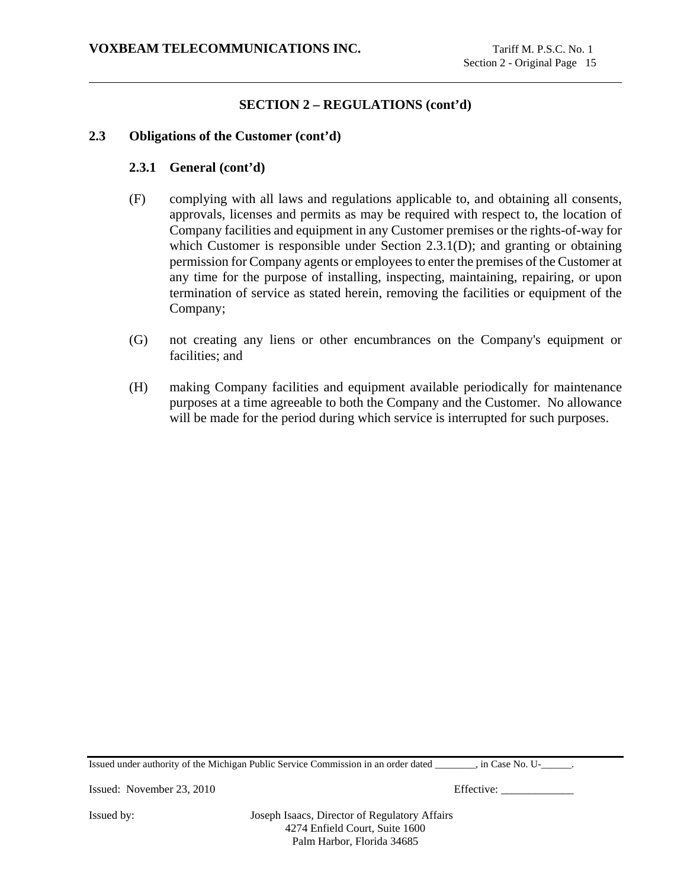### **2.3 Obligations of the Customer (cont'd)**

#### **2.3.1 General (cont'd)**

- (F) complying with all laws and regulations applicable to, and obtaining all consents, approvals, licenses and permits as may be required with respect to, the location of Company facilities and equipment in any Customer premises or the rights-of-way for which Customer is responsible under Section 2.3.1(D); and granting or obtaining permission for Company agents or employees to enter the premises of the Customer at any time for the purpose of installing, inspecting, maintaining, repairing, or upon termination of service as stated herein, removing the facilities or equipment of the Company;
- (G) not creating any liens or other encumbrances on the Company's equipment or facilities; and
- (H) making Company facilities and equipment available periodically for maintenance purposes at a time agreeable to both the Company and the Customer. No allowance will be made for the period during which service is interrupted for such purposes.

Issued under authority of the Michigan Public Service Commission in an order dated \_\_\_\_\_\_\_\_, in Case No. U-\_\_\_\_\_\_.

Issued: November 23, 2010 Effective: \_\_\_\_\_\_\_\_\_\_\_\_\_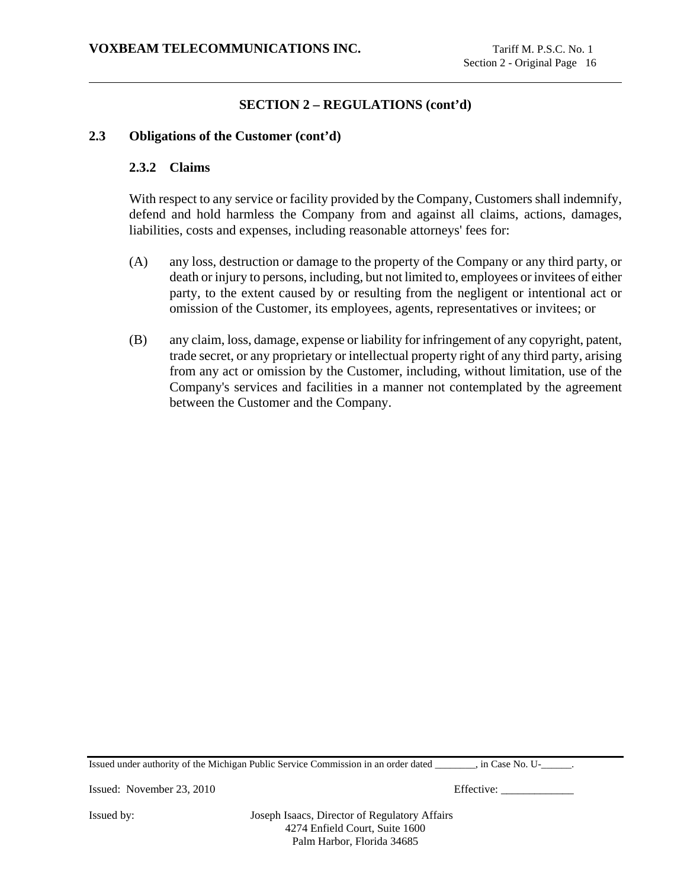### **2.3 Obligations of the Customer (cont'd)**

#### **2.3.2 Claims**

With respect to any service or facility provided by the Company, Customers shall indemnify, defend and hold harmless the Company from and against all claims, actions, damages, liabilities, costs and expenses, including reasonable attorneys' fees for:

- (A) any loss, destruction or damage to the property of the Company or any third party, or death or injury to persons, including, but not limited to, employees or invitees of either party, to the extent caused by or resulting from the negligent or intentional act or omission of the Customer, its employees, agents, representatives or invitees; or
- (B) any claim, loss, damage, expense or liability for infringement of any copyright, patent, trade secret, or any proprietary or intellectual property right of any third party, arising from any act or omission by the Customer, including, without limitation, use of the Company's services and facilities in a manner not contemplated by the agreement between the Customer and the Company.

Issued under authority of the Michigan Public Service Commission in an order dated \_\_\_\_\_\_\_\_, in Case No. U-\_\_\_\_\_\_.

Issued: November 23, 2010 Effective: \_\_\_\_\_\_\_\_\_\_\_\_\_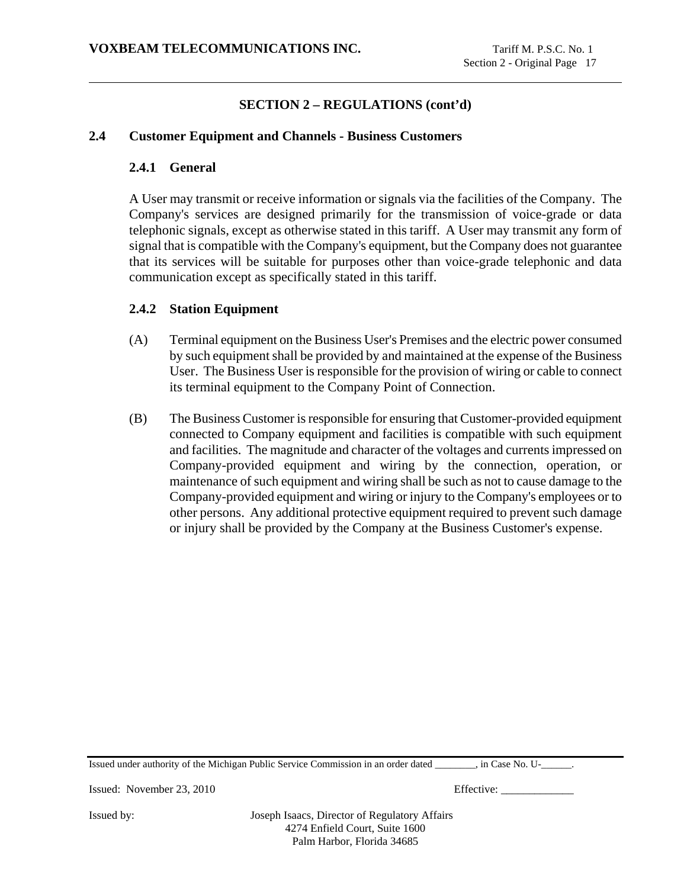# **2.4 Customer Equipment and Channels - Business Customers**

# **2.4.1 General**

A User may transmit or receive information or signals via the facilities of the Company. The Company's services are designed primarily for the transmission of voice-grade or data telephonic signals, except as otherwise stated in this tariff. A User may transmit any form of signal that is compatible with the Company's equipment, but the Company does not guarantee that its services will be suitable for purposes other than voice-grade telephonic and data communication except as specifically stated in this tariff.

# **2.4.2 Station Equipment**

- (A) Terminal equipment on the Business User's Premises and the electric power consumed by such equipment shall be provided by and maintained at the expense of the Business User. The Business User is responsible for the provision of wiring or cable to connect its terminal equipment to the Company Point of Connection.
- (B) The Business Customer is responsible for ensuring that Customer-provided equipment connected to Company equipment and facilities is compatible with such equipment and facilities. The magnitude and character of the voltages and currents impressed on Company-provided equipment and wiring by the connection, operation, or maintenance of such equipment and wiring shall be such as not to cause damage to the Company-provided equipment and wiring or injury to the Company's employees or to other persons. Any additional protective equipment required to prevent such damage or injury shall be provided by the Company at the Business Customer's expense.

Issued under authority of the Michigan Public Service Commission in an order dated \_\_\_\_\_\_\_\_, in Case No. U-\_\_\_\_\_\_.

Issued: November 23, 2010 Effective: \_\_\_\_\_\_\_\_\_\_\_\_\_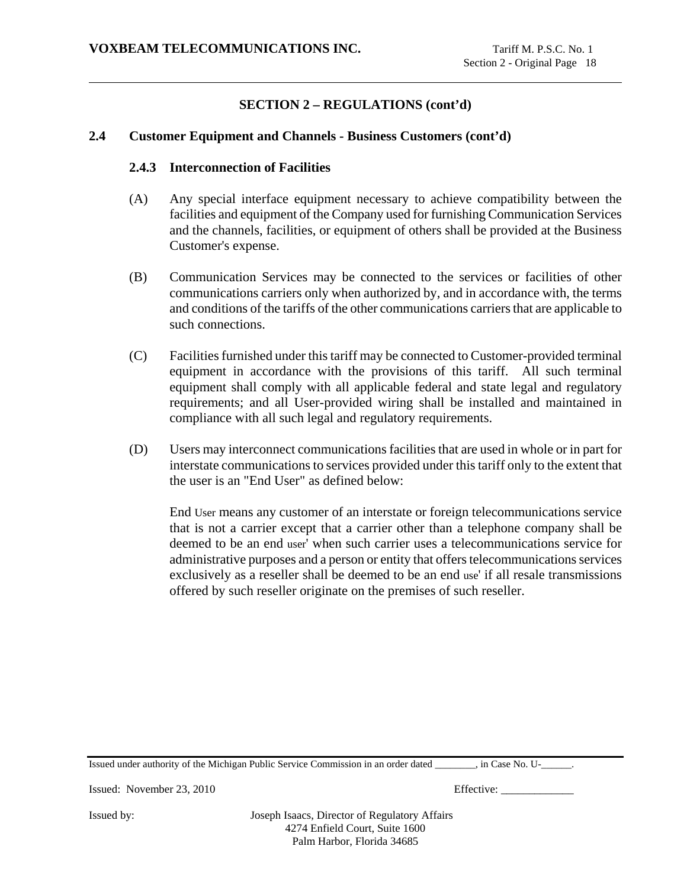# **2.4 Customer Equipment and Channels - Business Customers (cont'd)**

### **2.4.3 Interconnection of Facilities**

- (A) Any special interface equipment necessary to achieve compatibility between the facilities and equipment of the Company used for furnishing Communication Services and the channels, facilities, or equipment of others shall be provided at the Business Customer's expense.
- (B) Communication Services may be connected to the services or facilities of other communications carriers only when authorized by, and in accordance with, the terms and conditions of the tariffs of the other communications carriers that are applicable to such connections.
- (C) Facilities furnished under this tariff may be connected to Customer-provided terminal equipment in accordance with the provisions of this tariff. All such terminal equipment shall comply with all applicable federal and state legal and regulatory requirements; and all User-provided wiring shall be installed and maintained in compliance with all such legal and regulatory requirements.
- (D) Users may interconnect communications facilities that are used in whole or in part for interstate communications to services provided under this tariff only to the extent that the user is an "End User" as defined below:

End User means any customer of an interstate or foreign telecommunications service that is not a carrier except that a carrier other than a telephone company shall be deemed to be an end user' when such carrier uses a telecommunications service for administrative purposes and a person or entity that offers telecommunications services exclusively as a reseller shall be deemed to be an end use' if all resale transmissions offered by such reseller originate on the premises of such reseller.

Issued under authority of the Michigan Public Service Commission in an order dated \_\_\_\_\_\_\_\_, in Case No. U-\_\_\_\_\_\_.

Issued: November 23, 2010 Effective: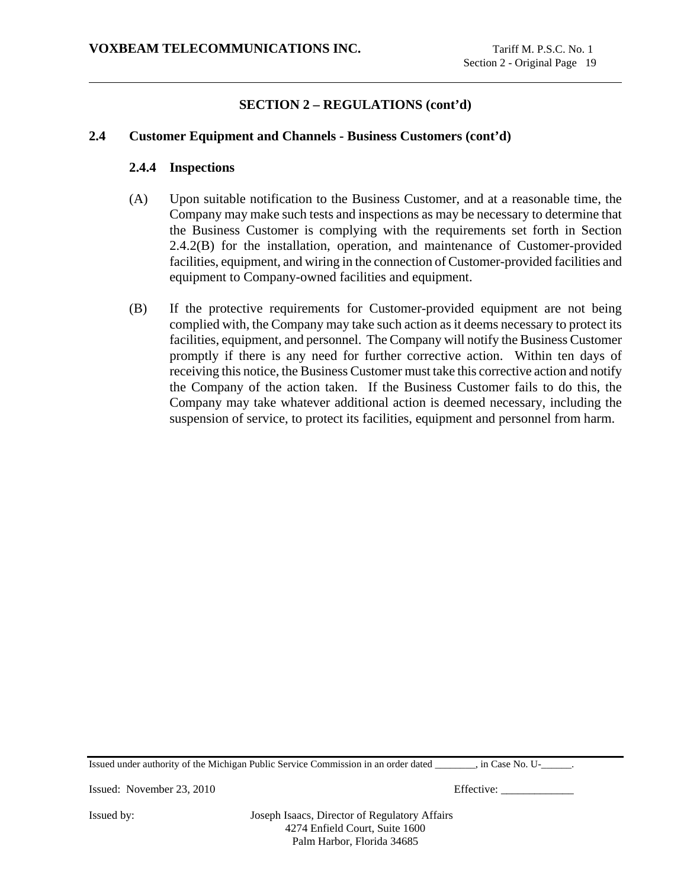### **2.4 Customer Equipment and Channels - Business Customers (cont'd)**

#### **2.4.4 Inspections**

- (A) Upon suitable notification to the Business Customer, and at a reasonable time, the Company may make such tests and inspections as may be necessary to determine that the Business Customer is complying with the requirements set forth in Section 2.4.2(B) for the installation, operation, and maintenance of Customer-provided facilities, equipment, and wiring in the connection of Customer-provided facilities and equipment to Company-owned facilities and equipment.
- (B) If the protective requirements for Customer-provided equipment are not being complied with, the Company may take such action as it deems necessary to protect its facilities, equipment, and personnel. The Company will notify the Business Customer promptly if there is any need for further corrective action. Within ten days of receiving this notice, the Business Customer must take this corrective action and notify the Company of the action taken. If the Business Customer fails to do this, the Company may take whatever additional action is deemed necessary, including the suspension of service, to protect its facilities, equipment and personnel from harm.

Issued under authority of the Michigan Public Service Commission in an order dated \_\_\_\_\_\_\_\_, in Case No. U-\_\_\_\_\_\_.

Issued: November 23, 2010 Effective: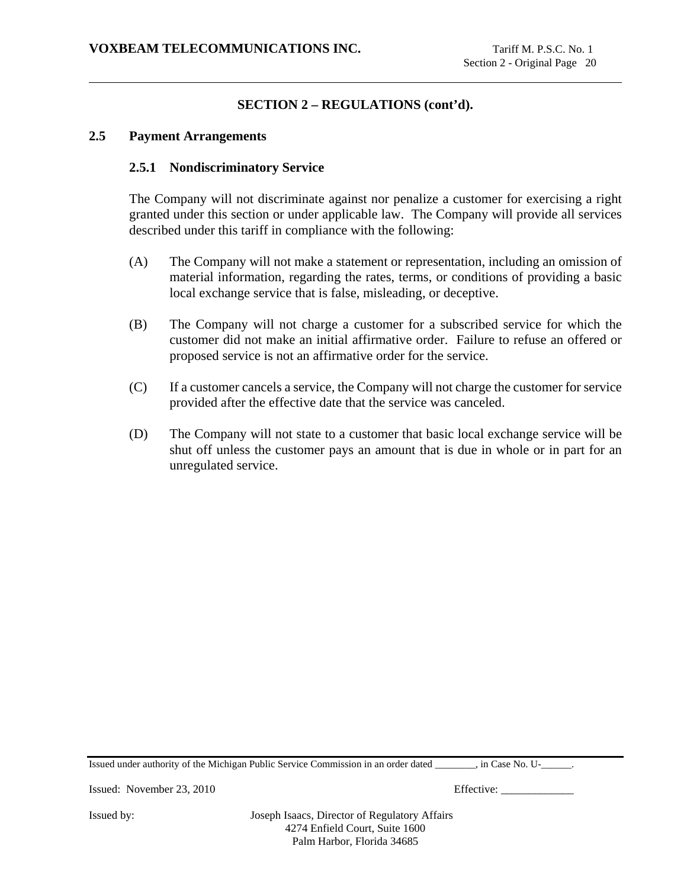### **2.5 Payment Arrangements**

#### **2.5.1 Nondiscriminatory Service**

The Company will not discriminate against nor penalize a customer for exercising a right granted under this section or under applicable law. The Company will provide all services described under this tariff in compliance with the following:

- (A) The Company will not make a statement or representation, including an omission of material information, regarding the rates, terms, or conditions of providing a basic local exchange service that is false, misleading, or deceptive.
- (B) The Company will not charge a customer for a subscribed service for which the customer did not make an initial affirmative order. Failure to refuse an offered or proposed service is not an affirmative order for the service.
- (C) If a customer cancels a service, the Company will not charge the customer for service provided after the effective date that the service was canceled.
- (D) The Company will not state to a customer that basic local exchange service will be shut off unless the customer pays an amount that is due in whole or in part for an unregulated service.

Issued under authority of the Michigan Public Service Commission in an order dated \_\_\_\_\_\_\_\_, in Case No. U-\_\_\_\_\_\_.

Issued: November 23, 2010 Effective: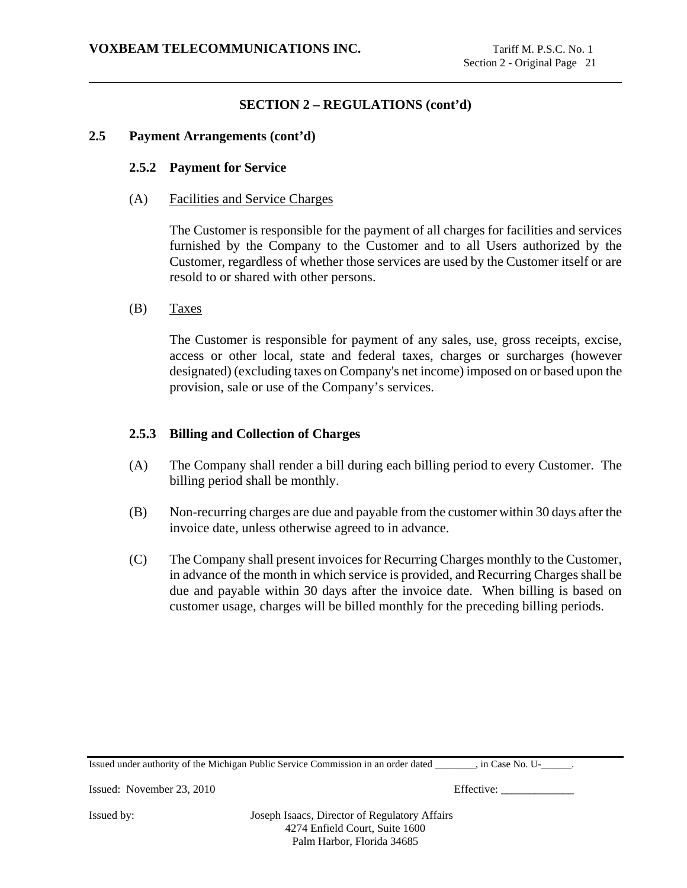### **2.5 Payment Arrangements (cont'd)**

### **2.5.2 Payment for Service**

(A) Facilities and Service Charges

The Customer is responsible for the payment of all charges for facilities and services furnished by the Company to the Customer and to all Users authorized by the Customer, regardless of whether those services are used by the Customer itself or are resold to or shared with other persons.

(B) Taxes

The Customer is responsible for payment of any sales, use, gross receipts, excise, access or other local, state and federal taxes, charges or surcharges (however designated) (excluding taxes on Company's net income) imposed on or based upon the provision, sale or use of the Company's services.

# **2.5.3 Billing and Collection of Charges**

- (A) The Company shall render a bill during each billing period to every Customer. The billing period shall be monthly.
- (B) Non-recurring charges are due and payable from the customer within 30 days after the invoice date, unless otherwise agreed to in advance.
- (C) The Company shall present invoices for Recurring Charges monthly to the Customer, in advance of the month in which service is provided, and Recurring Charges shall be due and payable within 30 days after the invoice date. When billing is based on customer usage, charges will be billed monthly for the preceding billing periods.

| Issued under authority of the Michigan Public Service Commission in an order dated<br>$\cdot$ in Case No. U- |  |
|--------------------------------------------------------------------------------------------------------------|--|
|--------------------------------------------------------------------------------------------------------------|--|

Issued: November 23, 2010 Effective: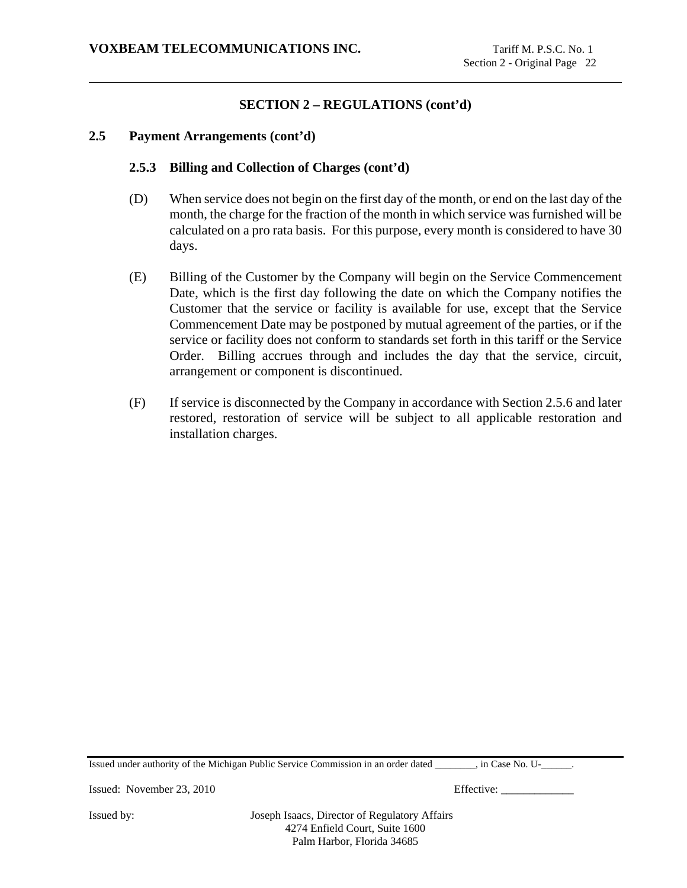### **2.5 Payment Arrangements (cont'd)**

### **2.5.3 Billing and Collection of Charges (cont'd)**

- (D) When service does not begin on the first day of the month, or end on the last day of the month, the charge for the fraction of the month in which service was furnished will be calculated on a pro rata basis. For this purpose, every month is considered to have 30 days.
- (E) Billing of the Customer by the Company will begin on the Service Commencement Date, which is the first day following the date on which the Company notifies the Customer that the service or facility is available for use, except that the Service Commencement Date may be postponed by mutual agreement of the parties, or if the service or facility does not conform to standards set forth in this tariff or the Service Order. Billing accrues through and includes the day that the service, circuit, arrangement or component is discontinued.
- (F) If service is disconnected by the Company in accordance with Section 2.5.6 and later restored, restoration of service will be subject to all applicable restoration and installation charges.

Issued under authority of the Michigan Public Service Commission in an order dated \_\_\_\_\_\_\_\_, in Case No. U-\_\_\_\_\_\_.

Issued: November 23, 2010 Effective: \_\_\_\_\_\_\_\_\_\_\_\_\_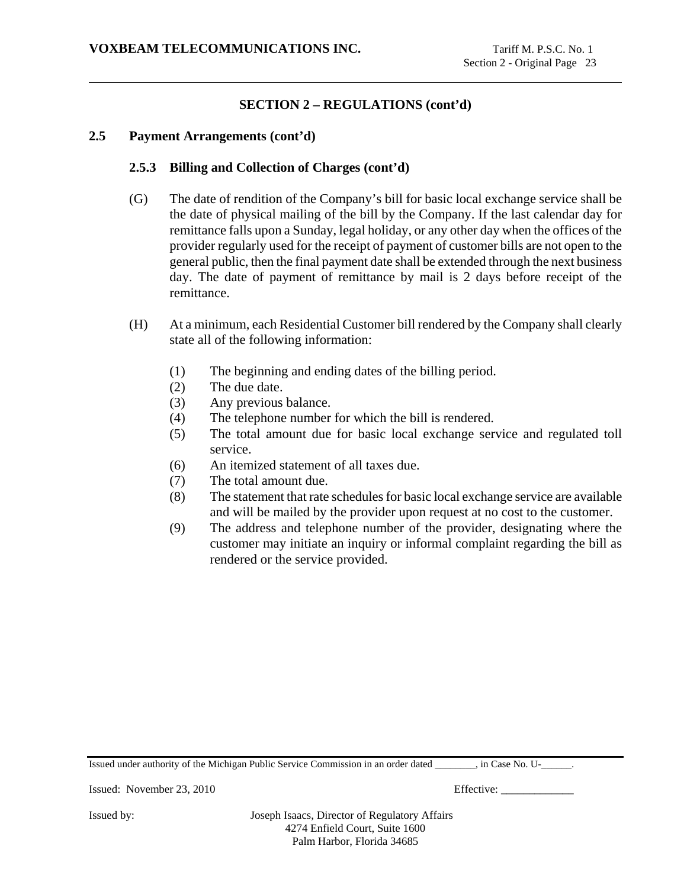### **2.5 Payment Arrangements (cont'd)**

### **2.5.3 Billing and Collection of Charges (cont'd)**

- (G) The date of rendition of the Company's bill for basic local exchange service shall be the date of physical mailing of the bill by the Company. If the last calendar day for remittance falls upon a Sunday, legal holiday, or any other day when the offices of the provider regularly used for the receipt of payment of customer bills are not open to the general public, then the final payment date shall be extended through the next business day. The date of payment of remittance by mail is 2 days before receipt of the remittance.
- (H) At a minimum, each Residential Customer bill rendered by the Company shall clearly state all of the following information:
	- (1) The beginning and ending dates of the billing period.
	- (2) The due date.
	- (3) Any previous balance.
	- (4) The telephone number for which the bill is rendered.
	- (5) The total amount due for basic local exchange service and regulated toll service.
	- (6) An itemized statement of all taxes due.
	- (7) The total amount due.
	- (8) The statement that rate schedules for basic local exchange service are available and will be mailed by the provider upon request at no cost to the customer.
	- (9) The address and telephone number of the provider, designating where the customer may initiate an inquiry or informal complaint regarding the bill as rendered or the service provided.

Issued under authority of the Michigan Public Service Commission in an order dated \_\_\_\_\_\_\_\_, in Case No. U-\_\_\_\_\_\_.

Issued: November 23, 2010 Effective: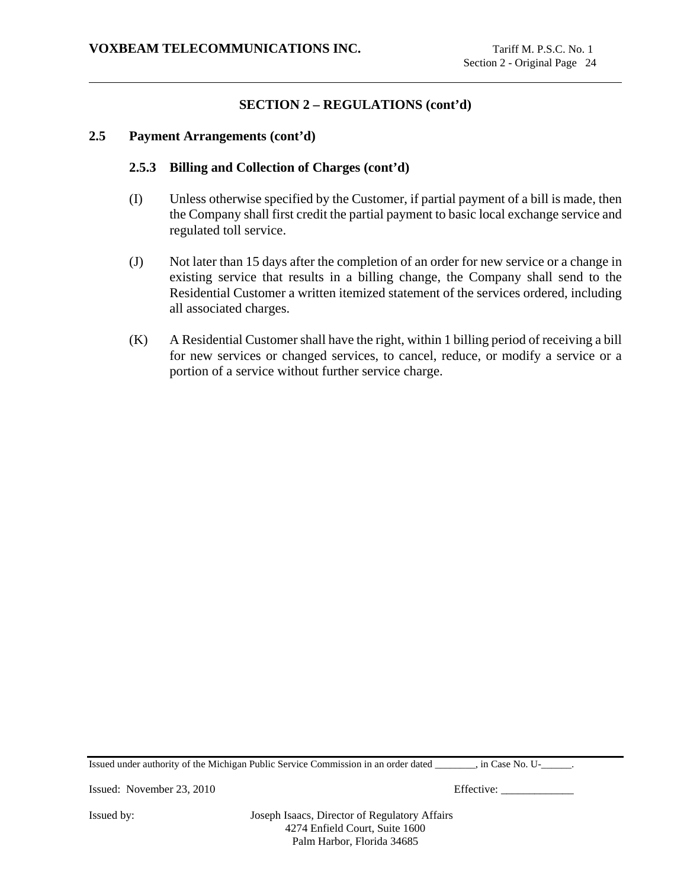### **2.5 Payment Arrangements (cont'd)**

### **2.5.3 Billing and Collection of Charges (cont'd)**

- (I) Unless otherwise specified by the Customer, if partial payment of a bill is made, then the Company shall first credit the partial payment to basic local exchange service and regulated toll service.
- (J) Not later than 15 days after the completion of an order for new service or a change in existing service that results in a billing change, the Company shall send to the Residential Customer a written itemized statement of the services ordered, including all associated charges.
- (K) A Residential Customer shall have the right, within 1 billing period of receiving a bill for new services or changed services, to cancel, reduce, or modify a service or a portion of a service without further service charge.

Issued under authority of the Michigan Public Service Commission in an order dated \_\_\_\_\_\_\_\_, in Case No. U-\_\_\_\_\_\_.

Issued: November 23, 2010 Effective: \_\_\_\_\_\_\_\_\_\_\_\_\_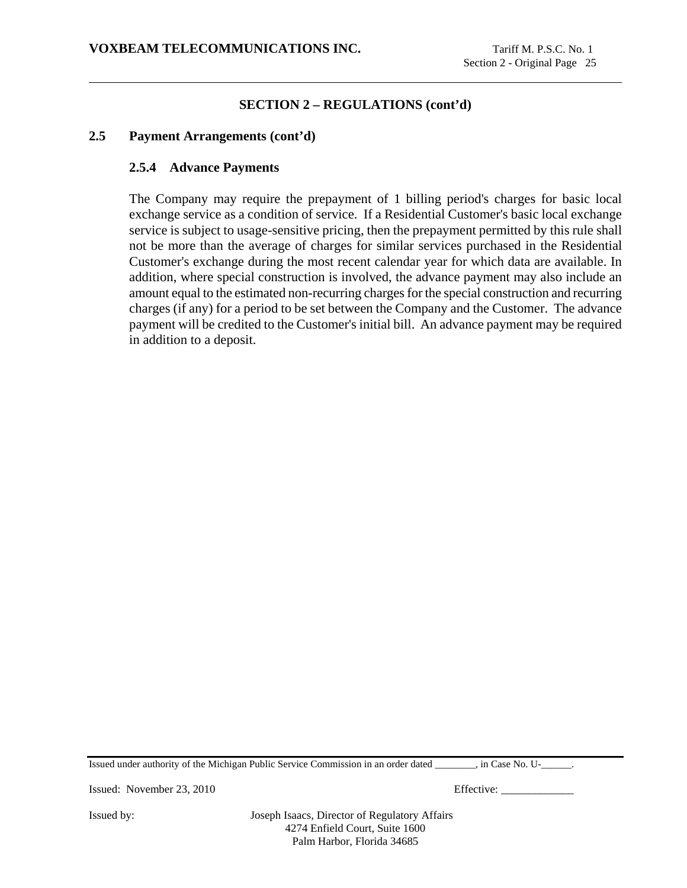### **2.5 Payment Arrangements (cont'd)**

### **2.5.4 Advance Payments**

The Company may require the prepayment of 1 billing period's charges for basic local exchange service as a condition of service. If a Residential Customer's basic local exchange service is subject to usage-sensitive pricing, then the prepayment permitted by this rule shall not be more than the average of charges for similar services purchased in the Residential Customer's exchange during the most recent calendar year for which data are available. In addition, where special construction is involved, the advance payment may also include an amount equal to the estimated non-recurring charges for the special construction and recurring charges (if any) for a period to be set between the Company and the Customer. The advance payment will be credited to the Customer's initial bill. An advance payment may be required in addition to a deposit.

Issued under authority of the Michigan Public Service Commission in an order dated \_\_\_\_\_\_\_\_, in Case No. U-\_\_\_\_\_\_.

Issued: November 23, 2010 Effective: \_\_\_\_\_\_\_\_\_\_\_\_\_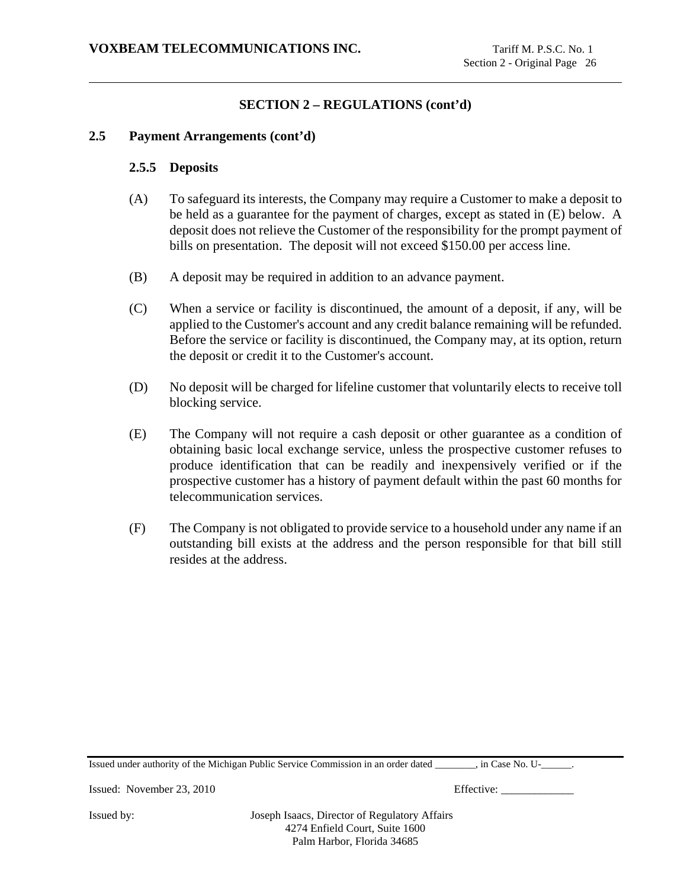#### **2.5 Payment Arrangements (cont'd)**

#### **2.5.5 Deposits**

- (A) To safeguard its interests, the Company may require a Customer to make a deposit to be held as a guarantee for the payment of charges, except as stated in (E) below. A deposit does not relieve the Customer of the responsibility for the prompt payment of bills on presentation. The deposit will not exceed \$150.00 per access line.
- (B) A deposit may be required in addition to an advance payment.
- (C) When a service or facility is discontinued, the amount of a deposit, if any, will be applied to the Customer's account and any credit balance remaining will be refunded. Before the service or facility is discontinued, the Company may, at its option, return the deposit or credit it to the Customer's account.
- (D) No deposit will be charged for lifeline customer that voluntarily elects to receive toll blocking service.
- (E) The Company will not require a cash deposit or other guarantee as a condition of obtaining basic local exchange service, unless the prospective customer refuses to produce identification that can be readily and inexpensively verified or if the prospective customer has a history of payment default within the past 60 months for telecommunication services.
- (F) The Company is not obligated to provide service to a household under any name if an outstanding bill exists at the address and the person responsible for that bill still resides at the address.

Issued under authority of the Michigan Public Service Commission in an order dated \_\_\_\_\_\_\_\_, in Case No. U-\_\_\_\_\_\_.

Issued: November 23, 2010 Effective: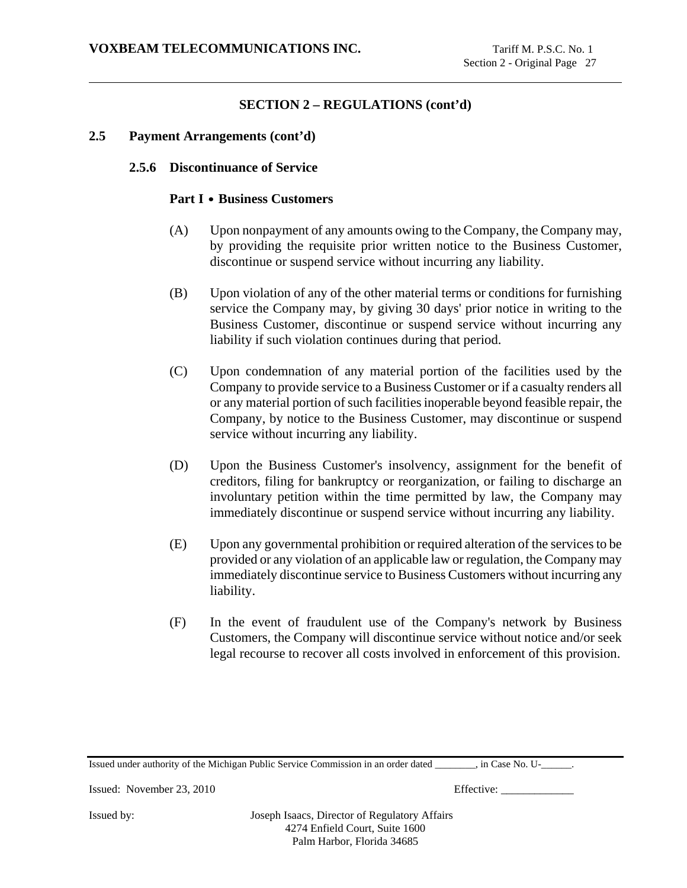### **2.5 Payment Arrangements (cont'd)**

#### **2.5.6 Discontinuance of Service**

#### **Part I • Business Customers**

- (A) Upon nonpayment of any amounts owing to the Company, the Company may, by providing the requisite prior written notice to the Business Customer, discontinue or suspend service without incurring any liability.
- (B) Upon violation of any of the other material terms or conditions for furnishing service the Company may, by giving 30 days' prior notice in writing to the Business Customer, discontinue or suspend service without incurring any liability if such violation continues during that period.
- (C) Upon condemnation of any material portion of the facilities used by the Company to provide service to a Business Customer or if a casualty renders all or any material portion of such facilities inoperable beyond feasible repair, the Company, by notice to the Business Customer, may discontinue or suspend service without incurring any liability.
- (D) Upon the Business Customer's insolvency, assignment for the benefit of creditors, filing for bankruptcy or reorganization, or failing to discharge an involuntary petition within the time permitted by law, the Company may immediately discontinue or suspend service without incurring any liability.
- (E) Upon any governmental prohibition or required alteration of the services to be provided or any violation of an applicable law or regulation, the Company may immediately discontinue service to Business Customers without incurring any liability.
- (F) In the event of fraudulent use of the Company's network by Business Customers, the Company will discontinue service without notice and/or seek legal recourse to recover all costs involved in enforcement of this provision.

Issued under authority of the Michigan Public Service Commission in an order dated \_\_\_\_\_\_\_\_, in Case No. U-\_\_\_\_\_\_.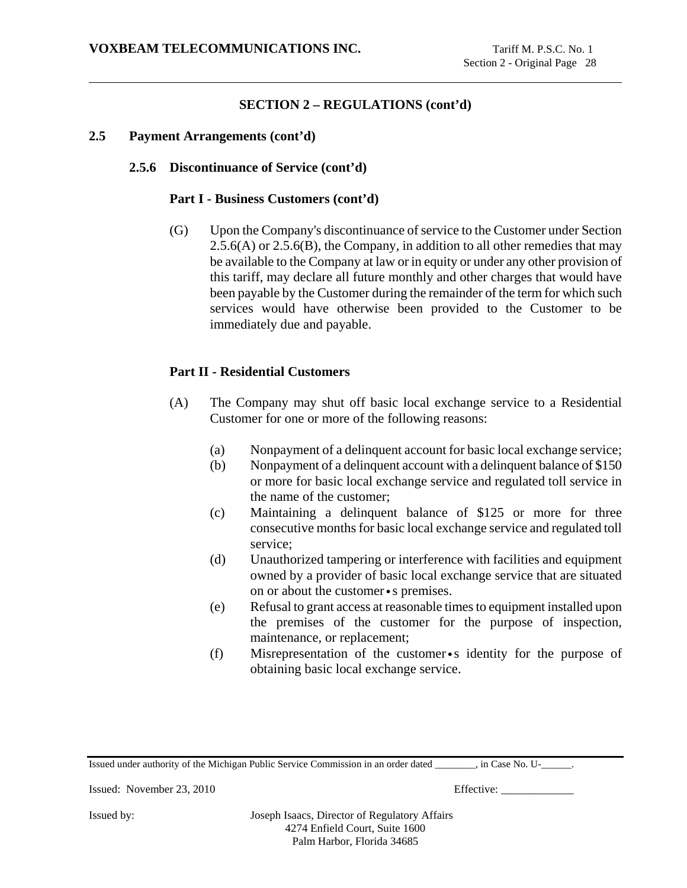#### **2.5 Payment Arrangements (cont'd)**

#### **2.5.6 Discontinuance of Service (cont'd)**

#### **Part I - Business Customers (cont'd)**

(G) Upon the Company's discontinuance of service to the Customer under Section  $2.5.6(A)$  or  $2.5.6(B)$ , the Company, in addition to all other remedies that may be available to the Company at law or in equity or under any other provision of this tariff, may declare all future monthly and other charges that would have been payable by the Customer during the remainder of the term for which such services would have otherwise been provided to the Customer to be immediately due and payable.

# **Part II - Residential Customers**

- (A) The Company may shut off basic local exchange service to a Residential Customer for one or more of the following reasons:
	- (a) Nonpayment of a delinquent account for basic local exchange service;
	- (b) Nonpayment of a delinquent account with a delinquent balance of \$150 or more for basic local exchange service and regulated toll service in the name of the customer;
	- (c) Maintaining a delinquent balance of \$125 or more for three consecutive months for basic local exchange service and regulated toll service;
	- (d) Unauthorized tampering or interference with facilities and equipment owned by a provider of basic local exchange service that are situated on or about the customer•s premises.
	- (e) Refusal to grant access at reasonable times to equipment installed upon the premises of the customer for the purpose of inspection, maintenance, or replacement;
	- (f) Misrepresentation of the customer•s identity for the purpose of obtaining basic local exchange service.

Issued under authority of the Michigan Public Service Commission in an order dated \_\_\_\_\_\_\_\_, in Case No. U-\_\_\_\_\_\_.

Issued: November 23, 2010 Effective: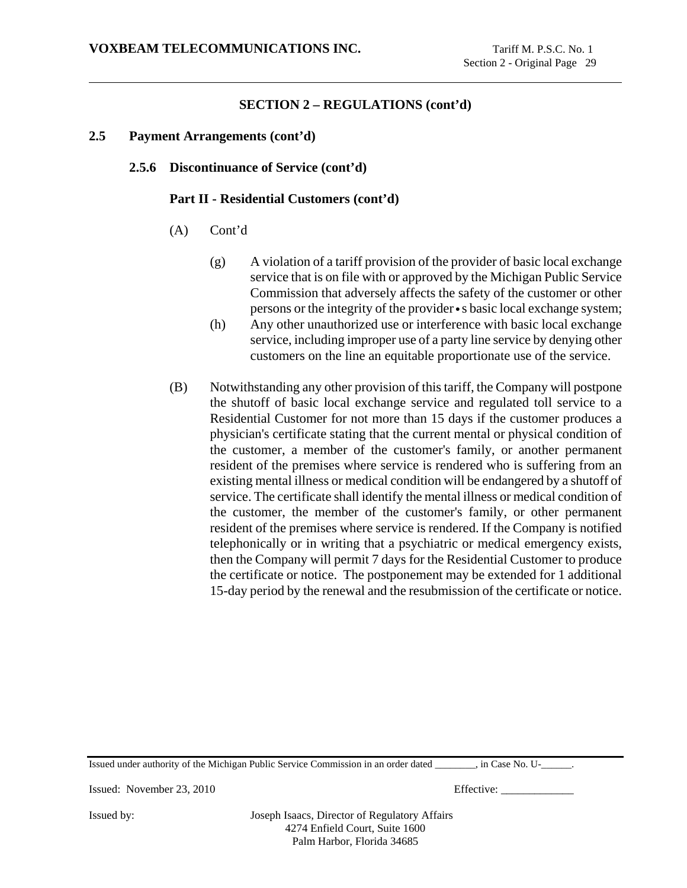### **2.5 Payment Arrangements (cont'd)**

## **2.5.6 Discontinuance of Service (cont'd)**

#### **Part II - Residential Customers (cont'd)**

- (A) Cont'd
	- (g) A violation of a tariff provision of the provider of basic local exchange service that is on file with or approved by the Michigan Public Service Commission that adversely affects the safety of the customer or other persons or the integrity of the provider•s basic local exchange system;
	- (h) Any other unauthorized use or interference with basic local exchange service, including improper use of a party line service by denying other customers on the line an equitable proportionate use of the service.
- (B) Notwithstanding any other provision of this tariff, the Company will postpone the shutoff of basic local exchange service and regulated toll service to a Residential Customer for not more than 15 days if the customer produces a physician's certificate stating that the current mental or physical condition of the customer, a member of the customer's family, or another permanent resident of the premises where service is rendered who is suffering from an existing mental illness or medical condition will be endangered by a shutoff of service. The certificate shall identify the mental illness or medical condition of the customer, the member of the customer's family, or other permanent resident of the premises where service is rendered. If the Company is notified telephonically or in writing that a psychiatric or medical emergency exists, then the Company will permit 7 days for the Residential Customer to produce the certificate or notice. The postponement may be extended for 1 additional 15-day period by the renewal and the resubmission of the certificate or notice.

Issued under authority of the Michigan Public Service Commission in an order dated \_\_\_\_\_\_\_\_, in Case No. U-\_\_\_\_\_\_.

Issued: November 23, 2010 Effective: \_\_\_\_\_\_\_\_\_\_\_\_\_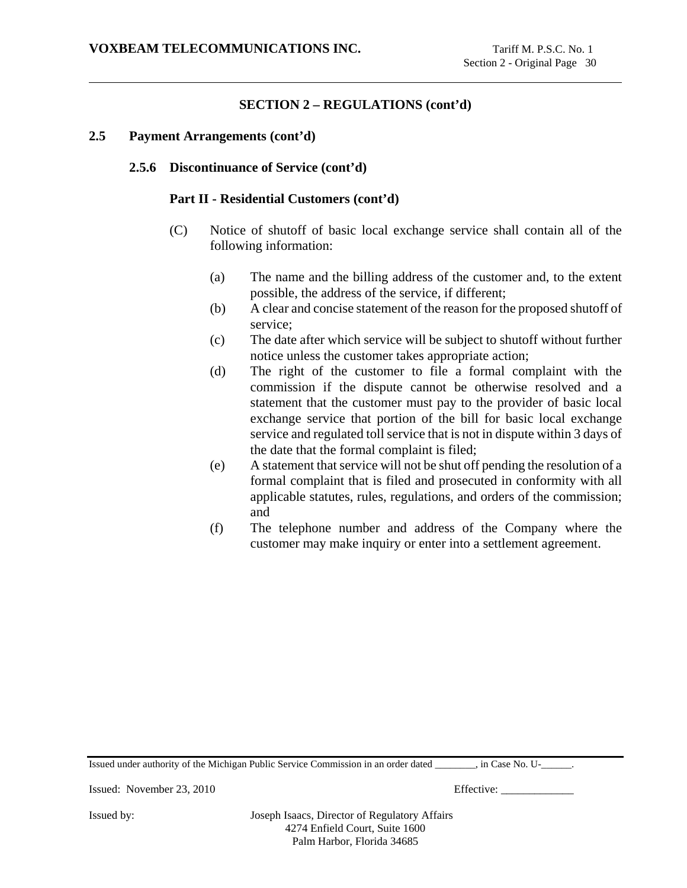#### **2.5 Payment Arrangements (cont'd)**

### **2.5.6 Discontinuance of Service (cont'd)**

#### **Part II - Residential Customers (cont'd)**

- (C) Notice of shutoff of basic local exchange service shall contain all of the following information:
	- (a) The name and the billing address of the customer and, to the extent possible, the address of the service, if different;
	- (b) A clear and concise statement of the reason for the proposed shutoff of service;
	- (c) The date after which service will be subject to shutoff without further notice unless the customer takes appropriate action;
	- (d) The right of the customer to file a formal complaint with the commission if the dispute cannot be otherwise resolved and a statement that the customer must pay to the provider of basic local exchange service that portion of the bill for basic local exchange service and regulated toll service that is not in dispute within 3 days of the date that the formal complaint is filed;
	- (e) A statement that service will not be shut off pending the resolution of a formal complaint that is filed and prosecuted in conformity with all applicable statutes, rules, regulations, and orders of the commission; and
	- (f) The telephone number and address of the Company where the customer may make inquiry or enter into a settlement agreement.

Issued under authority of the Michigan Public Service Commission in an order dated \_\_\_\_\_\_\_\_, in Case No. U-\_\_\_\_\_\_.

Issued: November 23, 2010 Effective: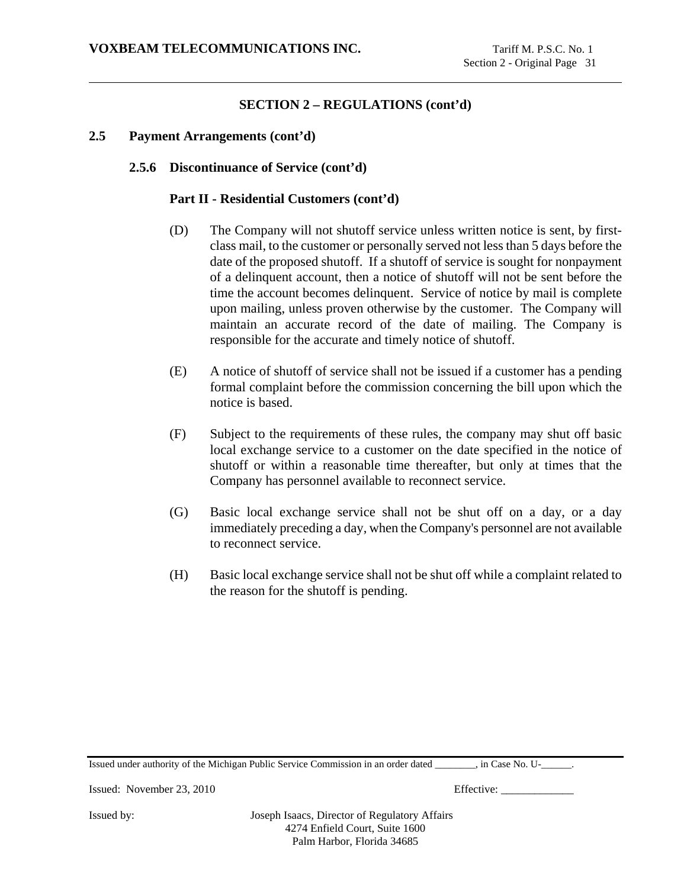#### **2.5 Payment Arrangements (cont'd)**

### **2.5.6 Discontinuance of Service (cont'd)**

#### **Part II - Residential Customers (cont'd)**

- (D) The Company will not shutoff service unless written notice is sent, by firstclass mail, to the customer or personally served not less than 5 days before the date of the proposed shutoff. If a shutoff of service is sought for nonpayment of a delinquent account, then a notice of shutoff will not be sent before the time the account becomes delinquent. Service of notice by mail is complete upon mailing, unless proven otherwise by the customer. The Company will maintain an accurate record of the date of mailing. The Company is responsible for the accurate and timely notice of shutoff.
- (E) A notice of shutoff of service shall not be issued if a customer has a pending formal complaint before the commission concerning the bill upon which the notice is based.
- (F) Subject to the requirements of these rules, the company may shut off basic local exchange service to a customer on the date specified in the notice of shutoff or within a reasonable time thereafter, but only at times that the Company has personnel available to reconnect service.
- (G) Basic local exchange service shall not be shut off on a day, or a day immediately preceding a day, when the Company's personnel are not available to reconnect service.
- (H) Basic local exchange service shall not be shut off while a complaint related to the reason for the shutoff is pending.

Issued under authority of the Michigan Public Service Commission in an order dated \_\_\_\_\_\_\_\_, in Case No. U-\_\_\_\_\_\_.

Issued: November 23, 2010 Effective: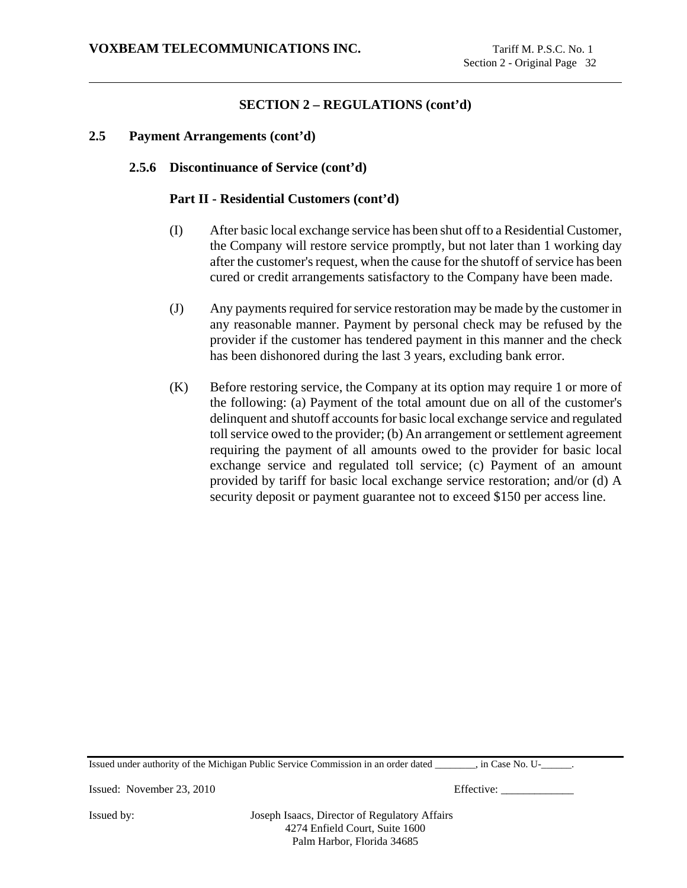## **2.5 Payment Arrangements (cont'd)**

## **2.5.6 Discontinuance of Service (cont'd)**

#### **Part II - Residential Customers (cont'd)**

- (I) After basic local exchange service has been shut off to a Residential Customer, the Company will restore service promptly, but not later than 1 working day after the customer's request, when the cause for the shutoff of service has been cured or credit arrangements satisfactory to the Company have been made.
- (J) Any payments required for service restoration may be made by the customer in any reasonable manner. Payment by personal check may be refused by the provider if the customer has tendered payment in this manner and the check has been dishonored during the last 3 years, excluding bank error.
- (K) Before restoring service, the Company at its option may require 1 or more of the following: (a) Payment of the total amount due on all of the customer's delinquent and shutoff accounts for basic local exchange service and regulated toll service owed to the provider; (b) An arrangement or settlement agreement requiring the payment of all amounts owed to the provider for basic local exchange service and regulated toll service; (c) Payment of an amount provided by tariff for basic local exchange service restoration; and/or (d) A security deposit or payment guarantee not to exceed \$150 per access line.

Issued under authority of the Michigan Public Service Commission in an order dated \_\_\_\_\_\_\_\_, in Case No. U-\_\_\_\_\_\_.

Issued: November 23, 2010 Effective: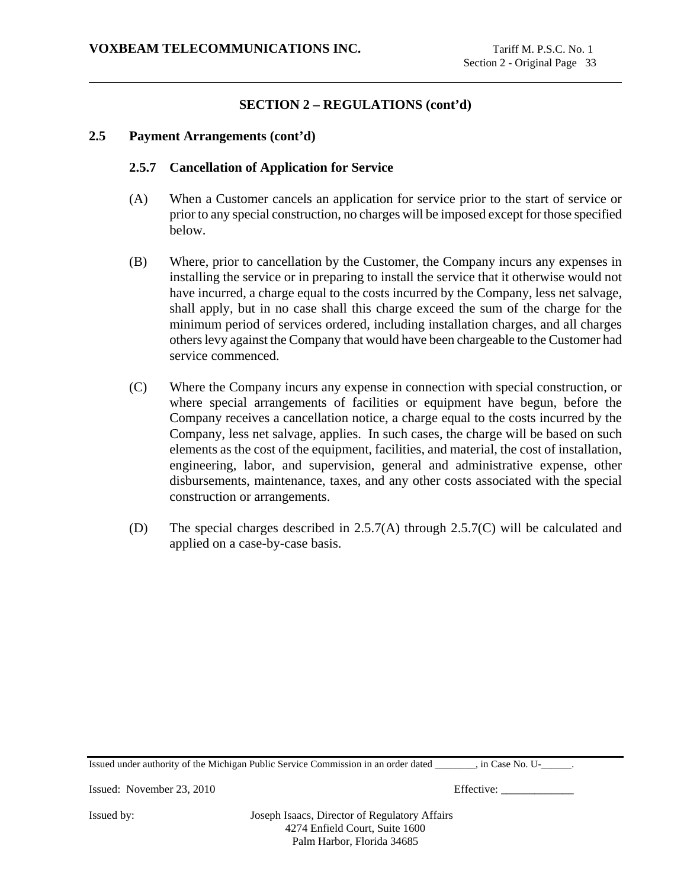## **2.5 Payment Arrangements (cont'd)**

## **2.5.7 Cancellation of Application for Service**

- (A) When a Customer cancels an application for service prior to the start of service or prior to any special construction, no charges will be imposed except for those specified below.
- (B) Where, prior to cancellation by the Customer, the Company incurs any expenses in installing the service or in preparing to install the service that it otherwise would not have incurred, a charge equal to the costs incurred by the Company, less net salvage, shall apply, but in no case shall this charge exceed the sum of the charge for the minimum period of services ordered, including installation charges, and all charges others levy against the Company that would have been chargeable to the Customer had service commenced.
- (C) Where the Company incurs any expense in connection with special construction, or where special arrangements of facilities or equipment have begun, before the Company receives a cancellation notice, a charge equal to the costs incurred by the Company, less net salvage, applies. In such cases, the charge will be based on such elements as the cost of the equipment, facilities, and material, the cost of installation, engineering, labor, and supervision, general and administrative expense, other disbursements, maintenance, taxes, and any other costs associated with the special construction or arrangements.
- (D) The special charges described in 2.5.7(A) through 2.5.7(C) will be calculated and applied on a case-by-case basis.

Issued under authority of the Michigan Public Service Commission in an order dated \_\_\_\_\_\_\_\_, in Case No. U-\_\_\_\_\_\_.

Issued: November 23, 2010 Effective: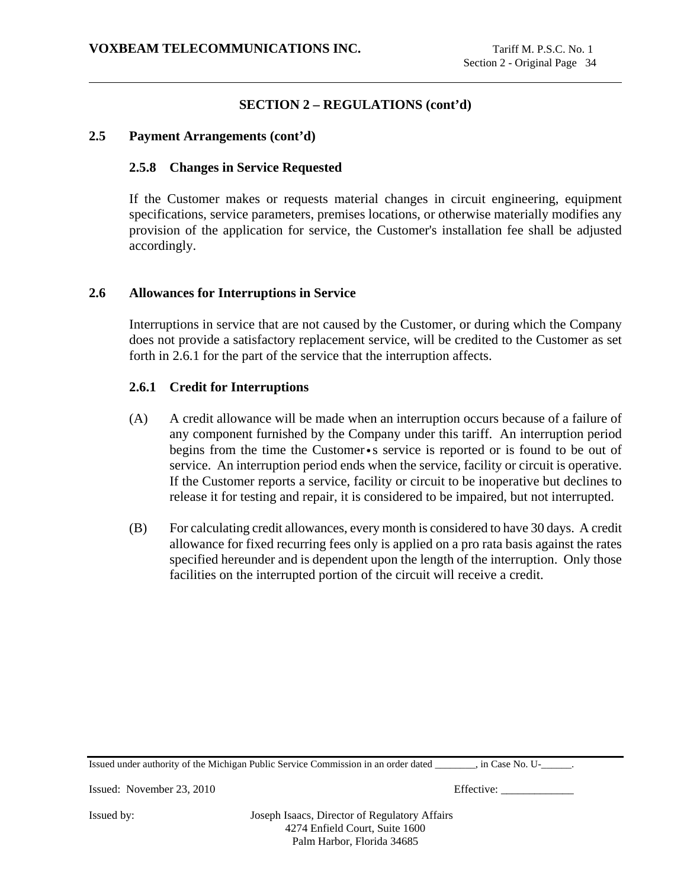## **2.5 Payment Arrangements (cont'd)**

## **2.5.8 Changes in Service Requested**

If the Customer makes or requests material changes in circuit engineering, equipment specifications, service parameters, premises locations, or otherwise materially modifies any provision of the application for service, the Customer's installation fee shall be adjusted accordingly.

### **2.6 Allowances for Interruptions in Service**

Interruptions in service that are not caused by the Customer, or during which the Company does not provide a satisfactory replacement service, will be credited to the Customer as set forth in 2.6.1 for the part of the service that the interruption affects.

### **2.6.1 Credit for Interruptions**

- (A) A credit allowance will be made when an interruption occurs because of a failure of any component furnished by the Company under this tariff. An interruption period begins from the time the Customer•s service is reported or is found to be out of service. An interruption period ends when the service, facility or circuit is operative. If the Customer reports a service, facility or circuit to be inoperative but declines to release it for testing and repair, it is considered to be impaired, but not interrupted.
- (B) For calculating credit allowances, every month is considered to have 30 days. A credit allowance for fixed recurring fees only is applied on a pro rata basis against the rates specified hereunder and is dependent upon the length of the interruption. Only those facilities on the interrupted portion of the circuit will receive a credit.

| Issued under authority of the Michigan Public Service Commission in an order dated<br>. in Case No. U- |  |
|--------------------------------------------------------------------------------------------------------|--|
|--------------------------------------------------------------------------------------------------------|--|

Issued: November 23, 2010 Effective: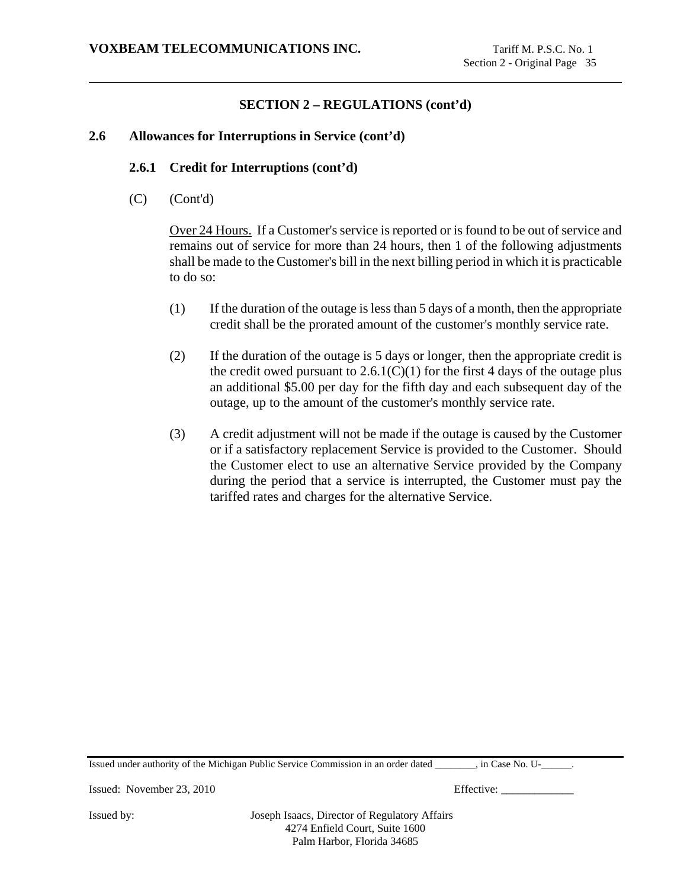## **2.6 Allowances for Interruptions in Service (cont'd)**

### **2.6.1 Credit for Interruptions (cont'd)**

(C) (Cont'd)

Over 24 Hours. If a Customer's service is reported or is found to be out of service and remains out of service for more than 24 hours, then 1 of the following adjustments shall be made to the Customer's bill in the next billing period in which it is practicable to do so:

- (1) If the duration of the outage is less than 5 days of a month, then the appropriate credit shall be the prorated amount of the customer's monthly service rate.
- (2) If the duration of the outage is 5 days or longer, then the appropriate credit is the credit owed pursuant to  $2.6.1(C)(1)$  for the first 4 days of the outage plus an additional \$5.00 per day for the fifth day and each subsequent day of the outage, up to the amount of the customer's monthly service rate.
- (3) A credit adjustment will not be made if the outage is caused by the Customer or if a satisfactory replacement Service is provided to the Customer. Should the Customer elect to use an alternative Service provided by the Company during the period that a service is interrupted, the Customer must pay the tariffed rates and charges for the alternative Service.

Issued under authority of the Michigan Public Service Commission in an order dated \_\_\_\_\_\_\_\_, in Case No. U-\_\_\_\_\_\_.

Issued: November 23, 2010 Effective: \_\_\_\_\_\_\_\_\_\_\_\_\_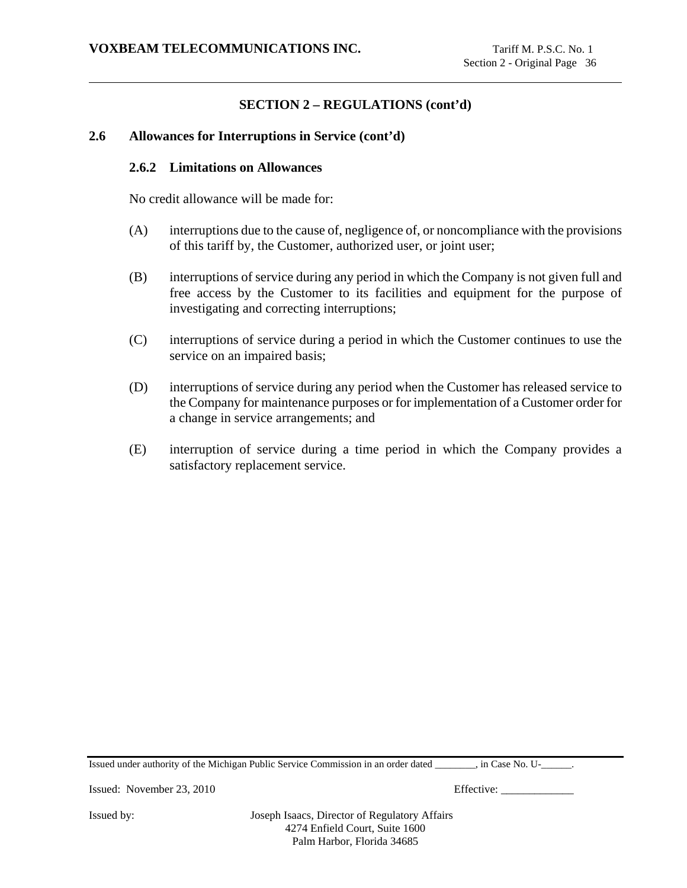## **2.6 Allowances for Interruptions in Service (cont'd)**

### **2.6.2 Limitations on Allowances**

No credit allowance will be made for:

- (A) interruptions due to the cause of, negligence of, or noncompliance with the provisions of this tariff by, the Customer, authorized user, or joint user;
- (B) interruptions of service during any period in which the Company is not given full and free access by the Customer to its facilities and equipment for the purpose of investigating and correcting interruptions;
- (C) interruptions of service during a period in which the Customer continues to use the service on an impaired basis;
- (D) interruptions of service during any period when the Customer has released service to the Company for maintenance purposes or for implementation of a Customer order for a change in service arrangements; and
- (E) interruption of service during a time period in which the Company provides a satisfactory replacement service.

Issued under authority of the Michigan Public Service Commission in an order dated \_\_\_\_\_\_\_\_, in Case No. U-\_\_\_\_\_\_.

Issued: November 23, 2010 Effective: \_\_\_\_\_\_\_\_\_\_\_\_\_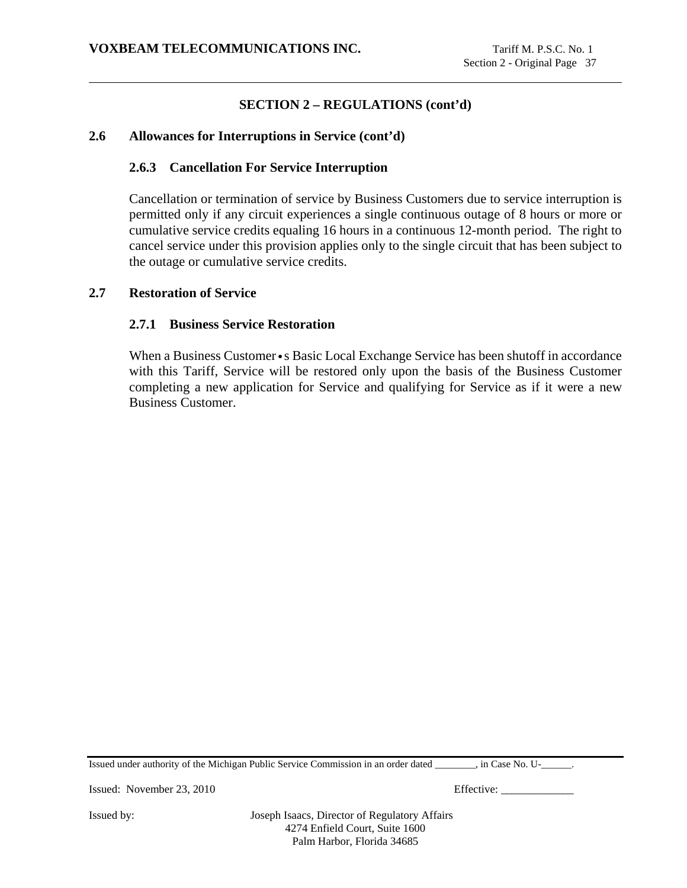## **2.6 Allowances for Interruptions in Service (cont'd)**

## **2.6.3 Cancellation For Service Interruption**

Cancellation or termination of service by Business Customers due to service interruption is permitted only if any circuit experiences a single continuous outage of 8 hours or more or cumulative service credits equaling 16 hours in a continuous 12-month period. The right to cancel service under this provision applies only to the single circuit that has been subject to the outage or cumulative service credits.

### **2.7 Restoration of Service**

## **2.7.1 Business Service Restoration**

When a Business Customer • s Basic Local Exchange Service has been shutoff in accordance with this Tariff, Service will be restored only upon the basis of the Business Customer completing a new application for Service and qualifying for Service as if it were a new Business Customer.

Issued under authority of the Michigan Public Service Commission in an order dated \_\_\_\_\_\_\_\_, in Case No. U-\_\_\_\_\_\_.

Issued: November 23, 2010 Effective: \_\_\_\_\_\_\_\_\_\_\_\_\_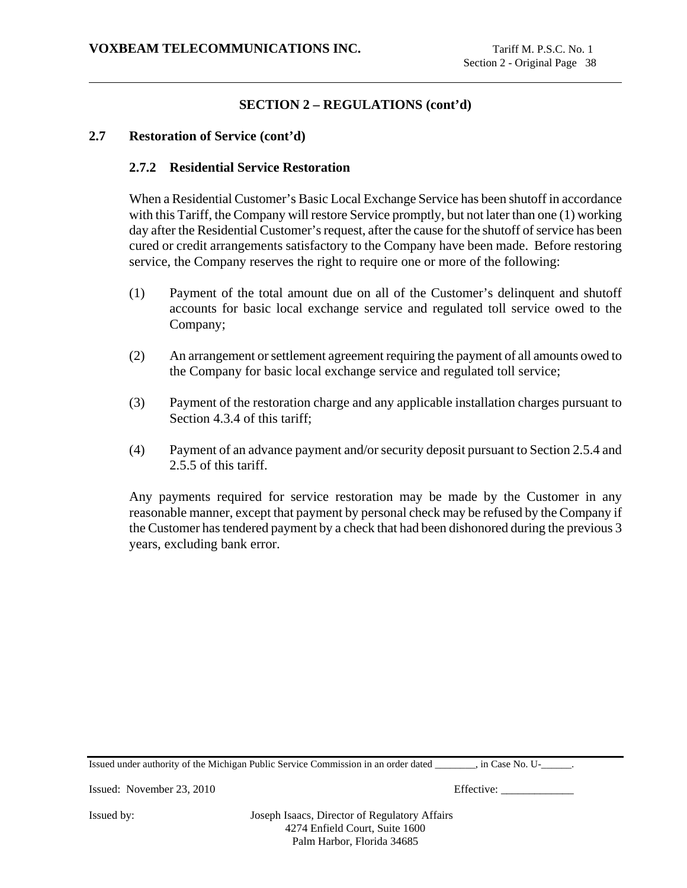## **2.7 Restoration of Service (cont'd)**

## **2.7.2 Residential Service Restoration**

When a Residential Customer's Basic Local Exchange Service has been shutoff in accordance with this Tariff, the Company will restore Service promptly, but not later than one (1) working day after the Residential Customer's request, after the cause for the shutoff of service has been cured or credit arrangements satisfactory to the Company have been made. Before restoring service, the Company reserves the right to require one or more of the following:

- (1) Payment of the total amount due on all of the Customer's delinquent and shutoff accounts for basic local exchange service and regulated toll service owed to the Company;
- (2) An arrangement or settlement agreement requiring the payment of all amounts owed to the Company for basic local exchange service and regulated toll service;
- (3) Payment of the restoration charge and any applicable installation charges pursuant to Section 4.3.4 of this tariff;
- (4) Payment of an advance payment and/or security deposit pursuant to Section 2.5.4 and 2.5.5 of this tariff.

Any payments required for service restoration may be made by the Customer in any reasonable manner, except that payment by personal check may be refused by the Company if the Customer has tendered payment by a check that had been dishonored during the previous 3 years, excluding bank error.

Issued under authority of the Michigan Public Service Commission in an order dated \_\_\_\_\_\_\_\_, in Case No. U-\_\_\_\_\_\_.

Issued: November 23, 2010 Effective: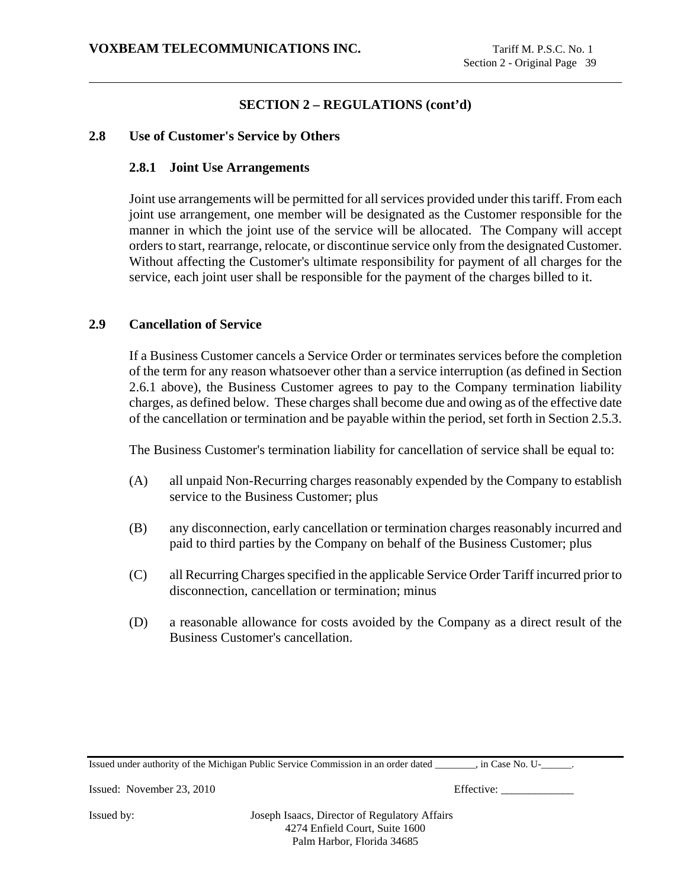## **2.8 Use of Customer's Service by Others**

### **2.8.1 Joint Use Arrangements**

Joint use arrangements will be permitted for all services provided under this tariff. From each joint use arrangement, one member will be designated as the Customer responsible for the manner in which the joint use of the service will be allocated. The Company will accept orders to start, rearrange, relocate, or discontinue service only from the designated Customer. Without affecting the Customer's ultimate responsibility for payment of all charges for the service, each joint user shall be responsible for the payment of the charges billed to it.

### **2.9 Cancellation of Service**

If a Business Customer cancels a Service Order or terminates services before the completion of the term for any reason whatsoever other than a service interruption (as defined in Section 2.6.1 above), the Business Customer agrees to pay to the Company termination liability charges, as defined below. These charges shall become due and owing as of the effective date of the cancellation or termination and be payable within the period, set forth in Section 2.5.3.

The Business Customer's termination liability for cancellation of service shall be equal to:

- (A) all unpaid Non-Recurring charges reasonably expended by the Company to establish service to the Business Customer; plus
- (B) any disconnection, early cancellation or termination charges reasonably incurred and paid to third parties by the Company on behalf of the Business Customer; plus
- (C) all Recurring Charges specified in the applicable Service Order Tariff incurred prior to disconnection, cancellation or termination; minus
- (D) a reasonable allowance for costs avoided by the Company as a direct result of the Business Customer's cancellation.

Issued under authority of the Michigan Public Service Commission in an order dated \_\_\_\_\_\_\_\_, in Case No. U-\_\_\_\_\_\_.

Issued: November 23, 2010 Effective: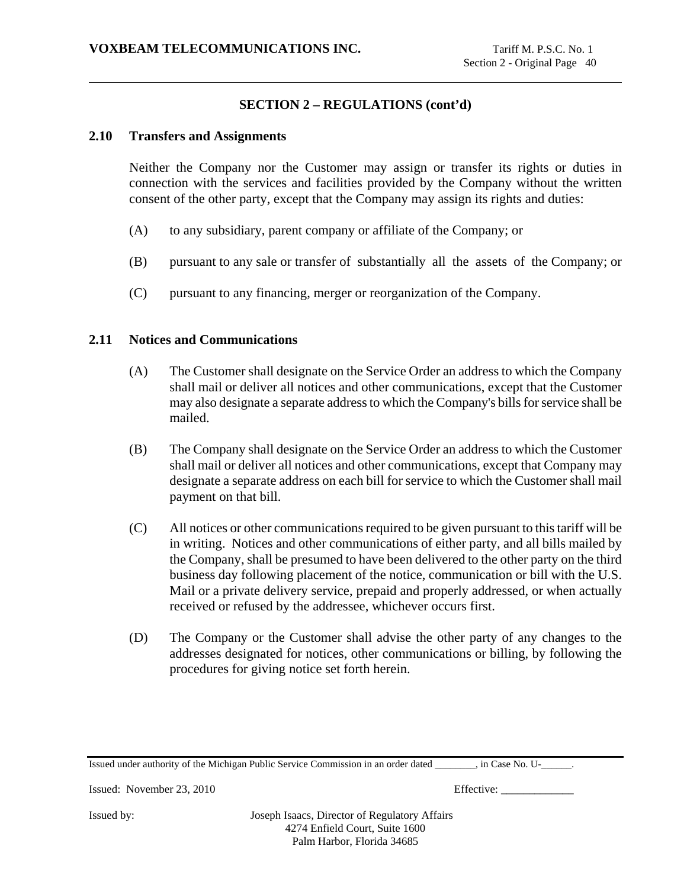## **2.10 Transfers and Assignments**

Neither the Company nor the Customer may assign or transfer its rights or duties in connection with the services and facilities provided by the Company without the written consent of the other party, except that the Company may assign its rights and duties:

- (A) to any subsidiary, parent company or affiliate of the Company; or
- (B) pursuant to any sale or transfer of substantially all the assets of the Company; or
- (C) pursuant to any financing, merger or reorganization of the Company.

### **2.11 Notices and Communications**

- (A) The Customer shall designate on the Service Order an address to which the Company shall mail or deliver all notices and other communications, except that the Customer may also designate a separate address to which the Company's bills for service shall be mailed.
- (B) The Company shall designate on the Service Order an address to which the Customer shall mail or deliver all notices and other communications, except that Company may designate a separate address on each bill for service to which the Customer shall mail payment on that bill.
- (C) All notices or other communications required to be given pursuant to this tariff will be in writing. Notices and other communications of either party, and all bills mailed by the Company, shall be presumed to have been delivered to the other party on the third business day following placement of the notice, communication or bill with the U.S. Mail or a private delivery service, prepaid and properly addressed, or when actually received or refused by the addressee, whichever occurs first.
- (D) The Company or the Customer shall advise the other party of any changes to the addresses designated for notices, other communications or billing, by following the procedures for giving notice set forth herein.

Issued under authority of the Michigan Public Service Commission in an order dated \_\_\_\_\_\_\_\_, in Case No. U-\_\_\_\_\_\_.

Issued: November 23, 2010 Effective: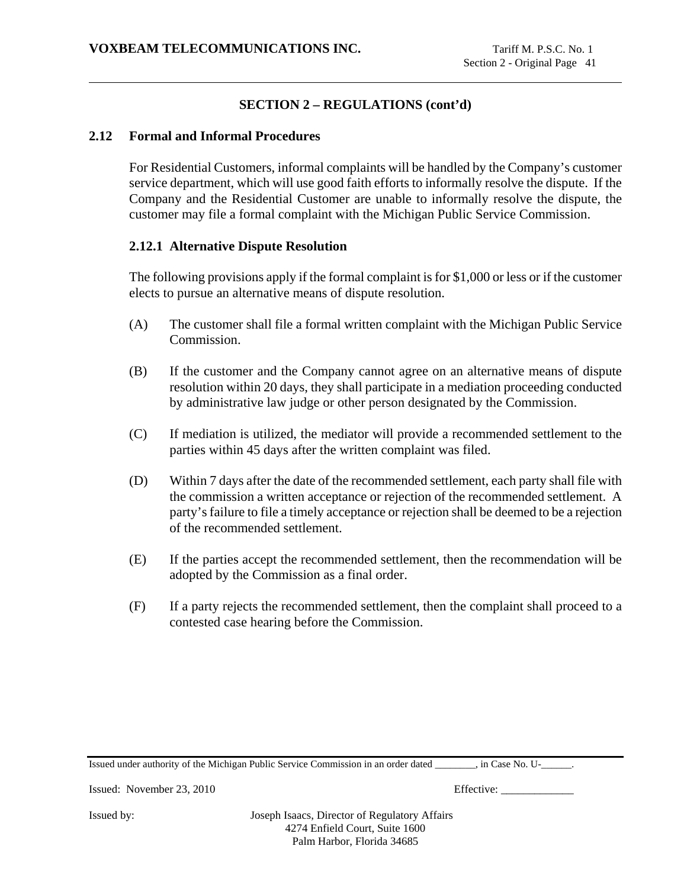## **2.12 Formal and Informal Procedures**

For Residential Customers, informal complaints will be handled by the Company's customer service department, which will use good faith efforts to informally resolve the dispute. If the Company and the Residential Customer are unable to informally resolve the dispute, the customer may file a formal complaint with the Michigan Public Service Commission.

## **2.12.1 Alternative Dispute Resolution**

The following provisions apply if the formal complaint is for \$1,000 or less or if the customer elects to pursue an alternative means of dispute resolution.

- (A) The customer shall file a formal written complaint with the Michigan Public Service Commission.
- (B) If the customer and the Company cannot agree on an alternative means of dispute resolution within 20 days, they shall participate in a mediation proceeding conducted by administrative law judge or other person designated by the Commission.
- (C) If mediation is utilized, the mediator will provide a recommended settlement to the parties within 45 days after the written complaint was filed.
- (D) Within 7 days after the date of the recommended settlement, each party shall file with the commission a written acceptance or rejection of the recommended settlement. A party's failure to file a timely acceptance or rejection shall be deemed to be a rejection of the recommended settlement.
- (E) If the parties accept the recommended settlement, then the recommendation will be adopted by the Commission as a final order.
- (F) If a party rejects the recommended settlement, then the complaint shall proceed to a contested case hearing before the Commission.

Issued under authority of the Michigan Public Service Commission in an order dated \_\_\_\_\_\_\_\_, in Case No. U-\_\_\_\_\_\_.

Issued: November 23, 2010 Effective: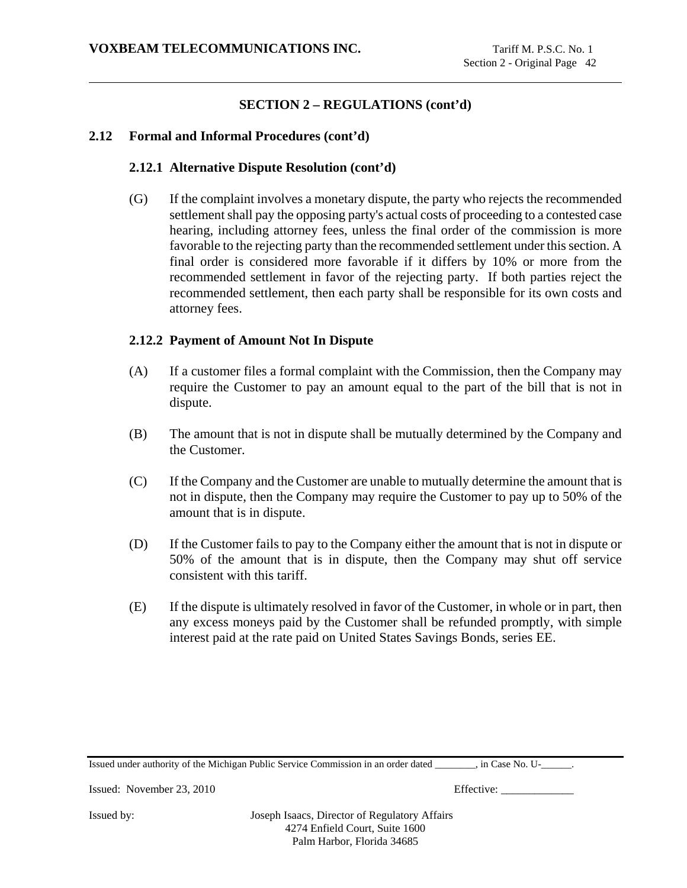## **2.12 Formal and Informal Procedures (cont'd)**

## **2.12.1 Alternative Dispute Resolution (cont'd)**

(G) If the complaint involves a monetary dispute, the party who rejects the recommended settlement shall pay the opposing party's actual costs of proceeding to a contested case hearing, including attorney fees, unless the final order of the commission is more favorable to the rejecting party than the recommended settlement under this section. A final order is considered more favorable if it differs by 10% or more from the recommended settlement in favor of the rejecting party. If both parties reject the recommended settlement, then each party shall be responsible for its own costs and attorney fees.

### **2.12.2 Payment of Amount Not In Dispute**

- (A) If a customer files a formal complaint with the Commission, then the Company may require the Customer to pay an amount equal to the part of the bill that is not in dispute.
- (B) The amount that is not in dispute shall be mutually determined by the Company and the Customer.
- (C) If the Company and the Customer are unable to mutually determine the amount that is not in dispute, then the Company may require the Customer to pay up to 50% of the amount that is in dispute.
- (D) If the Customer fails to pay to the Company either the amount that is not in dispute or 50% of the amount that is in dispute, then the Company may shut off service consistent with this tariff.
- (E) If the dispute is ultimately resolved in favor of the Customer, in whole or in part, then any excess moneys paid by the Customer shall be refunded promptly, with simple interest paid at the rate paid on United States Savings Bonds, series EE.

Issued under authority of the Michigan Public Service Commission in an order dated \_\_\_\_\_\_\_\_, in Case No. U-\_\_\_\_\_\_.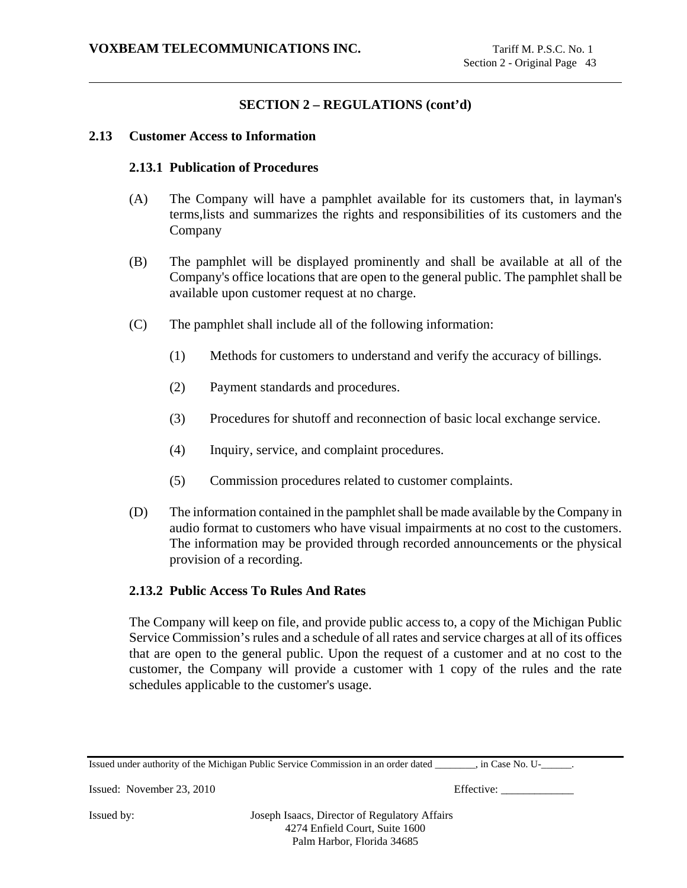### **2.13 Customer Access to Information**

## **2.13.1 Publication of Procedures**

- (A) The Company will have a pamphlet available for its customers that, in layman's terms,lists and summarizes the rights and responsibilities of its customers and the Company
- (B) The pamphlet will be displayed prominently and shall be available at all of the Company's office locations that are open to the general public. The pamphlet shall be available upon customer request at no charge.
- (C) The pamphlet shall include all of the following information:
	- (1) Methods for customers to understand and verify the accuracy of billings.
	- (2) Payment standards and procedures.
	- (3) Procedures for shutoff and reconnection of basic local exchange service.
	- (4) Inquiry, service, and complaint procedures.
	- (5) Commission procedures related to customer complaints.
- (D) The information contained in the pamphlet shall be made available by the Company in audio format to customers who have visual impairments at no cost to the customers. The information may be provided through recorded announcements or the physical provision of a recording.

#### **2.13.2 Public Access To Rules And Rates**

The Company will keep on file, and provide public access to, a copy of the Michigan Public Service Commission's rules and a schedule of all rates and service charges at all of its offices that are open to the general public. Upon the request of a customer and at no cost to the customer, the Company will provide a customer with 1 copy of the rules and the rate schedules applicable to the customer's usage.

| Issued under authority of the Michigan Public Service Commission in an order dated<br>. in Case No. U- |  |
|--------------------------------------------------------------------------------------------------------|--|
|--------------------------------------------------------------------------------------------------------|--|

Issued: November 23, 2010 Effective: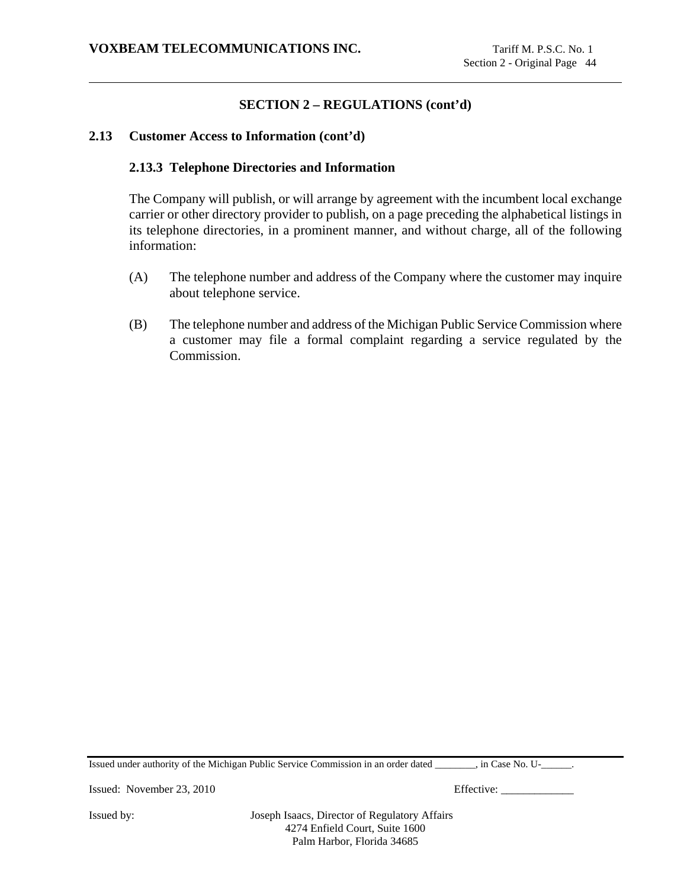### **2.13 Customer Access to Information (cont'd)**

### **2.13.3 Telephone Directories and Information**

The Company will publish, or will arrange by agreement with the incumbent local exchange carrier or other directory provider to publish, on a page preceding the alphabetical listings in its telephone directories, in a prominent manner, and without charge, all of the following information:

- (A) The telephone number and address of the Company where the customer may inquire about telephone service.
- (B) The telephone number and address of the Michigan Public Service Commission where a customer may file a formal complaint regarding a service regulated by the Commission.

Issued under authority of the Michigan Public Service Commission in an order dated \_\_\_\_\_\_\_\_, in Case No. U-\_\_\_\_\_\_.

Issued: November 23, 2010 Effective: \_\_\_\_\_\_\_\_\_\_\_\_\_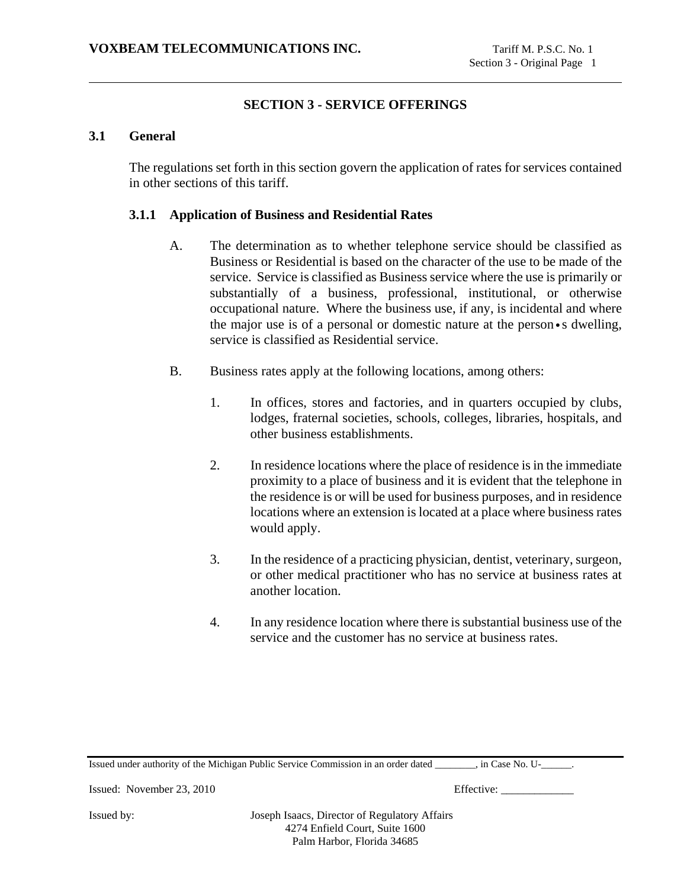# **SECTION 3 - SERVICE OFFERINGS**

## **3.1 General**

The regulations set forth in this section govern the application of rates for services contained in other sections of this tariff.

### **3.1.1 Application of Business and Residential Rates**

- A. The determination as to whether telephone service should be classified as Business or Residential is based on the character of the use to be made of the service. Service is classified as Business service where the use is primarily or substantially of a business, professional, institutional, or otherwise occupational nature. Where the business use, if any, is incidental and where the major use is of a personal or domestic nature at the person•s dwelling, service is classified as Residential service.
- B. Business rates apply at the following locations, among others:
	- 1. In offices, stores and factories, and in quarters occupied by clubs, lodges, fraternal societies, schools, colleges, libraries, hospitals, and other business establishments.
	- 2. In residence locations where the place of residence is in the immediate proximity to a place of business and it is evident that the telephone in the residence is or will be used for business purposes, and in residence locations where an extension is located at a place where business rates would apply.
	- 3. In the residence of a practicing physician, dentist, veterinary, surgeon, or other medical practitioner who has no service at business rates at another location.
	- 4. In any residence location where there is substantial business use of the service and the customer has no service at business rates.

Issued under authority of the Michigan Public Service Commission in an order dated \_\_\_\_\_\_\_\_, in Case No. U-\_\_\_\_\_\_.

Issued: November 23, 2010 Effective: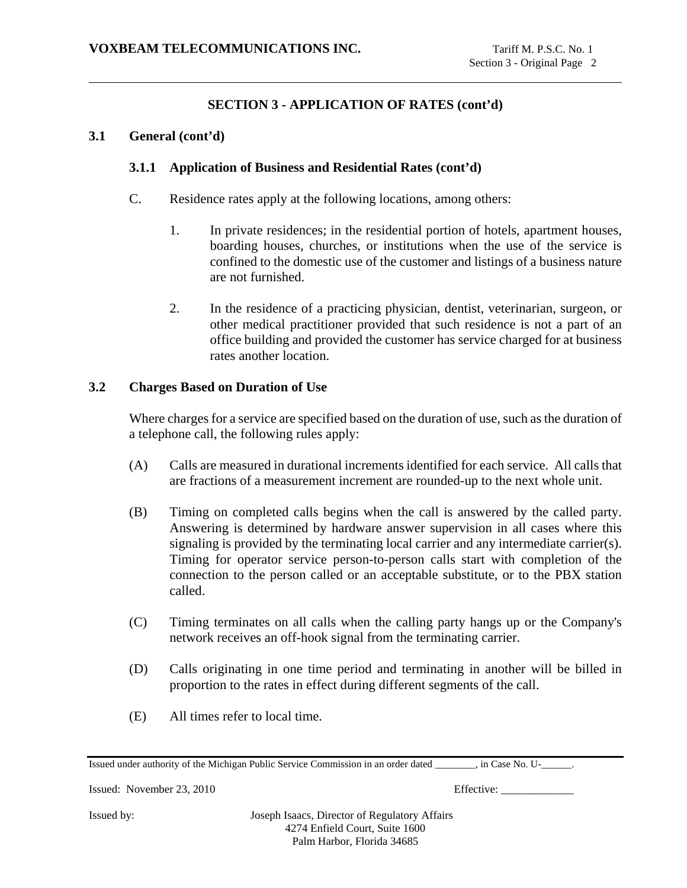## **3.1 General (cont'd)**

### **3.1.1 Application of Business and Residential Rates (cont'd)**

- C. Residence rates apply at the following locations, among others:
	- 1. In private residences; in the residential portion of hotels, apartment houses, boarding houses, churches, or institutions when the use of the service is confined to the domestic use of the customer and listings of a business nature are not furnished.
	- 2. In the residence of a practicing physician, dentist, veterinarian, surgeon, or other medical practitioner provided that such residence is not a part of an office building and provided the customer has service charged for at business rates another location.

### **3.2 Charges Based on Duration of Use**

Where charges for a service are specified based on the duration of use, such as the duration of a telephone call, the following rules apply:

- (A) Calls are measured in durational increments identified for each service. All calls that are fractions of a measurement increment are rounded-up to the next whole unit.
- (B) Timing on completed calls begins when the call is answered by the called party. Answering is determined by hardware answer supervision in all cases where this signaling is provided by the terminating local carrier and any intermediate carrier(s). Timing for operator service person-to-person calls start with completion of the connection to the person called or an acceptable substitute, or to the PBX station called.
- (C) Timing terminates on all calls when the calling party hangs up or the Company's network receives an off-hook signal from the terminating carrier.
- (D) Calls originating in one time period and terminating in another will be billed in proportion to the rates in effect during different segments of the call.
- (E) All times refer to local time.

Issued under authority of the Michigan Public Service Commission in an order dated \_\_\_\_\_\_\_\_, in Case No. U-\_\_\_\_\_\_.

Issued: November 23, 2010 Effective: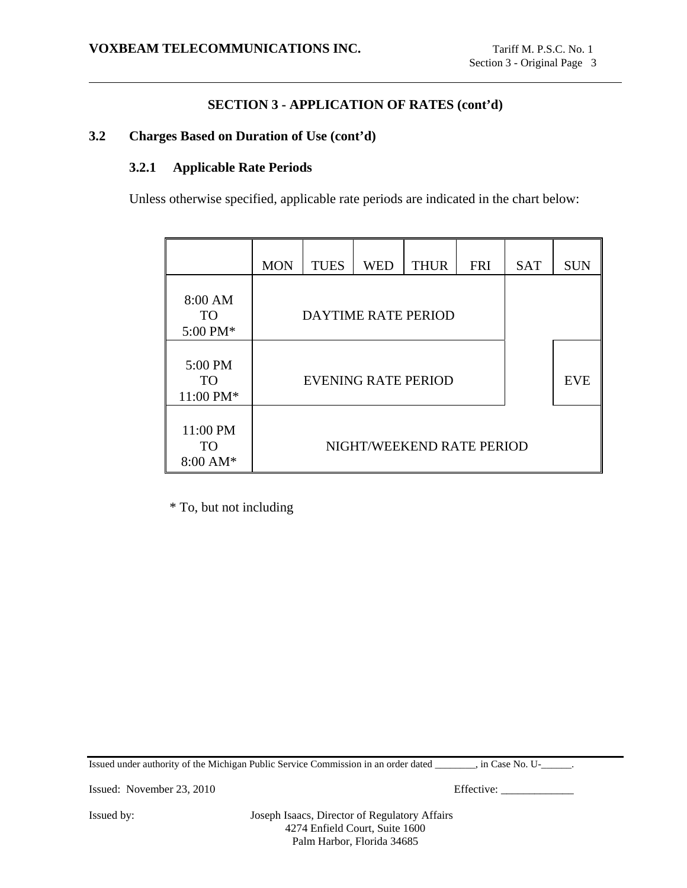## **3.2 Charges Based on Duration of Use (cont'd)**

## **3.2.1 Applicable Rate Periods**

Unless otherwise specified, applicable rate periods are indicated in the chart below:

|                                             | <b>MON</b>                 | <b>TUES</b> | <b>WED</b> | <b>THUR</b> | <b>FRI</b> | <b>SAT</b> | <b>SUN</b> |
|---------------------------------------------|----------------------------|-------------|------------|-------------|------------|------------|------------|
| 8:00 AM<br><b>TO</b><br>5:00 PM*            | <b>DAYTIME RATE PERIOD</b> |             |            |             |            |            |            |
| 5:00 PM<br>TO <sup>1</sup><br>11:00 PM*     | EVENING RATE PERIOD        |             |            |             | <b>EVE</b> |            |            |
| 11:00 PM<br><b>TO</b><br>$8:00 \text{ AM*}$ | NIGHT/WEEKEND RATE PERIOD  |             |            |             |            |            |            |

\* To, but not including

Issued under authority of the Michigan Public Service Commission in an order dated \_\_\_\_\_\_\_\_, in Case No. U-\_\_\_\_\_\_.

Issued: November 23, 2010 Effective: \_\_\_\_\_\_\_\_\_\_\_\_\_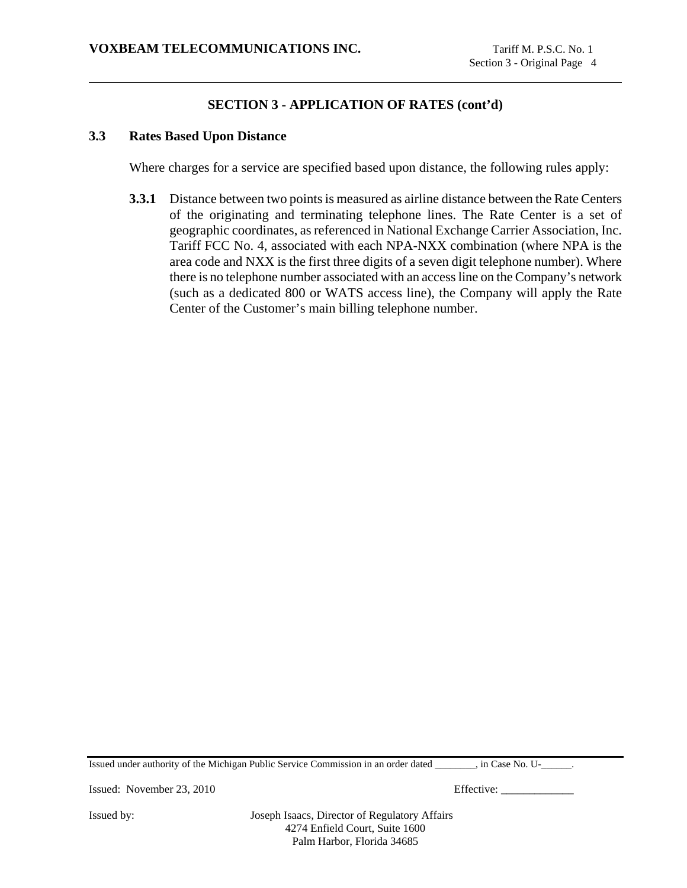## **3.3 Rates Based Upon Distance**

Where charges for a service are specified based upon distance, the following rules apply:

**3.3.1** Distance between two points is measured as airline distance between the Rate Centers of the originating and terminating telephone lines. The Rate Center is a set of geographic coordinates, as referenced in National Exchange Carrier Association, Inc. Tariff FCC No. 4, associated with each NPA-NXX combination (where NPA is the area code and NXX is the first three digits of a seven digit telephone number). Where there is no telephone number associated with an access line on the Company's network (such as a dedicated 800 or WATS access line), the Company will apply the Rate Center of the Customer's main billing telephone number.

Issued under authority of the Michigan Public Service Commission in an order dated \_\_\_\_\_\_\_\_, in Case No. U-\_\_\_\_\_\_.

Issued: November 23, 2010 Effective: \_\_\_\_\_\_\_\_\_\_\_\_\_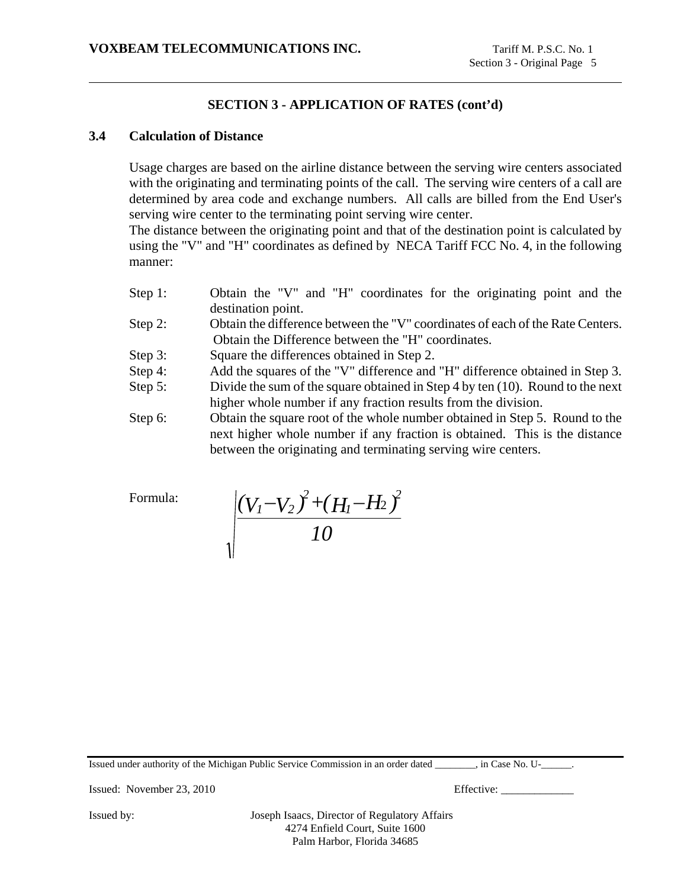## **3.4 Calculation of Distance**

Usage charges are based on the airline distance between the serving wire centers associated with the originating and terminating points of the call. The serving wire centers of a call are determined by area code and exchange numbers. All calls are billed from the End User's serving wire center to the terminating point serving wire center.

The distance between the originating point and that of the destination point is calculated by using the "V" and "H" coordinates as defined by NECA Tariff FCC No. 4, in the following manner:

- Step 1: Obtain the "V" and "H" coordinates for the originating point and the destination point.
- Step 2: Obtain the difference between the "V" coordinates of each of the Rate Centers. Obtain the Difference between the "H" coordinates.
- Step 3: Square the differences obtained in Step 2.
- Step 4: Add the squares of the "V" difference and "H" difference obtained in Step 3.
- Step 5: Divide the sum of the square obtained in Step 4 by ten (10). Round to the next higher whole number if any fraction results from the division.
- Step 6: Obtain the square root of the whole number obtained in Step 5. Round to the next higher whole number if any fraction is obtained. This is the distance between the originating and terminating serving wire centers.

Formula:

$$
\sqrt{\frac{(V_I - V_2)^2 + (H_I - H_2)^2}{10}}
$$

Issued under authority of the Michigan Public Service Commission in an order dated \_\_\_\_\_\_\_\_, in Case No. U-\_\_\_\_\_\_.

Issued: November 23, 2010 Effective: \_\_\_\_\_\_\_\_\_\_\_\_\_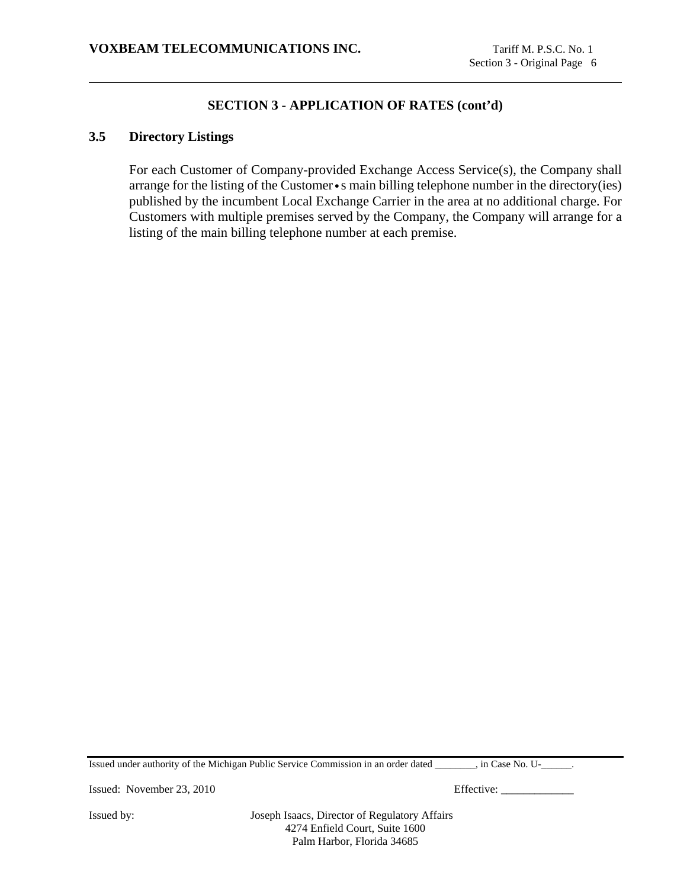### **3.5 Directory Listings**

For each Customer of Company-provided Exchange Access Service(s), the Company shall arrange for the listing of the Customer•s main billing telephone number in the directory(ies) published by the incumbent Local Exchange Carrier in the area at no additional charge. For Customers with multiple premises served by the Company, the Company will arrange for a listing of the main billing telephone number at each premise.

Issued under authority of the Michigan Public Service Commission in an order dated \_\_\_\_\_\_\_\_, in Case No. U-\_\_\_\_\_\_.

Issued: November 23, 2010 Effective: \_\_\_\_\_\_\_\_\_\_\_\_\_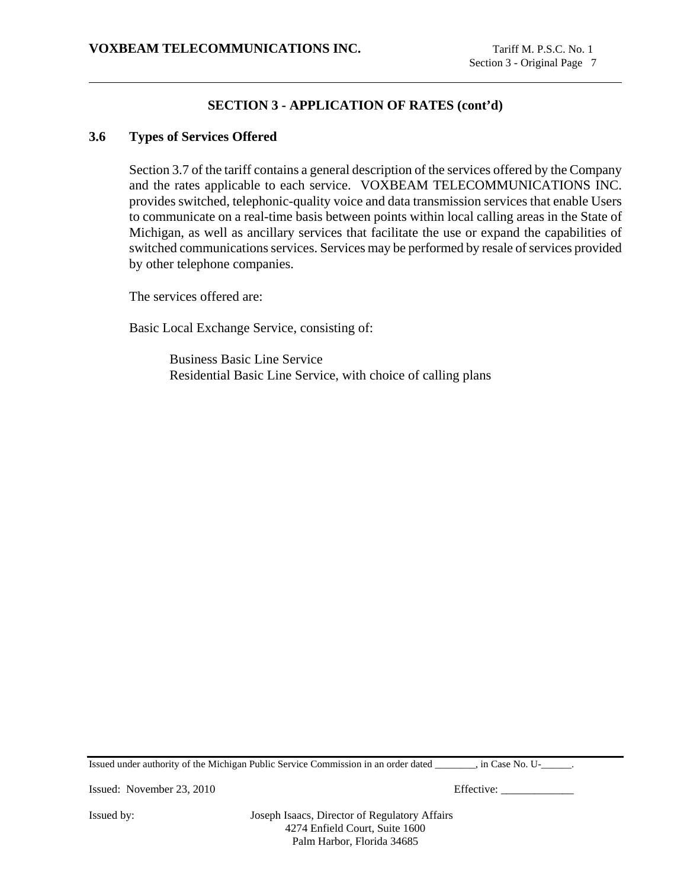## **3.6 Types of Services Offered**

Section 3.7 of the tariff contains a general description of the services offered by the Company and the rates applicable to each service. VOXBEAM TELECOMMUNICATIONS INC. provides switched, telephonic-quality voice and data transmission services that enable Users to communicate on a real-time basis between points within local calling areas in the State of Michigan, as well as ancillary services that facilitate the use or expand the capabilities of switched communications services. Services may be performed by resale of services provided by other telephone companies.

The services offered are:

Basic Local Exchange Service, consisting of:

Business Basic Line Service Residential Basic Line Service, with choice of calling plans

Issued under authority of the Michigan Public Service Commission in an order dated \_\_\_\_\_\_\_\_, in Case No. U-\_\_\_\_\_\_.

Issued: November 23, 2010 Effective: \_\_\_\_\_\_\_\_\_\_\_\_\_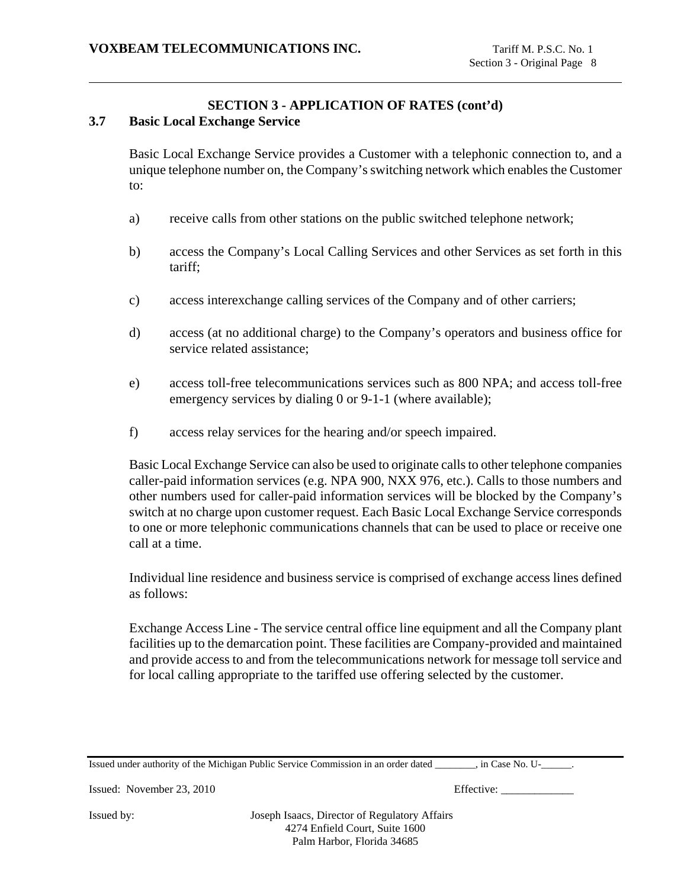### **3.7 Basic Local Exchange Service**

Basic Local Exchange Service provides a Customer with a telephonic connection to, and a unique telephone number on, the Company's switching network which enables the Customer to:

- a) receive calls from other stations on the public switched telephone network;
- b) access the Company's Local Calling Services and other Services as set forth in this tariff;
- c) access interexchange calling services of the Company and of other carriers;
- d) access (at no additional charge) to the Company's operators and business office for service related assistance;
- e) access toll-free telecommunications services such as 800 NPA; and access toll-free emergency services by dialing 0 or 9-1-1 (where available);
- f) access relay services for the hearing and/or speech impaired.

Basic Local Exchange Service can also be used to originate calls to other telephone companies caller-paid information services (e.g. NPA 900, NXX 976, etc.). Calls to those numbers and other numbers used for caller-paid information services will be blocked by the Company's switch at no charge upon customer request. Each Basic Local Exchange Service corresponds to one or more telephonic communications channels that can be used to place or receive one call at a time.

Individual line residence and business service is comprised of exchange access lines defined as follows:

Exchange Access Line - The service central office line equipment and all the Company plant facilities up to the demarcation point. These facilities are Company-provided and maintained and provide access to and from the telecommunications network for message toll service and for local calling appropriate to the tariffed use offering selected by the customer.

Issued under authority of the Michigan Public Service Commission in an order dated \_\_\_\_\_\_\_\_, in Case No. U-\_\_\_\_\_\_.

Issued: November 23, 2010 Effective: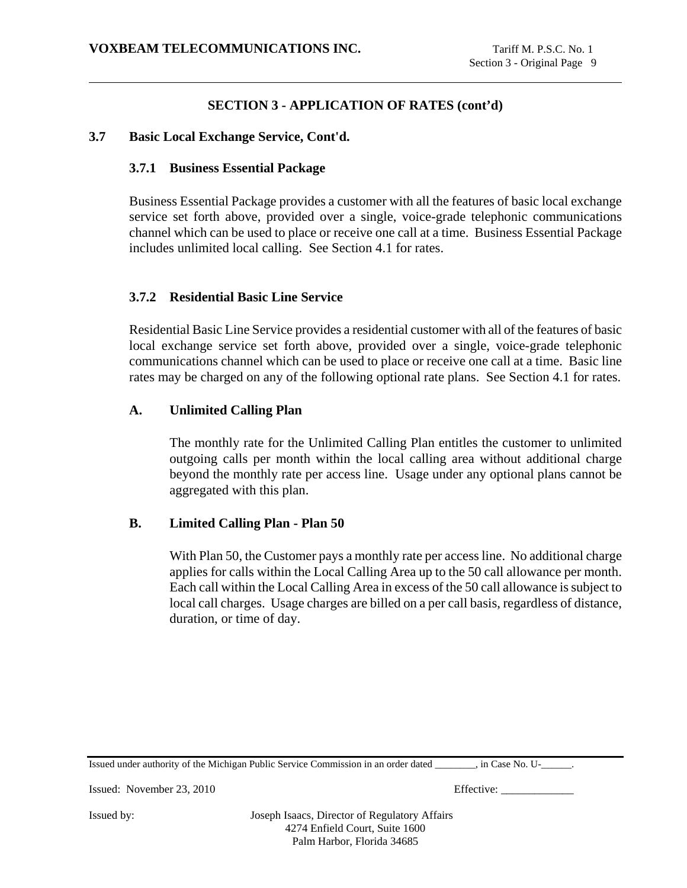## **3.7 Basic Local Exchange Service, Cont'd.**

### **3.7.1 Business Essential Package**

Business Essential Package provides a customer with all the features of basic local exchange service set forth above, provided over a single, voice-grade telephonic communications channel which can be used to place or receive one call at a time. Business Essential Package includes unlimited local calling. See Section 4.1 for rates.

## **3.7.2 Residential Basic Line Service**

Residential Basic Line Service provides a residential customer with all of the features of basic local exchange service set forth above, provided over a single, voice-grade telephonic communications channel which can be used to place or receive one call at a time. Basic line rates may be charged on any of the following optional rate plans. See Section 4.1 for rates.

### **A. Unlimited Calling Plan**

The monthly rate for the Unlimited Calling Plan entitles the customer to unlimited outgoing calls per month within the local calling area without additional charge beyond the monthly rate per access line. Usage under any optional plans cannot be aggregated with this plan.

## **B. Limited Calling Plan - Plan 50**

With Plan 50, the Customer pays a monthly rate per access line. No additional charge applies for calls within the Local Calling Area up to the 50 call allowance per month. Each call within the Local Calling Area in excess of the 50 call allowance is subject to local call charges. Usage charges are billed on a per call basis, regardless of distance, duration, or time of day.

Issued under authority of the Michigan Public Service Commission in an order dated \_\_\_\_\_\_\_\_, in Case No. U-\_\_\_\_\_\_.

Issued: November 23, 2010 Effective: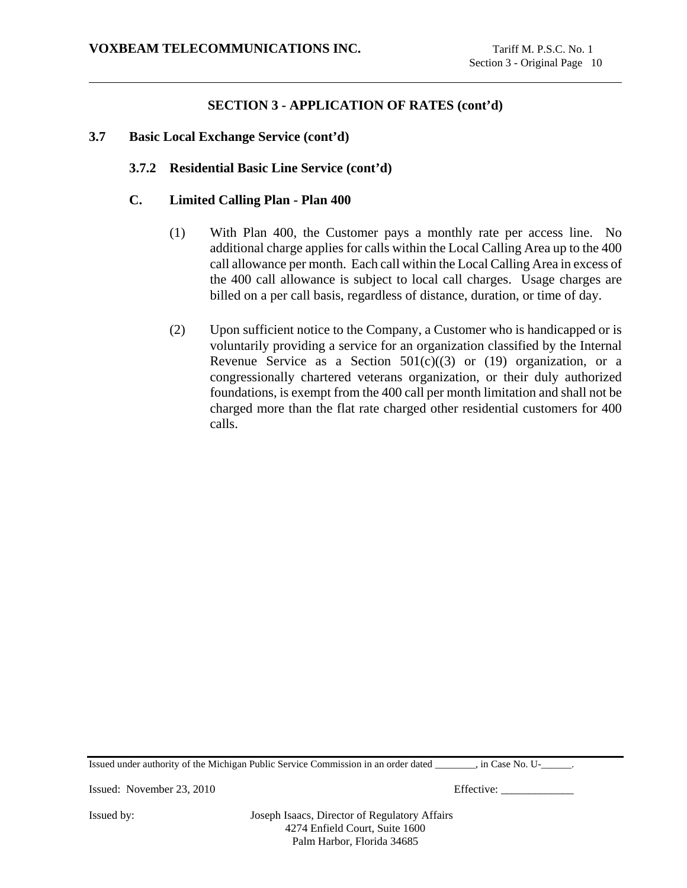## **3.7 Basic Local Exchange Service (cont'd)**

## **3.7.2 Residential Basic Line Service (cont'd)**

### **C. Limited Calling Plan - Plan 400**

- (1) With Plan 400, the Customer pays a monthly rate per access line. No additional charge applies for calls within the Local Calling Area up to the 400 call allowance per month. Each call within the Local Calling Area in excess of the 400 call allowance is subject to local call charges. Usage charges are billed on a per call basis, regardless of distance, duration, or time of day.
- (2) Upon sufficient notice to the Company, a Customer who is handicapped or is voluntarily providing a service for an organization classified by the Internal Revenue Service as a Section  $501(c)((3)$  or  $(19)$  organization, or a congressionally chartered veterans organization, or their duly authorized foundations, is exempt from the 400 call per month limitation and shall not be charged more than the flat rate charged other residential customers for 400 calls.

Issued under authority of the Michigan Public Service Commission in an order dated \_\_\_\_\_\_\_\_, in Case No. U-\_\_\_\_\_\_.

Issued: November 23, 2010 Effective: \_\_\_\_\_\_\_\_\_\_\_\_\_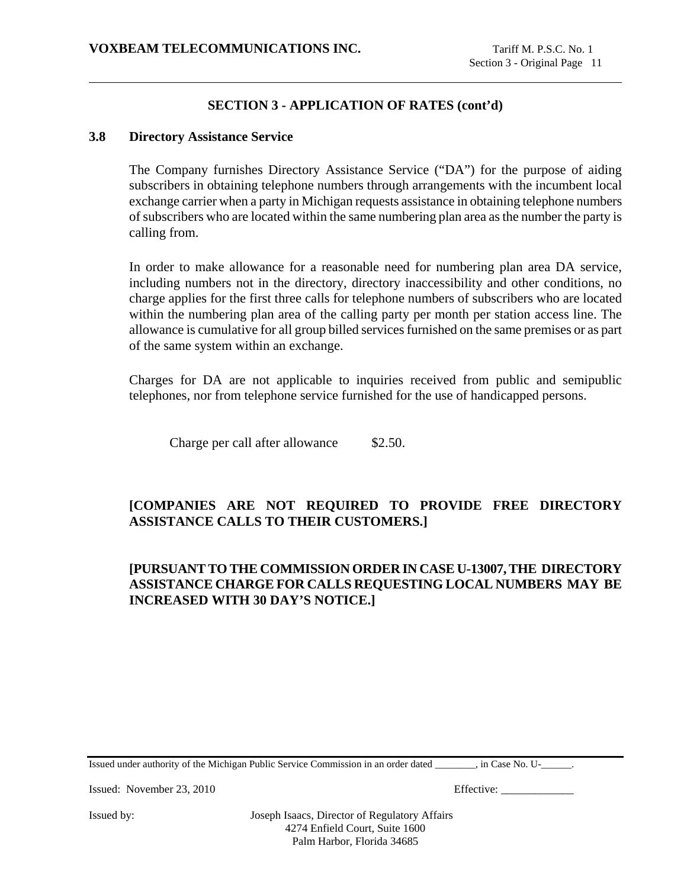#### **3.8 Directory Assistance Service**

The Company furnishes Directory Assistance Service ("DA") for the purpose of aiding subscribers in obtaining telephone numbers through arrangements with the incumbent local exchange carrier when a party in Michigan requests assistance in obtaining telephone numbers of subscribers who are located within the same numbering plan area as the number the party is calling from.

In order to make allowance for a reasonable need for numbering plan area DA service, including numbers not in the directory, directory inaccessibility and other conditions, no charge applies for the first three calls for telephone numbers of subscribers who are located within the numbering plan area of the calling party per month per station access line. The allowance is cumulative for all group billed services furnished on the same premises or as part of the same system within an exchange.

Charges for DA are not applicable to inquiries received from public and semipublic telephones, nor from telephone service furnished for the use of handicapped persons.

Charge per call after allowance \$2.50.

# **[COMPANIES ARE NOT REQUIRED TO PROVIDE FREE DIRECTORY ASSISTANCE CALLS TO THEIR CUSTOMERS.]**

# **[PURSUANT TO THE COMMISSION ORDER IN CASE U-13007, THE DIRECTORY ASSISTANCE CHARGE FOR CALLS REQUESTING LOCAL NUMBERS MAY BE INCREASED WITH 30 DAY'S NOTICE.]**

Issued under authority of the Michigan Public Service Commission in an order dated \_\_\_\_\_\_\_\_, in Case No. U-\_\_\_\_\_\_.

Issued: November 23, 2010 Effective: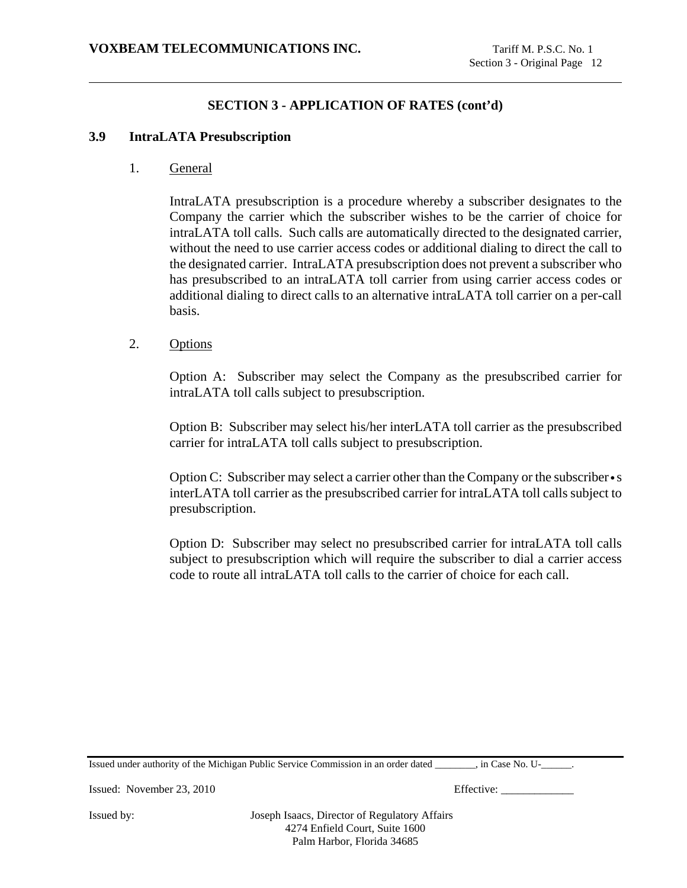#### **3.9 IntraLATA Presubscription**

1. General

IntraLATA presubscription is a procedure whereby a subscriber designates to the Company the carrier which the subscriber wishes to be the carrier of choice for intraLATA toll calls. Such calls are automatically directed to the designated carrier, without the need to use carrier access codes or additional dialing to direct the call to the designated carrier. IntraLATA presubscription does not prevent a subscriber who has presubscribed to an intraLATA toll carrier from using carrier access codes or additional dialing to direct calls to an alternative intraLATA toll carrier on a per-call basis.

2. Options

Option A: Subscriber may select the Company as the presubscribed carrier for intraLATA toll calls subject to presubscription.

Option B: Subscriber may select his/her interLATA toll carrier as the presubscribed carrier for intraLATA toll calls subject to presubscription.

Option C: Subscriber may select a carrier other than the Company or the subscriber • s interLATA toll carrier as the presubscribed carrier for intraLATA toll calls subject to presubscription.

Option D: Subscriber may select no presubscribed carrier for intraLATA toll calls subject to presubscription which will require the subscriber to dial a carrier access code to route all intraLATA toll calls to the carrier of choice for each call.

Issued under authority of the Michigan Public Service Commission in an order dated \_\_\_\_\_\_\_\_, in Case No. U-\_\_\_\_\_\_.

Issued: November 23, 2010 Effective: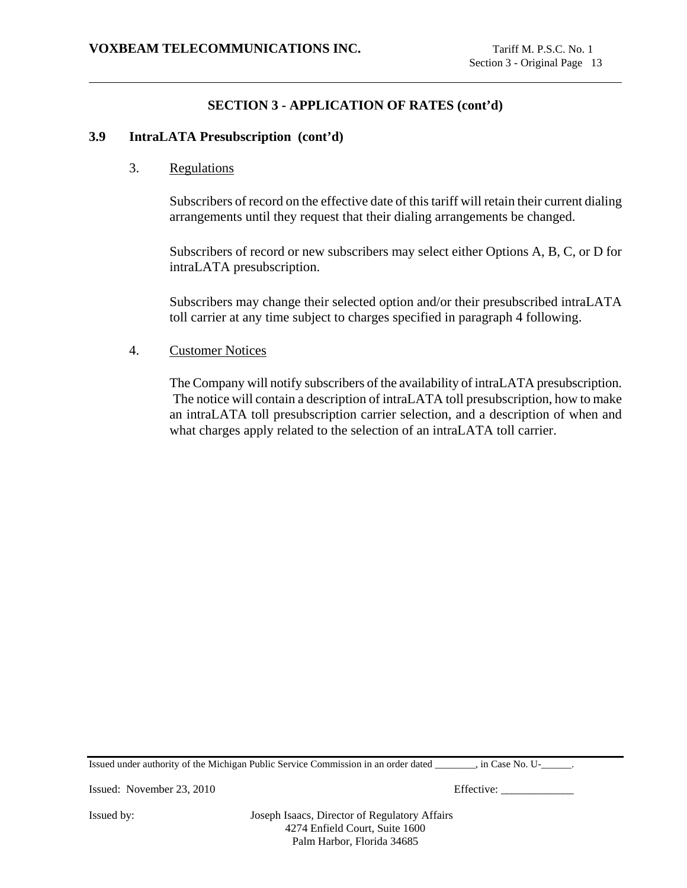#### **3.9 IntraLATA Presubscription (cont'd)**

3. Regulations

Subscribers of record on the effective date of this tariff will retain their current dialing arrangements until they request that their dialing arrangements be changed.

Subscribers of record or new subscribers may select either Options A, B, C, or D for intraLATA presubscription.

Subscribers may change their selected option and/or their presubscribed intraLATA toll carrier at any time subject to charges specified in paragraph 4 following.

### 4. Customer Notices

The Company will notify subscribers of the availability of intraLATA presubscription. The notice will contain a description of intraLATA toll presubscription, how to make an intraLATA toll presubscription carrier selection, and a description of when and what charges apply related to the selection of an intraLATA toll carrier.

Issued under authority of the Michigan Public Service Commission in an order dated \_\_\_\_\_\_\_\_, in Case No. U-\_\_\_\_\_\_.

Issued: November 23, 2010 Effective: \_\_\_\_\_\_\_\_\_\_\_\_\_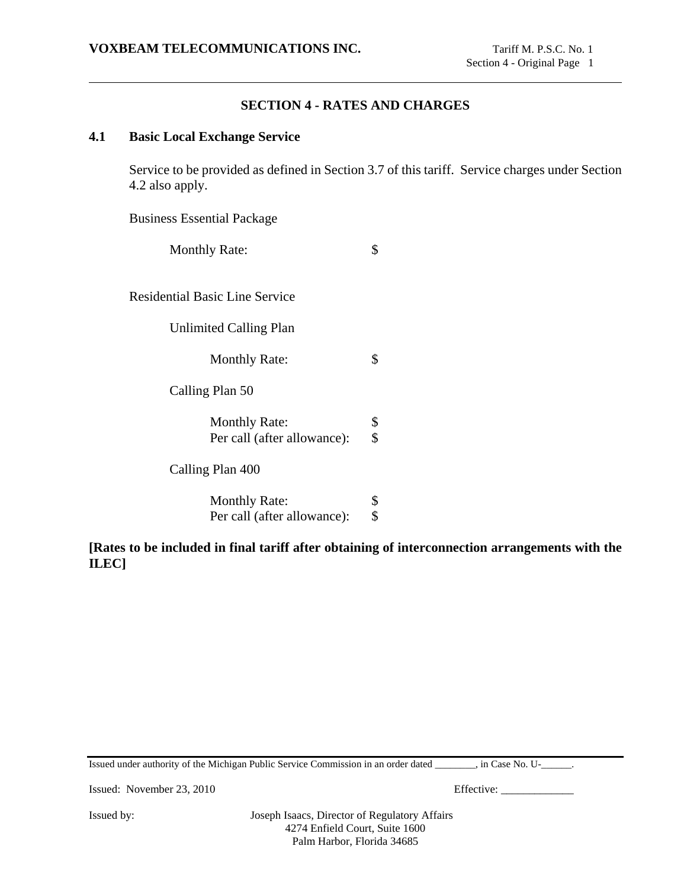## **SECTION 4 - RATES AND CHARGES**

## **4.1 Basic Local Exchange Service**

Service to be provided as defined in Section 3.7 of this tariff. Service charges under Section 4.2 also apply.

Business Essential Package

Monthly Rate:  $\$\$ 

Residential Basic Line Service

Unlimited Calling Plan

Monthly Rate:  $\$\$ 

Calling Plan 50

| <b>Monthly Rate:</b>        | -S  |
|-----------------------------|-----|
| Per call (after allowance): | \$. |

Calling Plan 400

Monthly Rate: \$<br>Per call (after allowance): \$ Per call (after allowance):

**[Rates to be included in final tariff after obtaining of interconnection arrangements with the ILEC]**

Issued: November 23, 2010 Effective: \_\_\_\_\_\_\_\_\_\_\_\_\_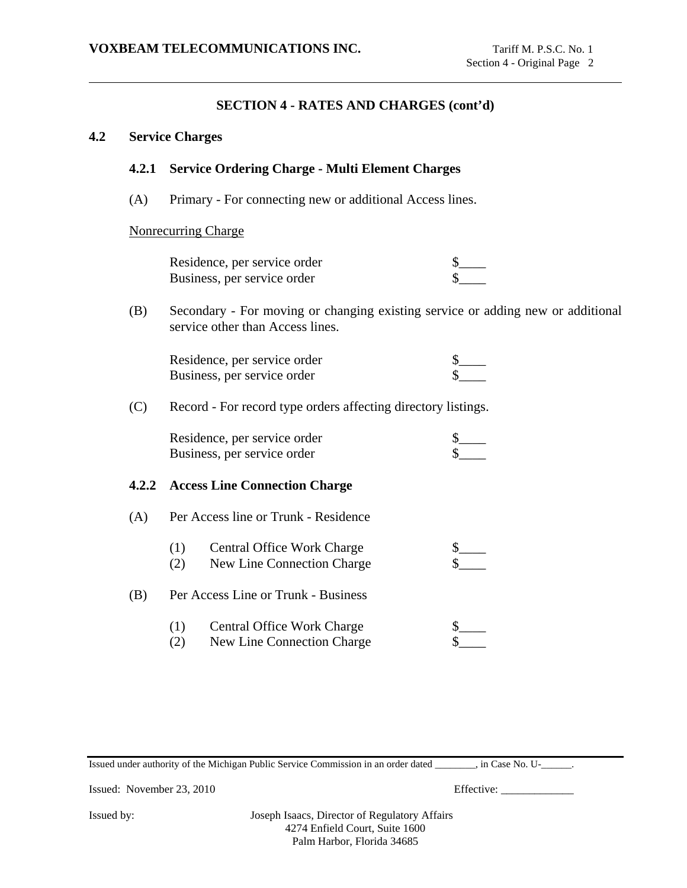#### **4.2 Service Charges**

## **4.2.1 Service Ordering Charge - Multi Element Charges**

(A) Primary - For connecting new or additional Access lines.

#### Nonrecurring Charge

| Residence, per service order |  |
|------------------------------|--|
| Business, per service order  |  |

(B) Secondary - For moving or changing existing service or adding new or additional service other than Access lines.

| Residence, per service order |  |
|------------------------------|--|
| Business, per service order  |  |

(C) Record - For record type orders affecting directory listings.

| Residence, per service order |  |
|------------------------------|--|
| Business, per service order  |  |

#### **4.2.2 Access Line Connection Charge**

(A) Per Access line or Trunk - Residence

| (1) | <b>Central Office Work Charge</b> |  |
|-----|-----------------------------------|--|
| (2) | New Line Connection Charge        |  |

- (B) Per Access Line or Trunk Business
	- (1) Central Office Work Charge  $\frac{\$}{\$}$  (2) New Line Connection Charge  $\frac{\$}{\$}$
	- (2) New Line Connection Charge

Issued under authority of the Michigan Public Service Commission in an order dated \_\_\_\_\_\_\_\_, in Case No. U-\_\_\_\_\_\_.

Issued: November 23, 2010 Effective: \_\_\_\_\_\_\_\_\_\_\_\_\_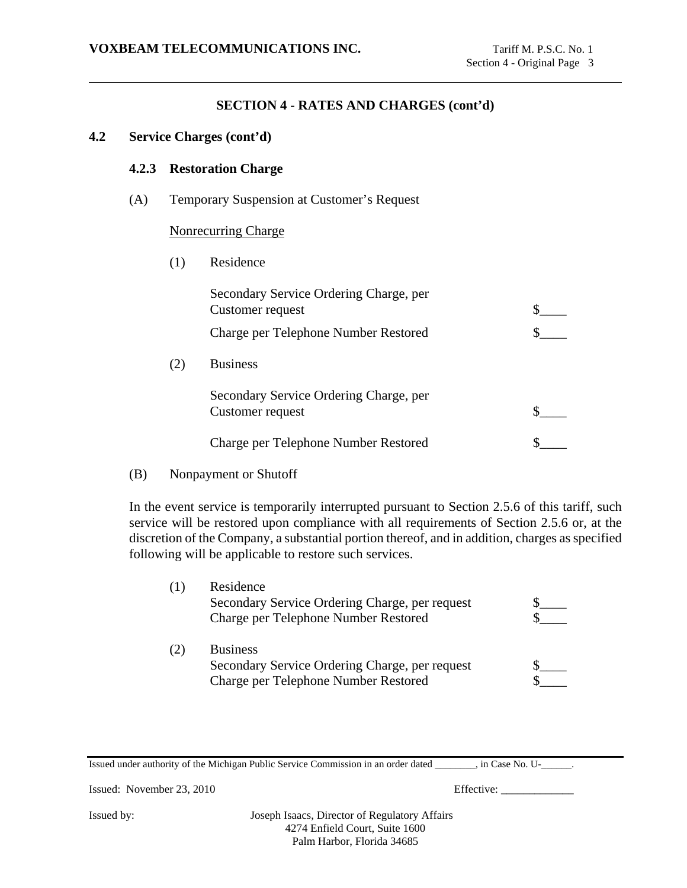### **4.2 Service Charges (cont'd)**

 $(2)$ 

#### **4.2.3 Restoration Charge**

(A) Temporary Suspension at Customer's Request

### Nonrecurring Charge

(1) Residence

| Secondary Service Ordering Charge, per<br>Customer request |  |
|------------------------------------------------------------|--|
| Charge per Telephone Number Restored                       |  |
| <b>Business</b>                                            |  |
| Secondary Service Ordering Charge, per<br>Customer request |  |
| Charge per Telephone Number Restored                       |  |

(B) Nonpayment or Shutoff

In the event service is temporarily interrupted pursuant to Section 2.5.6 of this tariff, such service will be restored upon compliance with all requirements of Section 2.5.6 or, at the discretion of the Company, a substantial portion thereof, and in addition, charges as specified following will be applicable to restore such services.

| Residence                                      |  |
|------------------------------------------------|--|
| Secondary Service Ordering Charge, per request |  |
| Charge per Telephone Number Restored           |  |
| <b>Business</b>                                |  |
| Secondary Service Ordering Charge, per request |  |
| Charge per Telephone Number Restored           |  |

Issued under authority of the Michigan Public Service Commission in an order dated \_\_\_\_\_\_\_\_, in Case No. U-\_\_\_\_\_\_.

Issued: November 23, 2010 Effective: \_\_\_\_\_\_\_\_\_\_\_\_\_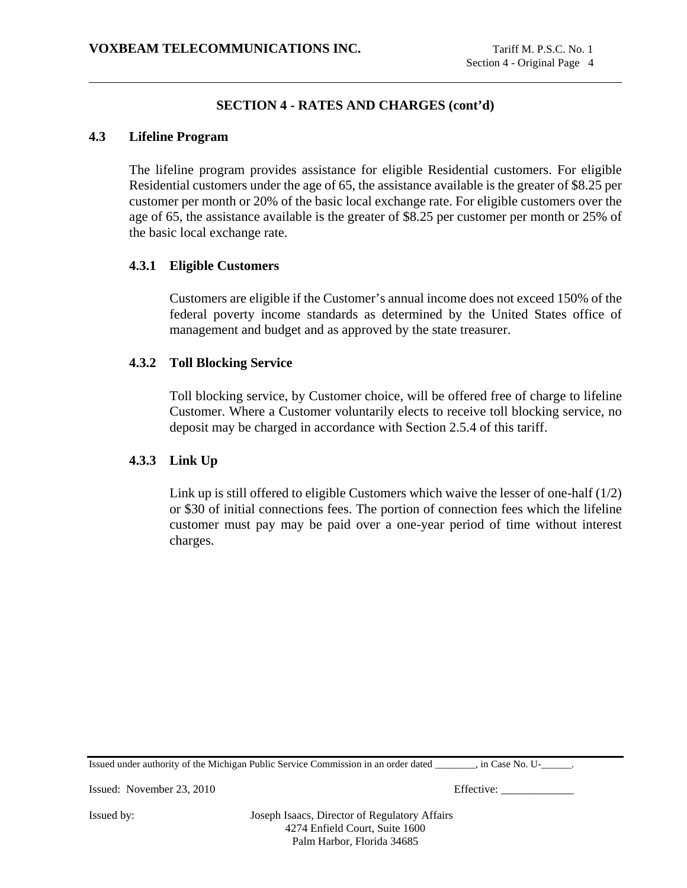## **4.3 Lifeline Program**

The lifeline program provides assistance for eligible Residential customers. For eligible Residential customers under the age of 65, the assistance available is the greater of \$8.25 per customer per month or 20% of the basic local exchange rate. For eligible customers over the age of 65, the assistance available is the greater of \$8.25 per customer per month or 25% of the basic local exchange rate.

### **4.3.1 Eligible Customers**

Customers are eligible if the Customer's annual income does not exceed 150% of the federal poverty income standards as determined by the United States office of management and budget and as approved by the state treasurer.

### **4.3.2 Toll Blocking Service**

Toll blocking service, by Customer choice, will be offered free of charge to lifeline Customer. Where a Customer voluntarily elects to receive toll blocking service, no deposit may be charged in accordance with Section 2.5.4 of this tariff.

## **4.3.3 Link Up**

Link up is still offered to eligible Customers which waive the lesser of one-half (1/2) or \$30 of initial connections fees. The portion of connection fees which the lifeline customer must pay may be paid over a one-year period of time without interest charges.

Issued under authority of the Michigan Public Service Commission in an order dated \_\_\_\_\_\_\_\_, in Case No. U-\_\_\_\_\_\_.

Issued: November 23, 2010 Effective: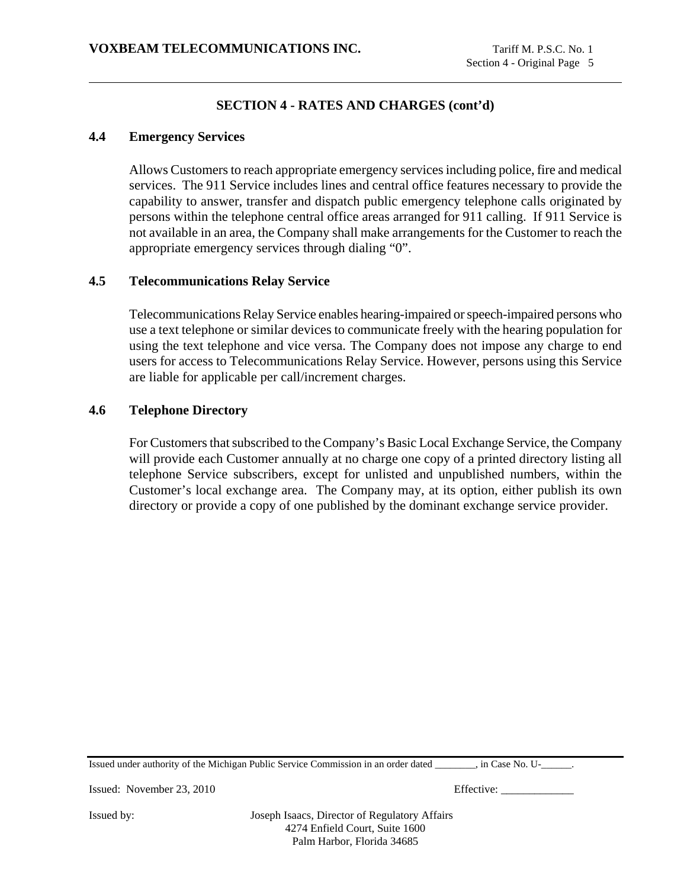### **4.4 Emergency Services**

Allows Customers to reach appropriate emergency services including police, fire and medical services. The 911 Service includes lines and central office features necessary to provide the capability to answer, transfer and dispatch public emergency telephone calls originated by persons within the telephone central office areas arranged for 911 calling. If 911 Service is not available in an area, the Company shall make arrangements for the Customer to reach the appropriate emergency services through dialing "0".

## **4.5 Telecommunications Relay Service**

Telecommunications Relay Service enables hearing-impaired or speech-impaired persons who use a text telephone or similar devices to communicate freely with the hearing population for using the text telephone and vice versa. The Company does not impose any charge to end users for access to Telecommunications Relay Service. However, persons using this Service are liable for applicable per call/increment charges.

### **4.6 Telephone Directory**

For Customers that subscribed to the Company's Basic Local Exchange Service, the Company will provide each Customer annually at no charge one copy of a printed directory listing all telephone Service subscribers, except for unlisted and unpublished numbers, within the Customer's local exchange area. The Company may, at its option, either publish its own directory or provide a copy of one published by the dominant exchange service provider.

Issued under authority of the Michigan Public Service Commission in an order dated \_\_\_\_\_\_\_\_, in Case No. U-\_\_\_\_\_\_.

Issued: November 23, 2010 Effective: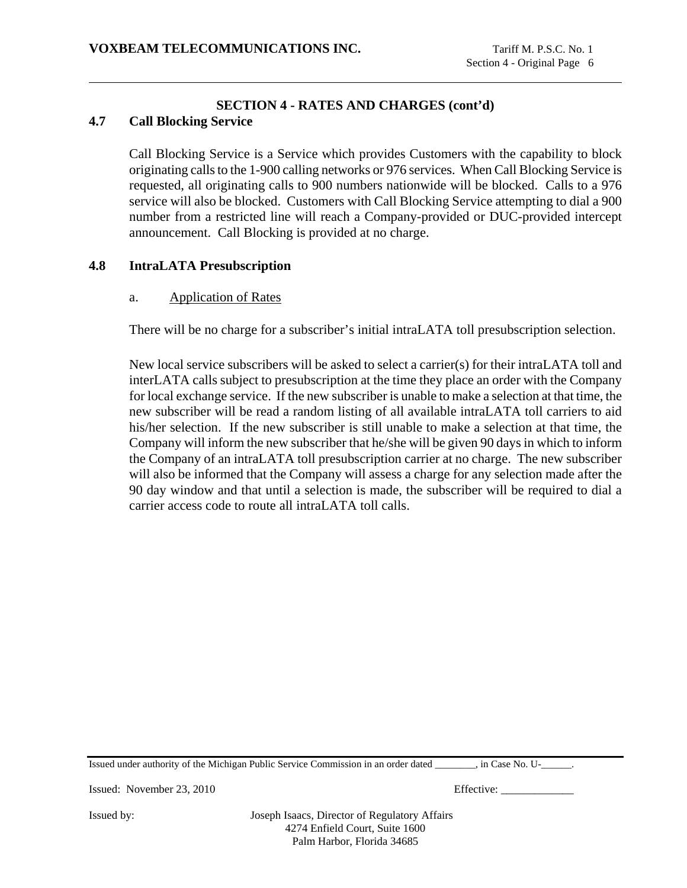## **4.7 Call Blocking Service**

Call Blocking Service is a Service which provides Customers with the capability to block originating calls to the 1-900 calling networks or 976 services. When Call Blocking Service is requested, all originating calls to 900 numbers nationwide will be blocked. Calls to a 976 service will also be blocked. Customers with Call Blocking Service attempting to dial a 900 number from a restricted line will reach a Company-provided or DUC-provided intercept announcement. Call Blocking is provided at no charge.

## **4.8 IntraLATA Presubscription**

## a. Application of Rates

There will be no charge for a subscriber's initial intraLATA toll presubscription selection.

New local service subscribers will be asked to select a carrier(s) for their intraLATA toll and interLATA calls subject to presubscription at the time they place an order with the Company for local exchange service. If the new subscriber is unable to make a selection at that time, the new subscriber will be read a random listing of all available intraLATA toll carriers to aid his/her selection. If the new subscriber is still unable to make a selection at that time, the Company will inform the new subscriber that he/she will be given 90 days in which to inform the Company of an intraLATA toll presubscription carrier at no charge. The new subscriber will also be informed that the Company will assess a charge for any selection made after the 90 day window and that until a selection is made, the subscriber will be required to dial a carrier access code to route all intraLATA toll calls.

Issued under authority of the Michigan Public Service Commission in an order dated \_\_\_\_\_\_\_\_, in Case No. U-\_\_\_\_\_\_.

Issued: November 23, 2010 Effective: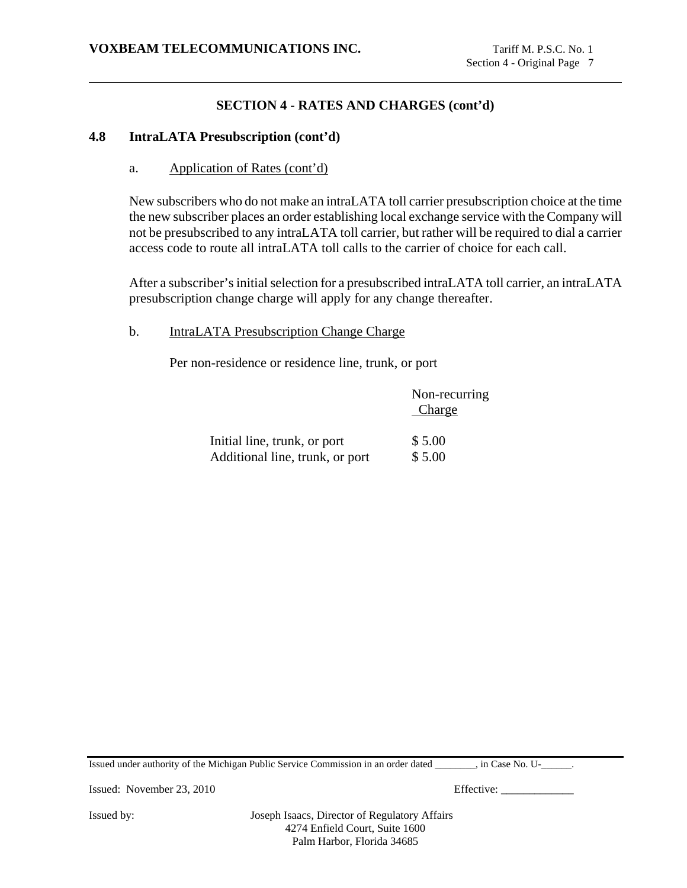#### **4.8 IntraLATA Presubscription (cont'd)**

a. Application of Rates (cont'd)

New subscribers who do not make an intraLATA toll carrier presubscription choice at the time the new subscriber places an order establishing local exchange service with the Company will not be presubscribed to any intraLATA toll carrier, but rather will be required to dial a carrier access code to route all intraLATA toll calls to the carrier of choice for each call.

After a subscriber's initial selection for a presubscribed intraLATA toll carrier, an intraLATA presubscription change charge will apply for any change thereafter.

## b. IntraLATA Presubscription Change Charge

Per non-residence or residence line, trunk, or port

|                                 | Non-recurring<br>Charge |
|---------------------------------|-------------------------|
| Initial line, trunk, or port    | \$5.00                  |
| Additional line, trunk, or port | \$5.00                  |

Issued under authority of the Michigan Public Service Commission in an order dated \_\_\_\_\_\_\_\_, in Case No. U-\_\_\_\_\_\_.

Issued: November 23, 2010 Effective: \_\_\_\_\_\_\_\_\_\_\_\_\_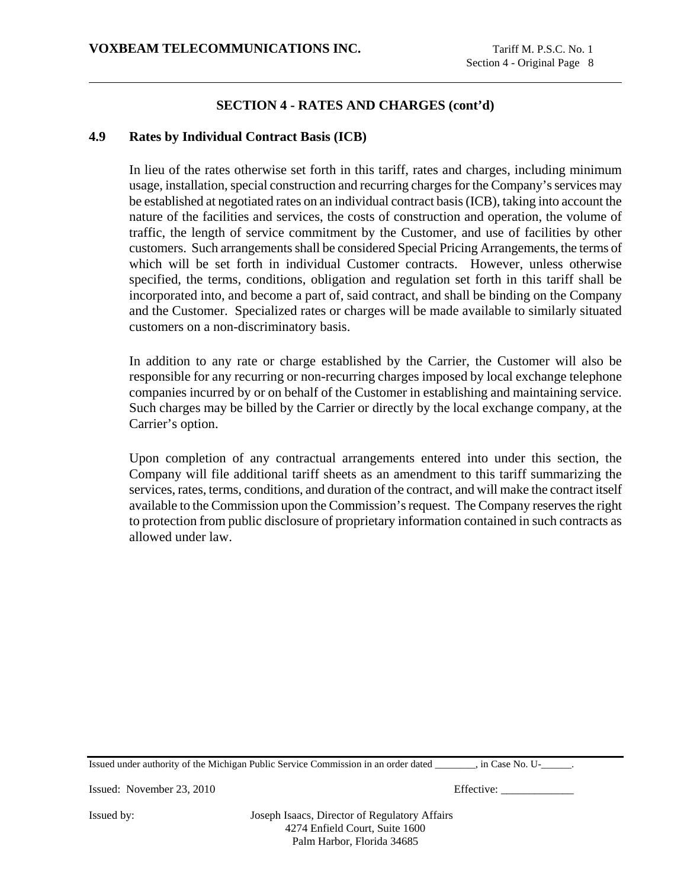### **SECTION 4 - RATES AND CHARGES (cont'd)**

### **4.9 Rates by Individual Contract Basis (ICB)**

In lieu of the rates otherwise set forth in this tariff, rates and charges, including minimum usage, installation, special construction and recurring charges for the Company's services may be established at negotiated rates on an individual contract basis (ICB), taking into account the nature of the facilities and services, the costs of construction and operation, the volume of traffic, the length of service commitment by the Customer, and use of facilities by other customers. Such arrangements shall be considered Special Pricing Arrangements, the terms of which will be set forth in individual Customer contracts. However, unless otherwise specified, the terms, conditions, obligation and regulation set forth in this tariff shall be incorporated into, and become a part of, said contract, and shall be binding on the Company and the Customer. Specialized rates or charges will be made available to similarly situated customers on a non-discriminatory basis.

In addition to any rate or charge established by the Carrier, the Customer will also be responsible for any recurring or non-recurring charges imposed by local exchange telephone companies incurred by or on behalf of the Customer in establishing and maintaining service. Such charges may be billed by the Carrier or directly by the local exchange company, at the Carrier's option.

Upon completion of any contractual arrangements entered into under this section, the Company will file additional tariff sheets as an amendment to this tariff summarizing the services, rates, terms, conditions, and duration of the contract, and will make the contract itself available to the Commission upon the Commission's request. The Company reserves the right to protection from public disclosure of proprietary information contained in such contracts as allowed under law.

Issued under authority of the Michigan Public Service Commission in an order dated \_\_\_\_\_\_\_\_, in Case No. U-\_\_\_\_\_\_.

Issued: November 23, 2010 Effective: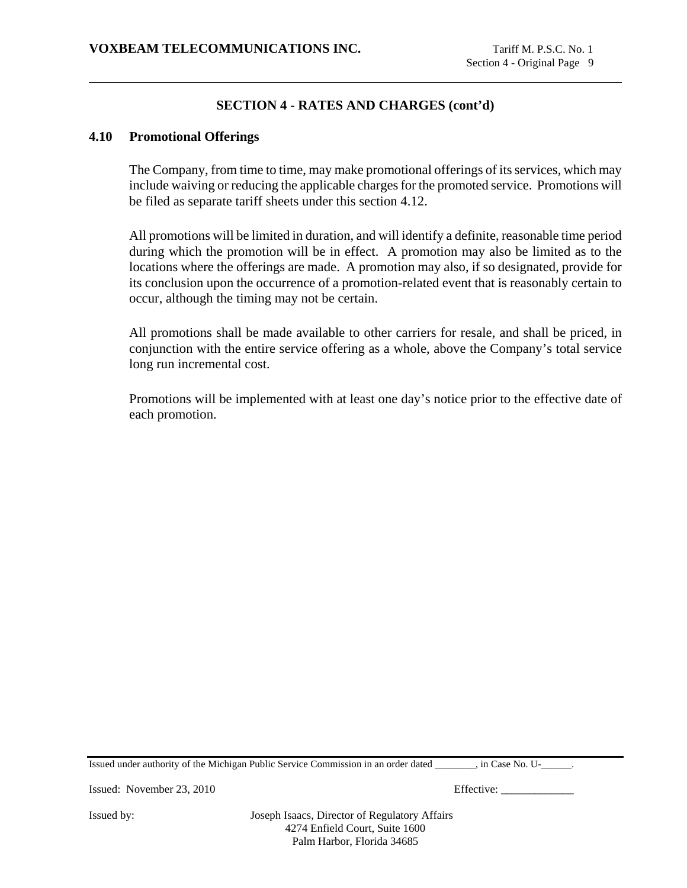### **SECTION 4 - RATES AND CHARGES (cont'd)**

#### **4.10 Promotional Offerings**

The Company, from time to time, may make promotional offerings of its services, which may include waiving or reducing the applicable charges for the promoted service. Promotions will be filed as separate tariff sheets under this section 4.12.

All promotions will be limited in duration, and will identify a definite, reasonable time period during which the promotion will be in effect. A promotion may also be limited as to the locations where the offerings are made. A promotion may also, if so designated, provide for its conclusion upon the occurrence of a promotion-related event that is reasonably certain to occur, although the timing may not be certain.

All promotions shall be made available to other carriers for resale, and shall be priced, in conjunction with the entire service offering as a whole, above the Company's total service long run incremental cost.

Promotions will be implemented with at least one day's notice prior to the effective date of each promotion.

Issued under authority of the Michigan Public Service Commission in an order dated \_\_\_\_\_\_\_\_, in Case No. U-\_\_\_\_\_\_.

Issued: November 23, 2010 Effective: \_\_\_\_\_\_\_\_\_\_\_\_\_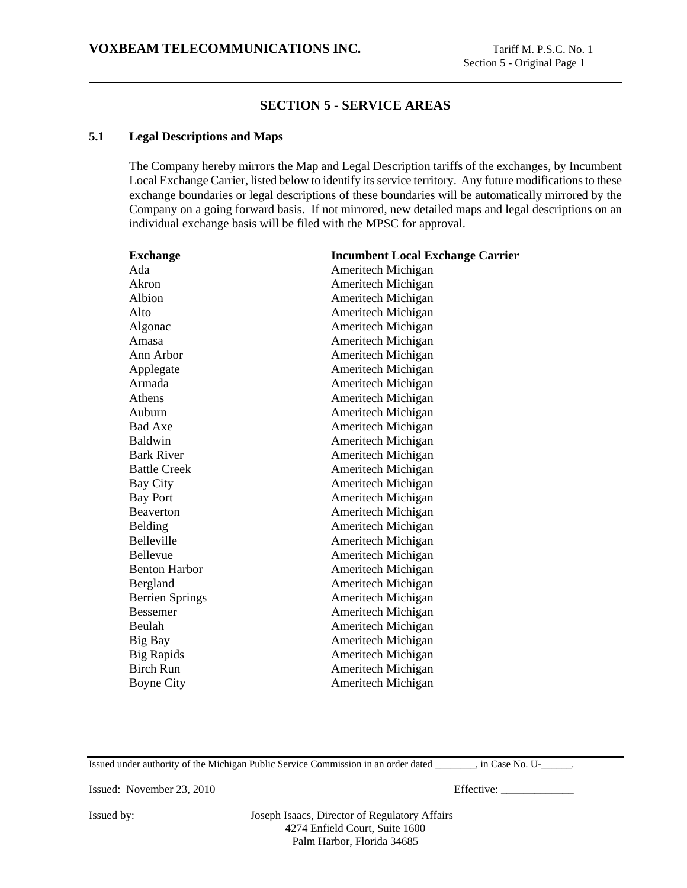### **SECTION 5 - SERVICE AREAS**

#### **5.1 Legal Descriptions and Maps**

The Company hereby mirrors the Map and Legal Description tariffs of the exchanges, by Incumbent Local Exchange Carrier, listed below to identify its service territory. Any future modifications to these exchange boundaries or legal descriptions of these boundaries will be automatically mirrored by the Company on a going forward basis. If not mirrored, new detailed maps and legal descriptions on an individual exchange basis will be filed with the MPSC for approval.

| <b>Exchange</b>        | <b>Incumbent Local Exchange Carrier</b> |
|------------------------|-----------------------------------------|
| Ada                    | Ameritech Michigan                      |
| Akron                  | Ameritech Michigan                      |
| Albion                 | Ameritech Michigan                      |
| Alto                   | Ameritech Michigan                      |
| Algonac                | Ameritech Michigan                      |
| Amasa                  | Ameritech Michigan                      |
| Ann Arbor              | Ameritech Michigan                      |
| Applegate              | Ameritech Michigan                      |
| Armada                 | Ameritech Michigan                      |
| Athens                 | Ameritech Michigan                      |
| Auburn                 | Ameritech Michigan                      |
| <b>Bad Axe</b>         | Ameritech Michigan                      |
| Baldwin                | Ameritech Michigan                      |
| <b>Bark River</b>      | Ameritech Michigan                      |
| <b>Battle Creek</b>    | Ameritech Michigan                      |
| Bay City               | Ameritech Michigan                      |
| <b>Bay Port</b>        | Ameritech Michigan                      |
| <b>Beaverton</b>       | Ameritech Michigan                      |
| Belding                | Ameritech Michigan                      |
| <b>Belleville</b>      | Ameritech Michigan                      |
| Bellevue               | Ameritech Michigan                      |
| <b>Benton Harbor</b>   | Ameritech Michigan                      |
| Bergland               | Ameritech Michigan                      |
| <b>Berrien Springs</b> | Ameritech Michigan                      |
| <b>Bessemer</b>        | Ameritech Michigan                      |
| Beulah                 | Ameritech Michigan                      |
| Big Bay                | Ameritech Michigan                      |
| <b>Big Rapids</b>      | Ameritech Michigan                      |
| <b>Birch Run</b>       | Ameritech Michigan                      |
| <b>Boyne City</b>      | Ameritech Michigan                      |

Issued under authority of the Michigan Public Service Commission in an order dated \_\_\_\_\_\_\_\_, in Case No. U-\_\_\_\_\_\_.

Issued: November 23, 2010 Effective: \_\_\_\_\_\_\_\_\_\_\_\_\_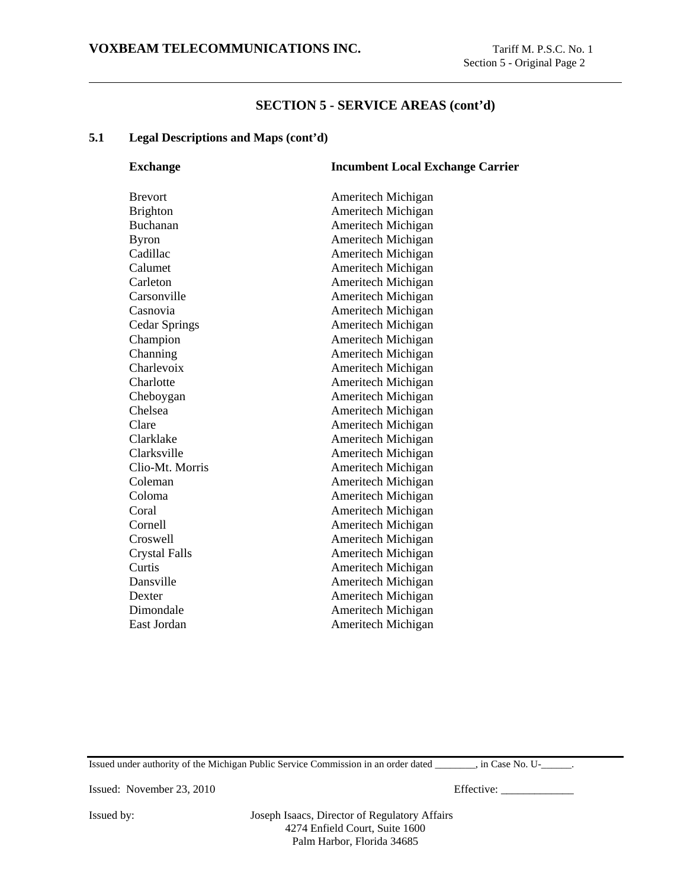### **5.1 Legal Descriptions and Maps (cont'd)**

| <b>Exchange</b>      | <b>Incumbent Local Exchange Carrier</b> |
|----------------------|-----------------------------------------|
| <b>Brevort</b>       | Ameritech Michigan                      |
| <b>Brighton</b>      | Ameritech Michigan                      |
| Buchanan             | Ameritech Michigan                      |
| <b>Byron</b>         | Ameritech Michigan                      |
| Cadillac             | Ameritech Michigan                      |
| Calumet              | Ameritech Michigan                      |
| Carleton             | Ameritech Michigan                      |
| Carsonville          | Ameritech Michigan                      |
| Casnovia             | Ameritech Michigan                      |
| <b>Cedar Springs</b> | Ameritech Michigan                      |
| Champion             | Ameritech Michigan                      |
| Channing             | Ameritech Michigan                      |
| Charlevoix           | Ameritech Michigan                      |
| Charlotte            | Ameritech Michigan                      |
| Cheboygan            | Ameritech Michigan                      |
| Chelsea              | Ameritech Michigan                      |
| Clare                | Ameritech Michigan                      |
| Clarklake            | Ameritech Michigan                      |
| Clarksville          | Ameritech Michigan                      |
| Clio-Mt. Morris      | Ameritech Michigan                      |
| Coleman              | Ameritech Michigan                      |
| Coloma               | Ameritech Michigan                      |
| Coral                | Ameritech Michigan                      |
| Cornell              | Ameritech Michigan                      |
| Croswell             | Ameritech Michigan                      |
| <b>Crystal Falls</b> | Ameritech Michigan                      |
| Curtis               | Ameritech Michigan                      |
| Dansville            | Ameritech Michigan                      |
| Dexter               | Ameritech Michigan                      |
| Dimondale            | Ameritech Michigan                      |
| East Jordan          | Ameritech Michigan                      |
|                      |                                         |

Issued under authority of the Michigan Public Service Commission in an order dated \_\_\_\_\_\_\_\_, in Case No. U-\_\_\_\_\_\_.

Issued: November 23, 2010 Effective: \_\_\_\_\_\_\_\_\_\_\_\_\_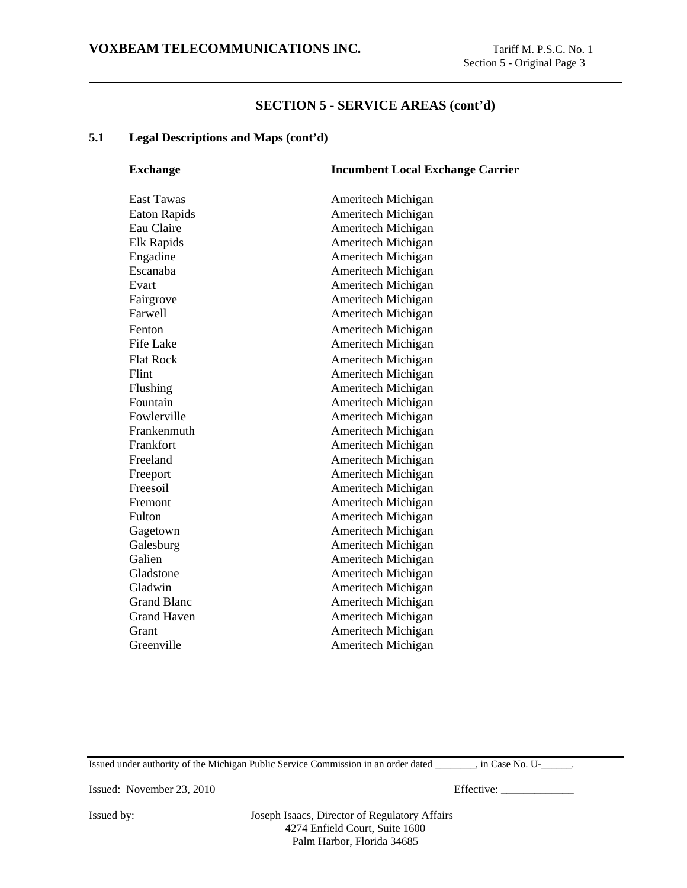#### **5.1 Legal Descriptions and Maps (cont'd)**

| <b>Exchange</b>     | <b>Incumbent Local Exchange Carrier</b> |
|---------------------|-----------------------------------------|
| <b>East Tawas</b>   | Ameritech Michigan                      |
| <b>Eaton Rapids</b> | Ameritech Michigan                      |
| Eau Claire          | Ameritech Michigan                      |
| Elk Rapids          | Ameritech Michigan                      |
| Engadine            | Ameritech Michigan                      |
| Escanaba            | Ameritech Michigan                      |
| Evart               | Ameritech Michigan                      |
| Fairgrove           | Ameritech Michigan                      |
| Farwell             | Ameritech Michigan                      |
| Fenton              | Ameritech Michigan                      |
| <b>Fife Lake</b>    | Ameritech Michigan                      |
| <b>Flat Rock</b>    | Ameritech Michigan                      |
| Flint               | Ameritech Michigan                      |
| Flushing            | Ameritech Michigan                      |
| Fountain            | Ameritech Michigan                      |
| Fowlerville         | Ameritech Michigan                      |
| Frankenmuth         | Ameritech Michigan                      |
| Frankfort           | Ameritech Michigan                      |
| Freeland            | Ameritech Michigan                      |
| Freeport            | <b>Ameritech Michigan</b>               |
| Freesoil            | Ameritech Michigan                      |
| Fremont             | Ameritech Michigan                      |
| Fulton              | Ameritech Michigan                      |
| Gagetown            | Ameritech Michigan                      |
| Galesburg           | Ameritech Michigan                      |
| Galien              | Ameritech Michigan                      |
| Gladstone           | Ameritech Michigan                      |
| Gladwin             | Ameritech Michigan                      |
| <b>Grand Blanc</b>  | Ameritech Michigan                      |
| <b>Grand Haven</b>  | Ameritech Michigan                      |
| Grant               | Ameritech Michigan                      |
| Greenville          | Ameritech Michigan                      |
|                     |                                         |

Issued under authority of the Michigan Public Service Commission in an order dated \_\_\_\_\_\_\_\_, in Case No. U-\_\_\_\_\_\_.

Issued: November 23, 2010 Effective: \_\_\_\_\_\_\_\_\_\_\_\_\_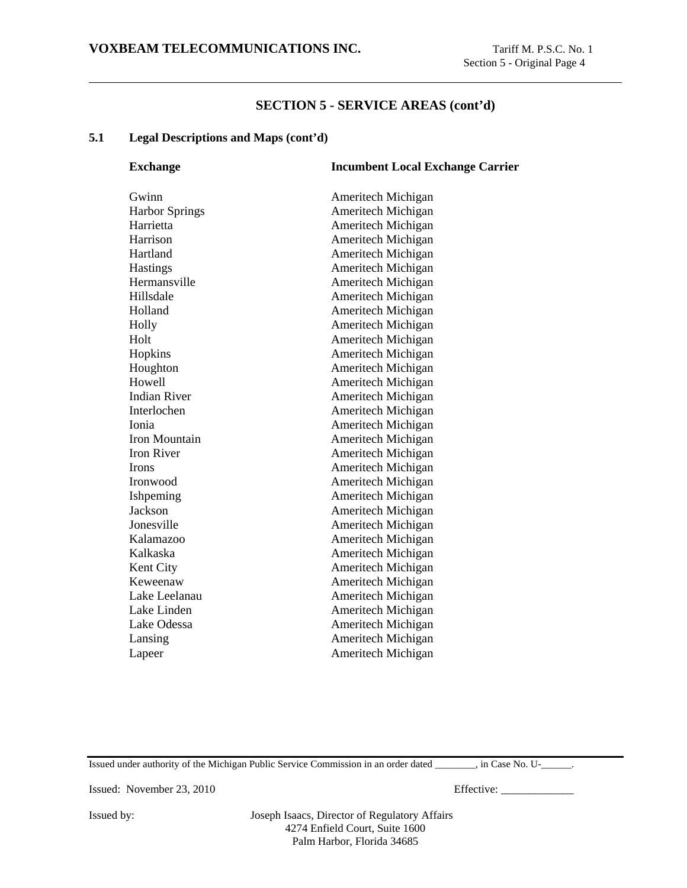### **5.1 Legal Descriptions and Maps (cont'd)**

| <b>Exchange</b>       | <b>Incumbent Local Exchange Carrier</b> |
|-----------------------|-----------------------------------------|
| Gwinn                 | Ameritech Michigan                      |
| <b>Harbor Springs</b> | Ameritech Michigan                      |
| Harrietta             | Ameritech Michigan                      |
| Harrison              | Ameritech Michigan                      |
| Hartland              | Ameritech Michigan                      |
| Hastings              | Ameritech Michigan                      |
| Hermansville          | Ameritech Michigan                      |
| Hillsdale             | Ameritech Michigan                      |
| Holland               | Ameritech Michigan                      |
| Holly                 | Ameritech Michigan                      |
| Holt                  | Ameritech Michigan                      |
| Hopkins               | Ameritech Michigan                      |
| Houghton              | Ameritech Michigan                      |
| Howell                | Ameritech Michigan                      |
| <b>Indian River</b>   | Ameritech Michigan                      |
| Interlochen           | Ameritech Michigan                      |
| Ionia                 | Ameritech Michigan                      |
| Iron Mountain         | Ameritech Michigan                      |
| <b>Iron River</b>     | Ameritech Michigan                      |
| <b>Irons</b>          | Ameritech Michigan                      |
| Ironwood              | Ameritech Michigan                      |
| Ishpeming             | Ameritech Michigan                      |
| Jackson               | Ameritech Michigan                      |
| Jonesville            | Ameritech Michigan                      |
| Kalamazoo             | Ameritech Michigan                      |
| Kalkaska              | Ameritech Michigan                      |
| Kent City             | Ameritech Michigan                      |
| Keweenaw              | Ameritech Michigan                      |
| Lake Leelanau         | Ameritech Michigan                      |
| Lake Linden           | Ameritech Michigan                      |
| Lake Odessa           | Ameritech Michigan                      |
| Lansing               | Ameritech Michigan                      |
| Lapeer                | Ameritech Michigan                      |
|                       |                                         |

Issued under authority of the Michigan Public Service Commission in an order dated \_\_\_\_\_\_\_\_, in Case No. U-\_\_\_\_\_\_.

Issued: November 23, 2010 Effective: \_\_\_\_\_\_\_\_\_\_\_\_\_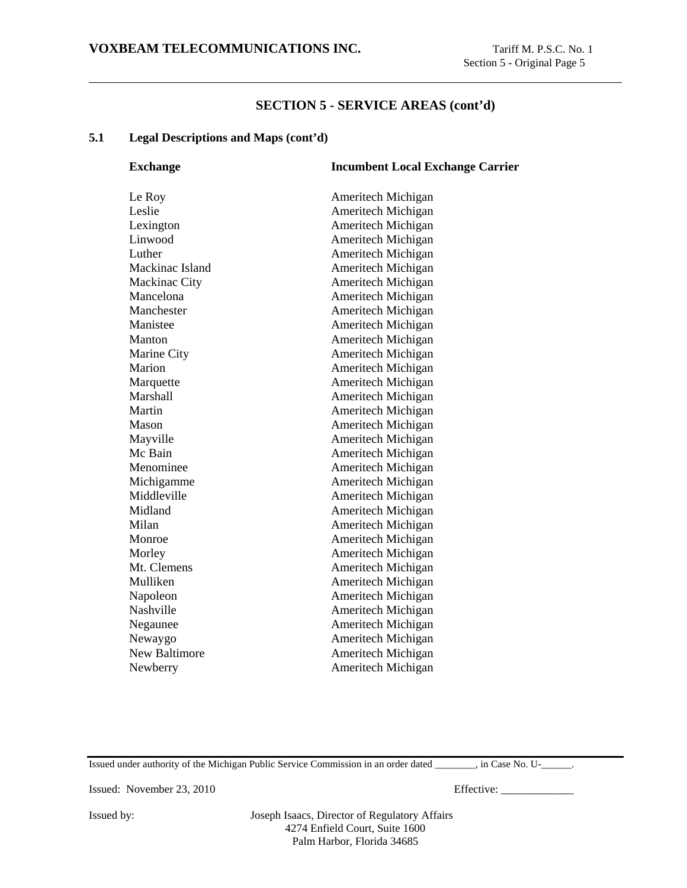#### **5.1 Legal Descriptions and Maps (cont'd)**

| <b>Exchange</b>      | <b>Incumbent Local Exchange Carrier</b> |
|----------------------|-----------------------------------------|
| Le Roy               | Ameritech Michigan                      |
| Leslie               | Ameritech Michigan                      |
| Lexington            | Ameritech Michigan                      |
| Linwood              | Ameritech Michigan                      |
| Luther               | Ameritech Michigan                      |
| Mackinac Island      | Ameritech Michigan                      |
| Mackinac City        | Ameritech Michigan                      |
| Mancelona            | Ameritech Michigan                      |
| Manchester           | Ameritech Michigan                      |
| Manistee             | Ameritech Michigan                      |
| Manton               | Ameritech Michigan                      |
| Marine City          | Ameritech Michigan                      |
| Marion               | Ameritech Michigan                      |
| Marquette            | Ameritech Michigan                      |
| Marshall             | Ameritech Michigan                      |
| Martin               | Ameritech Michigan                      |
| Mason                | Ameritech Michigan                      |
| Mayville             | Ameritech Michigan                      |
| Mc Bain              | Ameritech Michigan                      |
| Menominee            | Ameritech Michigan                      |
| Michigamme           | Ameritech Michigan                      |
| Middleville          | Ameritech Michigan                      |
| Midland              | Ameritech Michigan                      |
| Milan                | Ameritech Michigan                      |
| Monroe               | Ameritech Michigan                      |
| Morley               | Ameritech Michigan                      |
| Mt. Clemens          | Ameritech Michigan                      |
| Mulliken             | Ameritech Michigan                      |
| Napoleon             | Ameritech Michigan                      |
| Nashville            | Ameritech Michigan                      |
| Negaunee             | Ameritech Michigan                      |
| Newaygo              | Ameritech Michigan                      |
| <b>New Baltimore</b> | Ameritech Michigan                      |
| Newberry             | Ameritech Michigan                      |
|                      |                                         |

Issued under authority of the Michigan Public Service Commission in an order dated \_\_\_\_\_\_\_\_, in Case No. U-\_\_\_\_\_\_.

Issued: November 23, 2010 Effective: \_\_\_\_\_\_\_\_\_\_\_\_\_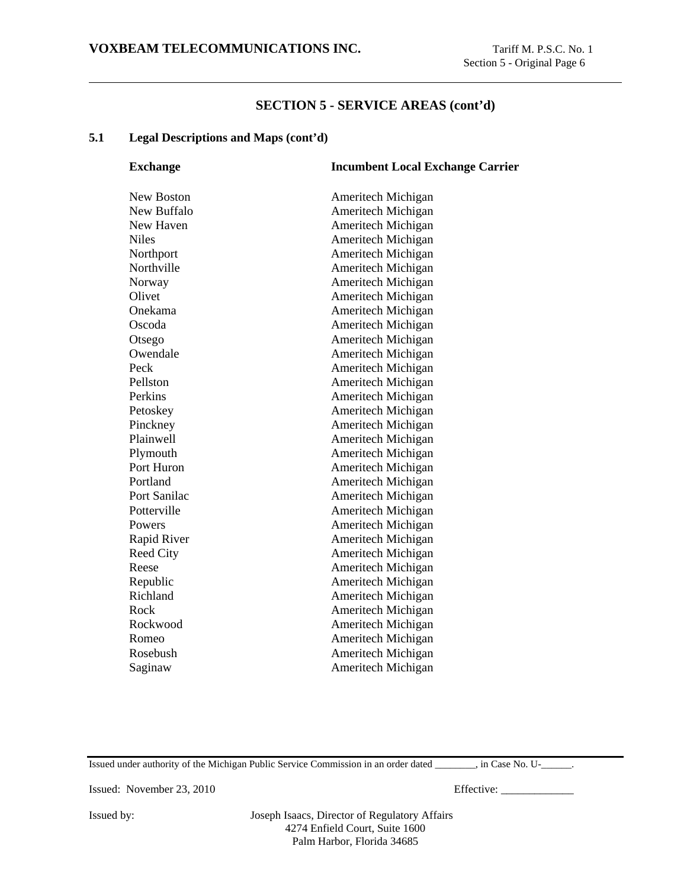### **5.1 Legal Descriptions and Maps (cont'd)**

| <b>Exchange</b>  | <b>Incumbent Local Exchange Carrier</b> |
|------------------|-----------------------------------------|
| New Boston       | <b>Ameritech Michigan</b>               |
| New Buffalo      | Ameritech Michigan                      |
| New Haven        | Ameritech Michigan                      |
| <b>Niles</b>     | Ameritech Michigan                      |
| Northport        | Ameritech Michigan                      |
| Northville       | Ameritech Michigan                      |
| Norway           | Ameritech Michigan                      |
| Olivet           | Ameritech Michigan                      |
| Onekama          | Ameritech Michigan                      |
| Oscoda           | Ameritech Michigan                      |
| Otsego           | Ameritech Michigan                      |
| Owendale         | <b>Ameritech Michigan</b>               |
| Peck             | Ameritech Michigan                      |
| Pellston         | Ameritech Michigan                      |
| Perkins          | Ameritech Michigan                      |
| Petoskey         | Ameritech Michigan                      |
| Pinckney         | Ameritech Michigan                      |
| Plainwell        | <b>Ameritech Michigan</b>               |
| Plymouth         | Ameritech Michigan                      |
| Port Huron       | Ameritech Michigan                      |
| Portland         | Ameritech Michigan                      |
| Port Sanilac     | Ameritech Michigan                      |
| Potterville      | Ameritech Michigan                      |
| Powers           | Ameritech Michigan                      |
| Rapid River      | Ameritech Michigan                      |
| <b>Reed City</b> | Ameritech Michigan                      |
| Reese            | Ameritech Michigan                      |
| Republic         | Ameritech Michigan                      |
| Richland         | Ameritech Michigan                      |
| Rock             | Ameritech Michigan                      |
| Rockwood         | Ameritech Michigan                      |
| Romeo            | Ameritech Michigan                      |
| Rosebush         | Ameritech Michigan                      |
| Saginaw          | Ameritech Michigan                      |
|                  |                                         |

Issued under authority of the Michigan Public Service Commission in an order dated \_\_\_\_\_\_\_\_, in Case No. U-\_\_\_\_\_\_.

Issued: November 23, 2010 Effective: \_\_\_\_\_\_\_\_\_\_\_\_\_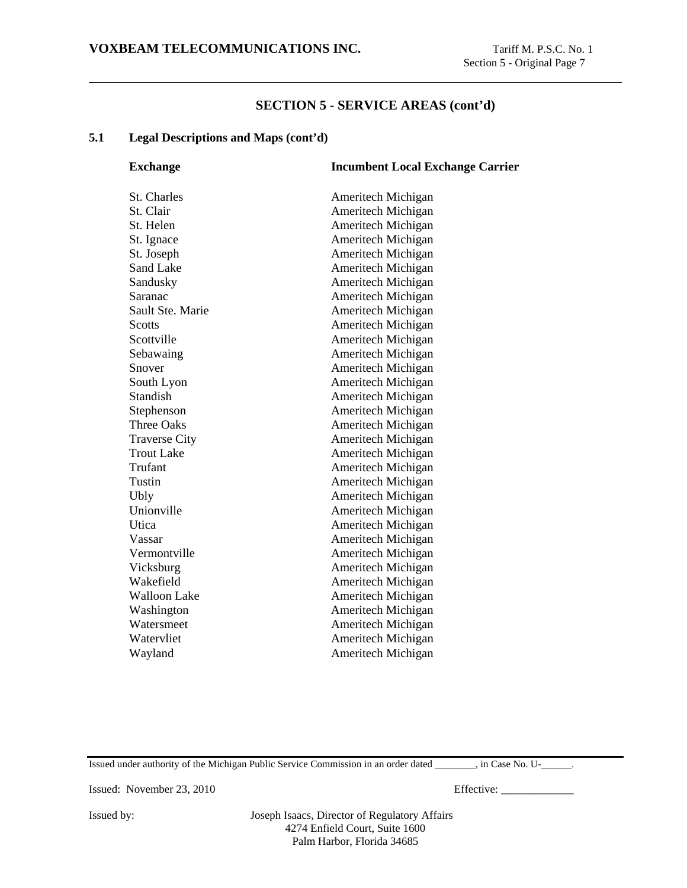### **5.1 Legal Descriptions and Maps (cont'd)**

| <b>Exchange</b>      | <b>Incumbent Local Exchange Carrier</b> |
|----------------------|-----------------------------------------|
| <b>St. Charles</b>   | Ameritech Michigan                      |
| St. Clair            | Ameritech Michigan                      |
| St. Helen            | Ameritech Michigan                      |
| St. Ignace           | Ameritech Michigan                      |
| St. Joseph           | Ameritech Michigan                      |
| <b>Sand Lake</b>     | Ameritech Michigan                      |
| Sandusky             | Ameritech Michigan                      |
| Saranac              | Ameritech Michigan                      |
| Sault Ste. Marie     | Ameritech Michigan                      |
| <b>Scotts</b>        | Ameritech Michigan                      |
| Scottville           | Ameritech Michigan                      |
| Sebawaing            | Ameritech Michigan                      |
| Snover               | Ameritech Michigan                      |
| South Lyon           | Ameritech Michigan                      |
| <b>Standish</b>      | Ameritech Michigan                      |
| Stephenson           | Ameritech Michigan                      |
| <b>Three Oaks</b>    | Ameritech Michigan                      |
| <b>Traverse City</b> | Ameritech Michigan                      |
| <b>Trout Lake</b>    | Ameritech Michigan                      |
| Trufant              | Ameritech Michigan                      |
| Tustin               | Ameritech Michigan                      |
| Ubly                 | Ameritech Michigan                      |
| Unionville           | Ameritech Michigan                      |
| Utica                | Ameritech Michigan                      |
| Vassar               | Ameritech Michigan                      |
| Vermontville         | Ameritech Michigan                      |
| Vicksburg            | Ameritech Michigan                      |
| Wakefield            | Ameritech Michigan                      |
| <b>Walloon Lake</b>  | Ameritech Michigan                      |
| Washington           | Ameritech Michigan                      |
| Watersmeet           | Ameritech Michigan                      |
| Watervliet           | Ameritech Michigan                      |
| Wayland              | Ameritech Michigan                      |
|                      |                                         |

Issued under authority of the Michigan Public Service Commission in an order dated \_\_\_\_\_\_\_\_, in Case No. U-\_\_\_\_\_\_.

Issued: November 23, 2010 Effective: \_\_\_\_\_\_\_\_\_\_\_\_\_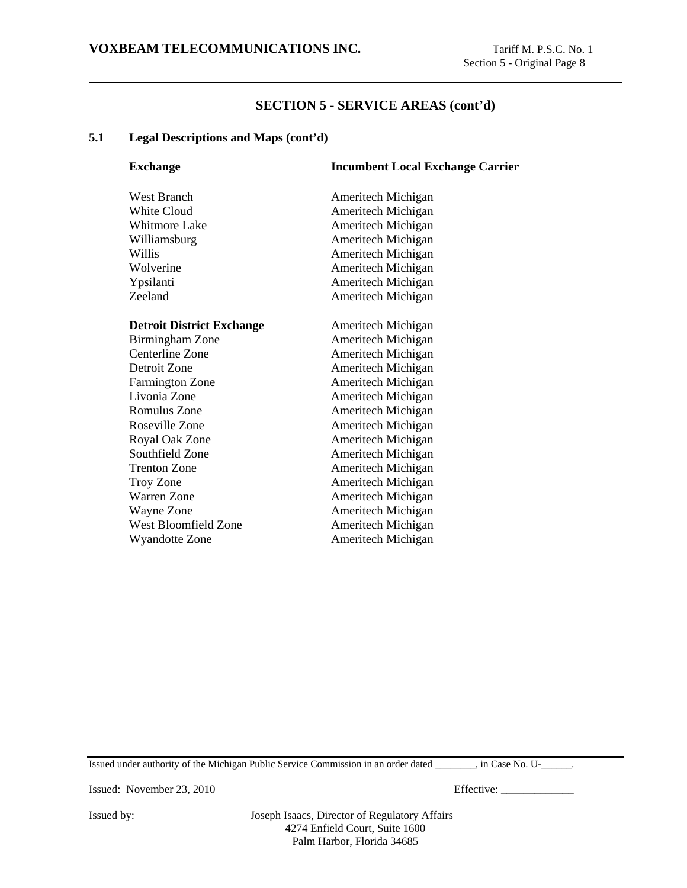#### **5.1 Legal Descriptions and Maps (cont'd)**

| <b>Exchange</b>                  | <b>Incumbent Local Exchange Carrier</b> |
|----------------------------------|-----------------------------------------|
| <b>West Branch</b>               | Ameritech Michigan                      |
| <b>White Cloud</b>               | Ameritech Michigan                      |
| <b>Whitmore Lake</b>             | Ameritech Michigan                      |
| Williamsburg                     | Ameritech Michigan                      |
| Willis                           | Ameritech Michigan                      |
| Wolverine                        | Ameritech Michigan                      |
| Ypsilanti                        | Ameritech Michigan                      |
| Zeeland                          | Ameritech Michigan                      |
| <b>Detroit District Exchange</b> | Ameritech Michigan                      |
| Birmingham Zone                  | Ameritech Michigan                      |
| Centerline Zone                  | Ameritech Michigan                      |
| Detroit Zone                     | Ameritech Michigan                      |
| <b>Farmington Zone</b>           | Ameritech Michigan                      |
| Livonia Zone                     | Ameritech Michigan                      |
| Romulus Zone                     | Ameritech Michigan                      |
| Roseville Zone                   | Ameritech Michigan                      |
| Royal Oak Zone                   | Ameritech Michigan                      |
| Southfield Zone                  | Ameritech Michigan                      |
| <b>Trenton Zone</b>              | Ameritech Michigan                      |
| Troy Zone                        | Ameritech Michigan                      |
| <b>Warren Zone</b>               | Ameritech Michigan                      |
| Wayne Zone                       | Ameritech Michigan                      |
| West Bloomfield Zone             | Ameritech Michigan                      |
| <b>Wyandotte Zone</b>            | Ameritech Michigan                      |

Issued under authority of the Michigan Public Service Commission in an order dated \_\_\_\_\_\_\_\_, in Case No. U-\_\_\_\_\_\_.

Issued: November 23, 2010 Effective: \_\_\_\_\_\_\_\_\_\_\_\_\_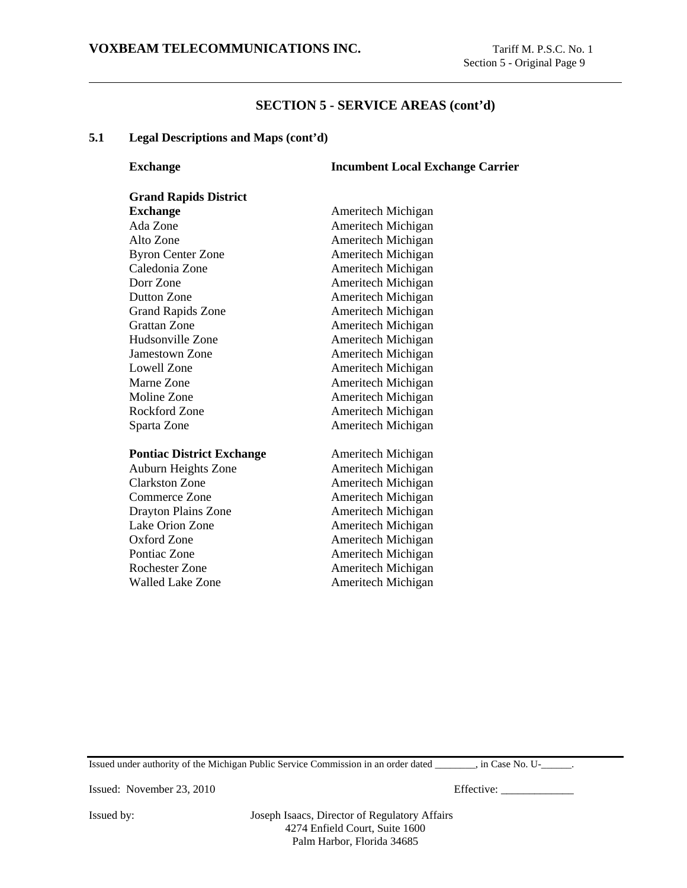#### **5.1 Legal Descriptions and Maps (cont'd)**

**Exchange 1.1 Incumbent Local Exchange Carrier** 

| <b>Grand Rapids District</b>     |                    |
|----------------------------------|--------------------|
| <b>Exchange</b>                  | Ameritech Michigan |
| Ada Zone                         | Ameritech Michigan |
| Alto Zone                        | Ameritech Michigan |
| <b>Byron Center Zone</b>         | Ameritech Michigan |
| Caledonia Zone                   | Ameritech Michigan |
| Dorr Zone                        | Ameritech Michigan |
| Dutton Zone                      | Ameritech Michigan |
| <b>Grand Rapids Zone</b>         | Ameritech Michigan |
| <b>Grattan Zone</b>              | Ameritech Michigan |
| Hudsonville Zone                 | Ameritech Michigan |
| <b>Jamestown Zone</b>            | Ameritech Michigan |
| Lowell Zone                      | Ameritech Michigan |
| Marne Zone                       | Ameritech Michigan |
| Moline Zone                      | Ameritech Michigan |
| Rockford Zone                    | Ameritech Michigan |
| Sparta Zone                      | Ameritech Michigan |
|                                  |                    |
| <b>Pontiac District Exchange</b> | Ameritech Michigan |
| Auburn Heights Zone              | Ameritech Michigan |
| <b>Clarkston Zone</b>            | Ameritech Michigan |
| Commerce Zone                    | Ameritech Michigan |
| Drayton Plains Zone              | Ameritech Michigan |
| Lake Orion Zone                  | Ameritech Michigan |
| Oxford Zone                      | Ameritech Michigan |

Pontiac Zone **Ameritech Michigan** Rochester Zone **Ameritech Michigan** Walled Lake Zone **Ameritech Michigan** 

Issued under authority of the Michigan Public Service Commission in an order dated \_\_\_\_\_\_\_\_, in Case No. U-\_\_\_\_\_\_.

Issued: November 23, 2010 Effective: \_\_\_\_\_\_\_\_\_\_\_\_\_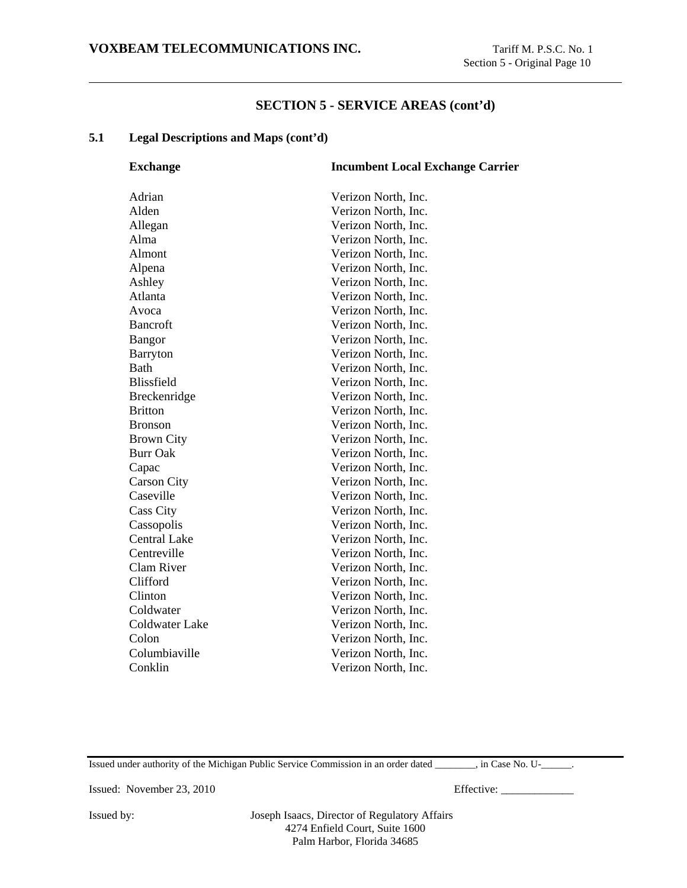### **5.1 Legal Descriptions and Maps (cont'd)**

| <b>Exchange</b>     | <b>Incumbent Local Exchange Carrier</b> |
|---------------------|-----------------------------------------|
| Adrian              | Verizon North, Inc.                     |
| Alden               | Verizon North, Inc.                     |
| Allegan             | Verizon North, Inc.                     |
| Alma                | Verizon North, Inc.                     |
| Almont              | Verizon North, Inc.                     |
| Alpena              | Verizon North, Inc.                     |
| Ashley              | Verizon North, Inc.                     |
| Atlanta             | Verizon North, Inc.                     |
| Avoca               | Verizon North, Inc.                     |
| <b>Bancroft</b>     | Verizon North, Inc.                     |
| <b>Bangor</b>       | Verizon North, Inc.                     |
| Barryton            | Verizon North, Inc.                     |
| <b>Bath</b>         | Verizon North, Inc.                     |
| Blissfield          | Verizon North, Inc.                     |
| Breckenridge        | Verizon North, Inc.                     |
| <b>Britton</b>      | Verizon North, Inc.                     |
| <b>Bronson</b>      | Verizon North, Inc.                     |
| <b>Brown City</b>   | Verizon North, Inc.                     |
| <b>Burr Oak</b>     | Verizon North, Inc.                     |
| Capac               | Verizon North, Inc.                     |
| <b>Carson City</b>  | Verizon North, Inc.                     |
| Caseville           | Verizon North, Inc.                     |
| <b>Cass City</b>    | Verizon North, Inc.                     |
| Cassopolis          | Verizon North, Inc.                     |
| <b>Central Lake</b> | Verizon North, Inc.                     |
| Centreville         | Verizon North, Inc.                     |
| Clam River          | Verizon North, Inc.                     |
| Clifford            | Verizon North, Inc.                     |
| Clinton             | Verizon North, Inc.                     |
| Coldwater           | Verizon North, Inc.                     |
| Coldwater Lake      | Verizon North, Inc.                     |
| Colon               | Verizon North, Inc.                     |
| Columbiaville       | Verizon North, Inc.                     |
| Conklin             | Verizon North, Inc.                     |
|                     |                                         |

Issued under authority of the Michigan Public Service Commission in an order dated \_\_\_\_\_\_\_\_, in Case No. U-\_\_\_\_\_\_.

Issued: November 23, 2010 Effective: \_\_\_\_\_\_\_\_\_\_\_\_\_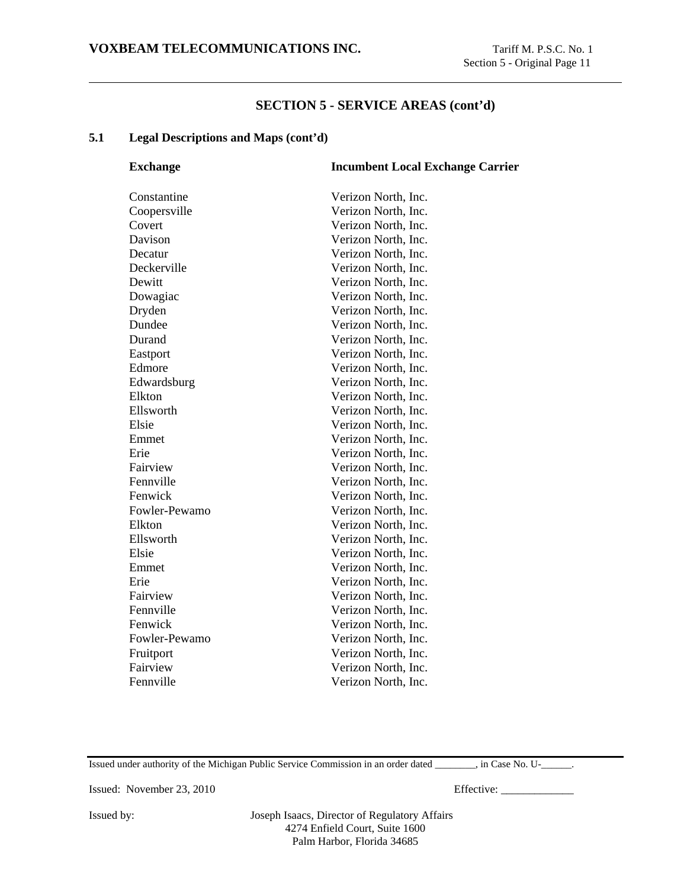### **5.1 Legal Descriptions and Maps (cont'd)**

| <b>Exchange</b> | <b>Incumbent Local Exchange Carrier</b> |
|-----------------|-----------------------------------------|
| Constantine     | Verizon North, Inc.                     |
| Coopersville    | Verizon North, Inc.                     |
| Covert          | Verizon North, Inc.                     |
| Davison         | Verizon North, Inc.                     |
| Decatur         | Verizon North, Inc.                     |
| Deckerville     | Verizon North, Inc.                     |
| Dewitt          | Verizon North, Inc.                     |
| Dowagiac        | Verizon North, Inc.                     |
| Dryden          | Verizon North, Inc.                     |
| Dundee          | Verizon North, Inc.                     |
| Durand          | Verizon North, Inc.                     |
| Eastport        | Verizon North, Inc.                     |
| Edmore          | Verizon North, Inc.                     |
| Edwardsburg     | Verizon North, Inc.                     |
| Elkton          | Verizon North, Inc.                     |
| Ellsworth       | Verizon North, Inc.                     |
| Elsie           | Verizon North, Inc.                     |
| Emmet           | Verizon North, Inc.                     |
| Erie            | Verizon North, Inc.                     |
| Fairview        | Verizon North, Inc.                     |
| Fennville       | Verizon North, Inc.                     |
| Fenwick         | Verizon North, Inc.                     |
| Fowler-Pewamo   | Verizon North, Inc.                     |
| Elkton          | Verizon North, Inc.                     |
| Ellsworth       | Verizon North, Inc.                     |
| Elsie           | Verizon North, Inc.                     |
| Emmet           | Verizon North, Inc.                     |
| Erie            | Verizon North, Inc.                     |
| Fairview        | Verizon North, Inc.                     |
| Fennville       | Verizon North, Inc.                     |
| Fenwick         | Verizon North, Inc.                     |
| Fowler-Pewamo   | Verizon North, Inc.                     |
| Fruitport       | Verizon North, Inc.                     |
| Fairview        | Verizon North, Inc.                     |
| Fennville       | Verizon North, Inc.                     |
|                 |                                         |

Issued under authority of the Michigan Public Service Commission in an order dated \_\_\_\_\_\_\_\_, in Case No. U-\_\_\_\_\_\_.

Issued: November 23, 2010 Effective: \_\_\_\_\_\_\_\_\_\_\_\_\_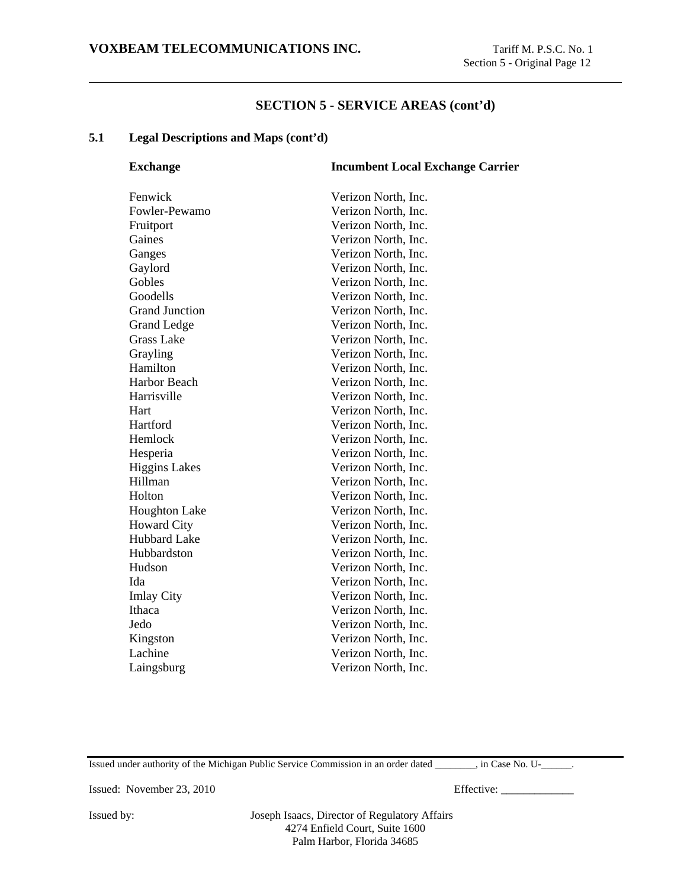#### **5.1 Legal Descriptions and Maps (cont'd)**

| <b>Exchange</b>       | <b>Incumbent Local Exchange Carrier</b> |
|-----------------------|-----------------------------------------|
| Fenwick               | Verizon North, Inc.                     |
| Fowler-Pewamo         | Verizon North, Inc.                     |
| Fruitport             | Verizon North, Inc.                     |
| Gaines                | Verizon North, Inc.                     |
| Ganges                | Verizon North, Inc.                     |
| Gaylord               | Verizon North, Inc.                     |
| Gobles                | Verizon North, Inc.                     |
| Goodells              | Verizon North, Inc.                     |
| <b>Grand Junction</b> | Verizon North, Inc.                     |
| <b>Grand Ledge</b>    | Verizon North, Inc.                     |
| <b>Grass Lake</b>     | Verizon North, Inc.                     |
| Grayling              | Verizon North, Inc.                     |
| Hamilton              | Verizon North, Inc.                     |
| Harbor Beach          | Verizon North, Inc.                     |
| Harrisville           | Verizon North, Inc.                     |
| Hart                  | Verizon North, Inc.                     |
| Hartford              | Verizon North, Inc.                     |
| Hemlock               | Verizon North, Inc.                     |
| Hesperia              | Verizon North, Inc.                     |
| <b>Higgins Lakes</b>  | Verizon North, Inc.                     |
| Hillman               | Verizon North, Inc.                     |
| Holton                | Verizon North, Inc.                     |
| <b>Houghton Lake</b>  | Verizon North, Inc.                     |
| <b>Howard City</b>    | Verizon North, Inc.                     |
| <b>Hubbard Lake</b>   | Verizon North, Inc.                     |
| Hubbardston           | Verizon North, Inc.                     |
| Hudson                | Verizon North, Inc.                     |
| Ida                   | Verizon North, Inc.                     |
| <b>Imlay City</b>     | Verizon North, Inc.                     |
| Ithaca                | Verizon North, Inc.                     |
| Jedo                  | Verizon North, Inc.                     |
| Kingston              | Verizon North, Inc.                     |
| Lachine               | Verizon North, Inc.                     |
| Laingsburg            | Verizon North, Inc.                     |
|                       |                                         |

Issued under authority of the Michigan Public Service Commission in an order dated \_\_\_\_\_\_\_\_, in Case No. U-\_\_\_\_\_\_.

Issued: November 23, 2010 Effective: \_\_\_\_\_\_\_\_\_\_\_\_\_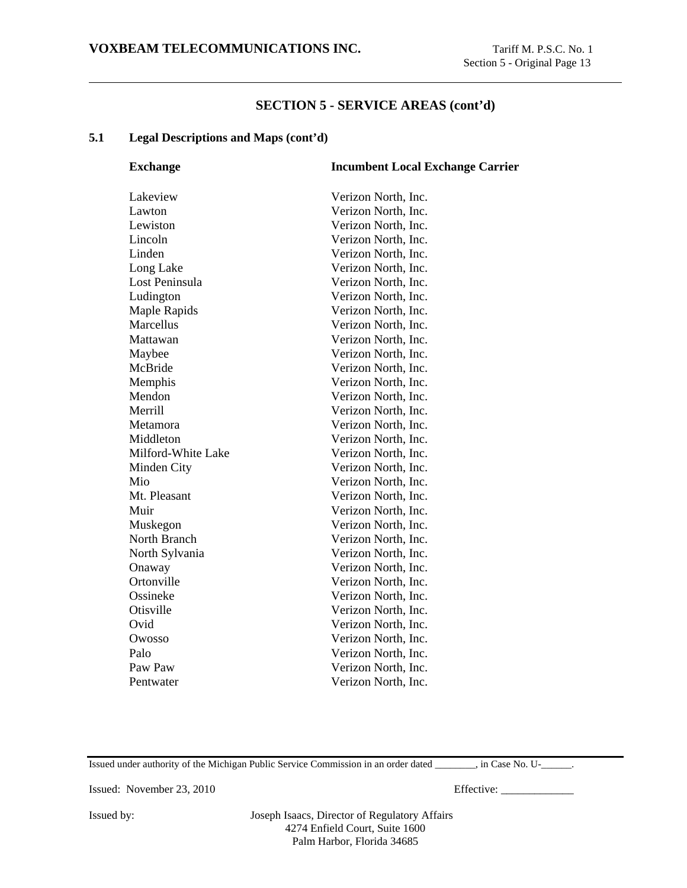#### **5.1 Legal Descriptions and Maps (cont'd)**

| <b>Exchange</b>    | <b>Incumbent Local Exchange Carrier</b> |
|--------------------|-----------------------------------------|
| Lakeview           | Verizon North, Inc.                     |
| Lawton             | Verizon North, Inc.                     |
| Lewiston           | Verizon North, Inc.                     |
| Lincoln            | Verizon North, Inc.                     |
| Linden             | Verizon North, Inc.                     |
| Long Lake          | Verizon North, Inc.                     |
| Lost Peninsula     | Verizon North, Inc.                     |
| Ludington          | Verizon North, Inc.                     |
| Maple Rapids       | Verizon North, Inc.                     |
| Marcellus          | Verizon North, Inc.                     |
| Mattawan           | Verizon North, Inc.                     |
| Maybee             | Verizon North, Inc.                     |
| McBride            | Verizon North, Inc.                     |
| Memphis            | Verizon North, Inc.                     |
| Mendon             | Verizon North, Inc.                     |
| Merrill            | Verizon North, Inc.                     |
| Metamora           | Verizon North, Inc.                     |
| Middleton          | Verizon North, Inc.                     |
| Milford-White Lake | Verizon North, Inc.                     |
| Minden City        | Verizon North, Inc.                     |
| Mio                | Verizon North, Inc.                     |
| Mt. Pleasant       | Verizon North, Inc.                     |
| Muir               | Verizon North, Inc.                     |
| Muskegon           | Verizon North, Inc.                     |
| North Branch       | Verizon North, Inc.                     |
| North Sylvania     | Verizon North, Inc.                     |
| Onaway             | Verizon North, Inc.                     |
| Ortonville         | Verizon North, Inc.                     |
| Ossineke           | Verizon North, Inc.                     |
| Otisville          | Verizon North, Inc.                     |
| Ovid               | Verizon North, Inc.                     |
| Owosso             | Verizon North, Inc.                     |
| Palo               | Verizon North, Inc.                     |
| Paw Paw            | Verizon North, Inc.                     |
| Pentwater          | Verizon North, Inc.                     |
|                    |                                         |

Issued under authority of the Michigan Public Service Commission in an order dated \_\_\_\_\_\_\_\_, in Case No. U-\_\_\_\_\_\_.

Issued: November 23, 2010 Effective: \_\_\_\_\_\_\_\_\_\_\_\_\_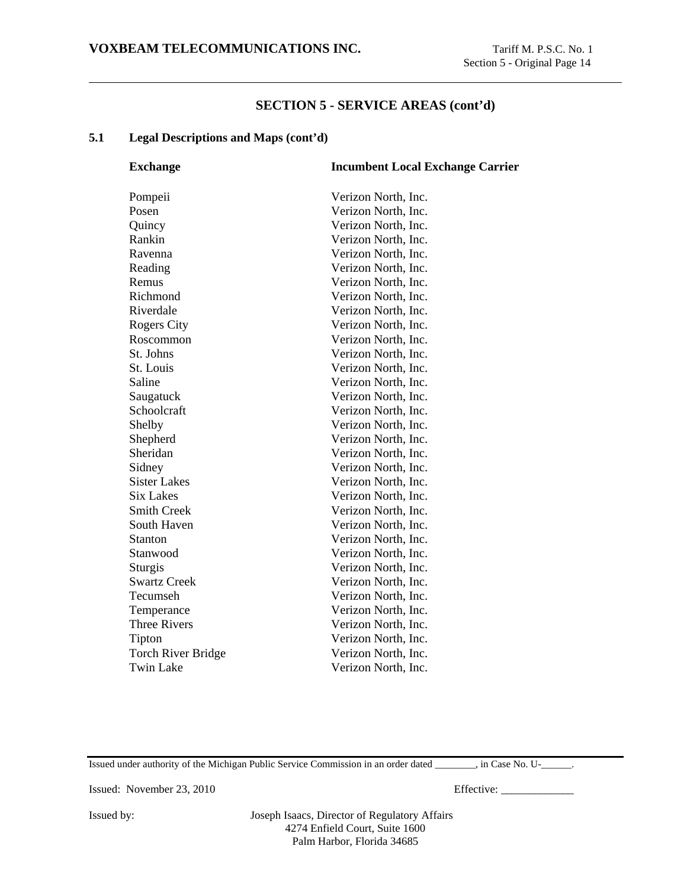### **5.1 Legal Descriptions and Maps (cont'd)**

| <b>Exchange</b>           | <b>Incumbent Local Exchange Carrier</b> |
|---------------------------|-----------------------------------------|
| Pompeii                   | Verizon North, Inc.                     |
| Posen                     | Verizon North, Inc.                     |
| Quincy                    | Verizon North, Inc.                     |
| Rankin                    | Verizon North, Inc.                     |
| Ravenna                   | Verizon North, Inc.                     |
| Reading                   | Verizon North, Inc.                     |
| Remus                     | Verizon North, Inc.                     |
| Richmond                  | Verizon North, Inc.                     |
| Riverdale                 | Verizon North, Inc.                     |
| <b>Rogers City</b>        | Verizon North, Inc.                     |
| Roscommon                 | Verizon North, Inc.                     |
| St. Johns                 | Verizon North, Inc.                     |
| St. Louis                 | Verizon North, Inc.                     |
| Saline                    | Verizon North, Inc.                     |
| Saugatuck                 | Verizon North, Inc.                     |
| Schoolcraft               | Verizon North, Inc.                     |
| Shelby                    | Verizon North, Inc.                     |
| Shepherd                  | Verizon North, Inc.                     |
| Sheridan                  | Verizon North, Inc.                     |
| Sidney                    | Verizon North, Inc.                     |
| <b>Sister Lakes</b>       | Verizon North, Inc.                     |
| <b>Six Lakes</b>          | Verizon North, Inc.                     |
| <b>Smith Creek</b>        | Verizon North, Inc.                     |
| South Haven               | Verizon North, Inc.                     |
| Stanton                   | Verizon North, Inc.                     |
| Stanwood                  | Verizon North, Inc.                     |
| Sturgis                   | Verizon North, Inc.                     |
| <b>Swartz Creek</b>       | Verizon North, Inc.                     |
| Tecumseh                  | Verizon North, Inc.                     |
| Temperance                | Verizon North, Inc.                     |
| <b>Three Rivers</b>       | Verizon North, Inc.                     |
| Tipton                    | Verizon North, Inc.                     |
| <b>Torch River Bridge</b> | Verizon North, Inc.                     |
| <b>Twin Lake</b>          | Verizon North, Inc.                     |
|                           |                                         |

Issued under authority of the Michigan Public Service Commission in an order dated \_\_\_\_\_\_\_\_, in Case No. U-\_\_\_\_\_\_.

Issued: November 23, 2010 Effective: \_\_\_\_\_\_\_\_\_\_\_\_\_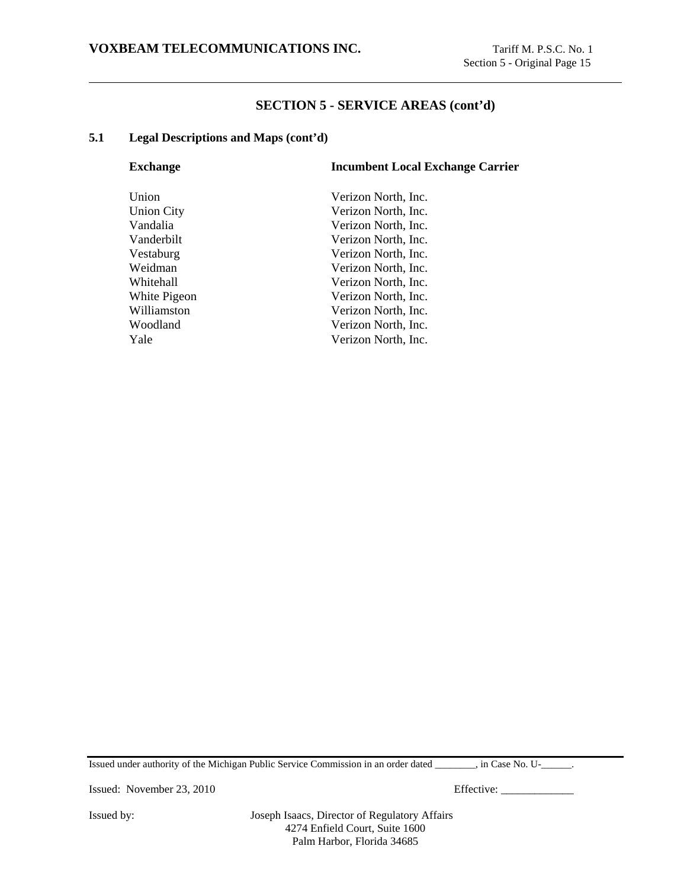### **5.1 Legal Descriptions and Maps (cont'd)**

| <b>Exchange</b>   | <b>Incumbent Local Exchange Carrier</b> |
|-------------------|-----------------------------------------|
| Union             | Verizon North, Inc.                     |
| <b>Union City</b> | Verizon North, Inc.                     |
| Vandalia          | Verizon North, Inc.                     |
| Vanderbilt        | Verizon North, Inc.                     |
| Vestaburg         | Verizon North, Inc.                     |
| Weidman           | Verizon North, Inc.                     |
| Whitehall         | Verizon North, Inc.                     |
| White Pigeon      | Verizon North, Inc.                     |
| Williamston       | Verizon North, Inc.                     |
| Woodland          | Verizon North, Inc.                     |
| Yale              | Verizon North, Inc.                     |
|                   |                                         |

Issued under authority of the Michigan Public Service Commission in an order dated \_\_\_\_\_\_\_\_, in Case No. U-\_\_\_\_\_\_.

Issued: November 23, 2010 Effective: \_\_\_\_\_\_\_\_\_\_\_\_\_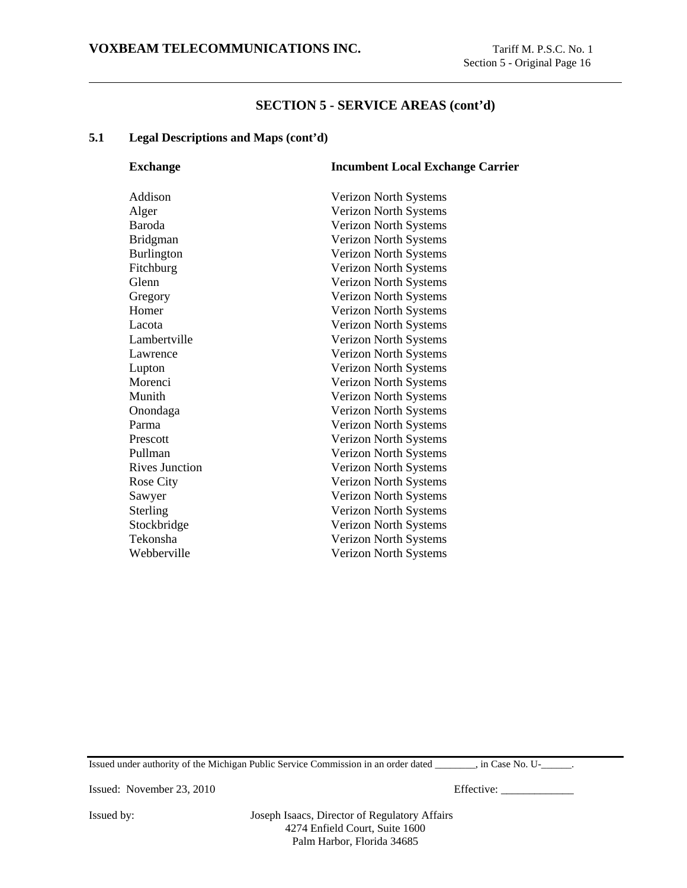### **5.1 Legal Descriptions and Maps (cont'd)**

| <b>Exchange</b>       | <b>Incumbent Local Exchange Carrier</b> |
|-----------------------|-----------------------------------------|
| Addison               | Verizon North Systems                   |
| Alger                 | Verizon North Systems                   |
| <b>Baroda</b>         | Verizon North Systems                   |
| <b>Bridgman</b>       | Verizon North Systems                   |
| <b>Burlington</b>     | Verizon North Systems                   |
| Fitchburg             | Verizon North Systems                   |
| Glenn                 | Verizon North Systems                   |
| Gregory               | Verizon North Systems                   |
| Homer                 | Verizon North Systems                   |
| Lacota                | Verizon North Systems                   |
| Lambertville          | Verizon North Systems                   |
| Lawrence              | Verizon North Systems                   |
| Lupton                | Verizon North Systems                   |
| Morenci               | Verizon North Systems                   |
| Munith                | Verizon North Systems                   |
| Onondaga              | Verizon North Systems                   |
| Parma                 | Verizon North Systems                   |
| Prescott              | Verizon North Systems                   |
| Pullman               | Verizon North Systems                   |
| <b>Rives Junction</b> | Verizon North Systems                   |
| <b>Rose City</b>      | Verizon North Systems                   |
| Sawyer                | Verizon North Systems                   |
| Sterling              | Verizon North Systems                   |
| Stockbridge           | Verizon North Systems                   |
| Tekonsha              | Verizon North Systems                   |
| Webberville           | Verizon North Systems                   |
|                       |                                         |

Issued under authority of the Michigan Public Service Commission in an order dated \_\_\_\_\_\_\_\_, in Case No. U-\_\_\_\_\_\_.

Issued: November 23, 2010 Effective: \_\_\_\_\_\_\_\_\_\_\_\_\_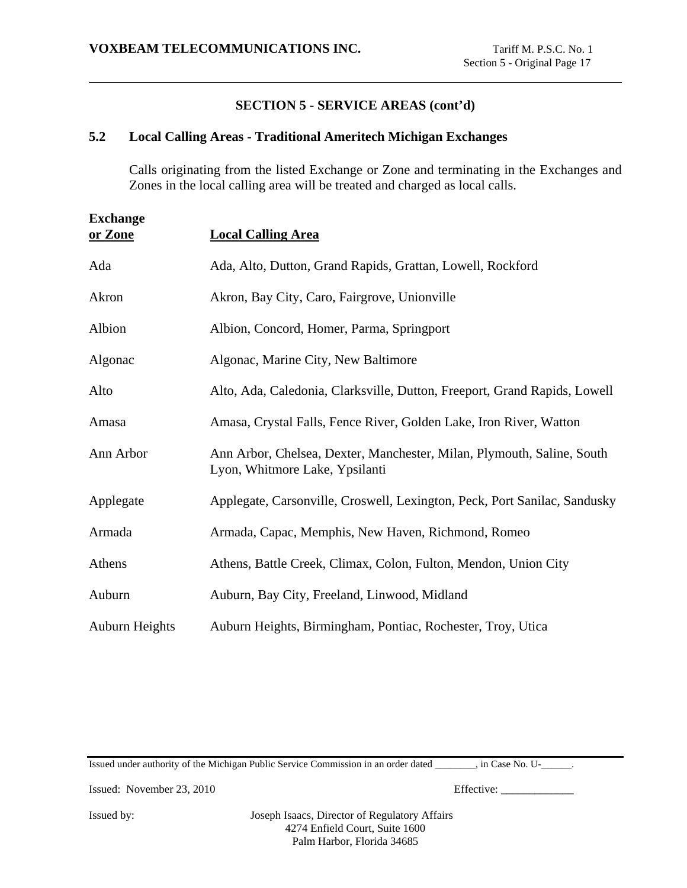### **5.2 Local Calling Areas - Traditional Ameritech Michigan Exchanges**

Calls originating from the listed Exchange or Zone and terminating in the Exchanges and Zones in the local calling area will be treated and charged as local calls.

| <b>Exchange</b><br>or Zone | <b>Local Calling Area</b>                                                                                |
|----------------------------|----------------------------------------------------------------------------------------------------------|
| Ada                        | Ada, Alto, Dutton, Grand Rapids, Grattan, Lowell, Rockford                                               |
| Akron                      | Akron, Bay City, Caro, Fairgrove, Unionville                                                             |
| Albion                     | Albion, Concord, Homer, Parma, Springport                                                                |
| Algonac                    | Algonac, Marine City, New Baltimore                                                                      |
| Alto                       | Alto, Ada, Caledonia, Clarksville, Dutton, Freeport, Grand Rapids, Lowell                                |
| Amasa                      | Amasa, Crystal Falls, Fence River, Golden Lake, Iron River, Watton                                       |
| Ann Arbor                  | Ann Arbor, Chelsea, Dexter, Manchester, Milan, Plymouth, Saline, South<br>Lyon, Whitmore Lake, Ypsilanti |
| Applegate                  | Applegate, Carsonville, Croswell, Lexington, Peck, Port Sanilac, Sandusky                                |
| Armada                     | Armada, Capac, Memphis, New Haven, Richmond, Romeo                                                       |
| Athens                     | Athens, Battle Creek, Climax, Colon, Fulton, Mendon, Union City                                          |
| Auburn                     | Auburn, Bay City, Freeland, Linwood, Midland                                                             |
| <b>Auburn Heights</b>      | Auburn Heights, Birmingham, Pontiac, Rochester, Troy, Utica                                              |

Issued under authority of the Michigan Public Service Commission in an order dated \_\_\_\_\_\_\_\_, in Case No. U-\_\_\_\_\_\_.

Issued: November 23, 2010 Effective: \_\_\_\_\_\_\_\_\_\_\_\_\_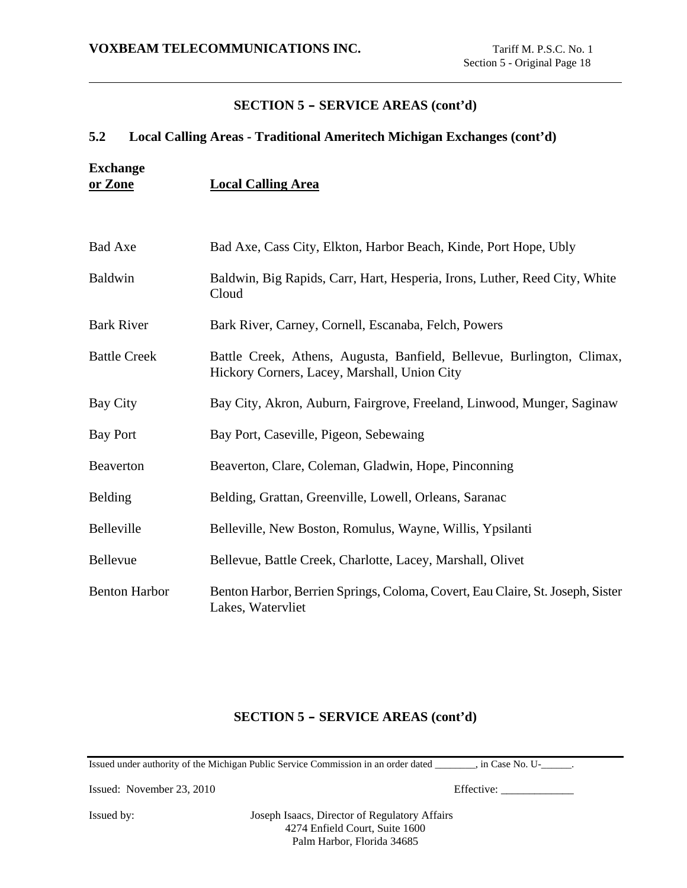## **5.2 Local Calling Areas - Traditional Ameritech Michigan Exchanges (cont'd)**

**Exchange or Zone Local Calling Area**

| Bad Axe              | Bad Axe, Cass City, Elkton, Harbor Beach, Kinde, Port Hope, Ubly                                                       |
|----------------------|------------------------------------------------------------------------------------------------------------------------|
| Baldwin              | Baldwin, Big Rapids, Carr, Hart, Hesperia, Irons, Luther, Reed City, White<br>Cloud                                    |
| <b>Bark River</b>    | Bark River, Carney, Cornell, Escanaba, Felch, Powers                                                                   |
| <b>Battle Creek</b>  | Battle Creek, Athens, Augusta, Banfield, Bellevue, Burlington, Climax,<br>Hickory Corners, Lacey, Marshall, Union City |
| Bay City             | Bay City, Akron, Auburn, Fairgrove, Freeland, Linwood, Munger, Saginaw                                                 |
| Bay Port             | Bay Port, Caseville, Pigeon, Sebewaing                                                                                 |
| Beaverton            | Beaverton, Clare, Coleman, Gladwin, Hope, Pinconning                                                                   |
| Belding              | Belding, Grattan, Greenville, Lowell, Orleans, Saranac                                                                 |
| Belleville           | Belleville, New Boston, Romulus, Wayne, Willis, Ypsilanti                                                              |
| <b>Bellevue</b>      | Bellevue, Battle Creek, Charlotte, Lacey, Marshall, Olivet                                                             |
| <b>Benton Harbor</b> | Benton Harbor, Berrien Springs, Coloma, Covert, Eau Claire, St. Joseph, Sister<br>Lakes, Watervliet                    |

### **SECTION 5 - SERVICE AREAS (cont'd)**

Issued under authority of the Michigan Public Service Commission in an order dated \_\_\_\_\_\_\_\_, in Case No. U-\_\_\_\_\_\_.

Issued: November 23, 2010 Effective: \_\_\_\_\_\_\_\_\_\_\_\_\_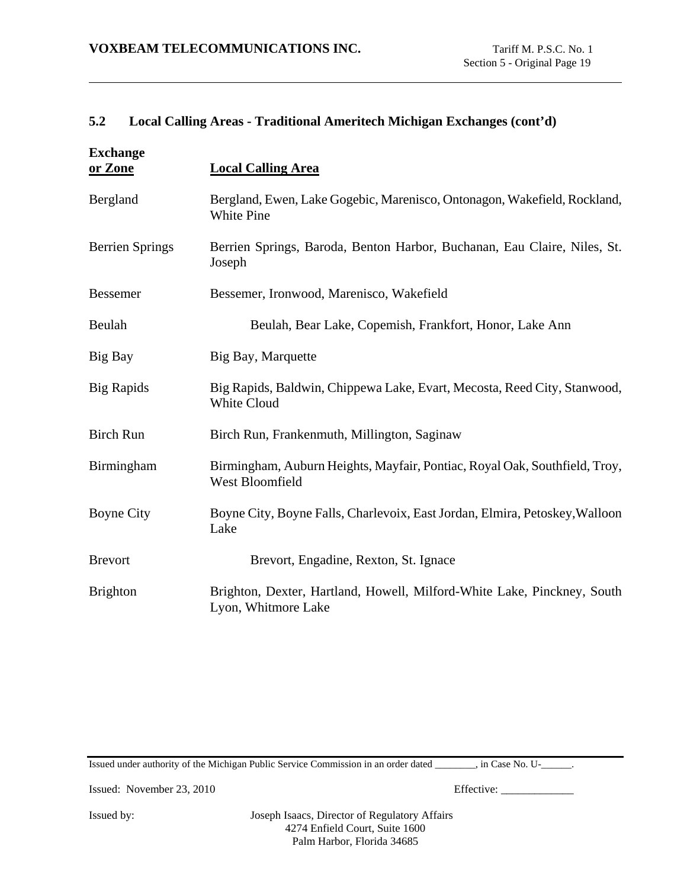### **5.2 Local Calling Areas - Traditional Ameritech Michigan Exchanges (cont'd)**

| <b>Exchange</b><br>or Zone | <b>Local Calling Area</b>                                                                      |
|----------------------------|------------------------------------------------------------------------------------------------|
| Bergland                   | Bergland, Ewen, Lake Gogebic, Marenisco, Ontonagon, Wakefield, Rockland,<br><b>White Pine</b>  |
| <b>Berrien Springs</b>     | Berrien Springs, Baroda, Benton Harbor, Buchanan, Eau Claire, Niles, St.<br>Joseph             |
| <b>Bessemer</b>            | Bessemer, Ironwood, Marenisco, Wakefield                                                       |
| Beulah                     | Beulah, Bear Lake, Copemish, Frankfort, Honor, Lake Ann                                        |
| Big Bay                    | Big Bay, Marquette                                                                             |
| <b>Big Rapids</b>          | Big Rapids, Baldwin, Chippewa Lake, Evart, Mecosta, Reed City, Stanwood,<br>White Cloud        |
| <b>Birch Run</b>           | Birch Run, Frankenmuth, Millington, Saginaw                                                    |
| Birmingham                 | Birmingham, Auburn Heights, Mayfair, Pontiac, Royal Oak, Southfield, Troy,<br>West Bloomfield  |
| <b>Boyne City</b>          | Boyne City, Boyne Falls, Charlevoix, East Jordan, Elmira, Petoskey, Walloon<br>Lake            |
| <b>Brevort</b>             | Brevort, Engadine, Rexton, St. Ignace                                                          |
| <b>Brighton</b>            | Brighton, Dexter, Hartland, Howell, Milford-White Lake, Pinckney, South<br>Lyon, Whitmore Lake |

Issued under authority of the Michigan Public Service Commission in an order dated \_\_\_\_\_\_\_\_, in Case No. U-\_\_\_\_\_\_.

Issued: November 23, 2010 Effective: \_\_\_\_\_\_\_\_\_\_\_\_\_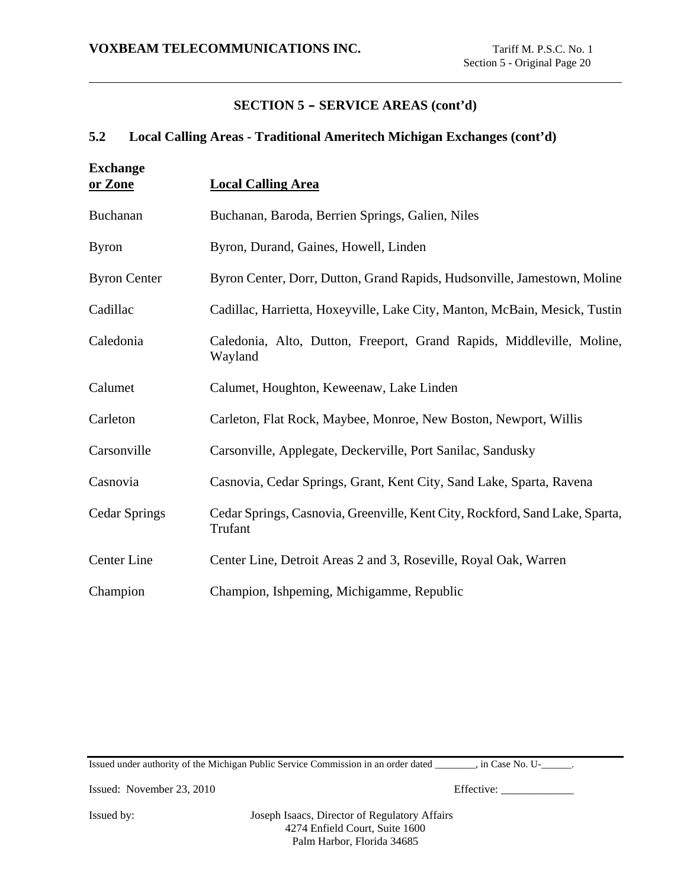### **5.2 Local Calling Areas - Traditional Ameritech Michigan Exchanges (cont'd)**

| <b>Exchange</b><br>or Zone | <b>Local Calling Area</b>                                                               |
|----------------------------|-----------------------------------------------------------------------------------------|
| Buchanan                   | Buchanan, Baroda, Berrien Springs, Galien, Niles                                        |
| <b>Byron</b>               | Byron, Durand, Gaines, Howell, Linden                                                   |
| <b>Byron Center</b>        | Byron Center, Dorr, Dutton, Grand Rapids, Hudsonville, Jamestown, Moline                |
| Cadillac                   | Cadillac, Harrietta, Hoxeyville, Lake City, Manton, McBain, Mesick, Tustin              |
| Caledonia                  | Caledonia, Alto, Dutton, Freeport, Grand Rapids, Middleville, Moline,<br>Wayland        |
| Calumet                    | Calumet, Houghton, Keweenaw, Lake Linden                                                |
| Carleton                   | Carleton, Flat Rock, Maybee, Monroe, New Boston, Newport, Willis                        |
| Carsonville                | Carsonville, Applegate, Deckerville, Port Sanilac, Sandusky                             |
| Casnovia                   | Casnovia, Cedar Springs, Grant, Kent City, Sand Lake, Sparta, Ravena                    |
| <b>Cedar Springs</b>       | Cedar Springs, Casnovia, Greenville, Kent City, Rockford, Sand Lake, Sparta,<br>Trufant |
| Center Line                | Center Line, Detroit Areas 2 and 3, Roseville, Royal Oak, Warren                        |
| Champion                   | Champion, Ishpeming, Michigamme, Republic                                               |

Issued under authority of the Michigan Public Service Commission in an order dated \_\_\_\_\_\_\_\_, in Case No. U-\_\_\_\_\_\_.

Issued: November 23, 2010 Effective: \_\_\_\_\_\_\_\_\_\_\_\_\_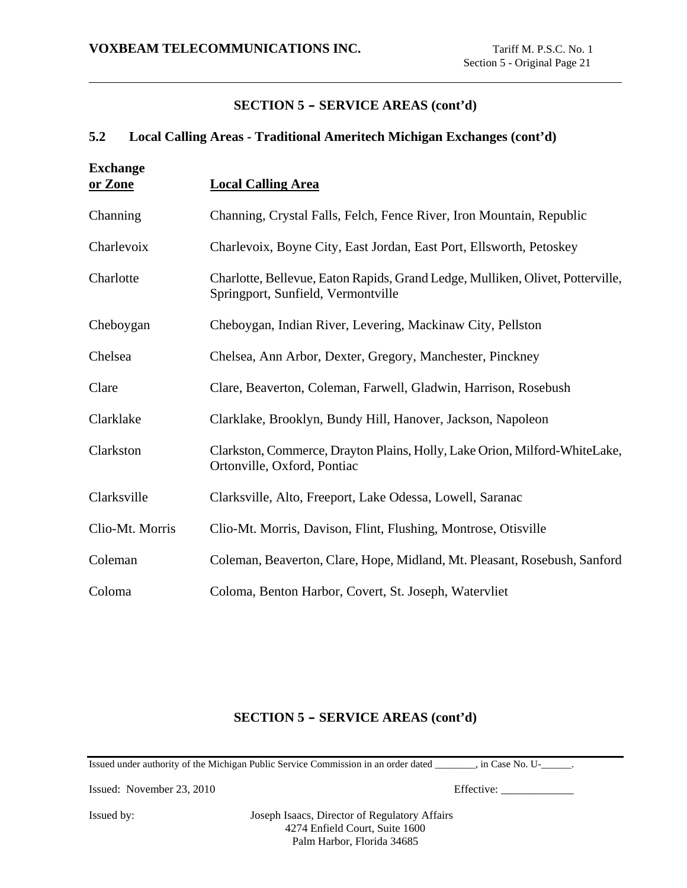#### **5.2 Local Calling Areas - Traditional Ameritech Michigan Exchanges (cont'd)**

| <b>Exchange</b><br>or Zone | <b>Local Calling Area</b>                                                                                            |
|----------------------------|----------------------------------------------------------------------------------------------------------------------|
| Channing                   | Channing, Crystal Falls, Felch, Fence River, Iron Mountain, Republic                                                 |
| Charlevoix                 | Charlevoix, Boyne City, East Jordan, East Port, Ellsworth, Petoskey                                                  |
| Charlotte                  | Charlotte, Bellevue, Eaton Rapids, Grand Ledge, Mulliken, Olivet, Potterville,<br>Springport, Sunfield, Vermontville |
| Cheboygan                  | Cheboygan, Indian River, Levering, Mackinaw City, Pellston                                                           |
| Chelsea                    | Chelsea, Ann Arbor, Dexter, Gregory, Manchester, Pinckney                                                            |
| Clare                      | Clare, Beaverton, Coleman, Farwell, Gladwin, Harrison, Rosebush                                                      |
| Clarklake                  | Clarklake, Brooklyn, Bundy Hill, Hanover, Jackson, Napoleon                                                          |
| Clarkston                  | Clarkston, Commerce, Drayton Plains, Holly, Lake Orion, Milford-WhiteLake,<br>Ortonville, Oxford, Pontiac            |
| Clarksville                | Clarksville, Alto, Freeport, Lake Odessa, Lowell, Saranac                                                            |
| Clio-Mt. Morris            | Clio-Mt. Morris, Davison, Flint, Flushing, Montrose, Otisville                                                       |
| Coleman                    | Coleman, Beaverton, Clare, Hope, Midland, Mt. Pleasant, Rosebush, Sanford                                            |
| Coloma                     | Coloma, Benton Harbor, Covert, St. Joseph, Watervliet                                                                |

# **SECTION 5 - SERVICE AREAS (cont'd)**

Issued under authority of the Michigan Public Service Commission in an order dated \_\_\_\_\_\_\_\_, in Case No. U-\_\_\_\_\_\_.

Issued: November 23, 2010 Effective: \_\_\_\_\_\_\_\_\_\_\_\_\_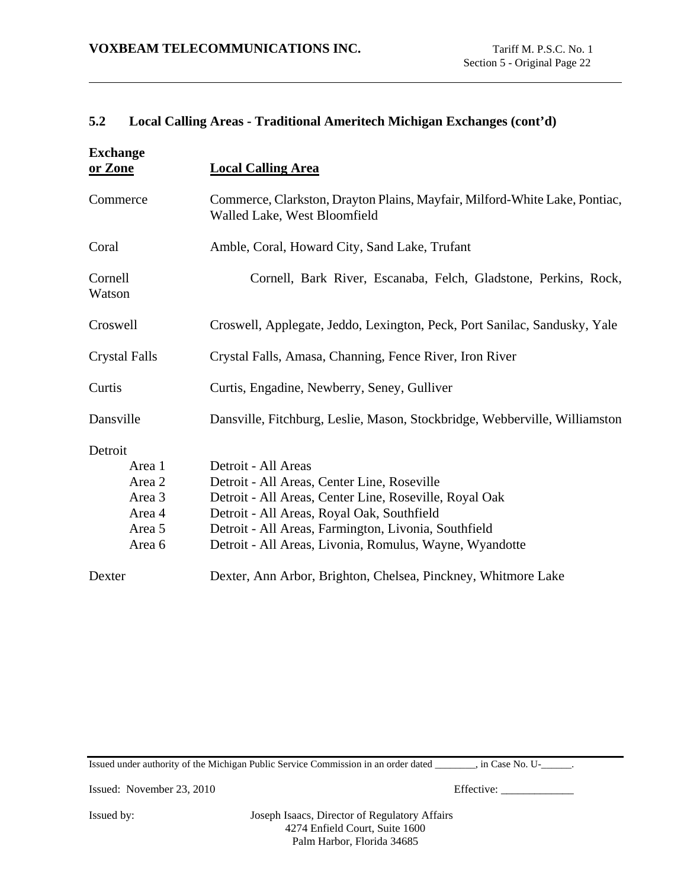### **5.2 Local Calling Areas - Traditional Ameritech Michigan Exchanges (cont'd)**

| <b>Exchange</b><br>or Zone                                          | <b>Local Calling Area</b>                                                                                                                                                                                                                                                                     |
|---------------------------------------------------------------------|-----------------------------------------------------------------------------------------------------------------------------------------------------------------------------------------------------------------------------------------------------------------------------------------------|
| Commerce                                                            | Commerce, Clarkston, Drayton Plains, Mayfair, Milford-White Lake, Pontiac,<br>Walled Lake, West Bloomfield                                                                                                                                                                                    |
| Coral                                                               | Amble, Coral, Howard City, Sand Lake, Trufant                                                                                                                                                                                                                                                 |
| Cornell<br>Watson                                                   | Cornell, Bark River, Escanaba, Felch, Gladstone, Perkins, Rock,                                                                                                                                                                                                                               |
| Croswell                                                            | Croswell, Applegate, Jeddo, Lexington, Peck, Port Sanilac, Sandusky, Yale                                                                                                                                                                                                                     |
| <b>Crystal Falls</b>                                                | Crystal Falls, Amasa, Channing, Fence River, Iron River                                                                                                                                                                                                                                       |
| Curtis                                                              | Curtis, Engadine, Newberry, Seney, Gulliver                                                                                                                                                                                                                                                   |
| Dansville                                                           | Dansville, Fitchburg, Leslie, Mason, Stockbridge, Webberville, Williamston                                                                                                                                                                                                                    |
| Detroit<br>Area 1<br>Area 2<br>Area 3<br>Area 4<br>Area 5<br>Area 6 | Detroit - All Areas<br>Detroit - All Areas, Center Line, Roseville<br>Detroit - All Areas, Center Line, Roseville, Royal Oak<br>Detroit - All Areas, Royal Oak, Southfield<br>Detroit - All Areas, Farmington, Livonia, Southfield<br>Detroit - All Areas, Livonia, Romulus, Wayne, Wyandotte |
| Dexter                                                              | Dexter, Ann Arbor, Brighton, Chelsea, Pinckney, Whitmore Lake                                                                                                                                                                                                                                 |

Issued under authority of the Michigan Public Service Commission in an order dated \_\_\_\_\_\_\_\_, in Case No. U-\_\_\_\_\_\_.

Issued: November 23, 2010 Effective: \_\_\_\_\_\_\_\_\_\_\_\_\_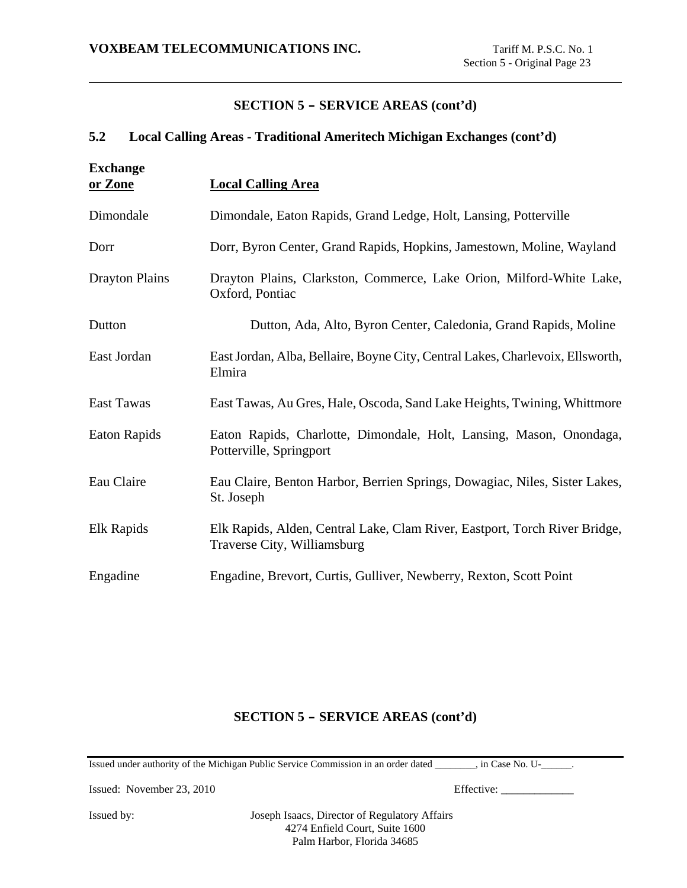### **5.2 Local Calling Areas - Traditional Ameritech Michigan Exchanges (cont'd)**

| <b>Exchange</b><br>or Zone | <b>Local Calling Area</b>                                                                                 |
|----------------------------|-----------------------------------------------------------------------------------------------------------|
| Dimondale                  | Dimondale, Eaton Rapids, Grand Ledge, Holt, Lansing, Potterville                                          |
| Dorr                       | Dorr, Byron Center, Grand Rapids, Hopkins, Jamestown, Moline, Wayland                                     |
| <b>Drayton Plains</b>      | Drayton Plains, Clarkston, Commerce, Lake Orion, Milford-White Lake,<br>Oxford, Pontiac                   |
| Dutton                     | Dutton, Ada, Alto, Byron Center, Caledonia, Grand Rapids, Moline                                          |
| East Jordan                | East Jordan, Alba, Bellaire, Boyne City, Central Lakes, Charlevoix, Ellsworth,<br>Elmira                  |
| East Tawas                 | East Tawas, Au Gres, Hale, Oscoda, Sand Lake Heights, Twining, Whittmore                                  |
| Eaton Rapids               | Eaton Rapids, Charlotte, Dimondale, Holt, Lansing, Mason, Onondaga,<br>Potterville, Springport            |
| Eau Claire                 | Eau Claire, Benton Harbor, Berrien Springs, Dowagiac, Niles, Sister Lakes,<br>St. Joseph                  |
| Elk Rapids                 | Elk Rapids, Alden, Central Lake, Clam River, Eastport, Torch River Bridge,<br>Traverse City, Williamsburg |
| Engadine                   | Engadine, Brevort, Curtis, Gulliver, Newberry, Rexton, Scott Point                                        |

### **SECTION 5 - SERVICE AREAS (cont'd)**

Issued under authority of the Michigan Public Service Commission in an order dated \_\_\_\_\_\_\_\_, in Case No. U-\_\_\_\_\_\_.

Issued: November 23, 2010 Effective: \_\_\_\_\_\_\_\_\_\_\_\_\_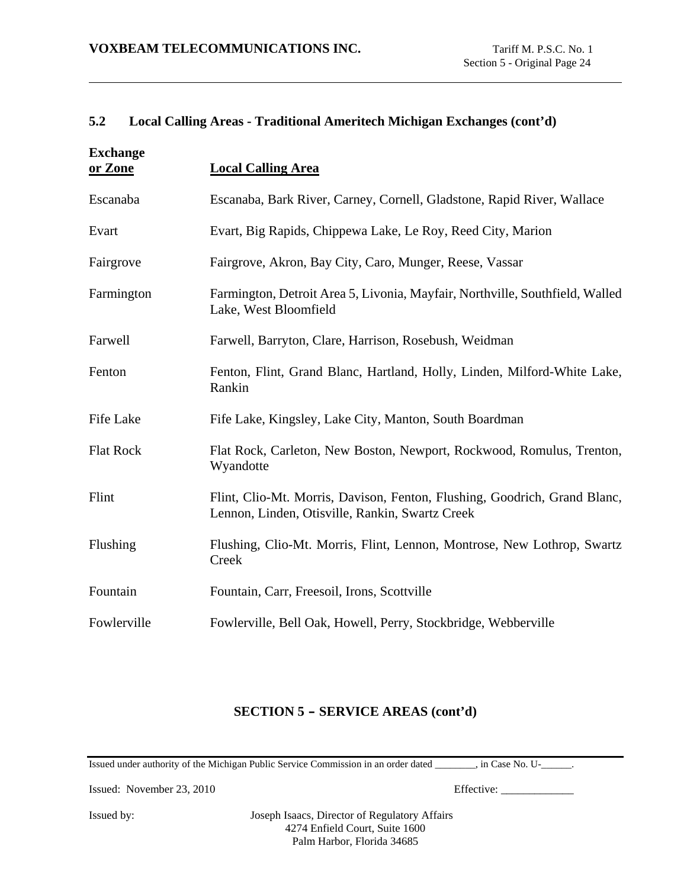### **5.2 Local Calling Areas - Traditional Ameritech Michigan Exchanges (cont'd)**

| <b>Exchange</b><br>or Zone | <b>Local Calling Area</b>                                                                                                    |
|----------------------------|------------------------------------------------------------------------------------------------------------------------------|
| Escanaba                   | Escanaba, Bark River, Carney, Cornell, Gladstone, Rapid River, Wallace                                                       |
| Evart                      | Evart, Big Rapids, Chippewa Lake, Le Roy, Reed City, Marion                                                                  |
| Fairgrove                  | Fairgrove, Akron, Bay City, Caro, Munger, Reese, Vassar                                                                      |
| Farmington                 | Farmington, Detroit Area 5, Livonia, Mayfair, Northville, Southfield, Walled<br>Lake, West Bloomfield                        |
| Farwell                    | Farwell, Barryton, Clare, Harrison, Rosebush, Weidman                                                                        |
| Fenton                     | Fenton, Flint, Grand Blanc, Hartland, Holly, Linden, Milford-White Lake,<br>Rankin                                           |
| <b>Fife Lake</b>           | Fife Lake, Kingsley, Lake City, Manton, South Boardman                                                                       |
| <b>Flat Rock</b>           | Flat Rock, Carleton, New Boston, Newport, Rockwood, Romulus, Trenton,<br>Wyandotte                                           |
| Flint                      | Flint, Clio-Mt. Morris, Davison, Fenton, Flushing, Goodrich, Grand Blanc,<br>Lennon, Linden, Otisville, Rankin, Swartz Creek |
| Flushing                   | Flushing, Clio-Mt. Morris, Flint, Lennon, Montrose, New Lothrop, Swartz<br>Creek                                             |
| Fountain                   | Fountain, Carr, Freesoil, Irons, Scottville                                                                                  |
| Fowlerville                | Fowlerville, Bell Oak, Howell, Perry, Stockbridge, Webberville                                                               |

## **SECTION 5 - SERVICE AREAS (cont'd)**

Issued under authority of the Michigan Public Service Commission in an order dated \_\_\_\_\_\_\_\_, in Case No. U-\_\_\_\_\_\_.

Issued: November 23, 2010 Effective: \_\_\_\_\_\_\_\_\_\_\_\_\_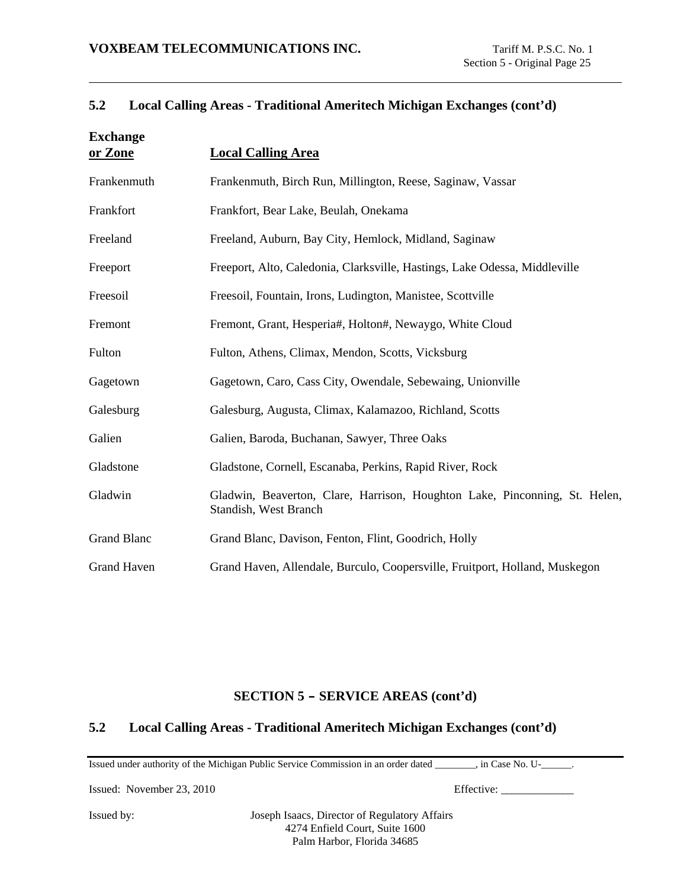## **5.2 Local Calling Areas - Traditional Ameritech Michigan Exchanges (cont'd)**

| <b>Exchange</b><br>or Zone | <b>Local Calling Area</b>                                                                           |
|----------------------------|-----------------------------------------------------------------------------------------------------|
| Frankenmuth                | Frankenmuth, Birch Run, Millington, Reese, Saginaw, Vassar                                          |
| Frankfort                  | Frankfort, Bear Lake, Beulah, Onekama                                                               |
| Freeland                   | Freeland, Auburn, Bay City, Hemlock, Midland, Saginaw                                               |
| Freeport                   | Freeport, Alto, Caledonia, Clarksville, Hastings, Lake Odessa, Middleville                          |
| Freesoil                   | Freesoil, Fountain, Irons, Ludington, Manistee, Scottville                                          |
| Fremont                    | Fremont, Grant, Hesperia#, Holton#, Newaygo, White Cloud                                            |
| Fulton                     | Fulton, Athens, Climax, Mendon, Scotts, Vicksburg                                                   |
| Gagetown                   | Gagetown, Caro, Cass City, Owendale, Sebewaing, Unionville                                          |
| Galesburg                  | Galesburg, Augusta, Climax, Kalamazoo, Richland, Scotts                                             |
| Galien                     | Galien, Baroda, Buchanan, Sawyer, Three Oaks                                                        |
| Gladstone                  | Gladstone, Cornell, Escanaba, Perkins, Rapid River, Rock                                            |
| Gladwin                    | Gladwin, Beaverton, Clare, Harrison, Houghton Lake, Pinconning, St. Helen,<br>Standish, West Branch |
| <b>Grand Blanc</b>         | Grand Blanc, Davison, Fenton, Flint, Goodrich, Holly                                                |
| <b>Grand Haven</b>         | Grand Haven, Allendale, Burculo, Coopersville, Fruitport, Holland, Muskegon                         |

### **SECTION 5 - SERVICE AREAS (cont'd)**

# **5.2 Local Calling Areas - Traditional Ameritech Michigan Exchanges (cont'd)**

Issued under authority of the Michigan Public Service Commission in an order dated \_\_\_\_\_\_\_\_, in Case No. U-\_\_\_\_\_\_.

Issued: November 23, 2010 Effective: \_\_\_\_\_\_\_\_\_\_\_\_\_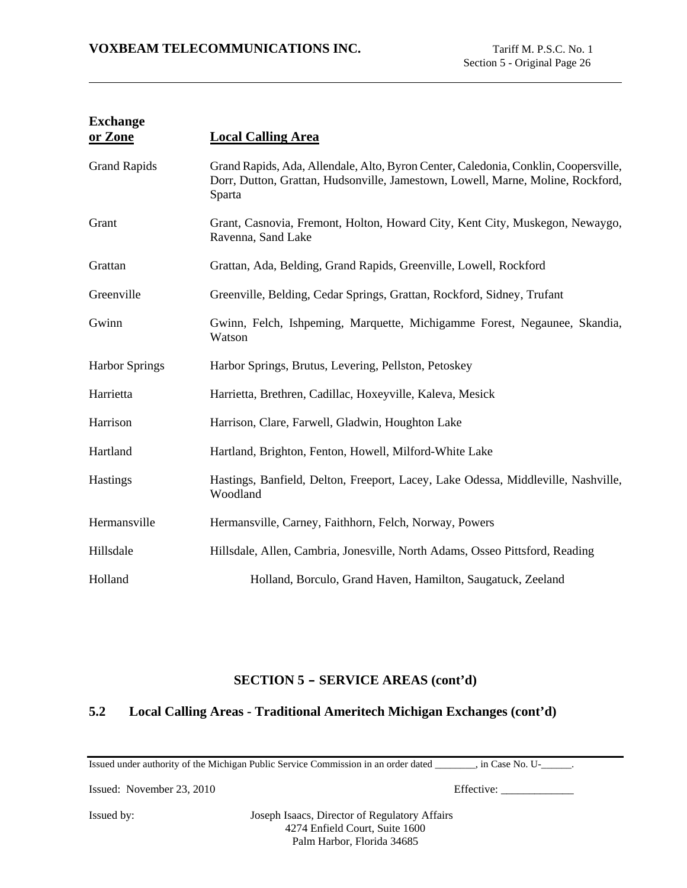| <b>Exchange</b><br>or Zone | <b>Local Calling Area</b>                                                                                                                                                        |
|----------------------------|----------------------------------------------------------------------------------------------------------------------------------------------------------------------------------|
| <b>Grand Rapids</b>        | Grand Rapids, Ada, Allendale, Alto, Byron Center, Caledonia, Conklin, Coopersville,<br>Dorr, Dutton, Grattan, Hudsonville, Jamestown, Lowell, Marne, Moline, Rockford,<br>Sparta |
| Grant                      | Grant, Casnovia, Fremont, Holton, Howard City, Kent City, Muskegon, Newaygo,<br>Ravenna, Sand Lake                                                                               |
| Grattan                    | Grattan, Ada, Belding, Grand Rapids, Greenville, Lowell, Rockford                                                                                                                |
| Greenville                 | Greenville, Belding, Cedar Springs, Grattan, Rockford, Sidney, Trufant                                                                                                           |
| Gwinn                      | Gwinn, Felch, Ishpeming, Marquette, Michigamme Forest, Negaunee, Skandia,<br>Watson                                                                                              |
| <b>Harbor Springs</b>      | Harbor Springs, Brutus, Levering, Pellston, Petoskey                                                                                                                             |
| Harrietta                  | Harrietta, Brethren, Cadillac, Hoxeyville, Kaleva, Mesick                                                                                                                        |
| Harrison                   | Harrison, Clare, Farwell, Gladwin, Houghton Lake                                                                                                                                 |
| Hartland                   | Hartland, Brighton, Fenton, Howell, Milford-White Lake                                                                                                                           |
| <b>Hastings</b>            | Hastings, Banfield, Delton, Freeport, Lacey, Lake Odessa, Middleville, Nashville,<br>Woodland                                                                                    |
| Hermansville               | Hermansville, Carney, Faithhorn, Felch, Norway, Powers                                                                                                                           |
| Hillsdale                  | Hillsdale, Allen, Cambria, Jonesville, North Adams, Osseo Pittsford, Reading                                                                                                     |
| Holland                    | Holland, Borculo, Grand Haven, Hamilton, Saugatuck, Zeeland                                                                                                                      |

# **5.2 Local Calling Areas - Traditional Ameritech Michigan Exchanges (cont'd)**

Issued under authority of the Michigan Public Service Commission in an order dated \_\_\_\_\_\_\_\_, in Case No. U-\_\_\_\_\_\_.

Issued: November 23, 2010 Effective: \_\_\_\_\_\_\_\_\_\_\_\_\_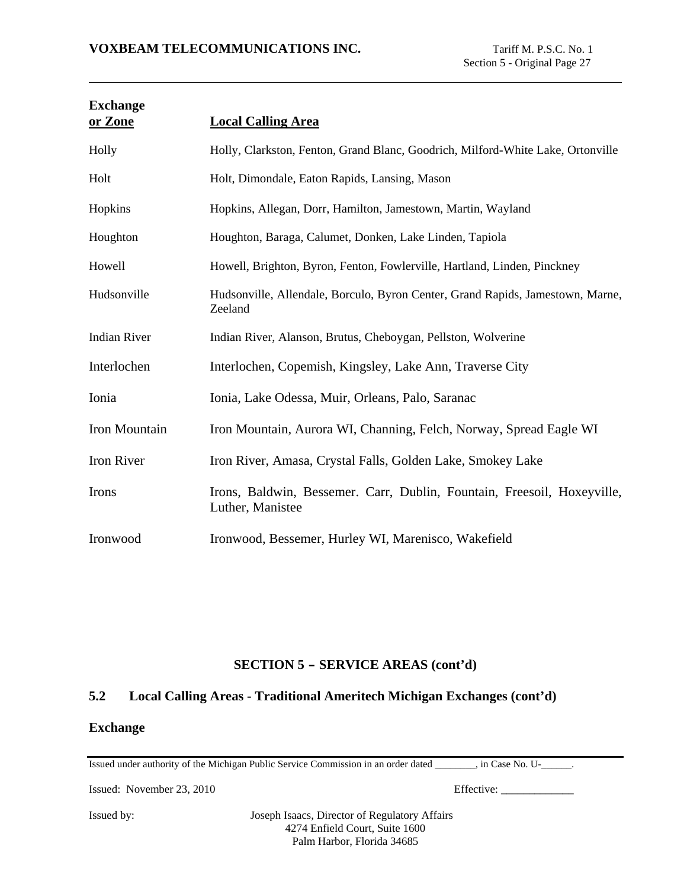| <b>Exchange</b><br>or Zone | <b>Local Calling Area</b>                                                                   |
|----------------------------|---------------------------------------------------------------------------------------------|
| Holly                      | Holly, Clarkston, Fenton, Grand Blanc, Goodrich, Milford-White Lake, Ortonville             |
| Holt                       | Holt, Dimondale, Eaton Rapids, Lansing, Mason                                               |
| Hopkins                    | Hopkins, Allegan, Dorr, Hamilton, Jamestown, Martin, Wayland                                |
| Houghton                   | Houghton, Baraga, Calumet, Donken, Lake Linden, Tapiola                                     |
| Howell                     | Howell, Brighton, Byron, Fenton, Fowlerville, Hartland, Linden, Pinckney                    |
| Hudsonville                | Hudsonville, Allendale, Borculo, Byron Center, Grand Rapids, Jamestown, Marne,<br>Zeeland   |
| <b>Indian River</b>        | Indian River, Alanson, Brutus, Cheboygan, Pellston, Wolverine                               |
| Interlochen                | Interlochen, Copemish, Kingsley, Lake Ann, Traverse City                                    |
| Ionia                      | Ionia, Lake Odessa, Muir, Orleans, Palo, Saranac                                            |
| Iron Mountain              | Iron Mountain, Aurora WI, Channing, Felch, Norway, Spread Eagle WI                          |
| Iron River                 | Iron River, Amasa, Crystal Falls, Golden Lake, Smokey Lake                                  |
| Irons                      | Irons, Baldwin, Bessemer. Carr, Dublin, Fountain, Freesoil, Hoxeyville,<br>Luther, Manistee |
| Ironwood                   | Ironwood, Bessemer, Hurley WI, Marenisco, Wakefield                                         |

### **5.2 Local Calling Areas - Traditional Ameritech Michigan Exchanges (cont'd)**

### **Exchange**

Issued under authority of the Michigan Public Service Commission in an order dated \_\_\_\_\_\_\_\_, in Case No. U-\_\_\_\_\_\_.

Issued: November 23, 2010 Effective: \_\_\_\_\_\_\_\_\_\_\_\_\_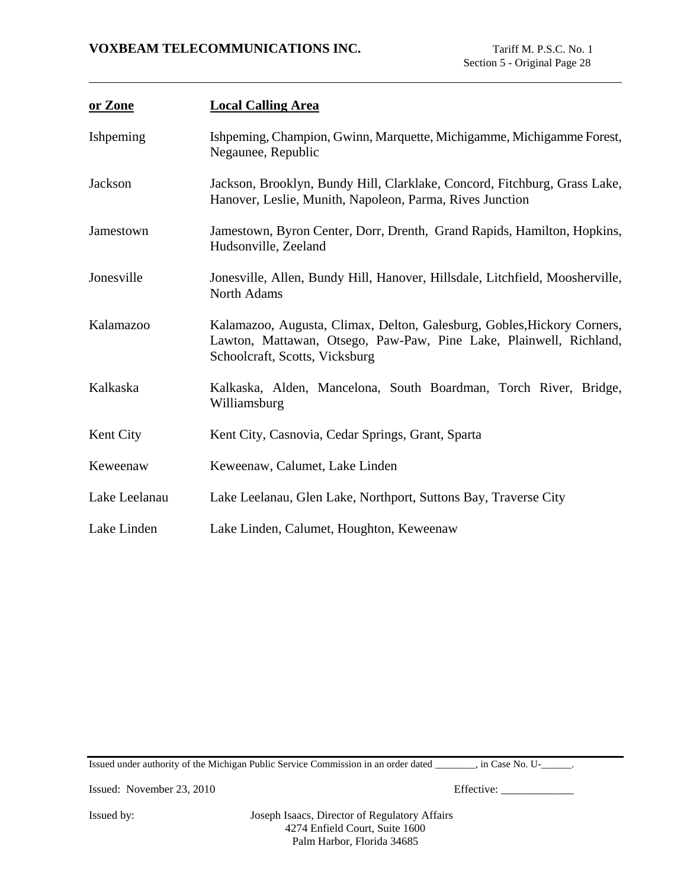| or Zone       | <b>Local Calling Area</b>                                                                                                                                                       |
|---------------|---------------------------------------------------------------------------------------------------------------------------------------------------------------------------------|
| Ishpeming     | Ishpeming, Champion, Gwinn, Marquette, Michigamme, Michigamme Forest,<br>Negaunee, Republic                                                                                     |
| Jackson       | Jackson, Brooklyn, Bundy Hill, Clarklake, Concord, Fitchburg, Grass Lake,<br>Hanover, Leslie, Munith, Napoleon, Parma, Rives Junction                                           |
| Jamestown     | Jamestown, Byron Center, Dorr, Drenth, Grand Rapids, Hamilton, Hopkins,<br>Hudsonville, Zeeland                                                                                 |
| Jonesville    | Jonesville, Allen, Bundy Hill, Hanover, Hillsdale, Litchfield, Moosherville,<br>North Adams                                                                                     |
| Kalamazoo     | Kalamazoo, Augusta, Climax, Delton, Galesburg, Gobles, Hickory Corners,<br>Lawton, Mattawan, Otsego, Paw-Paw, Pine Lake, Plainwell, Richland,<br>Schoolcraft, Scotts, Vicksburg |
| Kalkaska      | Kalkaska, Alden, Mancelona, South Boardman, Torch River, Bridge,<br>Williamsburg                                                                                                |
| Kent City     | Kent City, Casnovia, Cedar Springs, Grant, Sparta                                                                                                                               |
| Keweenaw      | Keweenaw, Calumet, Lake Linden                                                                                                                                                  |
| Lake Leelanau | Lake Leelanau, Glen Lake, Northport, Suttons Bay, Traverse City                                                                                                                 |
| Lake Linden   | Lake Linden, Calumet, Houghton, Keweenaw                                                                                                                                        |

Issued under authority of the Michigan Public Service Commission in an order dated \_\_\_\_\_\_\_\_, in Case No. U-\_\_\_\_\_\_.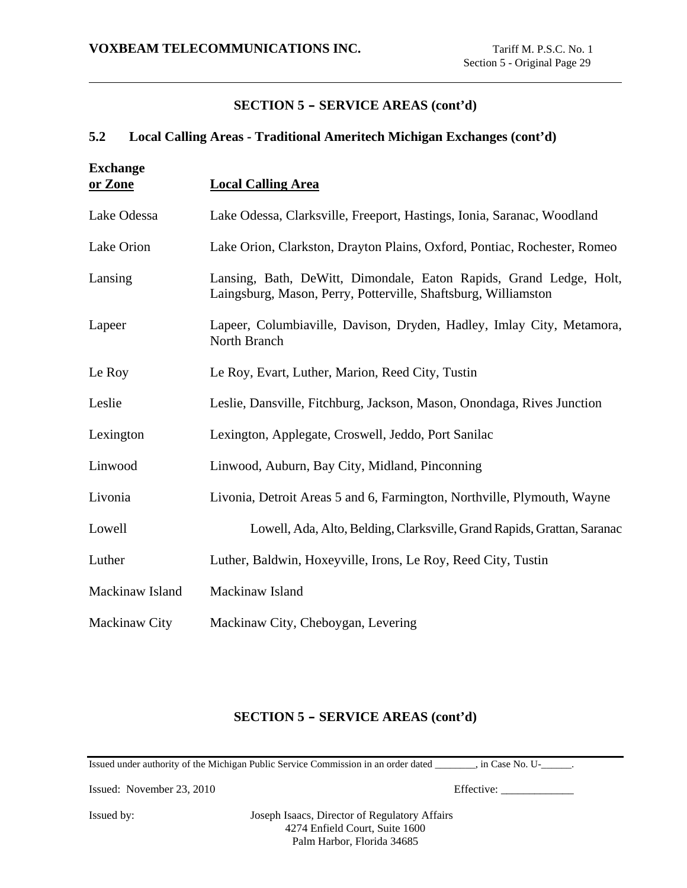### **5.2 Local Calling Areas - Traditional Ameritech Michigan Exchanges (cont'd)**

| <b>Exchange</b><br>or Zone | <b>Local Calling Area</b>                                                                                                            |
|----------------------------|--------------------------------------------------------------------------------------------------------------------------------------|
| Lake Odessa                | Lake Odessa, Clarksville, Freeport, Hastings, Ionia, Saranac, Woodland                                                               |
| Lake Orion                 | Lake Orion, Clarkston, Drayton Plains, Oxford, Pontiac, Rochester, Romeo                                                             |
| Lansing                    | Lansing, Bath, DeWitt, Dimondale, Eaton Rapids, Grand Ledge, Holt,<br>Laingsburg, Mason, Perry, Potterville, Shaftsburg, Williamston |
| Lapeer                     | Lapeer, Columbiaville, Davison, Dryden, Hadley, Imlay City, Metamora,<br>North Branch                                                |
| Le Roy                     | Le Roy, Evart, Luther, Marion, Reed City, Tustin                                                                                     |
| Leslie                     | Leslie, Dansville, Fitchburg, Jackson, Mason, Onondaga, Rives Junction                                                               |
| Lexington                  | Lexington, Applegate, Croswell, Jeddo, Port Sanilac                                                                                  |
| Linwood                    | Linwood, Auburn, Bay City, Midland, Pinconning                                                                                       |
| Livonia                    | Livonia, Detroit Areas 5 and 6, Farmington, Northville, Plymouth, Wayne                                                              |
| Lowell                     | Lowell, Ada, Alto, Belding, Clarksville, Grand Rapids, Grattan, Saranac                                                              |
| Luther                     | Luther, Baldwin, Hoxeyville, Irons, Le Roy, Reed City, Tustin                                                                        |
| Mackinaw Island            | Mackinaw Island                                                                                                                      |
| Mackinaw City              | Mackinaw City, Cheboygan, Levering                                                                                                   |

### **SECTION 5 - SERVICE AREAS (cont'd)**

Issued under authority of the Michigan Public Service Commission in an order dated \_\_\_\_\_\_\_\_, in Case No. U-\_\_\_\_\_\_.

Issued: November 23, 2010 Effective: \_\_\_\_\_\_\_\_\_\_\_\_\_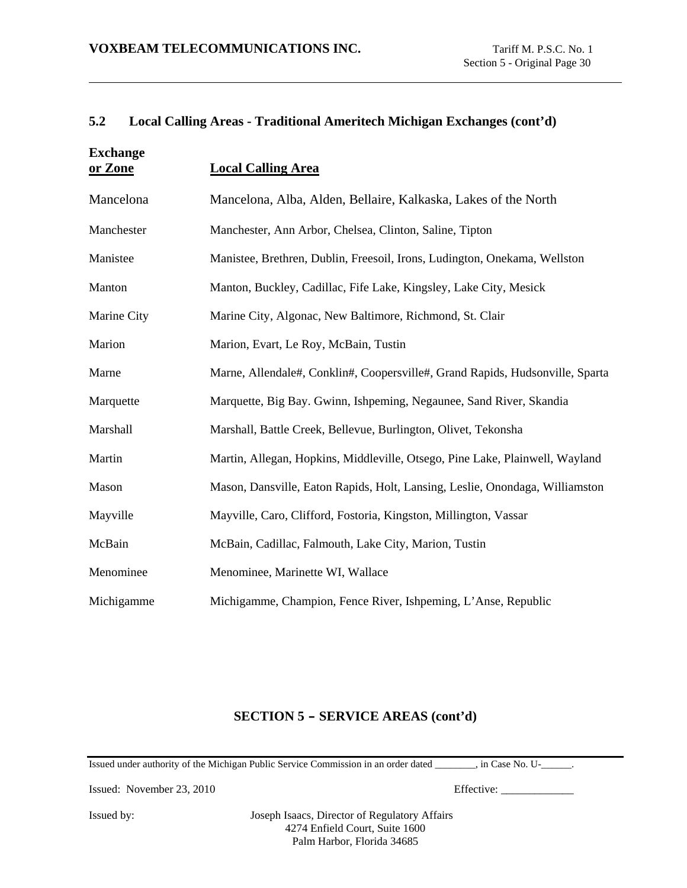### **5.2 Local Calling Areas - Traditional Ameritech Michigan Exchanges (cont'd)**

| <b>Exchange</b><br>or Zone | <b>Local Calling Area</b>                                                     |
|----------------------------|-------------------------------------------------------------------------------|
| Mancelona                  | Mancelona, Alba, Alden, Bellaire, Kalkaska, Lakes of the North                |
| Manchester                 | Manchester, Ann Arbor, Chelsea, Clinton, Saline, Tipton                       |
| Manistee                   | Manistee, Brethren, Dublin, Freesoil, Irons, Ludington, Onekama, Wellston     |
| Manton                     | Manton, Buckley, Cadillac, Fife Lake, Kingsley, Lake City, Mesick             |
| Marine City                | Marine City, Algonac, New Baltimore, Richmond, St. Clair                      |
| Marion                     | Marion, Evart, Le Roy, McBain, Tustin                                         |
| Marne                      | Marne, Allendale#, Conklin#, Coopersville#, Grand Rapids, Hudsonville, Sparta |
| Marquette                  | Marquette, Big Bay. Gwinn, Ishpeming, Negaunee, Sand River, Skandia           |
| Marshall                   | Marshall, Battle Creek, Bellevue, Burlington, Olivet, Tekonsha                |
| Martin                     | Martin, Allegan, Hopkins, Middleville, Otsego, Pine Lake, Plainwell, Wayland  |
| Mason                      | Mason, Dansville, Eaton Rapids, Holt, Lansing, Leslie, Onondaga, Williamston  |
| Mayville                   | Mayville, Caro, Clifford, Fostoria, Kingston, Millington, Vassar              |
| McBain                     | McBain, Cadillac, Falmouth, Lake City, Marion, Tustin                         |
| Menominee                  | Menominee, Marinette WI, Wallace                                              |
| Michigamme                 | Michigamme, Champion, Fence River, Ishpeming, L'Anse, Republic                |

## **SECTION 5 - SERVICE AREAS (cont'd)**

Issued under authority of the Michigan Public Service Commission in an order dated \_\_\_\_\_\_\_\_, in Case No. U-\_\_\_\_\_\_.

Issued: November 23, 2010 Effective: \_\_\_\_\_\_\_\_\_\_\_\_\_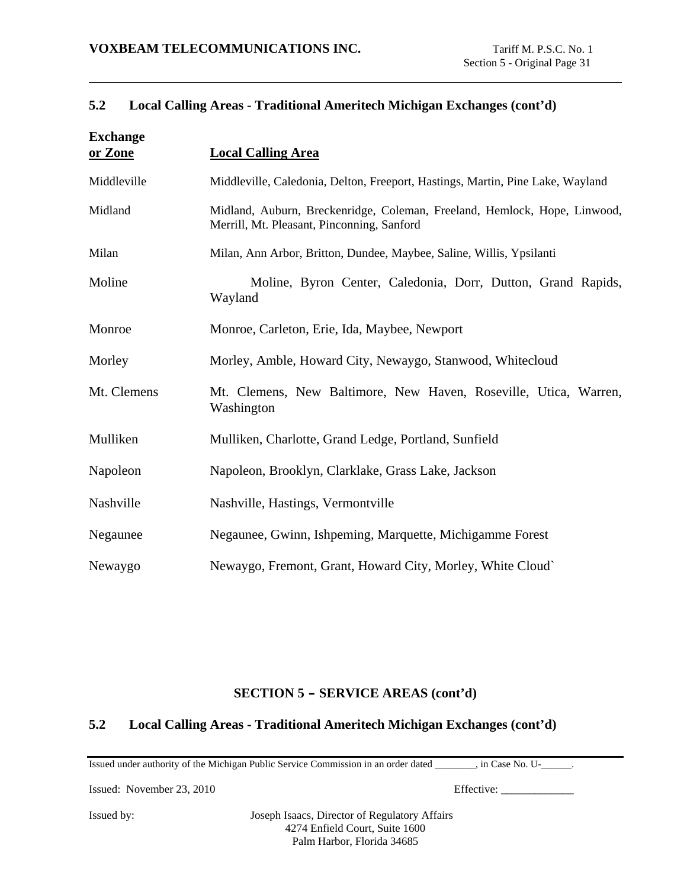## **5.2 Local Calling Areas - Traditional Ameritech Michigan Exchanges (cont'd)**

| <b>Exchange</b><br>or Zone | <b>Local Calling Area</b>                                                                                               |
|----------------------------|-------------------------------------------------------------------------------------------------------------------------|
| Middleville                | Middleville, Caledonia, Delton, Freeport, Hastings, Martin, Pine Lake, Wayland                                          |
| Midland                    | Midland, Auburn, Breckenridge, Coleman, Freeland, Hemlock, Hope, Linwood,<br>Merrill, Mt. Pleasant, Pinconning, Sanford |
| Milan                      | Milan, Ann Arbor, Britton, Dundee, Maybee, Saline, Willis, Ypsilanti                                                    |
| Moline                     | Moline, Byron Center, Caledonia, Dorr, Dutton, Grand Rapids,<br>Wayland                                                 |
| Monroe                     | Monroe, Carleton, Erie, Ida, Maybee, Newport                                                                            |
| Morley                     | Morley, Amble, Howard City, Newaygo, Stanwood, Whitecloud                                                               |
| Mt. Clemens                | Mt. Clemens, New Baltimore, New Haven, Roseville, Utica, Warren,<br>Washington                                          |
| Mulliken                   | Mulliken, Charlotte, Grand Ledge, Portland, Sunfield                                                                    |
| Napoleon                   | Napoleon, Brooklyn, Clarklake, Grass Lake, Jackson                                                                      |
| Nashville                  | Nashville, Hastings, Vermontville                                                                                       |
| Negaunee                   | Negaunee, Gwinn, Ishpeming, Marquette, Michigamme Forest                                                                |
| Newaygo                    | Newaygo, Fremont, Grant, Howard City, Morley, White Cloud`                                                              |

### **SECTION 5 - SERVICE AREAS (cont'd)**

# **5.2 Local Calling Areas - Traditional Ameritech Michigan Exchanges (cont'd)**

Issued under authority of the Michigan Public Service Commission in an order dated \_\_\_\_\_\_\_\_, in Case No. U-\_\_\_\_\_\_.

Issued: November 23, 2010 Effective: \_\_\_\_\_\_\_\_\_\_\_\_\_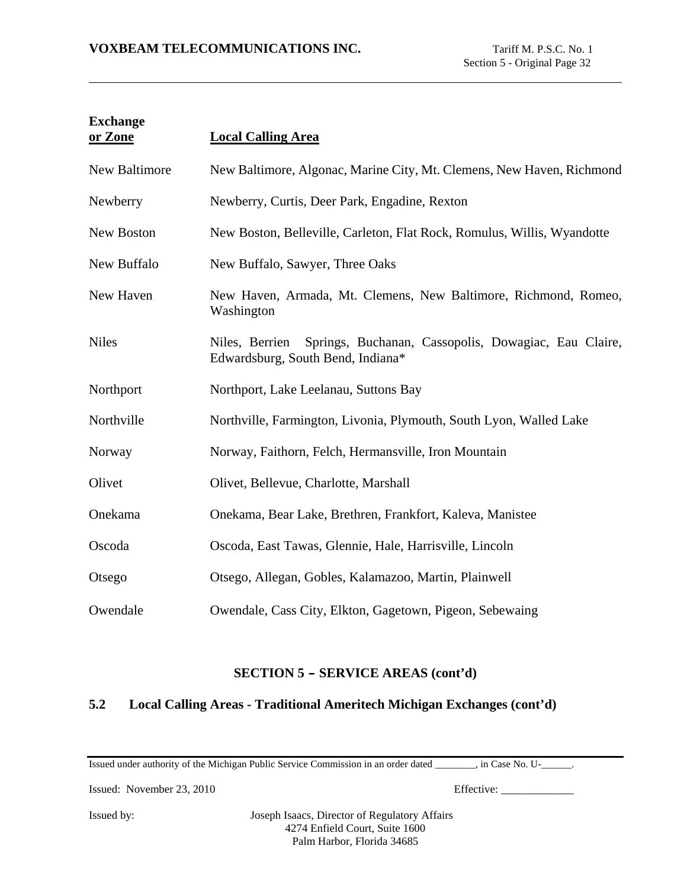| <b>Exchange</b><br>or Zone | <b>Local Calling Area</b>                                                                                   |
|----------------------------|-------------------------------------------------------------------------------------------------------------|
| New Baltimore              | New Baltimore, Algonac, Marine City, Mt. Clemens, New Haven, Richmond                                       |
| Newberry                   | Newberry, Curtis, Deer Park, Engadine, Rexton                                                               |
| New Boston                 | New Boston, Belleville, Carleton, Flat Rock, Romulus, Willis, Wyandotte                                     |
| New Buffalo                | New Buffalo, Sawyer, Three Oaks                                                                             |
| New Haven                  | New Haven, Armada, Mt. Clemens, New Baltimore, Richmond, Romeo,<br>Washington                               |
| <b>Niles</b>               | Springs, Buchanan, Cassopolis, Dowagiac, Eau Claire,<br>Niles, Berrien<br>Edwardsburg, South Bend, Indiana* |
| Northport                  | Northport, Lake Leelanau, Suttons Bay                                                                       |
| Northville                 | Northville, Farmington, Livonia, Plymouth, South Lyon, Walled Lake                                          |
| Norway                     | Norway, Faithorn, Felch, Hermansville, Iron Mountain                                                        |
| Olivet                     | Olivet, Bellevue, Charlotte, Marshall                                                                       |
| Onekama                    | Onekama, Bear Lake, Brethren, Frankfort, Kaleva, Manistee                                                   |
| Oscoda                     | Oscoda, East Tawas, Glennie, Hale, Harrisville, Lincoln                                                     |
| Otsego                     | Otsego, Allegan, Gobles, Kalamazoo, Martin, Plainwell                                                       |
| Owendale                   | Owendale, Cass City, Elkton, Gagetown, Pigeon, Sebewaing                                                    |

# **5.2 Local Calling Areas - Traditional Ameritech Michigan Exchanges (cont'd)**

Issued under authority of the Michigan Public Service Commission in an order dated \_\_\_\_\_\_\_\_, in Case No. U-\_\_\_\_\_\_.

Issued: November 23, 2010 Effective: \_\_\_\_\_\_\_\_\_\_\_\_\_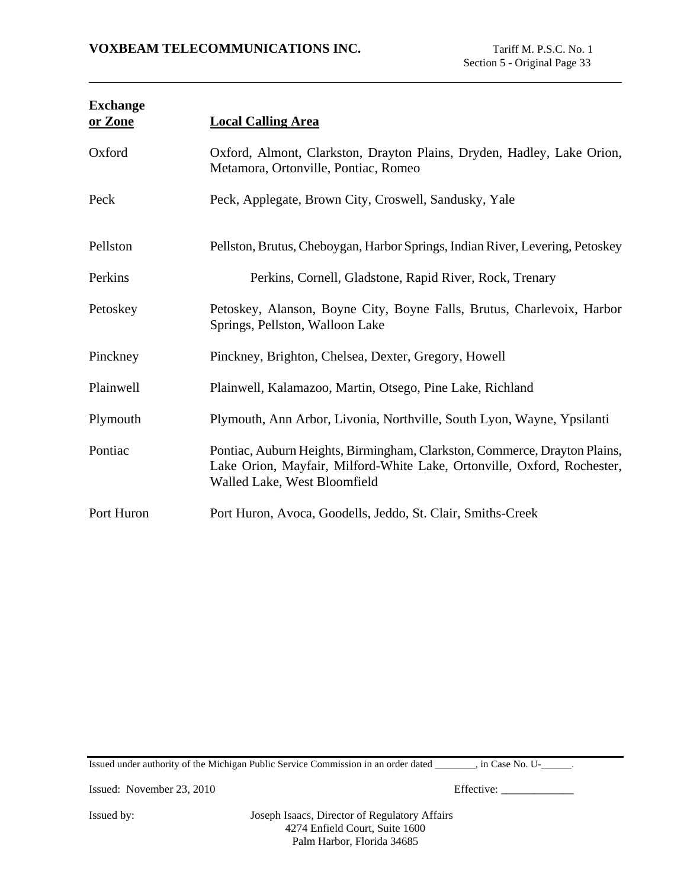| <b>Exchange</b><br>or Zone | <b>Local Calling Area</b>                                                                                                                                                            |
|----------------------------|--------------------------------------------------------------------------------------------------------------------------------------------------------------------------------------|
| Oxford                     | Oxford, Almont, Clarkston, Drayton Plains, Dryden, Hadley, Lake Orion,<br>Metamora, Ortonville, Pontiac, Romeo                                                                       |
| Peck                       | Peck, Applegate, Brown City, Croswell, Sandusky, Yale                                                                                                                                |
| Pellston                   | Pellston, Brutus, Cheboygan, Harbor Springs, Indian River, Levering, Petoskey                                                                                                        |
| Perkins                    | Perkins, Cornell, Gladstone, Rapid River, Rock, Trenary                                                                                                                              |
| Petoskey                   | Petoskey, Alanson, Boyne City, Boyne Falls, Brutus, Charlevoix, Harbor<br>Springs, Pellston, Walloon Lake                                                                            |
| Pinckney                   | Pinckney, Brighton, Chelsea, Dexter, Gregory, Howell                                                                                                                                 |
| Plainwell                  | Plainwell, Kalamazoo, Martin, Otsego, Pine Lake, Richland                                                                                                                            |
| Plymouth                   | Plymouth, Ann Arbor, Livonia, Northville, South Lyon, Wayne, Ypsilanti                                                                                                               |
| Pontiac                    | Pontiac, Auburn Heights, Birmingham, Clarkston, Commerce, Drayton Plains,<br>Lake Orion, Mayfair, Milford-White Lake, Ortonville, Oxford, Rochester,<br>Walled Lake, West Bloomfield |
| Port Huron                 | Port Huron, Avoca, Goodells, Jeddo, St. Clair, Smiths-Creek                                                                                                                          |

Issued under authority of the Michigan Public Service Commission in an order dated \_\_\_\_\_\_\_\_, in Case No. U-\_\_\_\_\_\_.

Issued: November 23, 2010 Effective: \_\_\_\_\_\_\_\_\_\_\_\_\_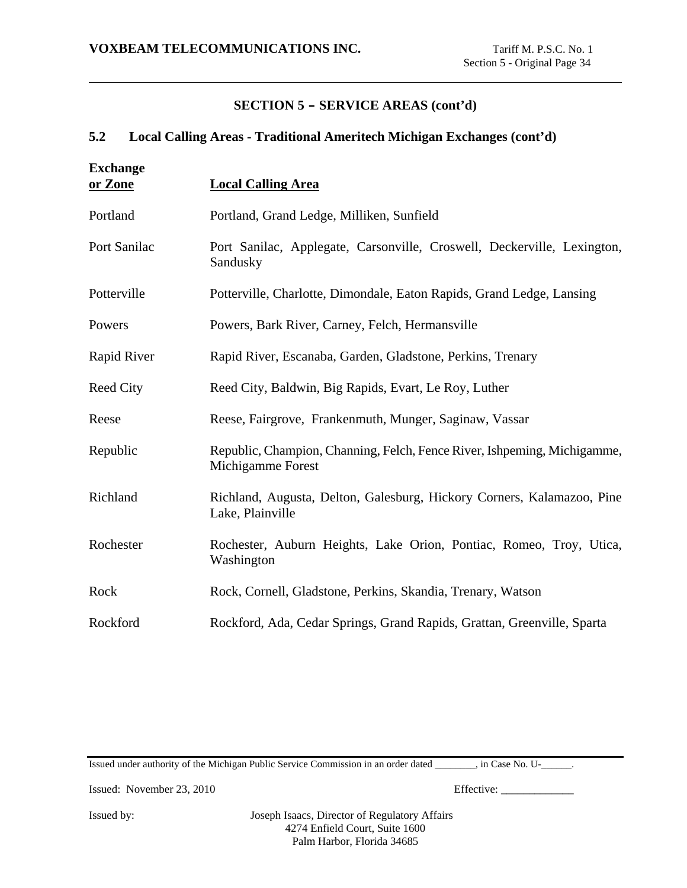# **5.2 Local Calling Areas - Traditional Ameritech Michigan Exchanges (cont'd)**

| <b>Exchange</b><br>or Zone | <b>Local Calling Area</b>                                                                     |
|----------------------------|-----------------------------------------------------------------------------------------------|
| Portland                   | Portland, Grand Ledge, Milliken, Sunfield                                                     |
| Port Sanilac               | Port Sanilac, Applegate, Carsonville, Croswell, Deckerville, Lexington,<br>Sandusky           |
| Potterville                | Potterville, Charlotte, Dimondale, Eaton Rapids, Grand Ledge, Lansing                         |
| Powers                     | Powers, Bark River, Carney, Felch, Hermansville                                               |
| Rapid River                | Rapid River, Escanaba, Garden, Gladstone, Perkins, Trenary                                    |
| <b>Reed City</b>           | Reed City, Baldwin, Big Rapids, Evart, Le Roy, Luther                                         |
| Reese                      | Reese, Fairgrove, Frankenmuth, Munger, Saginaw, Vassar                                        |
| Republic                   | Republic, Champion, Channing, Felch, Fence River, Ishpeming, Michigamme,<br>Michigamme Forest |
| Richland                   | Richland, Augusta, Delton, Galesburg, Hickory Corners, Kalamazoo, Pine<br>Lake, Plainville    |
| Rochester                  | Rochester, Auburn Heights, Lake Orion, Pontiac, Romeo, Troy, Utica,<br>Washington             |
| Rock                       | Rock, Cornell, Gladstone, Perkins, Skandia, Trenary, Watson                                   |
| Rockford                   | Rockford, Ada, Cedar Springs, Grand Rapids, Grattan, Greenville, Sparta                       |

Issued under authority of the Michigan Public Service Commission in an order dated \_\_\_\_\_\_\_\_, in Case No. U-\_\_\_\_\_\_.

Issued: November 23, 2010 Effective: \_\_\_\_\_\_\_\_\_\_\_\_\_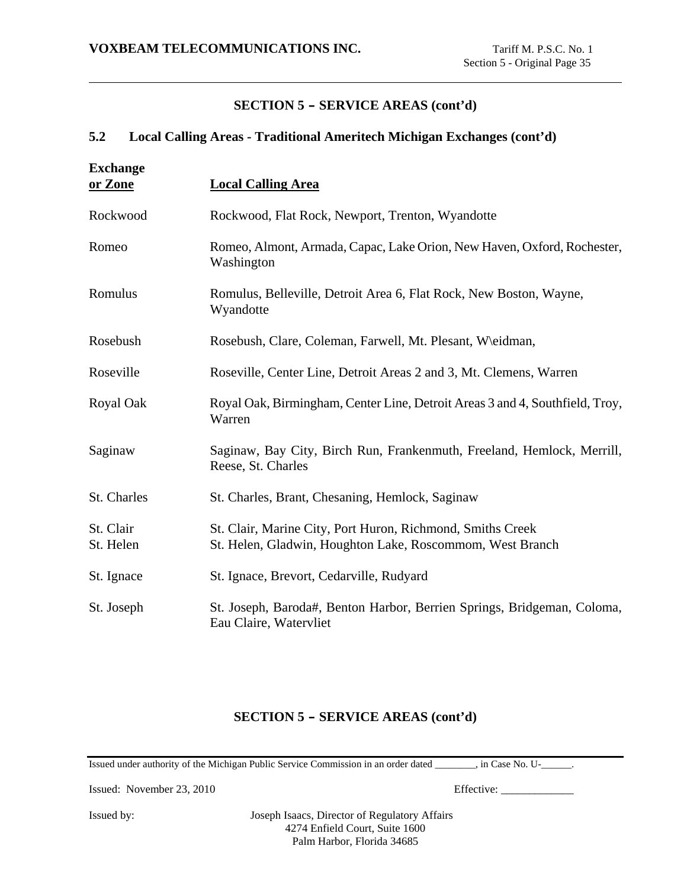### **5.2 Local Calling Areas - Traditional Ameritech Michigan Exchanges (cont'd)**

| <b>Exchange</b><br>or Zone | <b>Local Calling Area</b>                                                                                               |
|----------------------------|-------------------------------------------------------------------------------------------------------------------------|
| Rockwood                   | Rockwood, Flat Rock, Newport, Trenton, Wyandotte                                                                        |
| Romeo                      | Romeo, Almont, Armada, Capac, Lake Orion, New Haven, Oxford, Rochester,<br>Washington                                   |
| Romulus                    | Romulus, Belleville, Detroit Area 6, Flat Rock, New Boston, Wayne,<br>Wyandotte                                         |
| Rosebush                   | Rosebush, Clare, Coleman, Farwell, Mt. Plesant, W\eidman,                                                               |
| Roseville                  | Roseville, Center Line, Detroit Areas 2 and 3, Mt. Clemens, Warren                                                      |
| Royal Oak                  | Royal Oak, Birmingham, Center Line, Detroit Areas 3 and 4, Southfield, Troy,<br>Warren                                  |
| Saginaw                    | Saginaw, Bay City, Birch Run, Frankenmuth, Freeland, Hemlock, Merrill,<br>Reese, St. Charles                            |
| St. Charles                | St. Charles, Brant, Chesaning, Hemlock, Saginaw                                                                         |
| St. Clair<br>St. Helen     | St. Clair, Marine City, Port Huron, Richmond, Smiths Creek<br>St. Helen, Gladwin, Houghton Lake, Roscommom, West Branch |
| St. Ignace                 | St. Ignace, Brevort, Cedarville, Rudyard                                                                                |
| St. Joseph                 | St. Joseph, Baroda#, Benton Harbor, Berrien Springs, Bridgeman, Coloma,<br>Eau Claire, Watervliet                       |

### **SECTION 5 - SERVICE AREAS (cont'd)**

Issued under authority of the Michigan Public Service Commission in an order dated \_\_\_\_\_\_\_\_, in Case No. U-\_\_\_\_\_\_.

Issued: November 23, 2010 Effective: \_\_\_\_\_\_\_\_\_\_\_\_\_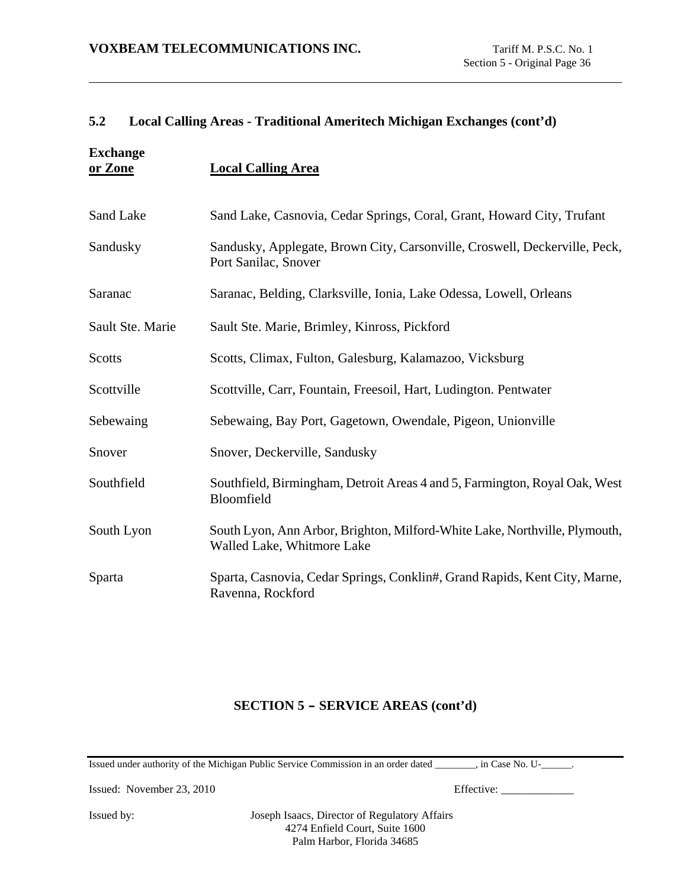## **5.2 Local Calling Areas - Traditional Ameritech Michigan Exchanges (cont'd)**

| <b>Exchange</b><br>or Zone | <b>Local Calling Area</b>                                                                                |
|----------------------------|----------------------------------------------------------------------------------------------------------|
| Sand Lake                  | Sand Lake, Casnovia, Cedar Springs, Coral, Grant, Howard City, Trufant                                   |
| Sandusky                   | Sandusky, Applegate, Brown City, Carsonville, Croswell, Deckerville, Peck,<br>Port Sanilac, Snover       |
| Saranac                    | Saranac, Belding, Clarksville, Ionia, Lake Odessa, Lowell, Orleans                                       |
| Sault Ste. Marie           | Sault Ste. Marie, Brimley, Kinross, Pickford                                                             |
| Scotts                     | Scotts, Climax, Fulton, Galesburg, Kalamazoo, Vicksburg                                                  |
| Scottville                 | Scottville, Carr, Fountain, Freesoil, Hart, Ludington. Pentwater                                         |
| Sebewaing                  | Sebewaing, Bay Port, Gagetown, Owendale, Pigeon, Unionville                                              |
| Snover                     | Snover, Deckerville, Sandusky                                                                            |
| Southfield                 | Southfield, Birmingham, Detroit Areas 4 and 5, Farmington, Royal Oak, West<br>Bloomfield                 |
| South Lyon                 | South Lyon, Ann Arbor, Brighton, Milford-White Lake, Northville, Plymouth,<br>Walled Lake, Whitmore Lake |
| Sparta                     | Sparta, Casnovia, Cedar Springs, Conklin#, Grand Rapids, Kent City, Marne,<br>Ravenna, Rockford          |

# **SECTION 5 - SERVICE AREAS (cont'd)**

Issued under authority of the Michigan Public Service Commission in an order dated \_\_\_\_\_\_\_\_, in Case No. U-\_\_\_\_\_\_.

Issued: November 23, 2010 Effective: \_\_\_\_\_\_\_\_\_\_\_\_\_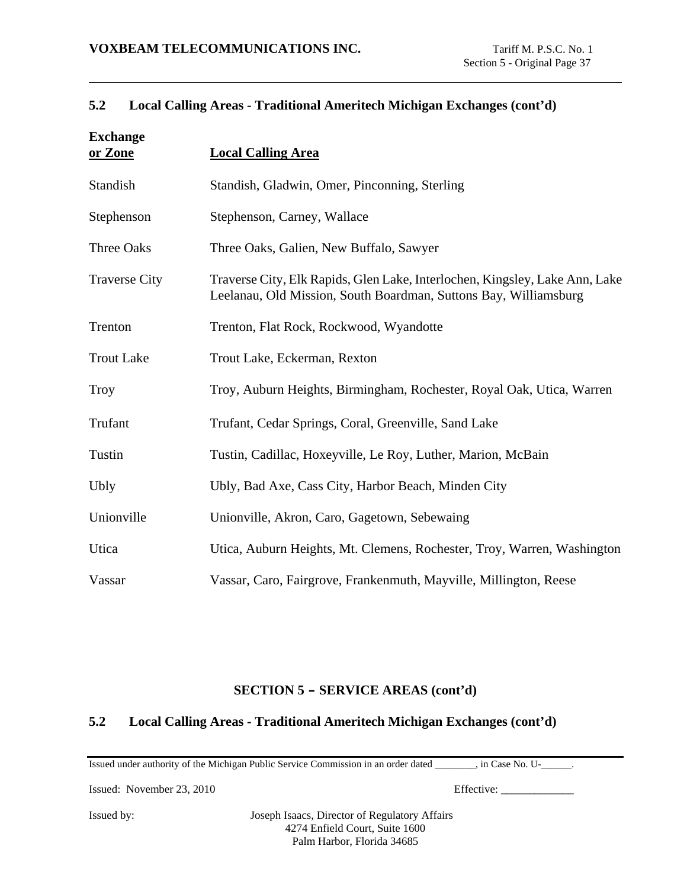## **5.2 Local Calling Areas - Traditional Ameritech Michigan Exchanges (cont'd)**

| <b>Exchange</b><br>or Zone | <b>Local Calling Area</b>                                                                                                                       |
|----------------------------|-------------------------------------------------------------------------------------------------------------------------------------------------|
| Standish                   | Standish, Gladwin, Omer, Pinconning, Sterling                                                                                                   |
| Stephenson                 | Stephenson, Carney, Wallace                                                                                                                     |
| <b>Three Oaks</b>          | Three Oaks, Galien, New Buffalo, Sawyer                                                                                                         |
| <b>Traverse City</b>       | Traverse City, Elk Rapids, Glen Lake, Interlochen, Kingsley, Lake Ann, Lake<br>Leelanau, Old Mission, South Boardman, Suttons Bay, Williamsburg |
| Trenton                    | Trenton, Flat Rock, Rockwood, Wyandotte                                                                                                         |
| <b>Trout Lake</b>          | Trout Lake, Eckerman, Rexton                                                                                                                    |
| <b>Troy</b>                | Troy, Auburn Heights, Birmingham, Rochester, Royal Oak, Utica, Warren                                                                           |
| Trufant                    | Trufant, Cedar Springs, Coral, Greenville, Sand Lake                                                                                            |
| Tustin                     | Tustin, Cadillac, Hoxeyville, Le Roy, Luther, Marion, McBain                                                                                    |
| Ubly                       | Ubly, Bad Axe, Cass City, Harbor Beach, Minden City                                                                                             |
| Unionville                 | Unionville, Akron, Caro, Gagetown, Sebewaing                                                                                                    |
| Utica                      | Utica, Auburn Heights, Mt. Clemens, Rochester, Troy, Warren, Washington                                                                         |
| Vassar                     | Vassar, Caro, Fairgrove, Frankenmuth, Mayville, Millington, Reese                                                                               |

## **SECTION 5 - SERVICE AREAS (cont'd)**

### **5.2 Local Calling Areas - Traditional Ameritech Michigan Exchanges (cont'd)**

Issued under authority of the Michigan Public Service Commission in an order dated \_\_\_\_\_\_\_\_, in Case No. U-\_\_\_\_\_\_.

Issued: November 23, 2010 Effective: \_\_\_\_\_\_\_\_\_\_\_\_\_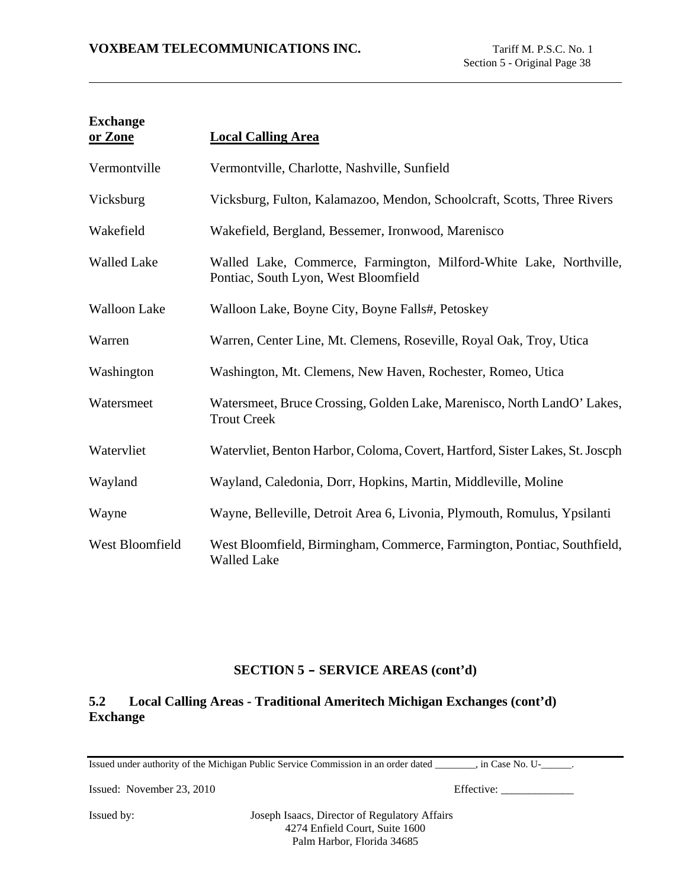| <b>Exchange</b><br>or Zone | <b>Local Calling Area</b>                                                                                  |
|----------------------------|------------------------------------------------------------------------------------------------------------|
| Vermontville               | Vermontville, Charlotte, Nashville, Sunfield                                                               |
| Vicksburg                  | Vicksburg, Fulton, Kalamazoo, Mendon, Schoolcraft, Scotts, Three Rivers                                    |
| Wakefield                  | Wakefield, Bergland, Bessemer, Ironwood, Marenisco                                                         |
| <b>Walled Lake</b>         | Walled Lake, Commerce, Farmington, Milford-White Lake, Northville,<br>Pontiac, South Lyon, West Bloomfield |
| <b>Walloon Lake</b>        | Walloon Lake, Boyne City, Boyne Falls#, Petoskey                                                           |
| Warren                     | Warren, Center Line, Mt. Clemens, Roseville, Royal Oak, Troy, Utica                                        |
| Washington                 | Washington, Mt. Clemens, New Haven, Rochester, Romeo, Utica                                                |
| Watersmeet                 | Watersmeet, Bruce Crossing, Golden Lake, Marenisco, North LandO' Lakes,<br><b>Trout Creek</b>              |
| Watervliet                 | Watervliet, Benton Harbor, Coloma, Covert, Hartford, Sister Lakes, St. Joseph                              |
| Wayland                    | Wayland, Caledonia, Dorr, Hopkins, Martin, Middleville, Moline                                             |
| Wayne                      | Wayne, Belleville, Detroit Area 6, Livonia, Plymouth, Romulus, Ypsilanti                                   |
| West Bloomfield            | West Bloomfield, Birmingham, Commerce, Farmington, Pontiac, Southfield,<br><b>Walled Lake</b>              |

# **5.2 Local Calling Areas - Traditional Ameritech Michigan Exchanges (cont'd) Exchange**

Issued under authority of the Michigan Public Service Commission in an order dated \_\_\_\_\_\_\_\_, in Case No. U-\_\_\_\_\_\_.

Issued: November 23, 2010 Effective: \_\_\_\_\_\_\_\_\_\_\_\_\_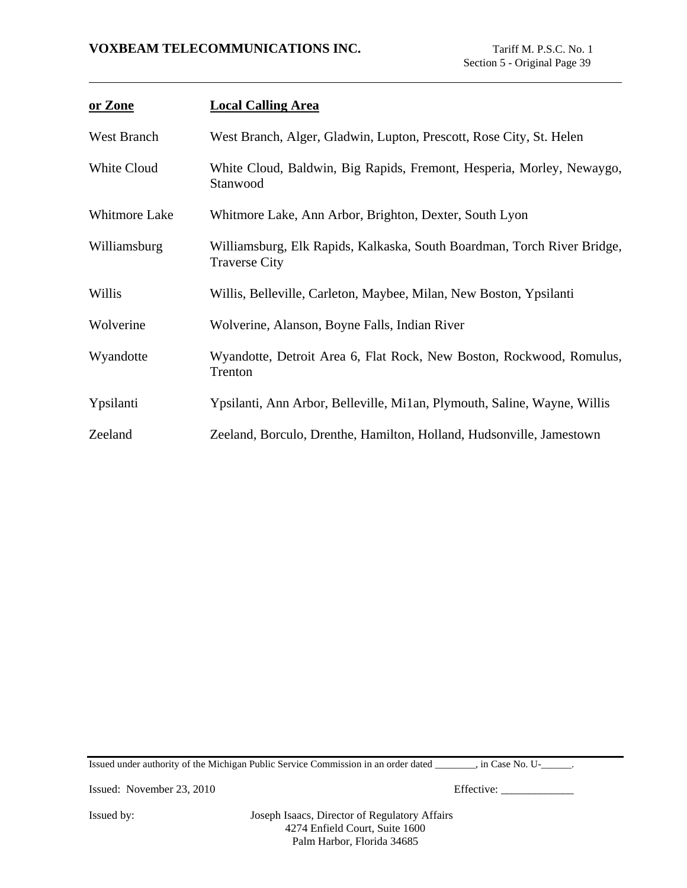| or Zone       | <b>Local Calling Area</b>                                                                       |
|---------------|-------------------------------------------------------------------------------------------------|
| West Branch   | West Branch, Alger, Gladwin, Lupton, Prescott, Rose City, St. Helen                             |
| White Cloud   | White Cloud, Baldwin, Big Rapids, Fremont, Hesperia, Morley, Newaygo,<br>Stanwood               |
| Whitmore Lake | Whitmore Lake, Ann Arbor, Brighton, Dexter, South Lyon                                          |
| Williamsburg  | Williamsburg, Elk Rapids, Kalkaska, South Boardman, Torch River Bridge,<br><b>Traverse City</b> |
| Willis        | Willis, Belleville, Carleton, Maybee, Milan, New Boston, Ypsilanti                              |
| Wolverine     | Wolverine, Alanson, Boyne Falls, Indian River                                                   |
| Wyandotte     | Wyandotte, Detroit Area 6, Flat Rock, New Boston, Rockwood, Romulus,<br>Trenton                 |
| Ypsilanti     | Ypsilanti, Ann Arbor, Belleville, Mi1an, Plymouth, Saline, Wayne, Willis                        |
| Zeeland       | Zeeland, Borculo, Drenthe, Hamilton, Holland, Hudsonville, Jamestown                            |

Issued under authority of the Michigan Public Service Commission in an order dated \_\_\_\_\_\_\_\_, in Case No. U-\_\_\_\_\_\_.

Issued: November 23, 2010 Effective: \_\_\_\_\_\_\_\_\_\_\_\_\_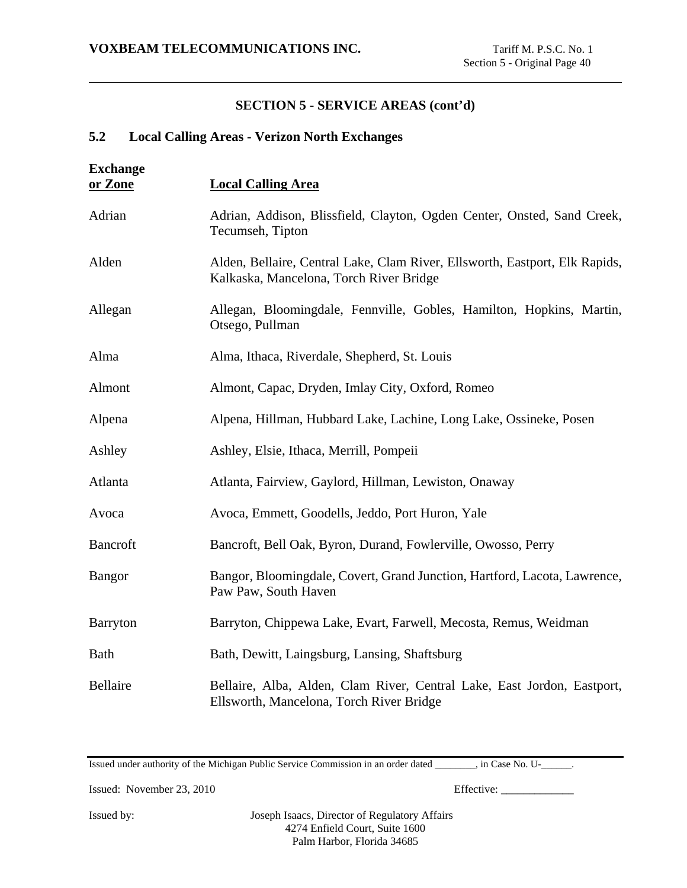# **5.2 Local Calling Areas - Verizon North Exchanges**

| <b>Exchange</b><br>or Zone | <b>Local Calling Area</b>                                                                                              |
|----------------------------|------------------------------------------------------------------------------------------------------------------------|
| Adrian                     | Adrian, Addison, Blissfield, Clayton, Ogden Center, Onsted, Sand Creek,<br>Tecumseh, Tipton                            |
| Alden                      | Alden, Bellaire, Central Lake, Clam River, Ellsworth, Eastport, Elk Rapids,<br>Kalkaska, Mancelona, Torch River Bridge |
| Allegan                    | Allegan, Bloomingdale, Fennville, Gobles, Hamilton, Hopkins, Martin,<br>Otsego, Pullman                                |
| Alma                       | Alma, Ithaca, Riverdale, Shepherd, St. Louis                                                                           |
| Almont                     | Almont, Capac, Dryden, Imlay City, Oxford, Romeo                                                                       |
| Alpena                     | Alpena, Hillman, Hubbard Lake, Lachine, Long Lake, Ossineke, Posen                                                     |
| Ashley                     | Ashley, Elsie, Ithaca, Merrill, Pompeii                                                                                |
| Atlanta                    | Atlanta, Fairview, Gaylord, Hillman, Lewiston, Onaway                                                                  |
| Avoca                      | Avoca, Emmett, Goodells, Jeddo, Port Huron, Yale                                                                       |
| <b>Bancroft</b>            | Bancroft, Bell Oak, Byron, Durand, Fowlerville, Owosso, Perry                                                          |
| <b>Bangor</b>              | Bangor, Bloomingdale, Covert, Grand Junction, Hartford, Lacota, Lawrence,<br>Paw Paw, South Haven                      |
| <b>Barryton</b>            | Barryton, Chippewa Lake, Evart, Farwell, Mecosta, Remus, Weidman                                                       |
| <b>Bath</b>                | Bath, Dewitt, Laingsburg, Lansing, Shaftsburg                                                                          |
| Bellaire                   | Bellaire, Alba, Alden, Clam River, Central Lake, East Jordon, Eastport,<br>Ellsworth, Mancelona, Torch River Bridge    |

Issued under authority of the Michigan Public Service Commission in an order dated \_\_\_\_\_\_\_\_, in Case No. U-\_\_\_\_\_\_.

Issued: November 23, 2010 Effective: \_\_\_\_\_\_\_\_\_\_\_\_\_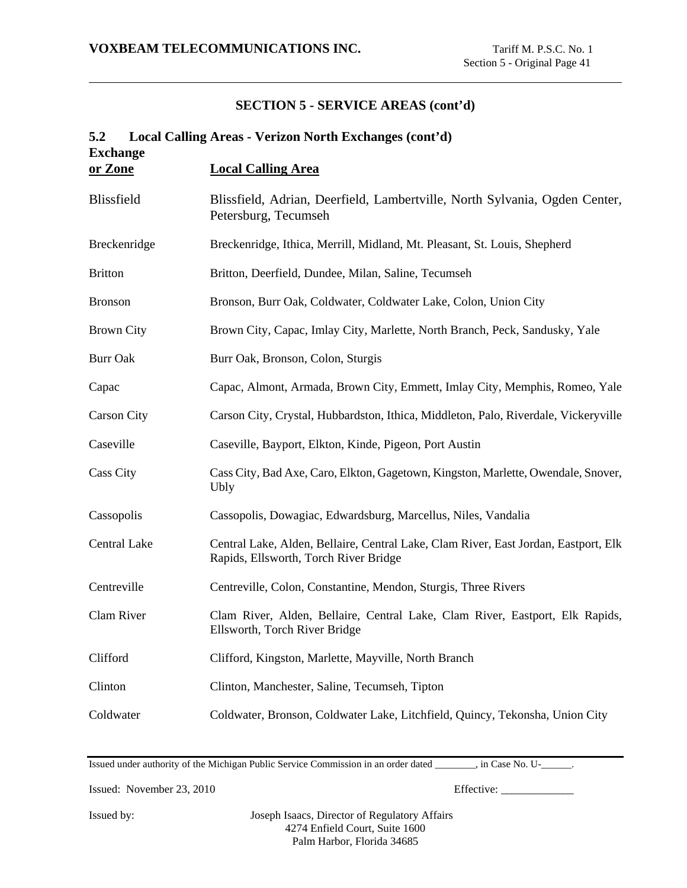| 5.2<br><b>Exchange</b> | Local Calling Areas - Verizon North Exchanges (cont'd)                                                                       |
|------------------------|------------------------------------------------------------------------------------------------------------------------------|
| or Zone                | <b>Local Calling Area</b>                                                                                                    |
| <b>Blissfield</b>      | Blissfield, Adrian, Deerfield, Lambertville, North Sylvania, Ogden Center,<br>Petersburg, Tecumseh                           |
| Breckenridge           | Breckenridge, Ithica, Merrill, Midland, Mt. Pleasant, St. Louis, Shepherd                                                    |
| <b>Britton</b>         | Britton, Deerfield, Dundee, Milan, Saline, Tecumseh                                                                          |
| <b>Bronson</b>         | Bronson, Burr Oak, Coldwater, Coldwater Lake, Colon, Union City                                                              |
| <b>Brown City</b>      | Brown City, Capac, Imlay City, Marlette, North Branch, Peck, Sandusky, Yale                                                  |
| <b>Burr Oak</b>        | Burr Oak, Bronson, Colon, Sturgis                                                                                            |
| Capac                  | Capac, Almont, Armada, Brown City, Emmett, Imlay City, Memphis, Romeo, Yale                                                  |
| <b>Carson City</b>     | Carson City, Crystal, Hubbardston, Ithica, Middleton, Palo, Riverdale, Vickeryville                                          |
| Caseville              | Caseville, Bayport, Elkton, Kinde, Pigeon, Port Austin                                                                       |
| <b>Cass City</b>       | Cass City, Bad Axe, Caro, Elkton, Gagetown, Kingston, Marlette, Owendale, Snover,<br><b>Ubly</b>                             |
| Cassopolis             | Cassopolis, Dowagiac, Edwardsburg, Marcellus, Niles, Vandalia                                                                |
| Central Lake           | Central Lake, Alden, Bellaire, Central Lake, Clam River, East Jordan, Eastport, Elk<br>Rapids, Ellsworth, Torch River Bridge |
| Centreville            | Centreville, Colon, Constantine, Mendon, Sturgis, Three Rivers                                                               |
| Clam River             | Clam River, Alden, Bellaire, Central Lake, Clam River, Eastport, Elk Rapids,<br>Ellsworth, Torch River Bridge                |
| Clifford               | Clifford, Kingston, Marlette, Mayville, North Branch                                                                         |
| Clinton                | Clinton, Manchester, Saline, Tecumseh, Tipton                                                                                |
| Coldwater              | Coldwater, Bronson, Coldwater Lake, Litchfield, Quincy, Tekonsha, Union City                                                 |

Issued under authority of the Michigan Public Service Commission in an order dated \_\_\_\_\_\_\_\_, in Case No. U-\_\_\_\_\_\_.

Issued: November 23, 2010 Effective: \_\_\_\_\_\_\_\_\_\_\_\_\_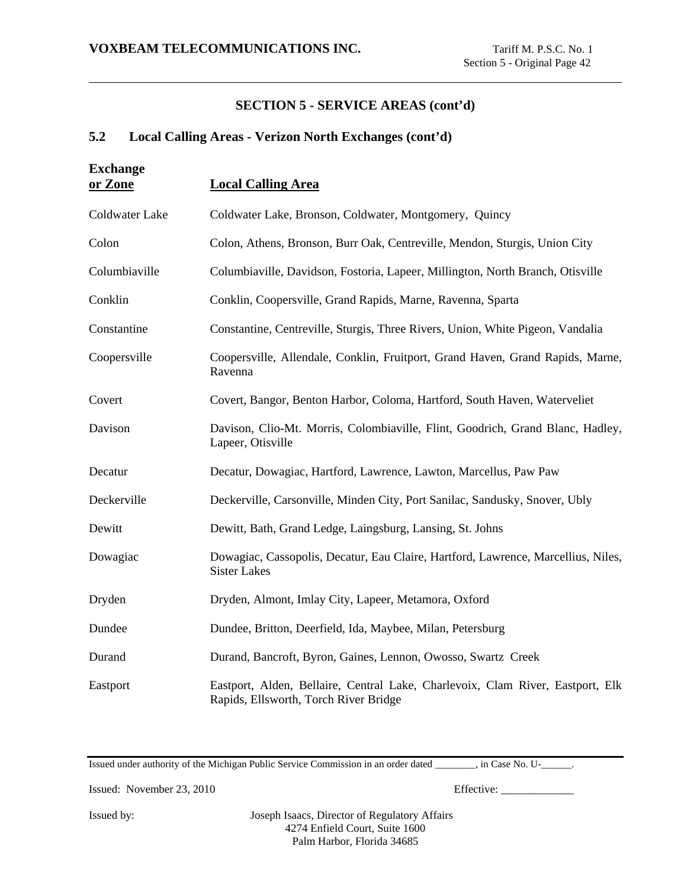## **5.2 Local Calling Areas - Verizon North Exchanges (cont'd)**

| <b>Exchange</b><br>or Zone | <b>Local Calling Area</b>                                                                                               |
|----------------------------|-------------------------------------------------------------------------------------------------------------------------|
| Coldwater Lake             | Coldwater Lake, Bronson, Coldwater, Montgomery, Quincy                                                                  |
| Colon                      | Colon, Athens, Bronson, Burr Oak, Centreville, Mendon, Sturgis, Union City                                              |
| Columbiaville              | Columbiaville, Davidson, Fostoria, Lapeer, Millington, North Branch, Otisville                                          |
| Conklin                    | Conklin, Coopersville, Grand Rapids, Marne, Ravenna, Sparta                                                             |
| Constantine                | Constantine, Centreville, Sturgis, Three Rivers, Union, White Pigeon, Vandalia                                          |
| Coopersville               | Coopersville, Allendale, Conklin, Fruitport, Grand Haven, Grand Rapids, Marne,<br>Ravenna                               |
| Covert                     | Covert, Bangor, Benton Harbor, Coloma, Hartford, South Haven, Waterveliet                                               |
| Davison                    | Davison, Clio-Mt. Morris, Colombiaville, Flint, Goodrich, Grand Blanc, Hadley,<br>Lapeer, Otisville                     |
| Decatur                    | Decatur, Dowagiac, Hartford, Lawrence, Lawton, Marcellus, Paw Paw                                                       |
| Deckerville                | Deckerville, Carsonville, Minden City, Port Sanilac, Sandusky, Snover, Ubly                                             |
| Dewitt                     | Dewitt, Bath, Grand Ledge, Laingsburg, Lansing, St. Johns                                                               |
| Dowagiac                   | Dowagiac, Cassopolis, Decatur, Eau Claire, Hartford, Lawrence, Marcellius, Niles,<br><b>Sister Lakes</b>                |
| Dryden                     | Dryden, Almont, Imlay City, Lapeer, Metamora, Oxford                                                                    |
| Dundee                     | Dundee, Britton, Deerfield, Ida, Maybee, Milan, Petersburg                                                              |
| Durand                     | Durand, Bancroft, Byron, Gaines, Lennon, Owosso, Swartz Creek                                                           |
| Eastport                   | Eastport, Alden, Bellaire, Central Lake, Charlevoix, Clam River, Eastport, Elk<br>Rapids, Ellsworth, Torch River Bridge |

Issued under authority of the Michigan Public Service Commission in an order dated \_\_\_\_\_\_\_\_, in Case No. U-\_\_\_\_\_\_.

Issued: November 23, 2010 Effective: \_\_\_\_\_\_\_\_\_\_\_\_\_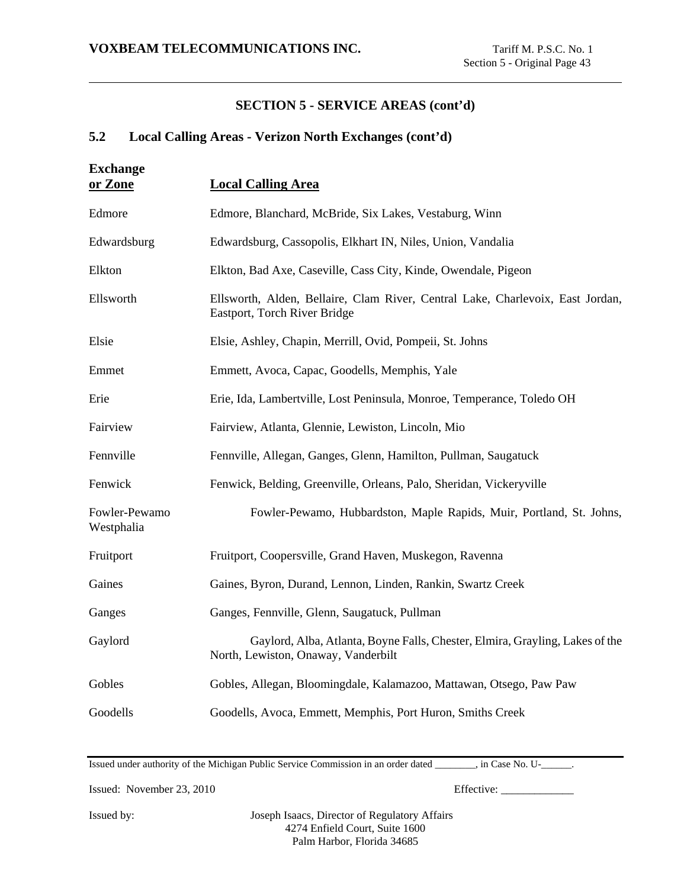# **5.2 Local Calling Areas - Verizon North Exchanges (cont'd)**

| <b>Exchange</b><br>or Zone  | <b>Local Calling Area</b>                                                                                           |
|-----------------------------|---------------------------------------------------------------------------------------------------------------------|
| Edmore                      | Edmore, Blanchard, McBride, Six Lakes, Vestaburg, Winn                                                              |
| Edwardsburg                 | Edwardsburg, Cassopolis, Elkhart IN, Niles, Union, Vandalia                                                         |
| Elkton                      | Elkton, Bad Axe, Caseville, Cass City, Kinde, Owendale, Pigeon                                                      |
| Ellsworth                   | Ellsworth, Alden, Bellaire, Clam River, Central Lake, Charlevoix, East Jordan,<br>Eastport, Torch River Bridge      |
| Elsie                       | Elsie, Ashley, Chapin, Merrill, Ovid, Pompeii, St. Johns                                                            |
| Emmet                       | Emmett, Avoca, Capac, Goodells, Memphis, Yale                                                                       |
| Erie                        | Erie, Ida, Lambertville, Lost Peninsula, Monroe, Temperance, Toledo OH                                              |
| Fairview                    | Fairview, Atlanta, Glennie, Lewiston, Lincoln, Mio                                                                  |
| Fennville                   | Fennville, Allegan, Ganges, Glenn, Hamilton, Pullman, Saugatuck                                                     |
| Fenwick                     | Fenwick, Belding, Greenville, Orleans, Palo, Sheridan, Vickeryville                                                 |
| Fowler-Pewamo<br>Westphalia | Fowler-Pewamo, Hubbardston, Maple Rapids, Muir, Portland, St. Johns,                                                |
| Fruitport                   | Fruitport, Coopersville, Grand Haven, Muskegon, Ravenna                                                             |
| Gaines                      | Gaines, Byron, Durand, Lennon, Linden, Rankin, Swartz Creek                                                         |
| Ganges                      | Ganges, Fennville, Glenn, Saugatuck, Pullman                                                                        |
| Gaylord                     | Gaylord, Alba, Atlanta, Boyne Falls, Chester, Elmira, Grayling, Lakes of the<br>North, Lewiston, Onaway, Vanderbilt |
| Gobles                      | Gobles, Allegan, Bloomingdale, Kalamazoo, Mattawan, Otsego, Paw Paw                                                 |
| Goodells                    | Goodells, Avoca, Emmett, Memphis, Port Huron, Smiths Creek                                                          |

Issued under authority of the Michigan Public Service Commission in an order dated \_\_\_\_\_\_\_\_, in Case No. U-\_\_\_\_\_\_.

Issued: November 23, 2010 Effective: \_\_\_\_\_\_\_\_\_\_\_\_\_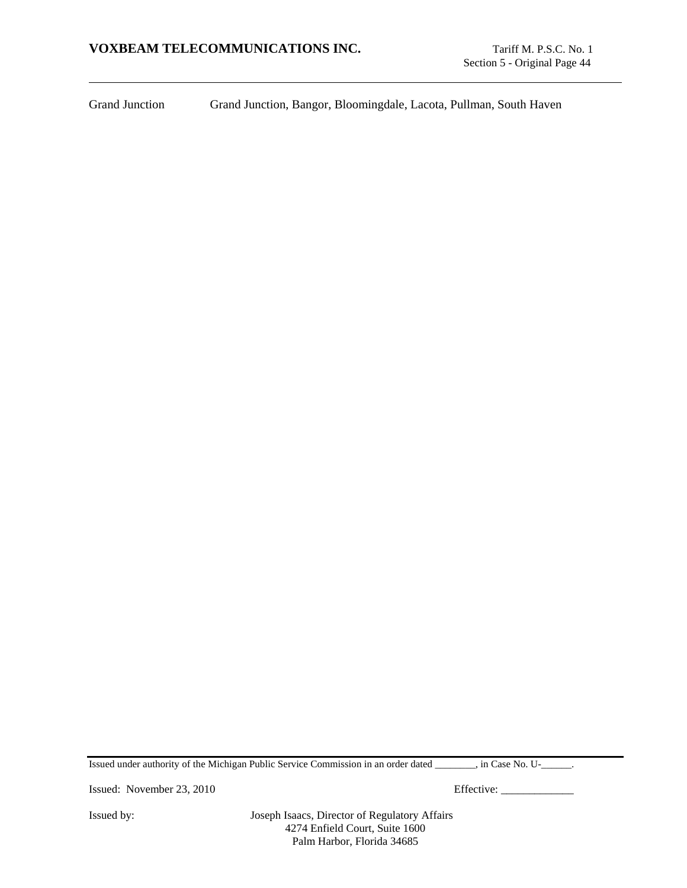Grand Junction Grand Junction, Bangor, Bloomingdale, Lacota, Pullman, South Haven

Issued under authority of the Michigan Public Service Commission in an order dated \_\_\_\_\_\_\_\_, in Case No. U-\_\_\_\_\_\_.

Issued: November 23, 2010 Effective: \_\_\_\_\_\_\_\_\_\_\_\_\_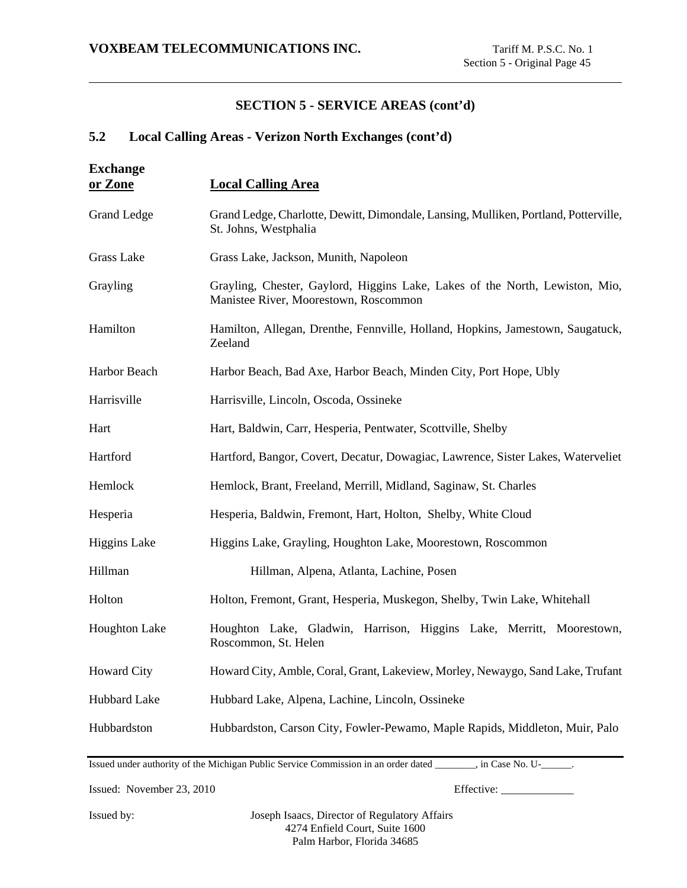## **5.2 Local Calling Areas - Verizon North Exchanges (cont'd)**

| <b>Exchange</b>      |                                                                                                                       |
|----------------------|-----------------------------------------------------------------------------------------------------------------------|
| or Zone              | <b>Local Calling Area</b>                                                                                             |
| <b>Grand Ledge</b>   | Grand Ledge, Charlotte, Dewitt, Dimondale, Lansing, Mulliken, Portland, Potterville,<br>St. Johns, Westphalia         |
| <b>Grass Lake</b>    | Grass Lake, Jackson, Munith, Napoleon                                                                                 |
| Grayling             | Grayling, Chester, Gaylord, Higgins Lake, Lakes of the North, Lewiston, Mio,<br>Manistee River, Moorestown, Roscommon |
| Hamilton             | Hamilton, Allegan, Drenthe, Fennville, Holland, Hopkins, Jamestown, Saugatuck,<br>Zeeland                             |
| Harbor Beach         | Harbor Beach, Bad Axe, Harbor Beach, Minden City, Port Hope, Ubly                                                     |
| Harrisville          | Harrisville, Lincoln, Oscoda, Ossineke                                                                                |
| Hart                 | Hart, Baldwin, Carr, Hesperia, Pentwater, Scottville, Shelby                                                          |
| Hartford             | Hartford, Bangor, Covert, Decatur, Dowagiac, Lawrence, Sister Lakes, Waterveliet                                      |
| Hemlock              | Hemlock, Brant, Freeland, Merrill, Midland, Saginaw, St. Charles                                                      |
| Hesperia             | Hesperia, Baldwin, Fremont, Hart, Holton, Shelby, White Cloud                                                         |
| <b>Higgins Lake</b>  | Higgins Lake, Grayling, Houghton Lake, Moorestown, Roscommon                                                          |
| Hillman              | Hillman, Alpena, Atlanta, Lachine, Posen                                                                              |
| Holton               | Holton, Fremont, Grant, Hesperia, Muskegon, Shelby, Twin Lake, Whitehall                                              |
| <b>Houghton Lake</b> | Houghton Lake, Gladwin, Harrison, Higgins Lake, Merritt, Moorestown,<br>Roscommon, St. Helen                          |
| <b>Howard City</b>   | Howard City, Amble, Coral, Grant, Lakeview, Morley, Newaygo, Sand Lake, Trufant                                       |
| Hubbard Lake         | Hubbard Lake, Alpena, Lachine, Lincoln, Ossineke                                                                      |
| Hubbardston          | Hubbardston, Carson City, Fowler-Pewamo, Maple Rapids, Middleton, Muir, Palo                                          |

Issued under authority of the Michigan Public Service Commission in an order dated \_\_\_\_\_\_\_\_, in Case No. U-\_\_\_\_\_\_.

Issued: November 23, 2010 Effective: \_\_\_\_\_\_\_\_\_\_\_\_\_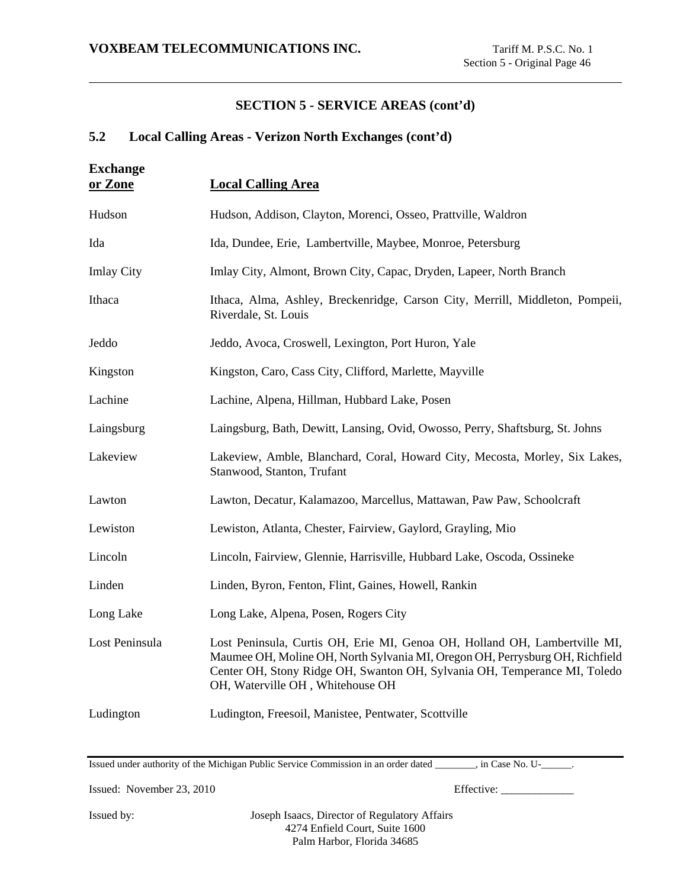# **5.2 Local Calling Areas - Verizon North Exchanges (cont'd)**

| <b>Exchange</b><br>or Zone | <b>Local Calling Area</b>                                                                                                                                                                                                                                                   |
|----------------------------|-----------------------------------------------------------------------------------------------------------------------------------------------------------------------------------------------------------------------------------------------------------------------------|
| Hudson                     | Hudson, Addison, Clayton, Morenci, Osseo, Prattville, Waldron                                                                                                                                                                                                               |
| Ida                        | Ida, Dundee, Erie, Lambertville, Maybee, Monroe, Petersburg                                                                                                                                                                                                                 |
| <b>Imlay City</b>          | Imlay City, Almont, Brown City, Capac, Dryden, Lapeer, North Branch                                                                                                                                                                                                         |
| Ithaca                     | Ithaca, Alma, Ashley, Breckenridge, Carson City, Merrill, Middleton, Pompeii,<br>Riverdale, St. Louis                                                                                                                                                                       |
| Jeddo                      | Jeddo, Avoca, Croswell, Lexington, Port Huron, Yale                                                                                                                                                                                                                         |
| Kingston                   | Kingston, Caro, Cass City, Clifford, Marlette, Mayville                                                                                                                                                                                                                     |
| Lachine                    | Lachine, Alpena, Hillman, Hubbard Lake, Posen                                                                                                                                                                                                                               |
| Laingsburg                 | Laingsburg, Bath, Dewitt, Lansing, Ovid, Owosso, Perry, Shaftsburg, St. Johns                                                                                                                                                                                               |
| Lakeview                   | Lakeview, Amble, Blanchard, Coral, Howard City, Mecosta, Morley, Six Lakes,<br>Stanwood, Stanton, Trufant                                                                                                                                                                   |
| Lawton                     | Lawton, Decatur, Kalamazoo, Marcellus, Mattawan, Paw Paw, Schoolcraft                                                                                                                                                                                                       |
| Lewiston                   | Lewiston, Atlanta, Chester, Fairview, Gaylord, Grayling, Mio                                                                                                                                                                                                                |
| Lincoln                    | Lincoln, Fairview, Glennie, Harrisville, Hubbard Lake, Oscoda, Ossineke                                                                                                                                                                                                     |
| Linden                     | Linden, Byron, Fenton, Flint, Gaines, Howell, Rankin                                                                                                                                                                                                                        |
| Long Lake                  | Long Lake, Alpena, Posen, Rogers City                                                                                                                                                                                                                                       |
| Lost Peninsula             | Lost Peninsula, Curtis OH, Erie MI, Genoa OH, Holland OH, Lambertville MI,<br>Maumee OH, Moline OH, North Sylvania MI, Oregon OH, Perrysburg OH, Richfield<br>Center OH, Stony Ridge OH, Swanton OH, Sylvania OH, Temperance MI, Toledo<br>OH, Waterville OH, Whitehouse OH |
| Ludington                  | Ludington, Freesoil, Manistee, Pentwater, Scottville                                                                                                                                                                                                                        |

Issued under authority of the Michigan Public Service Commission in an order dated \_\_\_\_\_\_\_\_, in Case No. U-\_\_\_\_\_\_.

Issued: November 23, 2010 Effective: \_\_\_\_\_\_\_\_\_\_\_\_\_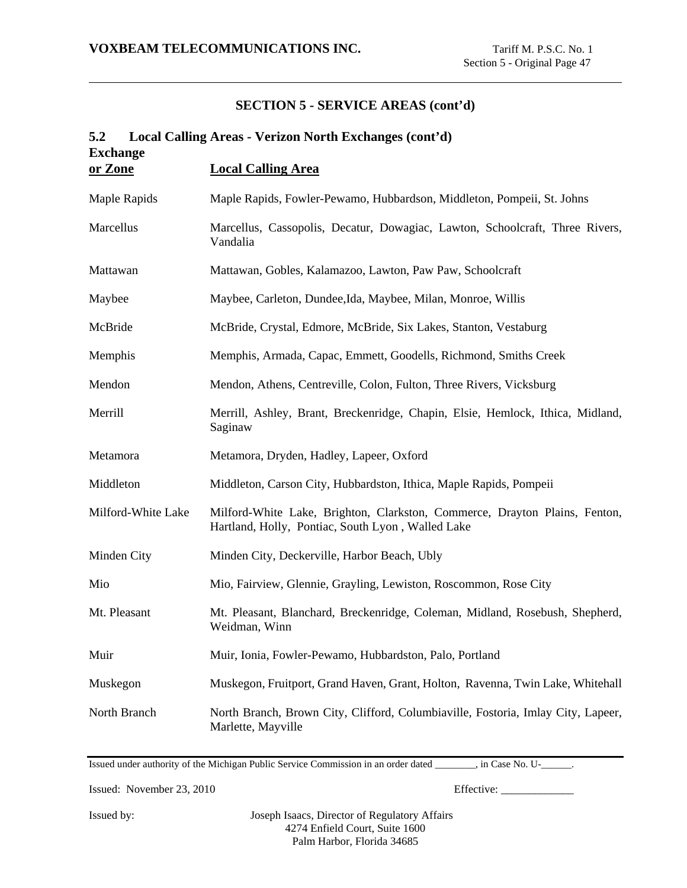| Local Calling Areas - Verizon North Exchanges (cont'd)<br>5.2 |                                                                                                                                 |  |
|---------------------------------------------------------------|---------------------------------------------------------------------------------------------------------------------------------|--|
| <b>Exchange</b><br>or Zone                                    | <b>Local Calling Area</b>                                                                                                       |  |
| Maple Rapids                                                  | Maple Rapids, Fowler-Pewamo, Hubbardson, Middleton, Pompeii, St. Johns                                                          |  |
| Marcellus                                                     | Marcellus, Cassopolis, Decatur, Dowagiac, Lawton, Schoolcraft, Three Rivers,<br>Vandalia                                        |  |
| Mattawan                                                      | Mattawan, Gobles, Kalamazoo, Lawton, Paw Paw, Schoolcraft                                                                       |  |
| Maybee                                                        | Maybee, Carleton, Dundee, Ida, Maybee, Milan, Monroe, Willis                                                                    |  |
| McBride                                                       | McBride, Crystal, Edmore, McBride, Six Lakes, Stanton, Vestaburg                                                                |  |
| Memphis                                                       | Memphis, Armada, Capac, Emmett, Goodells, Richmond, Smiths Creek                                                                |  |
| Mendon                                                        | Mendon, Athens, Centreville, Colon, Fulton, Three Rivers, Vicksburg                                                             |  |
| Merrill                                                       | Merrill, Ashley, Brant, Breckenridge, Chapin, Elsie, Hemlock, Ithica, Midland,<br>Saginaw                                       |  |
| Metamora                                                      | Metamora, Dryden, Hadley, Lapeer, Oxford                                                                                        |  |
| Middleton                                                     | Middleton, Carson City, Hubbardston, Ithica, Maple Rapids, Pompeii                                                              |  |
| Milford-White Lake                                            | Milford-White Lake, Brighton, Clarkston, Commerce, Drayton Plains, Fenton,<br>Hartland, Holly, Pontiac, South Lyon, Walled Lake |  |
| Minden City                                                   | Minden City, Deckerville, Harbor Beach, Ubly                                                                                    |  |
| Mio                                                           | Mio, Fairview, Glennie, Grayling, Lewiston, Roscommon, Rose City                                                                |  |
| Mt. Pleasant                                                  | Mt. Pleasant, Blanchard, Breckenridge, Coleman, Midland, Rosebush, Shepherd,<br>Weidman, Winn                                   |  |
| Muir                                                          | Muir, Ionia, Fowler-Pewamo, Hubbardston, Palo, Portland                                                                         |  |
| Muskegon                                                      | Muskegon, Fruitport, Grand Haven, Grant, Holton, Ravenna, Twin Lake, Whitehall                                                  |  |
| North Branch                                                  | North Branch, Brown City, Clifford, Columbiaville, Fostoria, Imlay City, Lapeer,<br>Marlette, Mayville                          |  |

Issued under authority of the Michigan Public Service Commission in an order dated \_\_\_\_\_\_\_\_, in Case No. U-\_\_\_\_\_\_.

Issued: November 23, 2010 Effective: \_\_\_\_\_\_\_\_\_\_\_\_\_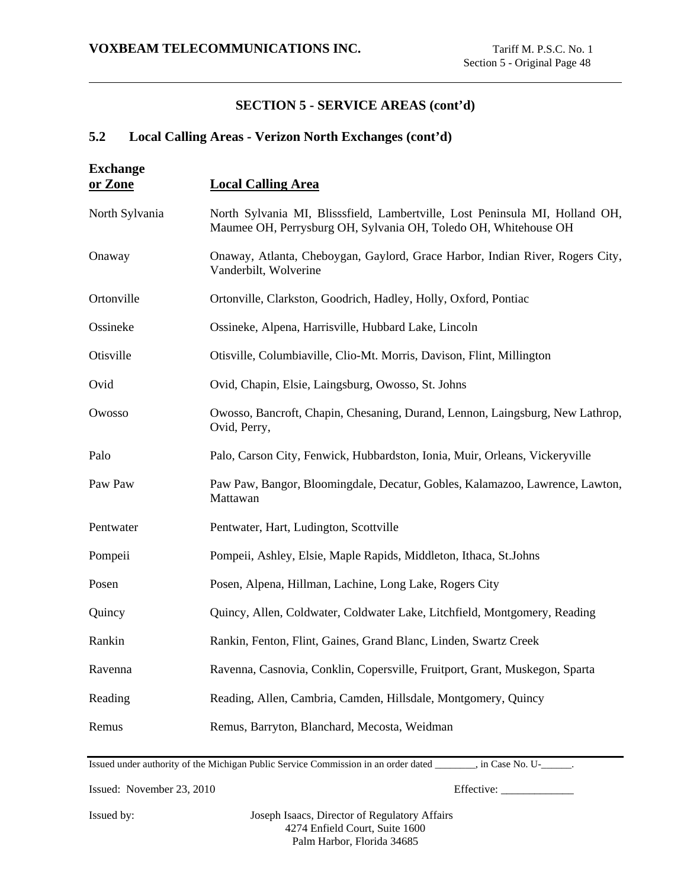# **5.2 Local Calling Areas - Verizon North Exchanges (cont'd)**

| <b>Exchange</b><br>or Zone | <b>Local Calling Area</b>                                                                                                                       |  |
|----------------------------|-------------------------------------------------------------------------------------------------------------------------------------------------|--|
| North Sylvania             | North Sylvania MI, Blisssfield, Lambertville, Lost Peninsula MI, Holland OH,<br>Maumee OH, Perrysburg OH, Sylvania OH, Toledo OH, Whitehouse OH |  |
| Onaway                     | Onaway, Atlanta, Cheboygan, Gaylord, Grace Harbor, Indian River, Rogers City,<br>Vanderbilt, Wolverine                                          |  |
| Ortonville                 | Ortonville, Clarkston, Goodrich, Hadley, Holly, Oxford, Pontiac                                                                                 |  |
| Ossineke                   | Ossineke, Alpena, Harrisville, Hubbard Lake, Lincoln                                                                                            |  |
| Otisville                  | Otisville, Columbiaville, Clio-Mt. Morris, Davison, Flint, Millington                                                                           |  |
| Ovid                       | Ovid, Chapin, Elsie, Laingsburg, Owosso, St. Johns                                                                                              |  |
| Owosso                     | Owosso, Bancroft, Chapin, Chesaning, Durand, Lennon, Laingsburg, New Lathrop,<br>Ovid, Perry,                                                   |  |
| Palo                       | Palo, Carson City, Fenwick, Hubbardston, Ionia, Muir, Orleans, Vickeryville                                                                     |  |
| Paw Paw                    | Paw Paw, Bangor, Bloomingdale, Decatur, Gobles, Kalamazoo, Lawrence, Lawton,<br>Mattawan                                                        |  |
| Pentwater                  | Pentwater, Hart, Ludington, Scottville                                                                                                          |  |
| Pompeii                    | Pompeii, Ashley, Elsie, Maple Rapids, Middleton, Ithaca, St.Johns                                                                               |  |
| Posen                      | Posen, Alpena, Hillman, Lachine, Long Lake, Rogers City                                                                                         |  |
| Quincy                     | Quincy, Allen, Coldwater, Coldwater Lake, Litchfield, Montgomery, Reading                                                                       |  |
| Rankin                     | Rankin, Fenton, Flint, Gaines, Grand Blanc, Linden, Swartz Creek                                                                                |  |
| Ravenna                    | Ravenna, Casnovia, Conklin, Copersville, Fruitport, Grant, Muskegon, Sparta                                                                     |  |
| Reading                    | Reading, Allen, Cambria, Camden, Hillsdale, Montgomery, Quincy                                                                                  |  |
| Remus                      | Remus, Barryton, Blanchard, Mecosta, Weidman                                                                                                    |  |

Issued under authority of the Michigan Public Service Commission in an order dated \_\_\_\_\_\_\_\_, in Case No. U-\_\_\_\_\_\_.

Issued: November 23, 2010 Effective: \_\_\_\_\_\_\_\_\_\_\_\_\_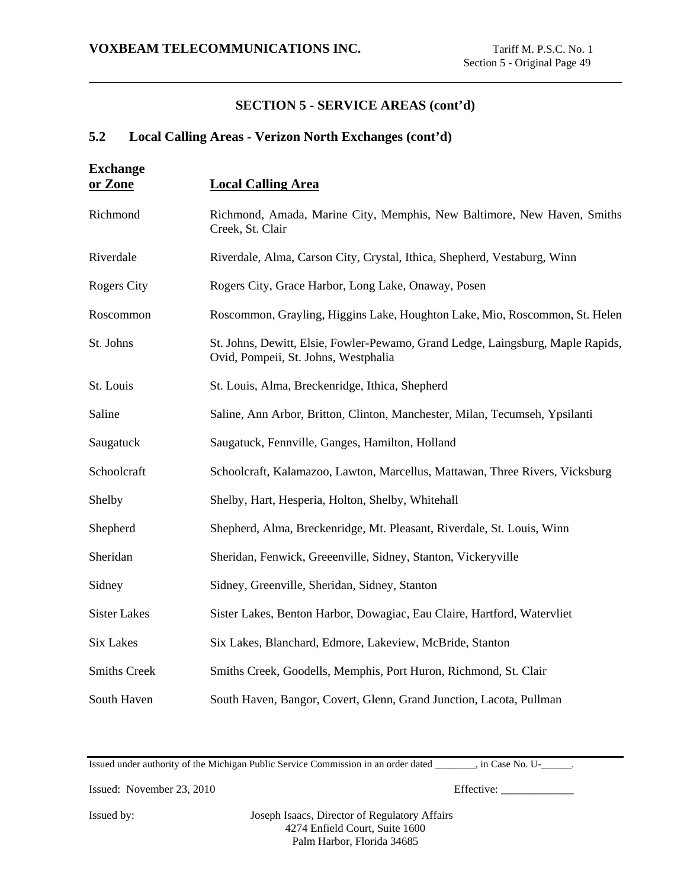## **5.2 Local Calling Areas - Verizon North Exchanges (cont'd)**

| <b>Exchange</b><br>or Zone | <b>Local Calling Area</b>                                                                                               |
|----------------------------|-------------------------------------------------------------------------------------------------------------------------|
| Richmond                   | Richmond, Amada, Marine City, Memphis, New Baltimore, New Haven, Smiths<br>Creek, St. Clair                             |
| Riverdale                  | Riverdale, Alma, Carson City, Crystal, Ithica, Shepherd, Vestaburg, Winn                                                |
| <b>Rogers City</b>         | Rogers City, Grace Harbor, Long Lake, Onaway, Posen                                                                     |
| Roscommon                  | Roscommon, Grayling, Higgins Lake, Houghton Lake, Mio, Roscommon, St. Helen                                             |
| St. Johns                  | St. Johns, Dewitt, Elsie, Fowler-Pewamo, Grand Ledge, Laingsburg, Maple Rapids,<br>Ovid, Pompeii, St. Johns, Westphalia |
| St. Louis                  | St. Louis, Alma, Breckenridge, Ithica, Shepherd                                                                         |
| Saline                     | Saline, Ann Arbor, Britton, Clinton, Manchester, Milan, Tecumseh, Ypsilanti                                             |
| Saugatuck                  | Saugatuck, Fennville, Ganges, Hamilton, Holland                                                                         |
| Schoolcraft                | Schoolcraft, Kalamazoo, Lawton, Marcellus, Mattawan, Three Rivers, Vicksburg                                            |
| Shelby                     | Shelby, Hart, Hesperia, Holton, Shelby, Whitehall                                                                       |
| Shepherd                   | Shepherd, Alma, Breckenridge, Mt. Pleasant, Riverdale, St. Louis, Winn                                                  |
| Sheridan                   | Sheridan, Fenwick, Greeenville, Sidney, Stanton, Vickeryville                                                           |
| Sidney                     | Sidney, Greenville, Sheridan, Sidney, Stanton                                                                           |
| <b>Sister Lakes</b>        | Sister Lakes, Benton Harbor, Dowagiac, Eau Claire, Hartford, Watervliet                                                 |
| <b>Six Lakes</b>           | Six Lakes, Blanchard, Edmore, Lakeview, McBride, Stanton                                                                |
| <b>Smiths Creek</b>        | Smiths Creek, Goodells, Memphis, Port Huron, Richmond, St. Clair                                                        |
| South Haven                | South Haven, Bangor, Covert, Glenn, Grand Junction, Lacota, Pullman                                                     |

Issued under authority of the Michigan Public Service Commission in an order dated \_\_\_\_\_\_\_\_, in Case No. U-\_\_\_\_\_\_.

Issued: November 23, 2010 Effective: \_\_\_\_\_\_\_\_\_\_\_\_\_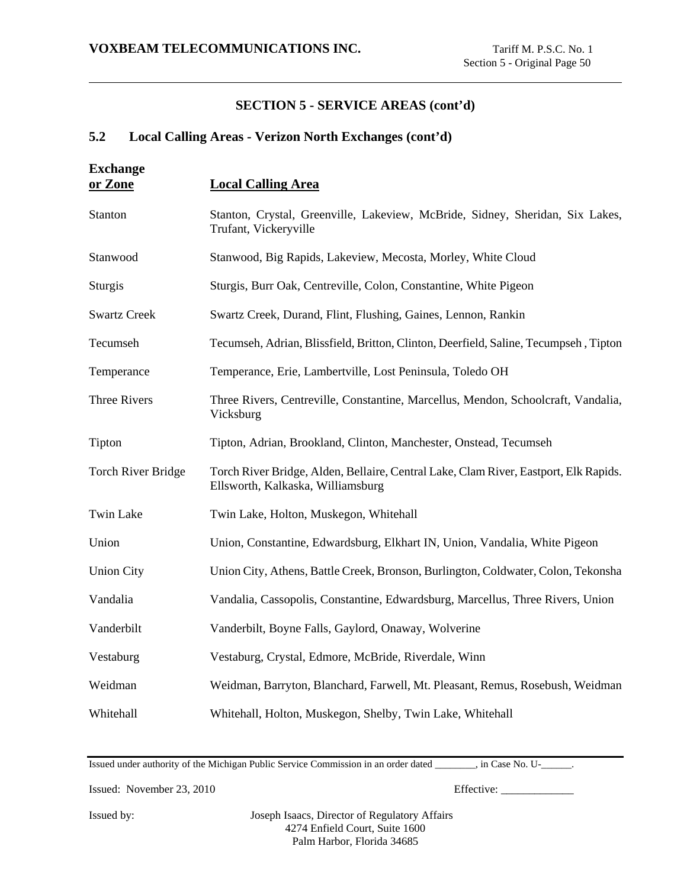## **5.2 Local Calling Areas - Verizon North Exchanges (cont'd)**

| <b>Exchange</b><br>or Zone | <b>Local Calling Area</b>                                                                                                 |
|----------------------------|---------------------------------------------------------------------------------------------------------------------------|
| Stanton                    | Stanton, Crystal, Greenville, Lakeview, McBride, Sidney, Sheridan, Six Lakes,<br>Trufant, Vickeryville                    |
| Stanwood                   | Stanwood, Big Rapids, Lakeview, Mecosta, Morley, White Cloud                                                              |
| <b>Sturgis</b>             | Sturgis, Burr Oak, Centreville, Colon, Constantine, White Pigeon                                                          |
| <b>Swartz Creek</b>        | Swartz Creek, Durand, Flint, Flushing, Gaines, Lennon, Rankin                                                             |
| Tecumseh                   | Tecumseh, Adrian, Blissfield, Britton, Clinton, Deerfield, Saline, Tecumpseh, Tipton                                      |
| Temperance                 | Temperance, Erie, Lambertville, Lost Peninsula, Toledo OH                                                                 |
| <b>Three Rivers</b>        | Three Rivers, Centreville, Constantine, Marcellus, Mendon, Schoolcraft, Vandalia,<br>Vicksburg                            |
| Tipton                     | Tipton, Adrian, Brookland, Clinton, Manchester, Onstead, Tecumseh                                                         |
| <b>Torch River Bridge</b>  | Torch River Bridge, Alden, Bellaire, Central Lake, Clam River, Eastport, Elk Rapids.<br>Ellsworth, Kalkaska, Williamsburg |
| <b>Twin Lake</b>           | Twin Lake, Holton, Muskegon, Whitehall                                                                                    |
| Union                      | Union, Constantine, Edwardsburg, Elkhart IN, Union, Vandalia, White Pigeon                                                |
| <b>Union City</b>          | Union City, Athens, Battle Creek, Bronson, Burlington, Coldwater, Colon, Tekonsha                                         |
| Vandalia                   | Vandalia, Cassopolis, Constantine, Edwardsburg, Marcellus, Three Rivers, Union                                            |
| Vanderbilt                 | Vanderbilt, Boyne Falls, Gaylord, Onaway, Wolverine                                                                       |
| Vestaburg                  | Vestaburg, Crystal, Edmore, McBride, Riverdale, Winn                                                                      |
| Weidman                    | Weidman, Barryton, Blanchard, Farwell, Mt. Pleasant, Remus, Rosebush, Weidman                                             |
| Whitehall                  | Whitehall, Holton, Muskegon, Shelby, Twin Lake, Whitehall                                                                 |

Issued under authority of the Michigan Public Service Commission in an order dated \_\_\_\_\_\_\_\_, in Case No. U-\_\_\_\_\_\_.

Issued: November 23, 2010 Effective: \_\_\_\_\_\_\_\_\_\_\_\_\_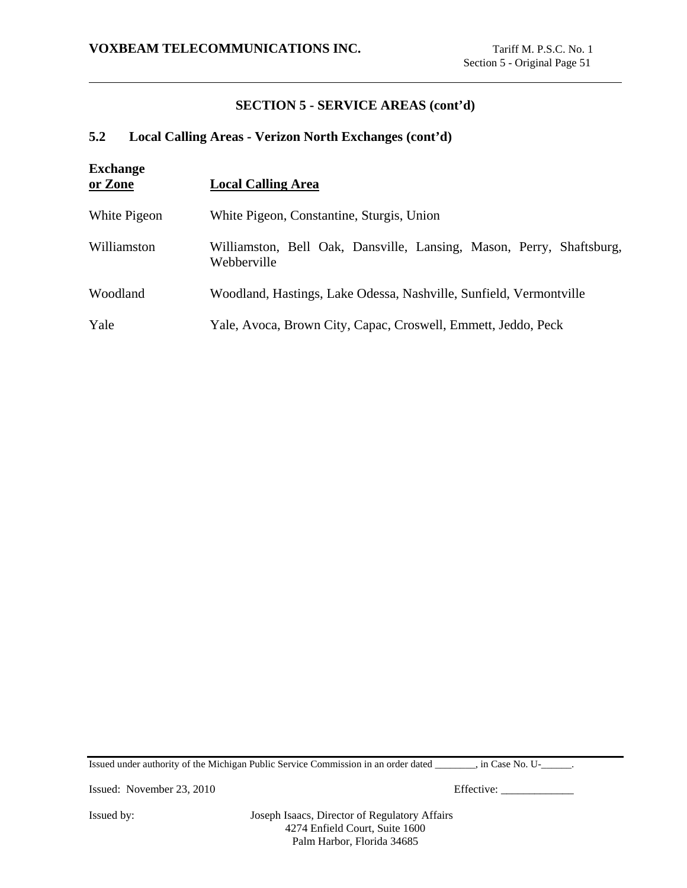## **5.2 Local Calling Areas - Verizon North Exchanges (cont'd)**

| <b>Exchange</b><br>or Zone | <b>Local Calling Area</b>                                                           |  |
|----------------------------|-------------------------------------------------------------------------------------|--|
| White Pigeon               | White Pigeon, Constantine, Sturgis, Union                                           |  |
| Williamston                | Williamston, Bell Oak, Dansville, Lansing, Mason, Perry, Shaftsburg,<br>Webberville |  |
| Woodland                   | Woodland, Hastings, Lake Odessa, Nashville, Sunfield, Vermontville                  |  |
| Yale                       | Yale, Avoca, Brown City, Capac, Croswell, Emmett, Jeddo, Peck                       |  |

Issued under authority of the Michigan Public Service Commission in an order dated \_\_\_\_\_\_\_\_, in Case No. U-\_\_\_\_\_\_.

Issued: November 23, 2010 Effective: \_\_\_\_\_\_\_\_\_\_\_\_\_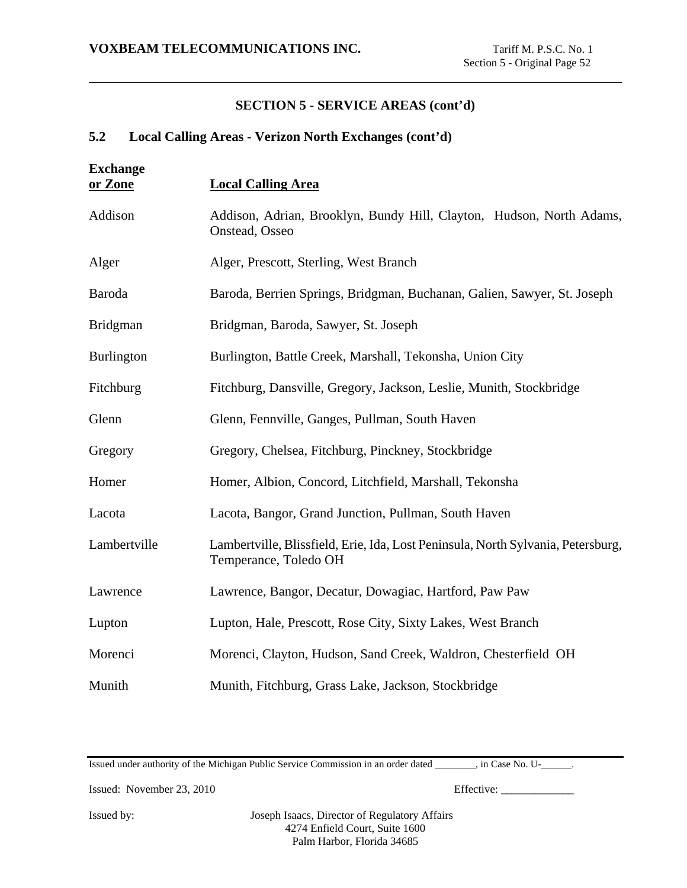# **5.2 Local Calling Areas - Verizon North Exchanges (cont'd)**

| <b>Exchange</b><br>or Zone | <b>Local Calling Area</b>                                                                                 |
|----------------------------|-----------------------------------------------------------------------------------------------------------|
| Addison                    | Addison, Adrian, Brooklyn, Bundy Hill, Clayton, Hudson, North Adams,<br>Onstead, Osseo                    |
| Alger                      | Alger, Prescott, Sterling, West Branch                                                                    |
| Baroda                     | Baroda, Berrien Springs, Bridgman, Buchanan, Galien, Sawyer, St. Joseph                                   |
| <b>Bridgman</b>            | Bridgman, Baroda, Sawyer, St. Joseph                                                                      |
| <b>Burlington</b>          | Burlington, Battle Creek, Marshall, Tekonsha, Union City                                                  |
| Fitchburg                  | Fitchburg, Dansville, Gregory, Jackson, Leslie, Munith, Stockbridge                                       |
| Glenn                      | Glenn, Fennville, Ganges, Pullman, South Haven                                                            |
| Gregory                    | Gregory, Chelsea, Fitchburg, Pinckney, Stockbridge                                                        |
| Homer                      | Homer, Albion, Concord, Litchfield, Marshall, Tekonsha                                                    |
| Lacota                     | Lacota, Bangor, Grand Junction, Pullman, South Haven                                                      |
| Lambertville               | Lambertville, Blissfield, Erie, Ida, Lost Peninsula, North Sylvania, Petersburg,<br>Temperance, Toledo OH |
| Lawrence                   | Lawrence, Bangor, Decatur, Dowagiac, Hartford, Paw Paw                                                    |
| Lupton                     | Lupton, Hale, Prescott, Rose City, Sixty Lakes, West Branch                                               |
| Morenci                    | Morenci, Clayton, Hudson, Sand Creek, Waldron, Chesterfield OH                                            |
| Munith                     | Munith, Fitchburg, Grass Lake, Jackson, Stockbridge                                                       |

Issued under authority of the Michigan Public Service Commission in an order dated \_\_\_\_\_\_\_\_, in Case No. U-\_\_\_\_\_\_.

Issued: November 23, 2010 Effective: \_\_\_\_\_\_\_\_\_\_\_\_\_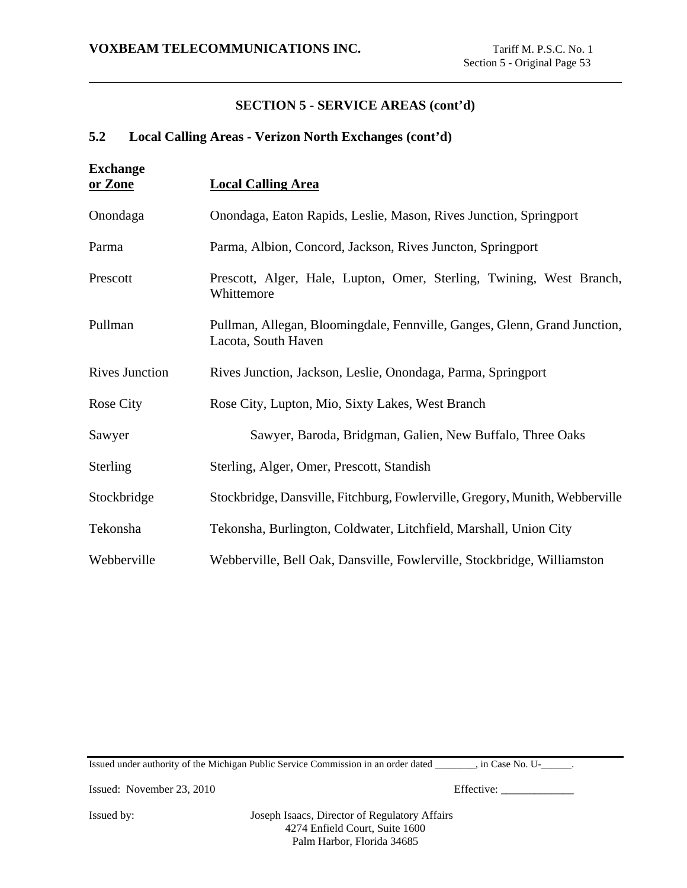## **5.2 Local Calling Areas - Verizon North Exchanges (cont'd)**

| <b>Exchange</b><br>or Zone | <b>Local Calling Area</b>                                                                        |
|----------------------------|--------------------------------------------------------------------------------------------------|
| Onondaga                   | Onondaga, Eaton Rapids, Leslie, Mason, Rives Junction, Springport                                |
| Parma                      | Parma, Albion, Concord, Jackson, Rives Juncton, Springport                                       |
| Prescott                   | Prescott, Alger, Hale, Lupton, Omer, Sterling, Twining, West Branch,<br>Whittemore               |
| Pullman                    | Pullman, Allegan, Bloomingdale, Fennville, Ganges, Glenn, Grand Junction,<br>Lacota, South Haven |
| <b>Rives Junction</b>      | Rives Junction, Jackson, Leslie, Onondaga, Parma, Springport                                     |
| <b>Rose City</b>           | Rose City, Lupton, Mio, Sixty Lakes, West Branch                                                 |
| Sawyer                     | Sawyer, Baroda, Bridgman, Galien, New Buffalo, Three Oaks                                        |
| Sterling                   | Sterling, Alger, Omer, Prescott, Standish                                                        |
| Stockbridge                | Stockbridge, Dansville, Fitchburg, Fowlerville, Gregory, Munith, Webberville                     |
| Tekonsha                   | Tekonsha, Burlington, Coldwater, Litchfield, Marshall, Union City                                |
| Webberville                | Webberville, Bell Oak, Dansville, Fowlerville, Stockbridge, Williamston                          |

Issued under authority of the Michigan Public Service Commission in an order dated \_\_\_\_\_\_\_\_, in Case No. U-\_\_\_\_\_\_.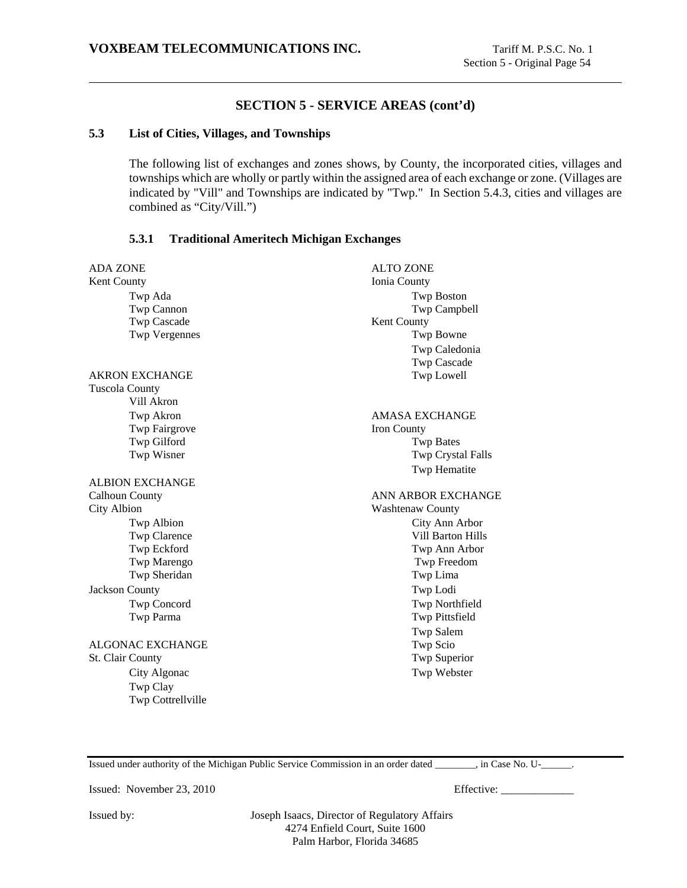### **5.3 List of Cities, Villages, and Townships**

The following list of exchanges and zones shows, by County, the incorporated cities, villages and townships which are wholly or partly within the assigned area of each exchange or zone. (Villages are indicated by "Vill" and Townships are indicated by "Twp." In Section 5.4.3, cities and villages are combined as "City/Vill.")

### **5.3.1 Traditional Ameritech Michigan Exchanges**

| <b>ADA ZONE</b>         | <b>ALTO ZONE</b>         |
|-------------------------|--------------------------|
| Kent County             | Ionia County             |
| Twp Ada                 | <b>Twp Boston</b>        |
| Twp Cannon              | Twp Campbell             |
| Twp Cascade             | Kent County              |
| <b>Twp Vergennes</b>    | Twp Bowne                |
|                         | Twp Caledonia            |
|                         | <b>Twp Cascade</b>       |
| <b>AKRON EXCHANGE</b>   | Twp Lowell               |
| <b>Tuscola County</b>   |                          |
| Vill Akron              |                          |
| Twp Akron               | <b>AMASA EXCHANGE</b>    |
| Twp Fairgrove           | Iron County              |
| Twp Gilford             | <b>Twp Bates</b>         |
| Twp Wisner              | Twp Crystal Falls        |
|                         | Twp Hematite             |
| <b>ALBION EXCHANGE</b>  |                          |
| <b>Calhoun County</b>   | ANN ARBOR EXCHANGE       |
| <b>City Albion</b>      | <b>Washtenaw County</b>  |
| Twp Albion              | City Ann Arbor           |
| Twp Clarence            | <b>Vill Barton Hills</b> |
| Twp Eckford             | Twp Ann Arbor            |
| Twp Marengo             | Twp Freedom              |
| Twp Sheridan            | Twp Lima                 |
| <b>Jackson County</b>   | Twp Lodi                 |
| Twp Concord             | Twp Northfield           |
| Twp Parma               | Twp Pittsfield           |
|                         | <b>Twp Salem</b>         |
| <b>ALGONAC EXCHANGE</b> | Twp Scio                 |
| St. Clair County        | Twp Superior             |
| City Algonac            | Twp Webster              |
|                         |                          |
| Twp Clay                |                          |
| Twp Cottrellville       |                          |
|                         |                          |

Issued under authority of the Michigan Public Service Commission in an order dated \_\_\_\_\_\_\_\_, in Case No. U-\_\_\_\_\_\_.

Issued: November 23, 2010 Effective: \_\_\_\_\_\_\_\_\_\_\_\_\_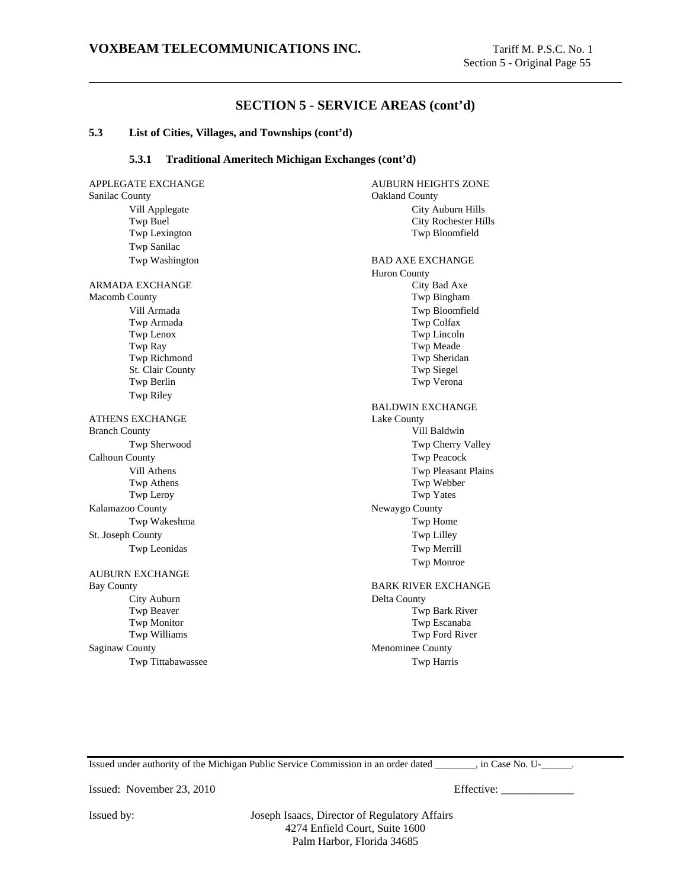#### **5.3 List of Cities, Villages, and Townships (cont'd)**

#### **5.3.1 Traditional Ameritech Michigan Exchanges (cont'd)**

APPLEGATE EXCHANGE AUBURN HEIGHTS ZONE Sanilac County **Oakland County** Oakland County Vill Applegate City Auburn Hills Twp Buel City Rochester Hills Twp Lexington Twp Bloomfield Twp Sanilac Twp Washington BAD AXE EXCHANGE ARMADA EXCHANGE **City Bad Axe** Macomb County Twp Bingham Vill Armada Twp Bloomfield Twp Armada Twp Colfax Twp Lenox Twp Lincoln Twp Ray Twp Meade Twp Richmond Twp Sheridan St. Clair County Twp Siegel Twp Berlin Twp Verona Twp Riley ATHENS EXCHANGE Lake County Branch County **Vill Baldwin** Twp Sherwood Twp Cherry Valley Calhoun County Twp Peacock Vill Athens Twp Pleasant Plains Twp Athens Twp Webber Twp Leroy Twp Yates Kalamazoo County Newaygo County Twp Wakeshma Twp Home St. Joseph County Twp Lilley Twp Leonidas Twp Merrill AUBURN EXCHANGE Bay County **BARK RIVER EXCHANGE** City Auburn Delta County Twp Beaver Twp Bark River Twp Monitor Twp Monitor Twp Monitor Twp Williams Twp Williams Twp Williams Twp Twp Rocal Riversity of Twp Rocal Riversity of Twp Rocal Riversity of Twp Rocal Riversity of Twp Rocal Riversity of Twp Rocal Riversity of Twp R Saginaw County **Menominee County** Twp Tittabawassee Twp Harris

Huron County BALDWIN EXCHANGE Twp Monroe Twp Ford River

Issued under authority of the Michigan Public Service Commission in an order dated \_\_\_\_\_\_\_\_, in Case No. U-\_\_\_\_\_\_.

Issued: November 23, 2010 Effective: \_\_\_\_\_\_\_\_\_\_\_\_\_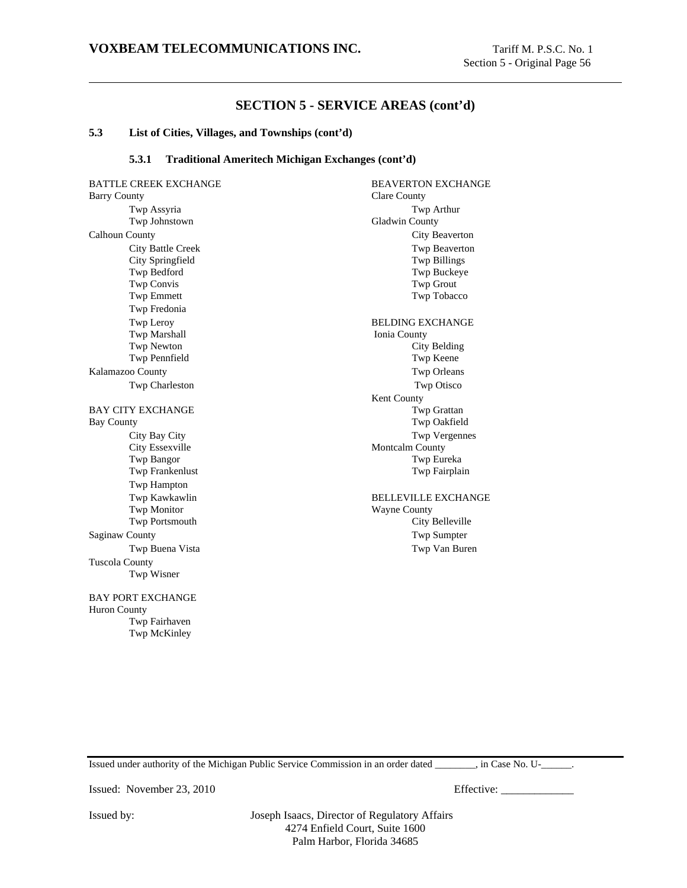#### **5.3 List of Cities, Villages, and Townships (cont'd)**

#### **5.3.1 Traditional Ameritech Michigan Exchanges (cont'd)**

BATTLE CREEK EXCHANGE BEAVERTON EXCHANGE Barry County Clare County Twp Assyria Twp Arthur Twp Johnstown Gladwin County Calhoun County City Beaverton City Battle Creek Twp Beaverton City Springfield Twp Billings Twp Bedford Twp Buckeye Twp Convis Twp Grout Twp Emmett Twp Tobacco Twp Fredonia Twp Leroy BELDING EXCHANGE Twp Marshall **Ionia County** Twp Newton City Belding Twp Pennfield Twp Keene Kalamazoo County Twp Orleans Twp Charleston Twp Otisco BAY CITY EXCHANGE TWO Grattan Bay County Twp Oakfield City Bay City Twp Vergennes City Essexville Montcalm County Twp Bangor Twp Eureka Twp Frankenlust Twp Fairplain Twp Hampton Twp Monitor Wayne County Twp Portsmouth City Belleville Saginaw County Twp Sumpter Twp Buena Vista Twp Van Buren Tuscola County Twp Wisner BAY PORT EXCHANGE Huron County Twp Fairhaven

Kent County Twp Kawkawlin BELLEVILLE EXCHANGE

Issued under authority of the Michigan Public Service Commission in an order dated \_\_\_\_\_\_\_\_, in Case No. U-\_\_\_\_\_\_.

Issued: November 23, 2010 Effective: \_\_\_\_\_\_\_\_\_\_\_\_\_

Twp McKinley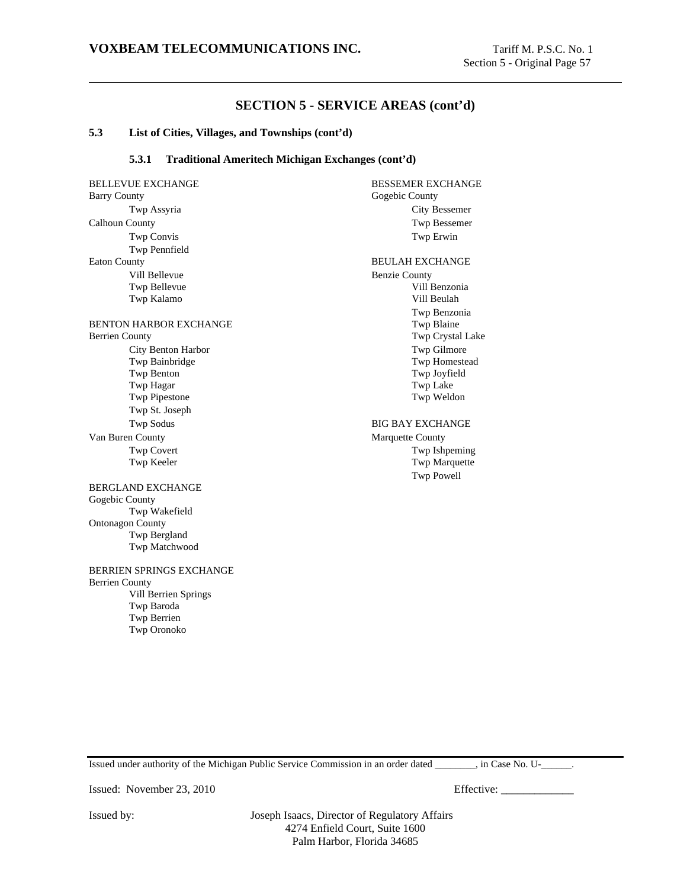#### **5.3 List of Cities, Villages, and Townships (cont'd)**

#### **5.3.1 Traditional Ameritech Michigan Exchanges (cont'd)**

BELLEVUE EXCHANGE BESSEMER EXCHANGE Barry County Gogebic County Twp Assyria City Bessemer Calhoun County Twp Bessemer Twp Convis Twp Erwin Twp Pennfield Eaton County **BEULAH EXCHANGE** Vill Bellevue Benzie County Twp Bellevue Vill Benzonia Twp Kalamo Vill Beulah BENTON HARBOR EXCHANGE TWP Blaine Berrien County Twp Crystal Lake City Benton Harbor Twp Gilmore Twp Bainbridge Twp Homestead Twp Benton Twp Joyfield Twp Hagar Twp Lake Twp Pipestone Twp Weldon Twp St. Joseph Twp Sodus BIG BAY EXCHANGE Van Buren County **Marquette County** Marquette County Twp Covert Twp Ishpeming<br>
Twp Keeler Twp Marquette BERGLAND EXCHANGE Gogebic County Twp Wakefield Ontonagon County Twp Bergland Twp Matchwood BERRIEN SPRINGS EXCHANGE Berrien County Vill Berrien Springs Twp Baroda Twp Berrien Twp Oronoko

Twp Benzonia Twp Marquette Twp Powell

Issued under authority of the Michigan Public Service Commission in an order dated \_\_\_\_\_\_\_\_, in Case No. U-\_\_\_\_\_\_.

Issued: November 23, 2010 Effective: \_\_\_\_\_\_\_\_\_\_\_\_\_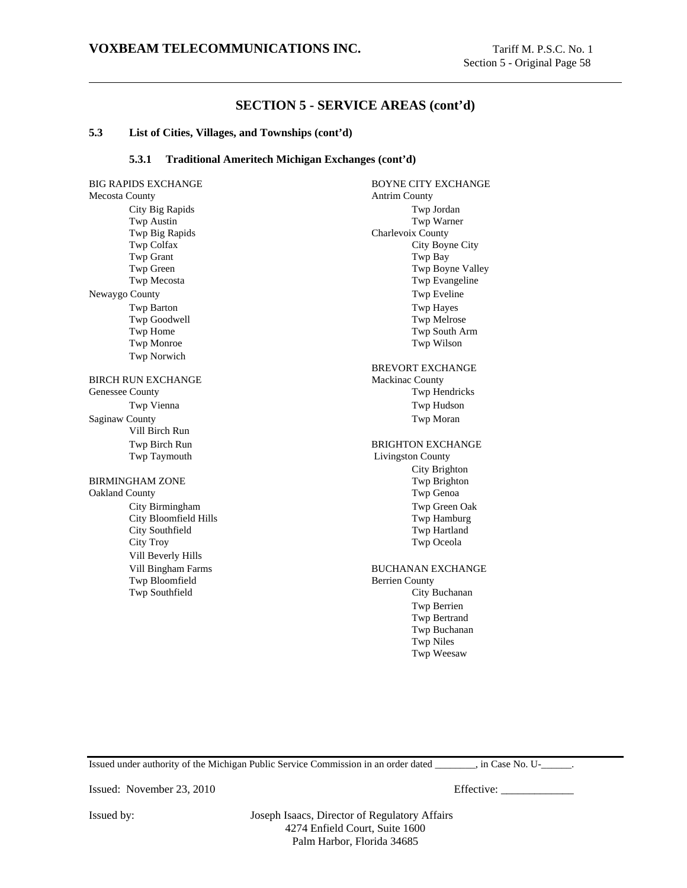#### **5.3 List of Cities, Villages, and Townships (cont'd)**

#### **5.3.1 Traditional Ameritech Michigan Exchanges (cont'd)**

Mecosta County **Antrim County** City Big Rapids Twp Jordan Twp Austin Twp Warner Twp Big Rapids Charlevoix County Twp Colfax City Boyne City Twp Grant Twp Bay Twp Green Twp Green Twp Green Twp Boyne Valley Twp Mecosta Twp Evangeline Newaygo County Twp Eveline Twp Barton Twp Hayes Twp Goodwell **Two Goodwell** Twp Home Twp South Arm Twp Monroe Twp Wilson Twp Norwich BIRCH RUN EXCHANGE Mackinac County Genessee County Twp Hendricks Twp Vienna Twp Hudson Saginaw County Twp Moran Vill Birch Run Twp Birch Run BRIGHTON EXCHANGE Twp Taymouth Livingston County BIRMINGHAM ZONE Oakland County Twp Genoa City Birmingham Twp Green Oak City Bloomfield Hills Twp Hamburg City Southfield Twp Hartland City Troy Twp Oceola Vill Beverly Hills Vill Bingham Farms BUCHANAN EXCHANGE Twp Bloomfield Berrien County Twp Southfield City Buchanan

BIG RAPIDS EXCHANGE BOYNE CITY EXCHANGE BREVORT EXCHANGE City Brighton Twp Berrien Twp Bertrand Twp Buchanan Twp Niles Twp Weesaw

Issued under authority of the Michigan Public Service Commission in an order dated \_\_\_\_\_\_\_\_, in Case No. U-\_\_\_\_\_\_.

Issued: November 23, 2010 Effective: \_\_\_\_\_\_\_\_\_\_\_\_\_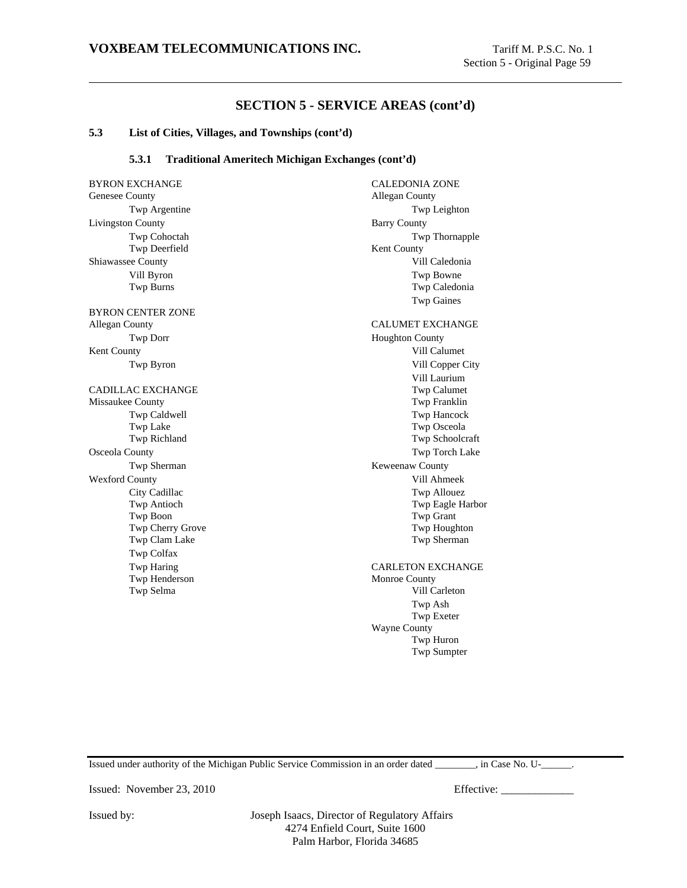#### **5.3 List of Cities, Villages, and Townships (cont'd)**

#### **5.3.1 Traditional Ameritech Michigan Exchanges (cont'd)**

Genesee County **Allegan** County Livingston County Barry County Twp Deerfield Kent County Shiawassee County **Shiawassee County Vill Caledonia** BYRON CENTER ZONE Allegan County **CALUMET EXCHANGE** Twp Dorr Houghton County Kent County **Vill Calumet** Vill Calumet **Vill Calumet** CADILLAC EXCHANGE Twp Calumet Missaukee County Twp Franklin Osceola County Twp Torch Lake Twp Sherman Keweenaw County Wexford County **Wexford County** Vill Ahmeek Twp Boon Twp Grant Twp Colfax Twp Henderson Monroe County

BYRON EXCHANGE CALEDONIA ZONE Twp Argentine Twp Leighton Twp Cohoctah Twp Thornapple Vill Byron Twp Bowne Twp Burns Twp Caledonia Twp Gaines Twp Byron Vill Copper City Vill Laurium Twp Caldwell<br>
Twp Lake<br>
Twp Lake<br>
Twp Osceola Twp Lake Twp Osceola<br>
Twp Richland Twp Schoolcr Twp Schoolcraft City Cadillac Twp Allouez Twp Antioch Twp Eagle Harbor Twp Cherry Grove Twp Houghton Twp Clam Lake Twp Sherman Twp Haring CARLETON EXCHANGE Twp Selma Vill Carleton Twp Ash Twp Exeter Wayne County Twp Huron Twp Sumpter

Issued under authority of the Michigan Public Service Commission in an order dated \_\_\_\_\_\_\_\_, in Case No. U-\_\_\_\_\_\_.

Issued: November 23, 2010 Effective: \_\_\_\_\_\_\_\_\_\_\_\_\_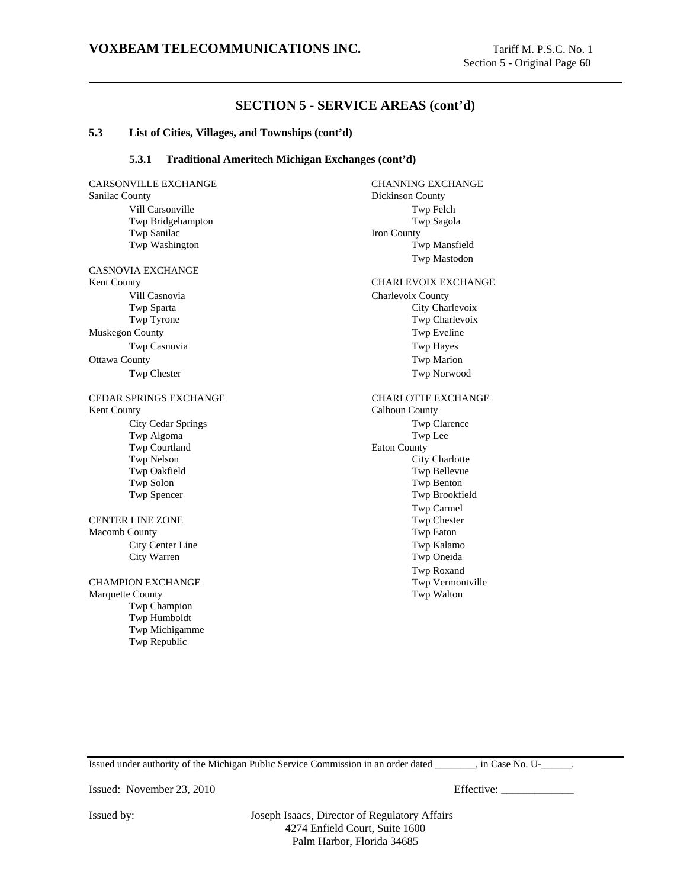#### **5.3 List of Cities, Villages, and Townships (cont'd)**

#### **5.3.1 Traditional Ameritech Michigan Exchanges (cont'd)**

Sanilac County Dickinson County Twp Sanilac Iron County CASNOVIA EXCHANGE

Muskegon County Twp Eveline Ottawa County **The County County County County County** Twp Marion

Kent County **Calhoun County** Calhoun County Twp Algoma Twp Lee Twp Courtland Eaton County CENTER LINE ZONE Twp Chester Macomb County **Twp Eaton** 

Marquette County **Two Walton** Twp Champion Twp Humboldt Twp Michigamme Twp Republic

CARSONVILLE EXCHANGE CHANNING EXCHANGE Vill Carsonville Twp Felch Twp Bridgehampton Twp Sagola Twp Washington Twp Mansfield Twp Mastodon Kent County CHARLEVOIX EXCHANGE Vill Casnovia Charlevoix County Twp Sparta City Charlevoix Twp Tyrone Twp Charlevoix Twp Casnovia Twp Hayes Twp Chester Twp Norwood CEDAR SPRINGS EXCHANGE CHARLOTTE EXCHANGE City Cedar Springs Twp Clarence Two Nelson City Charlotte Twp Oakfield Twp Bellevue Twp Solon Twp Benton Twp Spencer Twp Brookfield Twp Carmel City Center Line Twp Kalamo City Warren Twp Oneida Twp Roxand CHAMPION EXCHANGE Twp Vermontville

Issued under authority of the Michigan Public Service Commission in an order dated  $\qquad \qquad$ , in Case No. U- $\qquad \qquad$ .

Issued: November 23, 2010 Effective: \_\_\_\_\_\_\_\_\_\_\_\_\_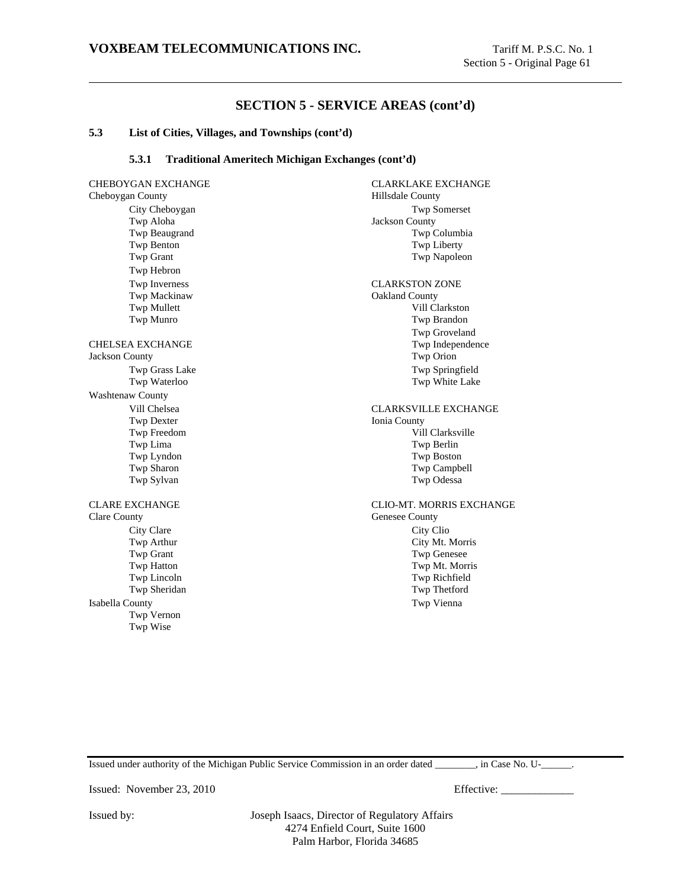#### **5.3 List of Cities, Villages, and Townships (cont'd)**

#### **5.3.1 Traditional Ameritech Michigan Exchanges (cont'd)**

CHEBOYGAN EXCHANGE CLARKLAKE EXCHANGE Cheboygan County Hillsdale County City Cheboygan Twp Somerset Twp Aloha Jackson County Twp Beaugrand Twp Columbia Twp Benton Twp Liberty Twp Grant Twp Grant Twp Napoleon Twp Hebron Twp Inverness CLARKSTON ZONE Twp Mackinaw **Oakland County** Twp Mullett Vill Clarkston Twp Munro Twp Brandon CHELSEA EXCHANGE Jackson County Twp Orion Twp Grass Lake Twp Springfield Twp Waterloo Twp White Lake Washtenaw County Vill Chelsea CLARKSVILLE EXCHANGE Twp Dexter Ionia County Twp Freedom Vill Clarksville Twp Lima Twp Berlin Twp Lyndon Twp Boston Twp Sharon Twp Campbell Twp Sylvan Twp Odessa CLARE EXCHANGE CLIO-MT. MORRIS EXCHANGE Clare County Genesee County City Clare City Cliq Twp Arthur City Mt. Morris Twp Grant Twp Hatton Twp Mt. Morris Twp Lincoln Twp Richfield Twp Sheridan Twp Thetford Isabella County Twp Vienna Twp Vernon Twp Wise

Twp Groveland Twp Genesee

Issued under authority of the Michigan Public Service Commission in an order dated \_\_\_\_\_\_\_\_, in Case No. U-\_\_\_\_\_\_.

Issued: November 23, 2010 Effective: \_\_\_\_\_\_\_\_\_\_\_\_\_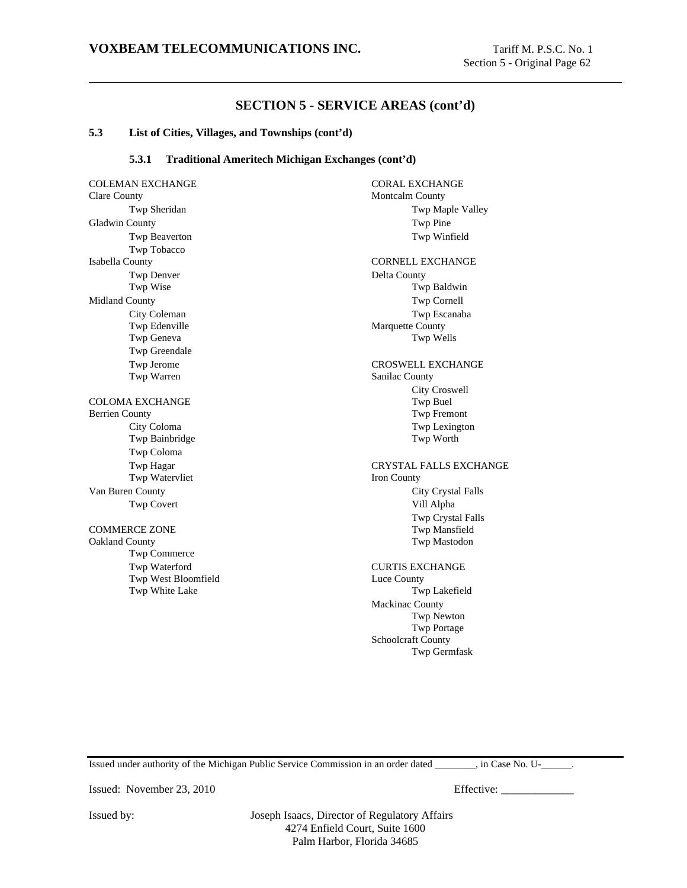#### **5.3 List of Cities, Villages, and Townships (cont'd)**

#### **5.3.1 Traditional Ameritech Michigan Exchanges (cont'd)**

COLEMAN EXCHANGE CORAL EXCHANGE Clare County Montcalm County Twp Sheridan Twp Maple Valley Gladwin County Twp Pine Twp Beaverton Twp Winfield Twp Tobacco Isabella County **CORNELL EXCHANGE** Twp Denver Delta County Twp Wise Twp Baldwin Midland County Twp Cornell City Coleman Twp Escanaba Twp Edenville Marquette County Twp Geneva Twp Wells Twp Greendale Twp Jerome CROSWELL EXCHANGE Twp Warren Sanilac County COLOMA EXCHANGE TWO Buel Twp Buel Berrien County Twp Fremont City Coloma Twp Lexington<br>
Twp Bainbridge Twp Morth Twp Worth Twp Bainbridge Twp Coloma Twp Watervliet Iron County Van Buren County City Crystal Falls Twp Covert Vill Alpha COMMERCE ZONE Two Mansfield Oakland County Twp Mastodon Twp Commerce Twp Waterford CURTIS EXCHANGE Twp West Bloomfield Luce County Twp White Lake Twp Lakefield

City Croswell Twp Hagar CRYSTAL FALLS EXCHANGE Twp Crystal Falls Mackinac County Twp Newton Twp Portage Schoolcraft County Twp Germfask

Issued under authority of the Michigan Public Service Commission in an order dated \_\_\_\_\_\_\_\_, in Case No. U-\_\_\_\_\_\_.

Issued: November 23, 2010 Effective: \_\_\_\_\_\_\_\_\_\_\_\_\_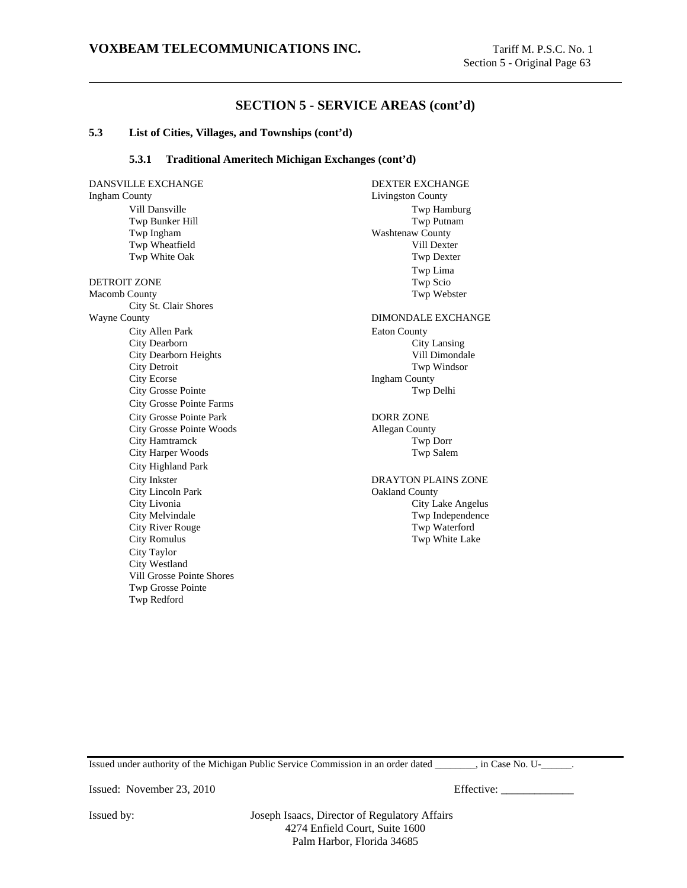#### **5.3 List of Cities, Villages, and Townships (cont'd)**

#### **5.3.1 Traditional Ameritech Michigan Exchanges (cont'd)**

DANSVILLE EXCHANGE DEXTER EXCHANGE Ingham County Livingston County Vill Dansville Twp Hamburg Twp Bunker Hill Twp Putnam Twp Ingham Washtenaw County Twp Wheatfield Vill Dexter Twp White Oak Twp Dexter DETROIT ZONE TWO SCIONERS TWO SCION CONFIDENTIAL CONFIDENTIAL CONFIDENTIAL CONFIDENTIAL CONFIDENTIAL CONFIDENTIAL CONFIDENTIAL CONFIDENTIAL CONFIDENTIAL CONFIDENTIAL CONFIDENTIAL CONFIDENTIAL CONFIDENTIAL CONFIDENTIAL CONF Macomb County **Twp Webster** City St. Clair Shores Wayne County **DIMONDALE EXCHANGE** City Allen Park Eaton County City Dearborn City Lansing City Dearborn Heights Vill Dimondale City Detroit Twp Windsor City Ecorse Ingham County City Grosse Pointe Twp Delhi City Grosse Pointe Farms City Grosse Pointe Park DORR ZONE City Grosse Pointe Woods Allegan County City Hamtramck Twp Dorr City Harper Woods Twp Salem City Highland Park City Lincoln Park Oakland County City River Rouge Twp Waterford City Romulus Twp White Lake City Taylor City Westland Vill Grosse Pointe Shores Twp Grosse Pointe Twp Redford

Twp Lima City Inkster DRAYTON PLAINS ZONE City Livonia City Lake Angelus City Melvindale Twp Independence Twp Independence

Issued under authority of the Michigan Public Service Commission in an order dated \_\_\_\_\_\_\_\_, in Case No. U-\_\_\_\_\_\_.

Issued: November 23, 2010 Effective: \_\_\_\_\_\_\_\_\_\_\_\_\_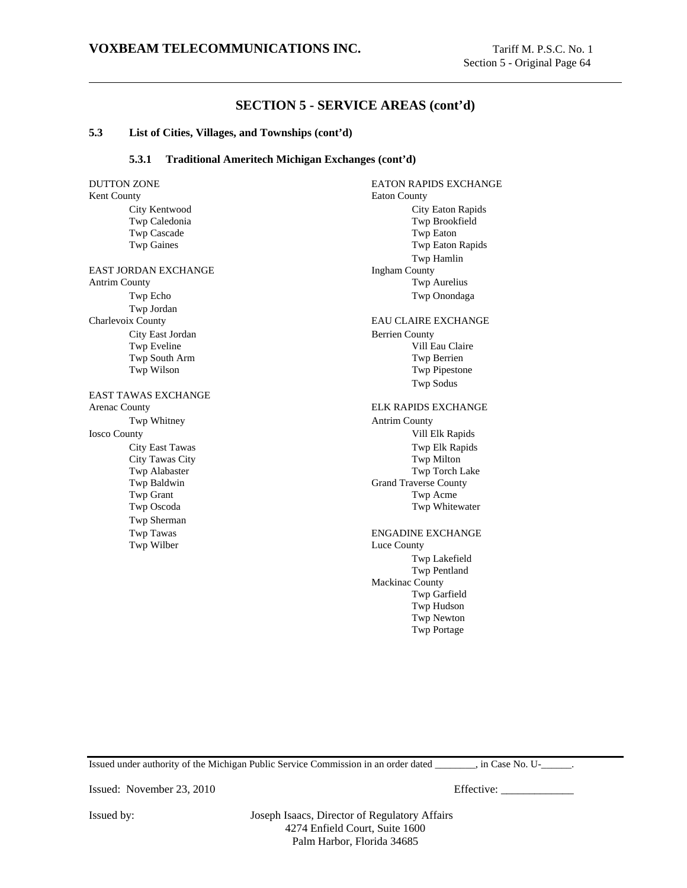#### **5.3 List of Cities, Villages, and Townships (cont'd)**

#### **5.3.1 Traditional Ameritech Michigan Exchanges (cont'd)**

Kent County **Eaton County** City Kentwood City Eaton Rapids Twp Caledonia Twp Brookfield Twp Cascade Twp Eaton Twp Gaines Twp Eaton Rapids EAST JORDAN EXCHANGE Ingham County Antrim County Twp Aurelius Twp Echo Twp Onondaga Twp Jordan Charlevoix County EAU CLAIRE EXCHANGE City East Jordan Berrien County Twp Eveline Vill Eau Claire Twp South Arm Twp Berrien Twp Wilson Twp Pipestone EAST TAWAS EXCHANGE Arenac County ELK RAPIDS EXCHANGE Twp Whitney **Antrim County** Iosco County Vill Elk Rapids City East Tawas Two Elk Rapids City Tawas City Twp Milton Twp Alabaster Twp Torch Lake Twp Baldwin Grand Traverse County Twp Grant Twp Acme Twp Oscoda Twp Whitewater Twp Sherman Twp Tawas ENGADINE EXCHANGE Twp Wilber Luce County

DUTTON ZONE **EATON RAPIDS EXCHANGE** Twp Hamlin Twp Sodus Twp Lakefield Twp Pentland Mackinac County Twp Garfield Twp Hudson Twp Newton Twp Portage

Issued under authority of the Michigan Public Service Commission in an order dated \_\_\_\_\_\_\_\_, in Case No. U-\_\_\_\_\_\_.

Issued: November 23, 2010 Effective: \_\_\_\_\_\_\_\_\_\_\_\_\_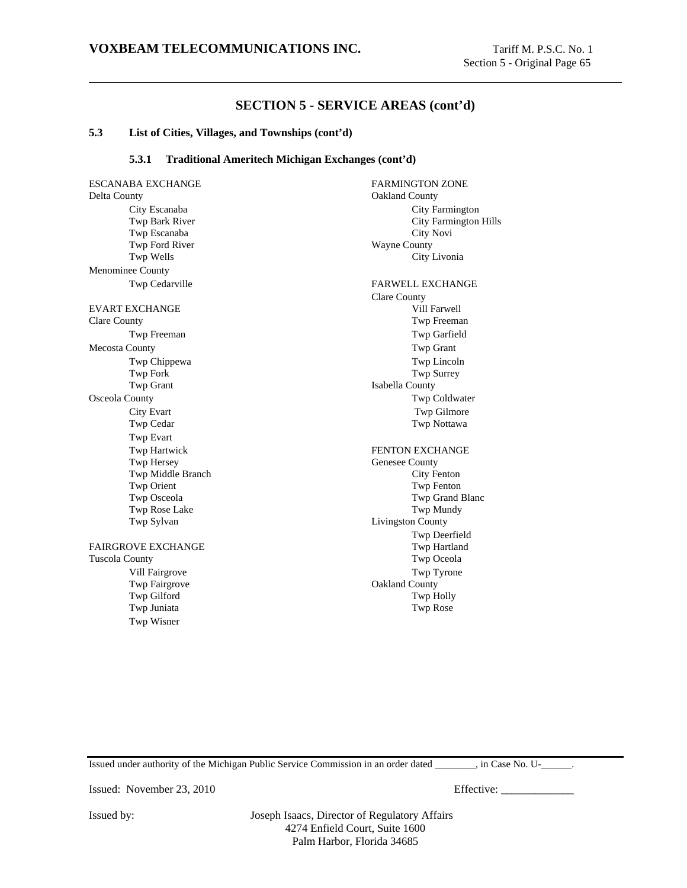#### **5.3 List of Cities, Villages, and Townships (cont'd)**

#### **5.3.1 Traditional Ameritech Michigan Exchanges (cont'd)**

ESCANABA EXCHANGE FARMINGTON ZONE Delta County Oakland County City Escanaba City Farmington Twp Bark River City Farmington Hills Twp Escanaba City Novi Twp Ford River Wayne County Twp Wells City Livonia Menominee County Twp Cedarville FARWELL EXCHANGE EVART EXCHANGE VILL FARMER VILLEY AND THE VILLEY OF THE VILLEY OF THE VILLEY OF THE VILLEY OF THE VILLEY OF THE VILLEY OF THE VILLEY OF THE VILLEY OF THE VILLEY OF THE VILLEY OF THE VILLEY OF THE VILLEY OF THE VILLEY OF TH Clare County Twp Freeman Twp Freeman Twp Garfield Mecosta County Twp Grant Twp Chippewa Twp Lincoln Twp Fork Twp Surrey Twp Grant Isabella County Osceola County Twp Coldwater City Evart Twp Gilmore Twp Cedar Twp Nottawa Twp Evart Twp Hartwick Twp Hersey **FENTON EXCHANGE**<br>
Twp Hersey **FENTON EXCHANGE** Twp Middle Branch City Fenton Twp Orient Twp Fenton Twp Osceola Twp Grand Blanc Twp Rose Lake Twp Mundy Twp Sylvan Livingston County FAIRGROVE EXCHANGE Twp Hartland Tuscola County **The County County Twp Oceola** Vill Fairgrove Twp Tyrone Twp Fairgrove **Oakland County** 

Twp Juniata Twp Rose Twp Wisner

Clare County Genesee County Twp Deerfield Twp Gilford Twp Holly

Issued under authority of the Michigan Public Service Commission in an order dated \_\_\_\_\_\_\_\_, in Case No. U-\_\_\_\_\_\_.

Issued: November 23, 2010 Effective: \_\_\_\_\_\_\_\_\_\_\_\_\_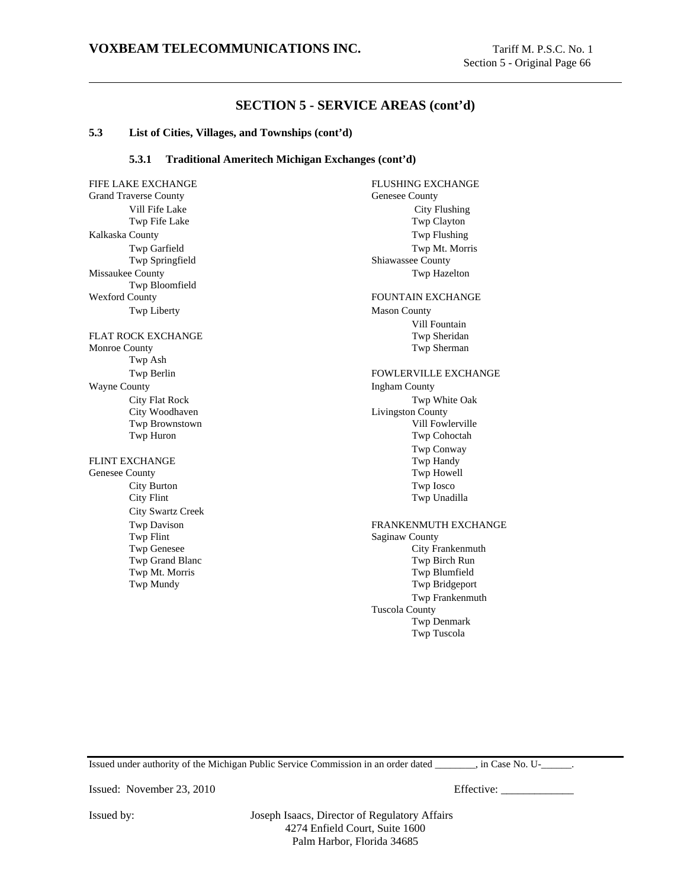#### **5.3 List of Cities, Villages, and Townships (cont'd)**

#### **5.3.1 Traditional Ameritech Michigan Exchanges (cont'd)**

Grand Traverse County Genesee County Vill Fife Lake City Flushing Twp Fife Lake Twp Clayton Kalkaska County **Two Flushing** Twp Springfield Shiawassee County Missaukee County Twp Hazelton Twp Bloomfield Wexford County FOUNTAIN EXCHANGE Twp Liberty Mason County FLAT ROCK EXCHANGE TWP Sheridan Monroe County **Twp Sherman** Twp Ash Wayne County **Ingham County** City Woodhaven Livingston County FLINT EXCHANGE TWO HAND TWO Handy Genesee County Twp Howell City Burton Twp Iosco City Flint Twp Unadilla City Swartz Creek Twp Flint Saginaw County<br>
Twp Genesee City Fr

FIFE LAKE EXCHANGE FIFE LAKE EXCHANGE Twp Garfield Twp Mt. Morris Vill Fountain Twp Berlin FOWLERVILLE EXCHANGE City Flat Rock Twp White Oak Twp Brownstown Vill Fowlerville Twp Huron Twp Cohoctah Twp Conway Twp Davison<br>
Twp Flint<br>
Twp Flint<br>
FRANKENMUTH EXCHANGE<br>
Saginaw County City Frankenmuth Twp Grand Blanc Twp Birch Run Twp Mt. Morris Twp Blumfield Twp Mundy Twp Bridgeport Twp Frankenmuth Tuscola County Twp Denmark Twp Tuscola

Issued under authority of the Michigan Public Service Commission in an order dated \_\_\_\_\_\_\_\_, in Case No. U-\_\_\_\_\_\_.

Issued: November 23, 2010 Effective: \_\_\_\_\_\_\_\_\_\_\_\_\_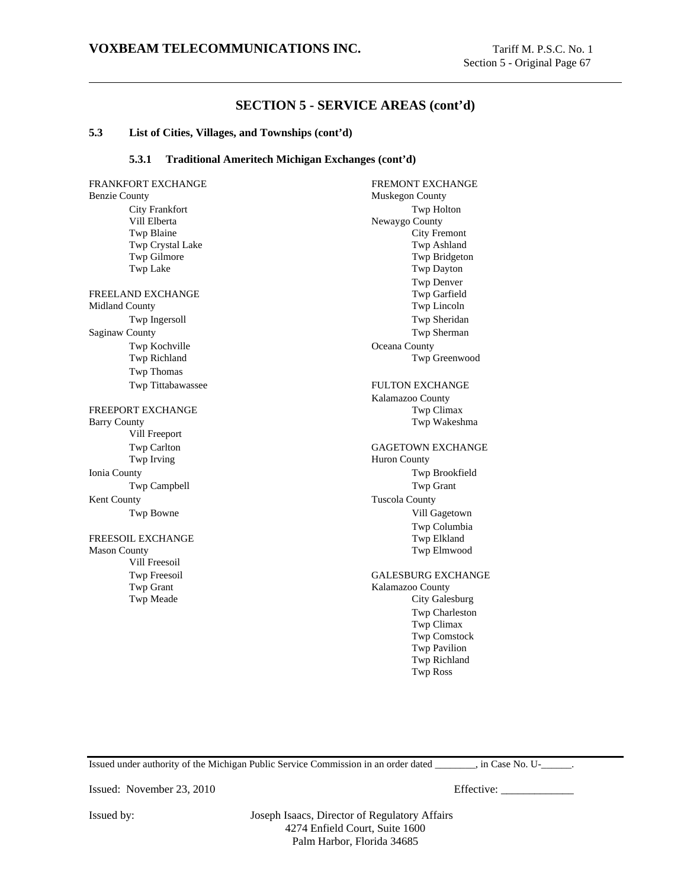#### **5.3 List of Cities, Villages, and Townships (cont'd)**

#### **5.3.1 Traditional Ameritech Michigan Exchanges (cont'd)**

FRANKFORT EXCHANGE FRANKFORT EXCHANGE Benzie County Muskegon County City Frankfort Twp Holton Vill Elberta Newaygo County Twp Blaine City Fremont Twp Crystal Lake Twp Ashland Twp Gilmore Twp Bridgeton Twp Lake Twp Dayton FREELAND EXCHANGE Twp Garfield Midland County Twp Garfield Midland County Midland County Twp Ingersoll Twp Sheridan Saginaw County Twp Sherman Twp Kochville **Oceana County** Twp Richland Twp Greenwood Twp Thomas Twp Tittabawassee FULTON EXCHANGE FREEPORT EXCHANGE TWO Climax Barry County **Twp Wakeshma** Vill Freeport Twp Carlton GAGETOWN EXCHANGE Twp Irving Huron County Ionia County Twp Brookfield Twp Campbell Twp Grant Kent County Tuscola County Twp Bowne Vill Gagetown FREESOIL EXCHANGE Mason County **Two Elmwood** Vill Freesoil Twp Freesoil GALESBURG EXCHANGE<br>
Twp Grant Gales County Kalamazoo County Twp Meade City Galesburg

Twp Denver Kalamazoo County Twp Columbia Kalamazoo County Twp Charleston Twp Climax Twp Comstock Twp Pavilion Twp Richland Twp Ross

Issued under authority of the Michigan Public Service Commission in an order dated  $\qquad \qquad$ , in Case No. U- $\qquad \qquad$ .

Issued: November 23, 2010 Effective: \_\_\_\_\_\_\_\_\_\_\_\_\_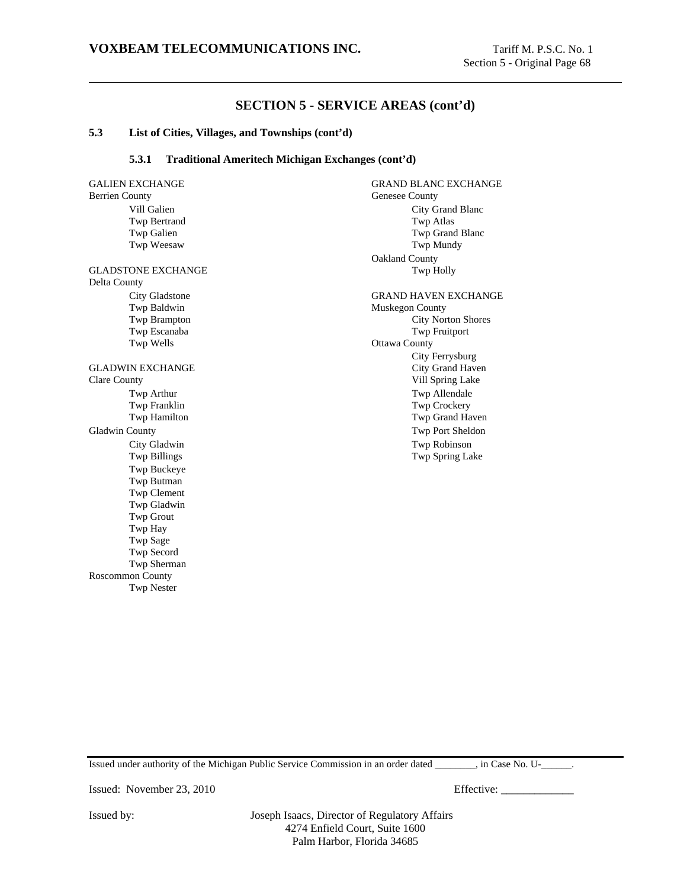#### **5.3 List of Cities, Villages, and Townships (cont'd)**

#### **5.3.1 Traditional Ameritech Michigan Exchanges (cont'd)**

Berrien County Genesee County

Delta County Twp Wells **Ottawa County** 

Clare County Vill Spring Lake Gladwin County **Two Port Sheldon** Twp Port Sheldon Twp Buckeye Twp Butman Twp Clement Twp Gladwin Twp Grout Twp Hay Twp Sage Twp Secord Twp Sherman Roscommon County

Twp Nester

GALIEN EXCHANGE GRAND BLANC EXCHANGE Vill Galien City Grand Blanc Twp Bertrand Twp Atlas Twp Galien Twp Grand Blanc Twp Weesaw Twp Mundy Oakland County GLADSTONE EXCHANGE Twp Holly City Gladstone GRAND HAVEN EXCHANGE Twp Baldwin Muskegon County Twp Brampton City Norton Shores

Twp Escanaba Twp Fruitport City Ferrysburg GLADWIN EXCHANGE City Grand Haven Twp Arthur Twp Allendale Twp Franklin Two Crockery Twp Hamilton Twp Grand Haven City Gladwin Twp Robinson Twp Billings Twp Spring Lake

Issued under authority of the Michigan Public Service Commission in an order dated \_\_\_\_\_\_\_\_, in Case No. U-\_\_\_\_\_\_.

Issued: November 23, 2010 Effective: \_\_\_\_\_\_\_\_\_\_\_\_\_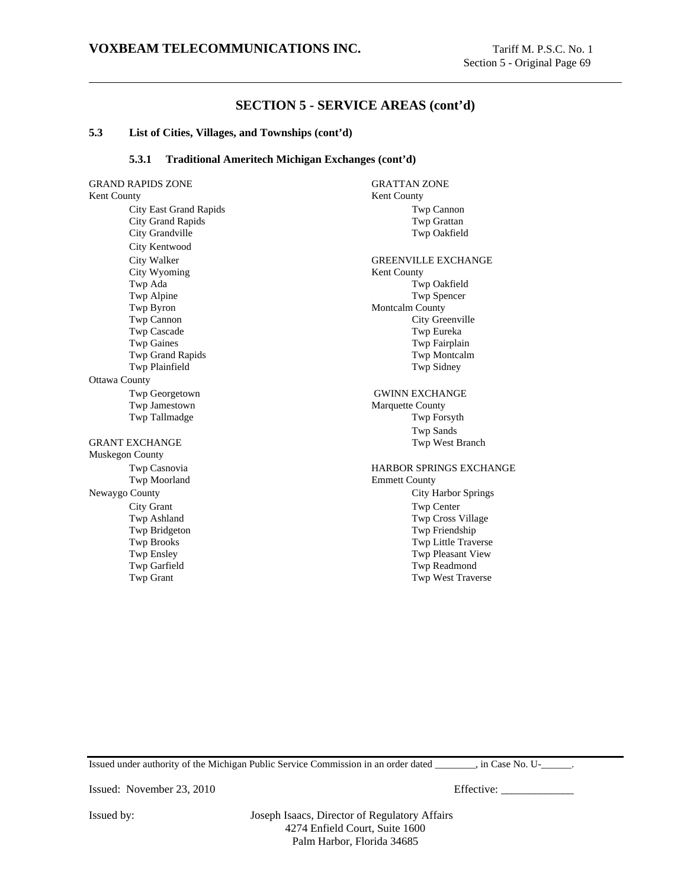#### **5.3 List of Cities, Villages, and Townships (cont'd)**

#### **5.3.1 Traditional Ameritech Michigan Exchanges (cont'd)**

GRAND RAPIDS ZONE GRATTAN ZONE Kent County **Kent County** Kent County City East Grand Rapids Twp Cannon City Grand Rapids Twp Grattan City Grandville Twp Oakfield City Kentwood City Walker GREENVILLE EXCHANGE City Wyoming Kent County Twp Ada Twp Oakfield Twp Alpine Twp Spencer Twp Byron Montcalm County Twp Cannon City Greenville Twp Cascade Twp Eureka Twp Gaines Two Gaines Two Gaines Two Gaines Two Gaines Two Fairplain Twp Grand Rapids Twp Montcalm Twp Plainfield Twp Sidney Ottawa County Twp Georgetown GWINN EXCHANGE Twp Jamestown Marquette County Twp Tallmadge Twp Forsyth GRANT EXCHANGE TWO USES IN TWO WEST BRANCH TWO WEST BRANCH TWO WEST BRANCH TWO WEST AND TWO WEST AND TWO WAS USED ON TWO WAS A VEHICLE THAT AN INCH ON TWO WAS A VEHICLE THAT ANY ONLY A VEHICLE THAT ANY ONLY A VEHICLE THAT Muskegon County Twp Casnovia **HARBOR SPRINGS EXCHANGE** Twp Moorland Emmett County Newaygo County City Harbor Springs City Grant Twp Center Twp Ashland Twp Cross Village Twp Bridgeton Twp Friendship Twp Brooks Twp Ensley<br>
Twp Ensley<br>
Twp Ensley<br>
Twp Pleasant View Twp Garfield Twp Readmond Twp Grant Twp Grant Twp Grant Twp West Traverse

Twp Sands Twp Pleasant View

Issued under authority of the Michigan Public Service Commission in an order dated  $\qquad \qquad$ , in Case No. U- $\qquad \qquad$ .

Issued: November 23, 2010 Effective: \_\_\_\_\_\_\_\_\_\_\_\_\_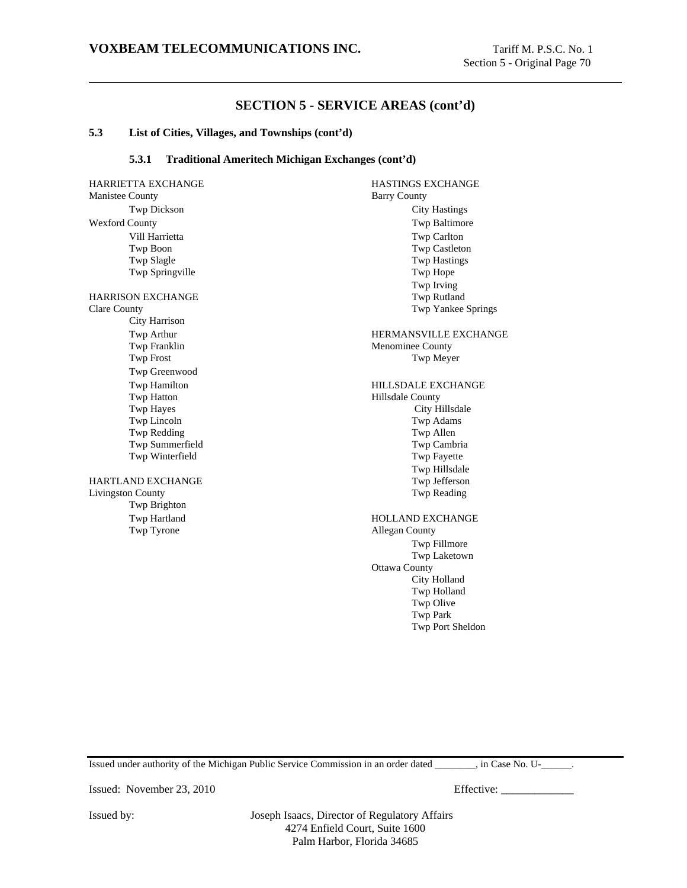#### **5.3 List of Cities, Villages, and Townships (cont'd)**

#### **5.3.1 Traditional Ameritech Michigan Exchanges (cont'd)**

HARRIETTA EXCHANGE HASTINGS EXCHANGE Manistee County Barry County Wexford County Twp Baltimore HARRISON EXCHANGE Twp Rutland City Harrison

Twp Franklin Menominee County Twp Greenwood Twp Hatton **Hillsdale County** Twp Summerfield

## HARTLAND EXCHANGE Twp Jefferson<br>
Livingston County Twp Reading Livingston County Twp Brighton Twp Tyrone Allegan County

Twp Dickson City Hastings Vill Harrietta Twp Carlton<br>
Twp Boon<br>
Twp Castleto Twp Castleton Twp Slagle Twp Hastings Twp Springville Twp Hope Twp Irving Clare County Twp Yankee Springs Twp Arthur **HERMANSVILLE EXCHANGE** Twp Frost Twp Meyer Twp Hamilton **HILLSDALE EXCHANGE** Twp Hayes City Hillsdale Twp Lincoln Twp Adams Twp Redding Twp Allen Twp Allen Twp Allen Twp Allen Twp Allen Twp Allen Twp Allen Twp Cambria Twp Winterfield Twp Fayette Twp Hillsdale Twp Hartland HOLLAND EXCHANGE

> Twp Fillmore Twp Laketown Ottawa County City Holland Twp Holland Twp Olive Twp Park Twp Port Sheldon

Issued under authority of the Michigan Public Service Commission in an order dated \_\_\_\_\_\_\_\_, in Case No. U-\_\_\_\_\_\_.

Issued: November 23, 2010 Effective: \_\_\_\_\_\_\_\_\_\_\_\_\_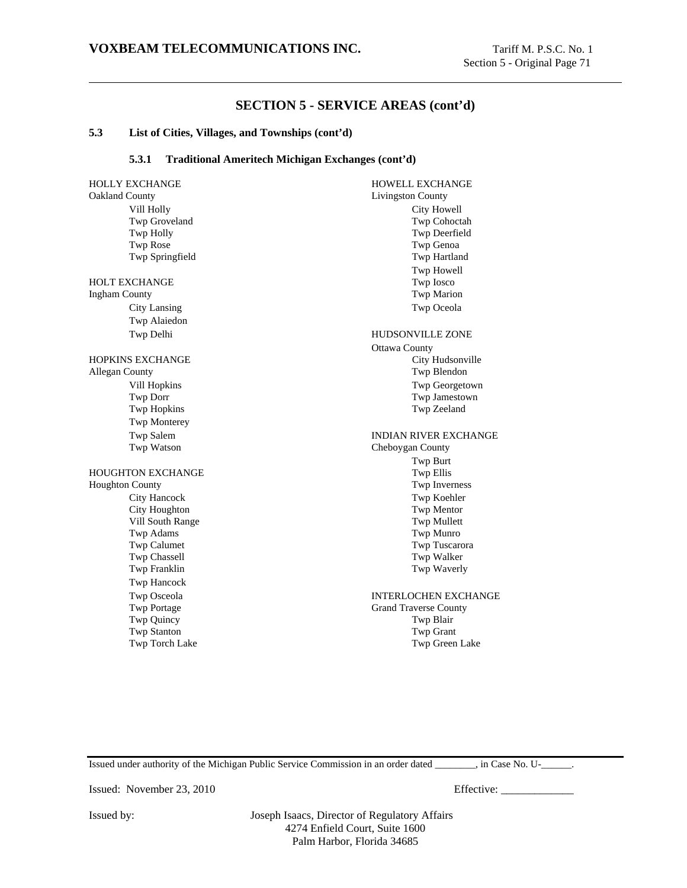#### **5.3 List of Cities, Villages, and Townships (cont'd)**

### **5.3.1 Traditional Ameritech Michigan Exchanges (cont'd)**

HOLLY EXCHANGE HOWELL EXCHANGE Oakland County Livingston County Vill Holly City Howell Twp Groveland Twp Cohoctah Twp Holly Twp Deerfield Twp Rose Twp Genoa Twp Springfield Twp Hartland HOLT EXCHANGE Twp Iosco Ingham County Twp Marion City Lansing Twp Oceola Twp Alaiedon Twp Delhi HUDSONVILLE ZONE HOPKINS EXCHANGE City Hudsonville Allegan County Twp Blendon Vill Hopkins Twp Georgetown Twp Dorr Twp Jamestown Twp Hopkins Twp Zeeland Twp Monterey Twp Salem **INDIAN RIVER EXCHANGE** Twp Watson Cheboygan County HOUGHTON EXCHANGE TWO TWO ELLIS Houghton County Twp Inverness City Hancock Twp Koehler City Houghton Twp Mentor Vill South Range Twp Mullett Twp Adams Twp Munro Twp Calumet Twp Tuscarora Twp Chassell Twp Walker Twp Franklin Twp Waverly Twp Hancock Twp Osceola INTERLOCHEN EXCHANGE Twp Portage Grand Traverse County Twp Quincy Twp Blair Twp Stanton Twp Grant Twp Torch Lake Twp Green Lake

Twp Howell Ottawa County Twp Burt

Issued under authority of the Michigan Public Service Commission in an order dated \_\_\_\_\_\_\_\_, in Case No. U-\_\_\_\_\_\_.

Issued: November 23, 2010 Effective: \_\_\_\_\_\_\_\_\_\_\_\_\_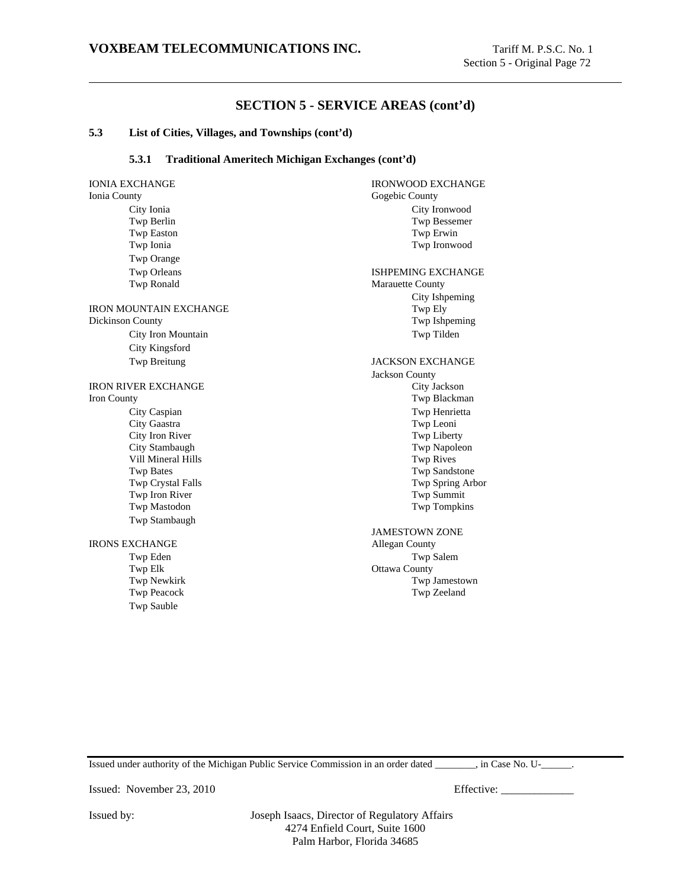### **5.3 List of Cities, Villages, and Townships (cont'd)**

### **5.3.1 Traditional Ameritech Michigan Exchanges (cont'd)**

IONIA EXCHANGE IRONWOOD EXCHANGE Ionia County Gogebic County City Ionia City Ironwood Twp Berlin Twp Bessemer Twp Easton Twp Erwin Twp Ionia Twp Ironwood Twp Orange Twp Orleans ISHPEMING EXCHANGE Twp Ronald Marauette County IRON MOUNTAIN EXCHANGE Twp Ely Dickinson County Twp Ishpeming City Iron Mountain Twp Tilden City Kingsford Twp Breitung JACKSON EXCHANGE **IRON RIVER EXCHANGE** City Jackson Iron County Twp Blackman City Caspian Twp Henrietta City Gaastra Twp Leoni City Iron River Twp Liberty City Stambaugh Twp Napoleon Vill Mineral Hills Twp Rives Twp Bates Twp Sandstone Twp Crystal Falls Twp Spring Arbor Twp Iron River Twp Summit Twp Mastodon Twp Tompkins Twp Stambaugh IRONS EXCHANGE Allegan County Twp Eden Twp Salem Twp Elk Ottawa County<br>Twp Newkirk Twp . Twp Newkirk Twp Jamestown<br>
Twp Peacock Twp Zeeland Twp Sauble

City Ishpeming Jackson County

JAMESTOWN ZONE Twp Zeeland

Issued under authority of the Michigan Public Service Commission in an order dated \_\_\_\_\_\_\_\_, in Case No. U-\_\_\_\_\_\_.

Issued: November 23, 2010 Effective: \_\_\_\_\_\_\_\_\_\_\_\_\_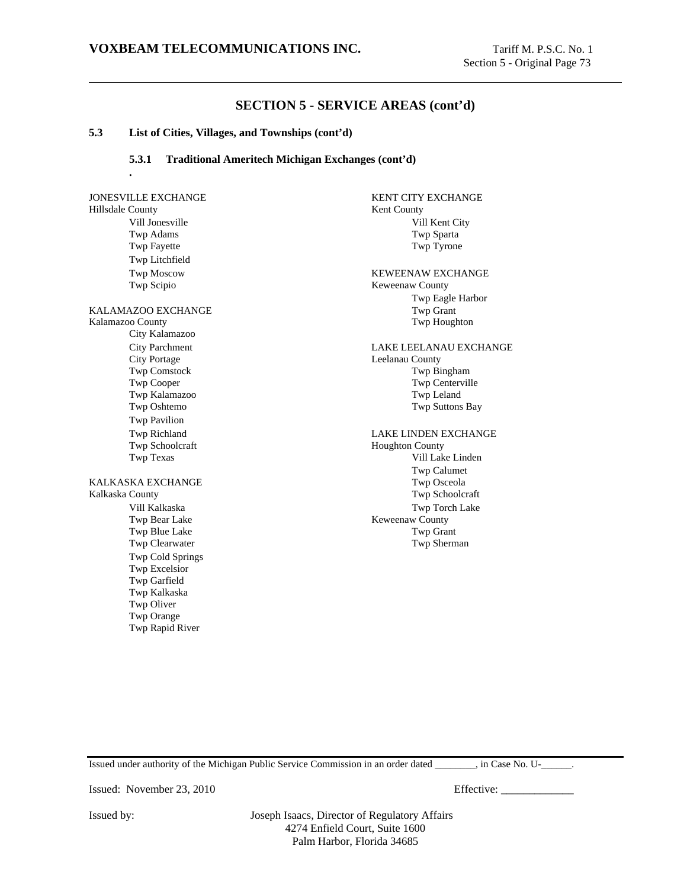#### **5.3 List of Cities, Villages, and Townships (cont'd)**

**.**

### **5.3.1 Traditional Ameritech Michigan Exchanges (cont'd)**

# Hillsdale County Kent County Vill Jonesville Vill Kent City Twp Adams Twp Sparta Twp Fayette Twp Tyrone Twp Litchfield Twp Moscow KEWEENAW EXCHANGE Twp Scipio Keweenaw County KALAMAZOO EXCHANGE TWP Grant Kalamazoo County Twp Houghton City Kalamazoo City Parchment LAKE LEELANAU EXCHANGE<br>City Portage Leelanau County Twp Comstock Twp Comstock Twp Comstock Twp Contervill Twp Kalamazoo Twp Leland Twp Oshtemo Twp Suttons Bay Twp Pavilion Twp Richland LAKE LINDEN EXCHANGE Twp Texas Vill Lake Linden KALKASKA EXCHANGE Twp Osceola Kalkaska County Twp Schoolcraft Vill Kalkaska Twp Torch Lake Twp Blue Lake Twp Grant Twp Clearwater Twp Sherman Twp Cold Springs Twp Excelsior Twp Garfield Twp Kalkaska Twp Oliver Twp Orange

JONESVILLE EXCHANGE KENT CITY EXCHANGE Twp Eagle Harbor Leelanau County Twp Centerville Houghton County Twp Calumet Keweenaw County

Issued under authority of the Michigan Public Service Commission in an order dated \_\_\_\_\_\_\_\_, in Case No. U-\_\_\_\_\_\_.

Issued: November 23, 2010 Effective: \_\_\_\_\_\_\_\_\_\_\_\_\_

Twp Rapid River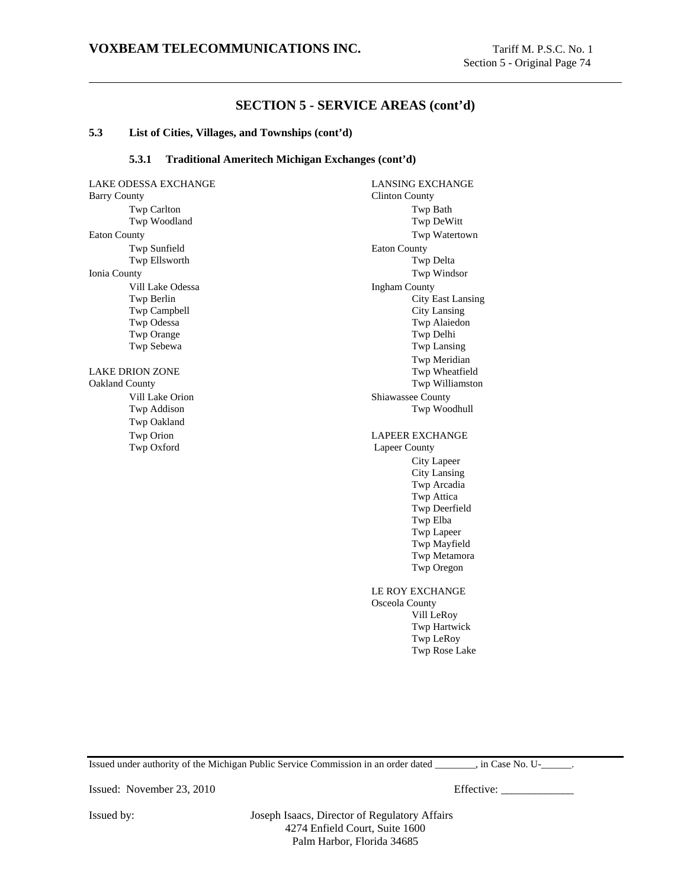#### **5.3 List of Cities, Villages, and Townships (cont'd)**

### **5.3.1 Traditional Ameritech Michigan Exchanges (cont'd)**

LAKE ODESSA EXCHANGE LANSING EXCHANGE Barry County Clinton County Twp Carlton Twp Bath Twp Woodland Twp DeWitt Eaton County Twp Watertown Twp Sunfield Eaton County Twp Ellsworth Twp Delta Ionia County Twp Windsor Vill Lake Odessa **Ingham County** Twp Campbell City Lansing Twp Odessa Twp Alaiedon Twp Orange Twp Orange Twp Sebewa Twp Lansing LAKE DRION ZONE Oakland County Twp Williamston Vill Lake Orion Shiawassee County Twp Addison Twp Woodhull Twp Oakland Twp Orion **LAPEER EXCHANGE** Twp Oxford Lapeer County

Twp Berlin City East Lansing Twp Meridian<br>Twp Wheatfield City Lapeer City Lansing Twp Arcadia Twp Attica Twp Deerfield Twp Elba Twp Lapeer Twp Mayfield Twp Metamora Twp Oregon LE ROY EXCHANGE Osceola County Vill LeRoy Twp Hartwick Twp LeRoy Twp Rose Lake

Issued under authority of the Michigan Public Service Commission in an order dated \_\_\_\_\_\_\_\_, in Case No. U-\_\_\_\_\_\_.

Issued: November 23, 2010 Effective: \_\_\_\_\_\_\_\_\_\_\_\_\_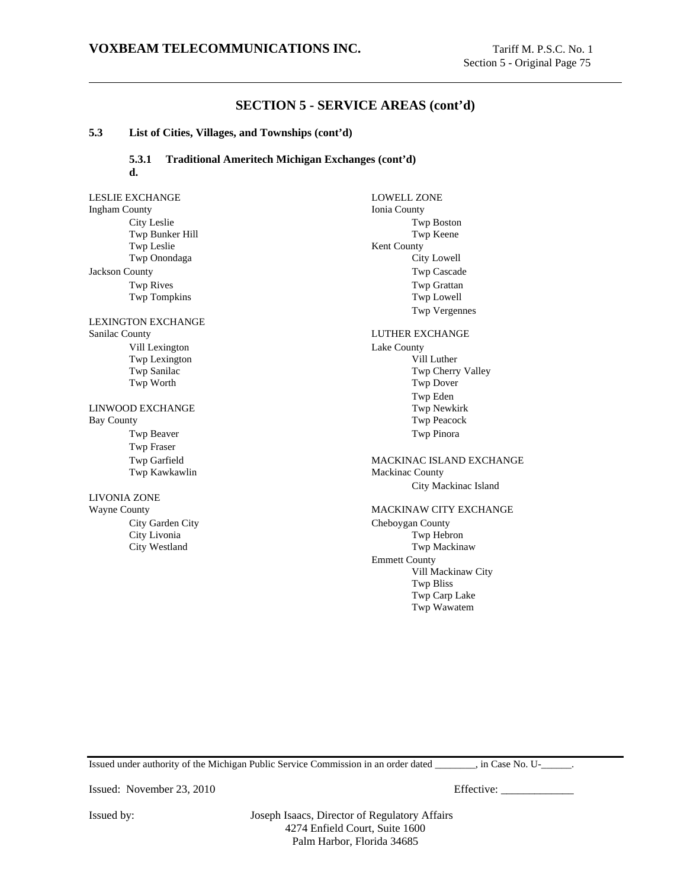#### **5.3 List of Cities, Villages, and Townships (cont'd)**

## **5.3.1 Traditional Ameritech Michigan Exchanges (cont'd) d.**

LESLIE EXCHANGE LOWELL ZONE Ingham County Ionia County City Leslie Twp Boston<br>
Twp Bunker Hill Twp Boston<br>
Twp Reene Twp Bunker Hill<br>Twp Leslie Kent County<br>City Lowell Twp Onondaga Jackson County Twp Cascade Twp Rives Twp Grattan<br>
Twp Tompkins Twp Tompkins Twp Lowell Twp Tompkins Twp Vergennes LEXINGTON EXCHANGE Sanilac County **LUTHER EXCHANGE** Vill Lexington Lake County Twp Lexington Vill Luther<br>
Twp Sanilac Twp Cherry Twp Cherry Valley Twp Worth Twp Dover Twp Eden LINWOOD EXCHANGE Twp Newkirk Bay County Twp Peacock Twp Beaver Twp Pinora Twp Fraser Twp Garfield MACKINAC ISLAND EXCHANGE Twp Kawkawlin Mackinac County City Mackinac Island LIVONIA ZONE Wayne County **MACKINAW CITY EXCHANGE** City Garden City Cheboygan County City Livonia Twp Hebron City Westland Twp Mackinaw Emmett County Vill Mackinaw City Twp Bliss Twp Carp Lake

Issued under authority of the Michigan Public Service Commission in an order dated \_\_\_\_\_\_\_\_, in Case No. U-\_\_\_\_\_\_.

Twp Wawatem

Issued: November 23, 2010 Effective: \_\_\_\_\_\_\_\_\_\_\_\_\_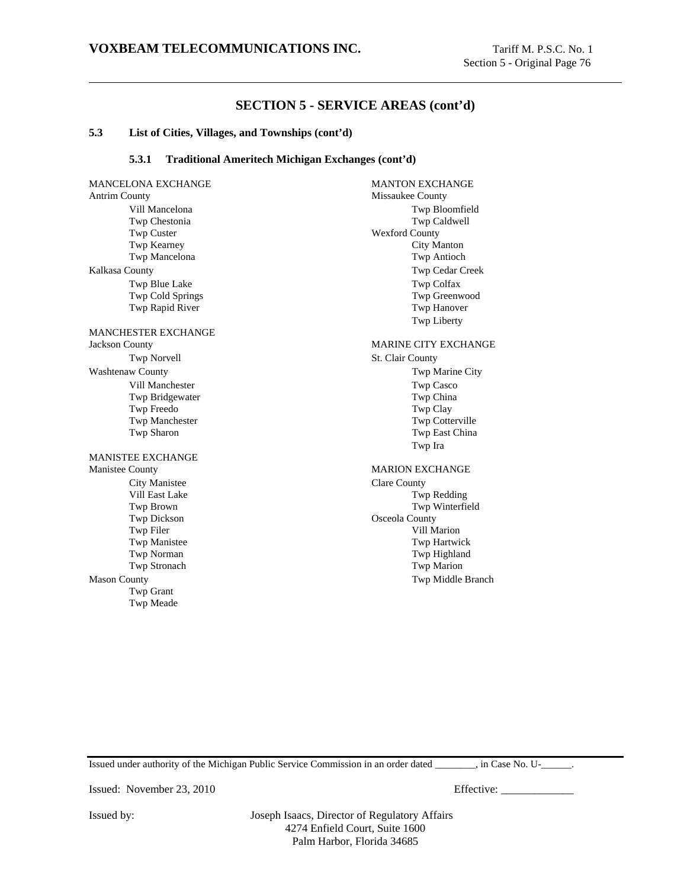### **5.3 List of Cities, Villages, and Townships (cont'd)**

### **5.3.1 Traditional Ameritech Michigan Exchanges (cont'd)**

MANCELONA EXCHANGE MANTON EXCHANGE Antrim County Missaukee County Vill Mancelona Twp Bloomfield Twp Chestonia Twp Caldwell Twp Custer Wexford County Twp Kearney City Manton Twp Mancelona Twp Antioch Kalkasa County Twp Cedar Creek Twp Blue Lake Twp Colfax Twp Cold Springs Twp Greenwood Twp Rapid River Twp Hanover MANCHESTER EXCHANGE Jackson County MARINE CITY EXCHANGE Twp Norvell St. Clair County Washtenaw County **The City** Twp Marine City Vill Manchester Twp Casco Twp Bridgewater Twp China Twp Freedo Twp Clay Twp Manchester Twp Cotterville Twp Sharon Twp East China MANISTEE EXCHANGE Manistee County MARION EXCHANGE City Manistee Clare County Vill East Lake Twp Redding Twp Brown Twp Winterfield Twp Dickson County<br>
Twp Filer County<br>
Twp Filer County Twp Manistee Twp Manistee Twp Manistee Twp Manistee Twp Manistee Twp Manistee Twp Manistee Twp Manistee Twp Manistee Twp Manistee Twp Manistee Twp Manistee Twp Manistee Twp Manistee Twp Manistee Twp Manistee Twp Manistee T Twp Stronach Twp Marion Mason County Twp Middle Branch Twp Grant Twp Meade

Twp Liberty Twp Ira Vill Marion Twp Highland

Issued under authority of the Michigan Public Service Commission in an order dated \_\_\_\_\_\_\_\_, in Case No. U-\_\_\_\_\_\_.

Issued: November 23, 2010 Effective: \_\_\_\_\_\_\_\_\_\_\_\_\_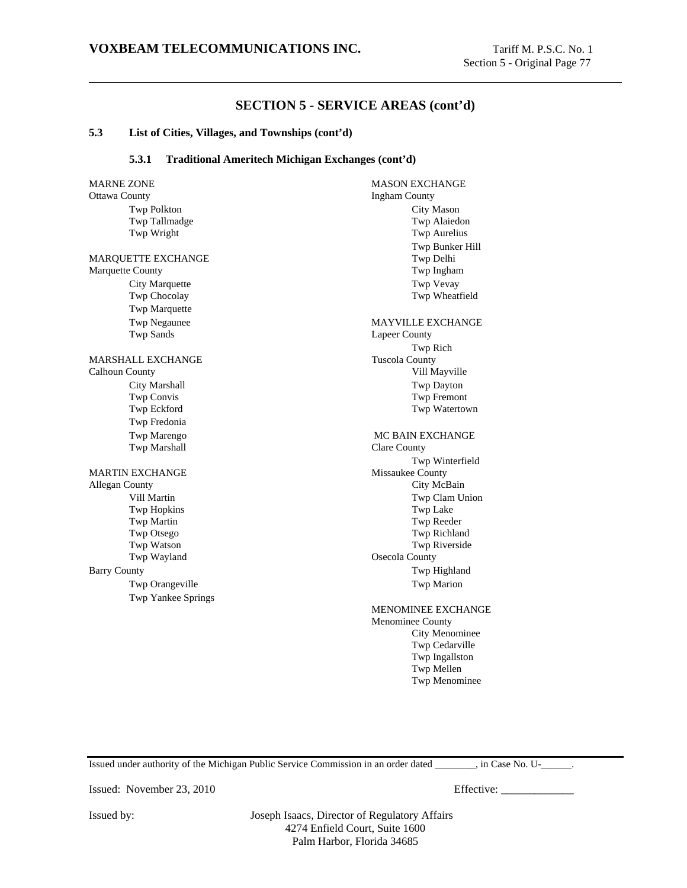#### **5.3 List of Cities, Villages, and Townships (cont'd)**

### **5.3.1 Traditional Ameritech Michigan Exchanges (cont'd)**

MARNE ZONE GENERAL MASON EXCHANGE Ottawa County **Ingham County** Twp Polkton City Mason Twp Tallmadge Twp Alaiedon Twp Wright Twp Aurelius MARQUETTE EXCHANGE Twp Delhi Marquette County Twp Ingham City Marquette Twp Vevay Twp Chocolay Twp Wheatfield Twp Marquette Twp Negaunee MAYVILLE EXCHANGE Twp Sands Lapeer County MARSHALL EXCHANGE Tuscola County Calhoun County Vill Mayville City Marshall Twp Dayton Twp Convis Twp Fremont Twp Eckford Twp Watertown Twp Fredonia Twp Marengo Two Mc BAIN EXCHANGE Twp Marshall Clare County MARTIN EXCHANGE Missaukee County Allegan County **City McBain** Vill Martin Twp Clam Union Twp Hopkins Twp Lake Twp Martin Twp Reeder Twp Otsego Twp Richland Twp Watson Twp Riverside Twp Wayland Osecola County Barry County **The Highland** Twp Highland Twp Orangeville **Two Orangeville** Twp Marion Twp Yankee Springs

Twp Bunker Hill Twp Rich Twp Winterfield MENOMINEE EXCHANGE Menominee County City Menominee Twp Cedarville Twp Ingallston Twp Mellen

Twp Menominee

Issued under authority of the Michigan Public Service Commission in an order dated \_\_\_\_\_\_\_\_, in Case No. U-\_\_\_\_\_\_.

Issued: November 23, 2010 Effective: \_\_\_\_\_\_\_\_\_\_\_\_\_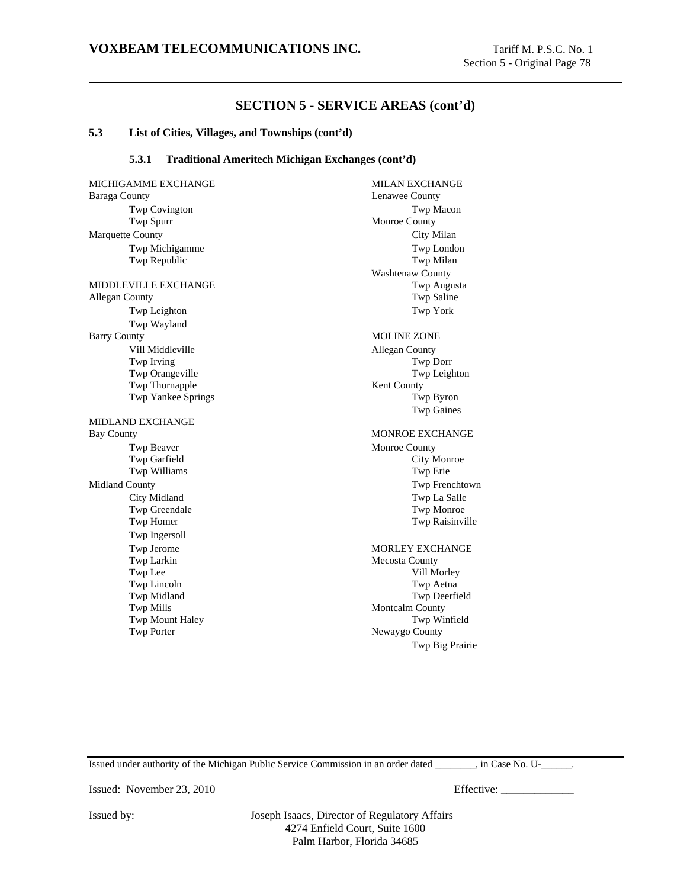#### **5.3 List of Cities, Villages, and Townships (cont'd)**

### **5.3.1 Traditional Ameritech Michigan Exchanges (cont'd)**

MICHIGAMME EXCHANGE MILAN EXCHANGE Baraga County **County** Lenawee County Twp Covington Twp Macon Twp Spurr Monroe County Marquette County City Milan Twp Michigamme Twp London Twp Republic Two Republic MIDDLEVILLE EXCHANGE Twp Augusta Allegan County **Twp Saline** Two Saline Twp Leighton Twp York Twp Wayland Barry County MOLINE ZONE Vill Middleville **Allegan County** Twp Irving Twp Dorr Twp Orangeville Twp Leighton Twp Thornapple Kent County Twp Yankee Springs Twp Byron MIDLAND EXCHANGE Bay County **MONROE EXCHANGE** Twp Beaver Monroe County Twp Garfield City Monroe Twp Williams Twp Erie Midland County Twp Frenchtown City Midland Twp La Salle Twp Greendale Twp Monroe Twp Homer Twp Raisinville Twp Ingersoll Twp Jerome MORLEY EXCHANGE Twp Larkin Mecosta County Twp Lee Vill Morley Twp Lincoln Twp Aetna Twp Midland Twp Deerfield Twp Mills Montcalm County Twp Mount Haley **Twp Winfield** Twp Porter Newaygo County

Washtenaw County Twp Gaines Twp Big Prairie

Issued under authority of the Michigan Public Service Commission in an order dated \_\_\_\_\_\_\_\_, in Case No. U-\_\_\_\_\_\_.

Issued: November 23, 2010 Effective: \_\_\_\_\_\_\_\_\_\_\_\_\_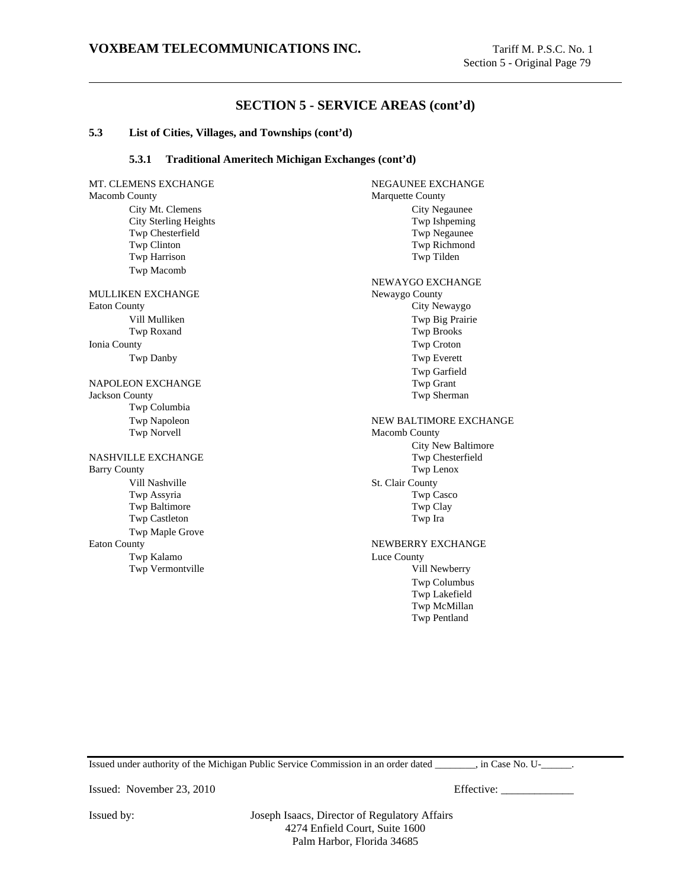### **5.3 List of Cities, Villages, and Townships (cont'd)**

### **5.3.1 Traditional Ameritech Michigan Exchanges (cont'd)**

MT. CLEMENS EXCHANGE NEGAUNEE EXCHANGE Macomb County **Marquette County** Marquette County City Mt. Clemens City Negaunee City Sterling Heights Twp Ishpeming Twp Chesterfield Twp Negaunee Twp Clinton Twp Richmond Twp Harrison Twp Tilden Twp Macomb MULLIKEN EXCHANGE Newaygo County Eaton County City Newaygo Vill Mulliken Twp Big Prairie Twp Roxand Twp Brooks Ionia County Twp Croton Twp Danby Twp Everett NAPOLEON EXCHANGE Twp Grant Jackson County (Twp Grant Jackson County Twp Sherman Twp Sherman Twp Sherman Twp Sherman Twp Sherman Twp Sherman Twp Sherman Twp Sherman Twp Sherman Twp Sherman Twp Sherman Twp Sherman Twp Sherm Jackson County Twp Columbia Twp Napoleon NEW BALTIMORE EXCHANGE Twp Norvell Macomb County NASHVILLE EXCHANGE Twp Chester Twp Chester<br>Barry County Twp Lenox Barry County Vill Nashville St. Clair County Twp Assyria Twp Casco Twp Baltimore Twp Clay Twp Castleton Twp Ira Twp Maple Grove Eaton County **NEWBERRY EXCHANGE** Twp Kalamo Luce County Twp Vermontville Vill Newberry

NEWAYGO EXCHANGE Twp Garfield City New Baltimore Twp Columbus Twp Lakefield Twp McMillan Twp Pentland

Issued under authority of the Michigan Public Service Commission in an order dated  $\Box$ , in Case No. U- $\Box$ .

Issued: November 23, 2010 Effective: \_\_\_\_\_\_\_\_\_\_\_\_\_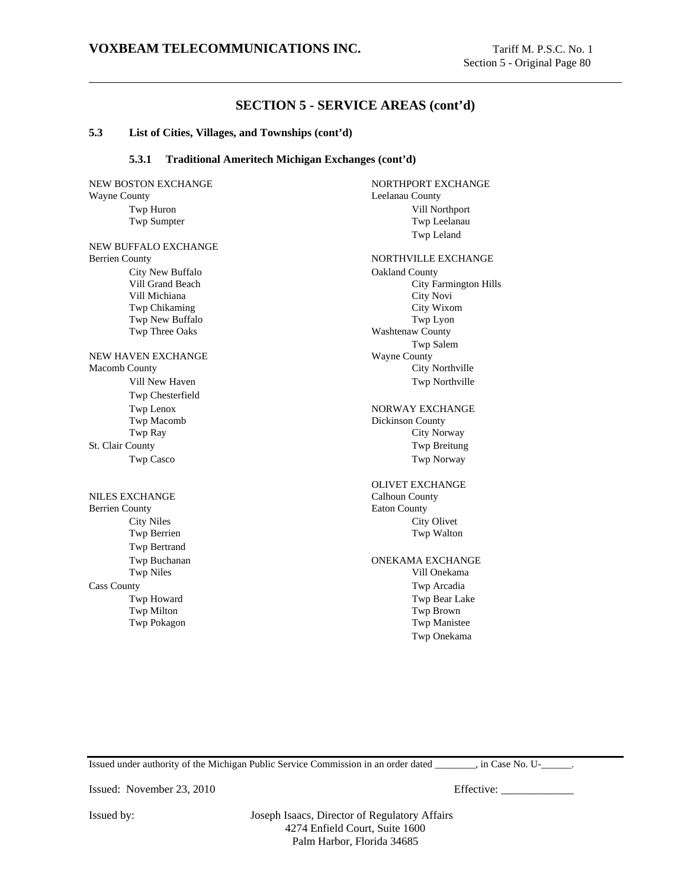#### **5.3 List of Cities, Villages, and Townships (cont'd)**

### **5.3.1 Traditional Ameritech Michigan Exchanges (cont'd)**

NEW BOSTON EXCHANGE NORTHPORT EXCHANGE Wayne County **County County County County County County County County** 

NEW BUFFALO EXCHANGE City New Buffalo **Oakland County** Vill Michiana City Novi Twp New Buffalo Twp Lyon Twp Three Oaks Washtenaw County

NEW HAVEN EXCHANGE Wayne County Macomb County City Northville Twp Chesterfield Twp Macomb Dickinson County St. Clair County Twp Breitung Twp Casco Twp Norway

NILES EXCHANGE Calhoun County Berrien County **Eaton County** Eaton County Twp Bertrand Cass County Twp Arcadia

Twp Huron Vill Northport Twp Sumpter Twp Leelanau Twp Leland Berrien County **NORTHVILLE EXCHANGE** Vill Grand Beach City Farmington Hills

Twp Chikaming City Wixom Twp Salem Vill New Haven Twp Northville

Twp Lenox NORWAY EXCHANGE Twp Ray City Norway

OLIVET EXCHANGE City Niles City Olivet Twp Berrien Twp Walton

Twp Buchanan ONEKAMA EXCHANGE Twp Niles Vill Onekama Twp Howard Twp Bear Lake Twp Milton Twp Brown Twp Pokagon Twp Manistee Twp Onekama

Issued under authority of the Michigan Public Service Commission in an order dated \_\_\_\_\_\_\_\_, in Case No. U-\_\_\_\_\_\_.

Issued: November 23, 2010 Effective: \_\_\_\_\_\_\_\_\_\_\_\_\_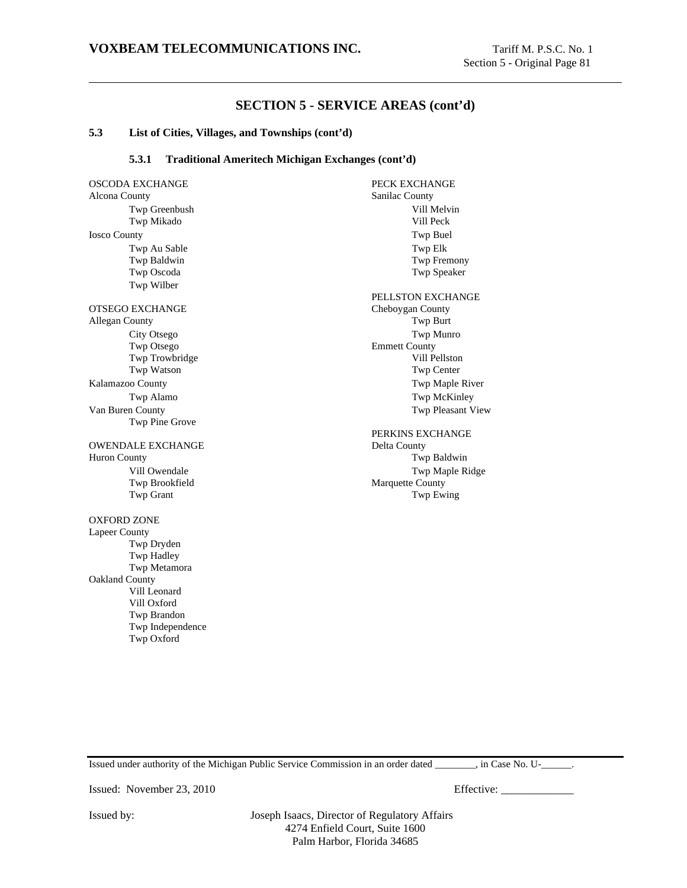### **5.3 List of Cities, Villages, and Townships (cont'd)**

### **5.3.1 Traditional Ameritech Michigan Exchanges (cont'd)**

OSCODA EXCHANGE PECK EXCHANGE Alcona County Sanilac County Twp Greenbush Vill Melvin<br>
Twp Mikado Vill Peck<br>
Vill Peck Twp Mikado Iosco County Twp Buel Twp Au Sable Twp Elk Twp Baldwin Twp Fremony Twp Oscoda Twp Speaker Twp Wilber OTSEGO EXCHANGE Cheboygan County Allegan County Twp Burt City Otsego Twp Munro Twp Otsego Emmett County Twp Trowbridge Vill Pellston Twp Watson Twp Center Kalamazoo County **Twp Maple River** Twp Maple River Twp Alamo Twp McKinley Van Buren County Twp Pleasant View Twp Pine Grove OWENDALE EXCHANGE Huron County Twp Baldwin Vill Owendale Twp Maple Ridge Twp Brookfield Marquette County Twp Grant Twp Ewing OXFORD ZONE Lapeer County Twp Dryden Twp Hadley Twp Metamora Oakland County Vill Leonard Vill Oxford Twp Brandon Twp Independence Twp Oxford

PELLSTON EXCHANGE PERKINS EXCHANGE<br>Delta County

Issued under authority of the Michigan Public Service Commission in an order dated \_\_\_\_\_\_\_\_, in Case No. U-\_\_\_\_\_\_.

Issued: November 23, 2010 Effective: \_\_\_\_\_\_\_\_\_\_\_\_\_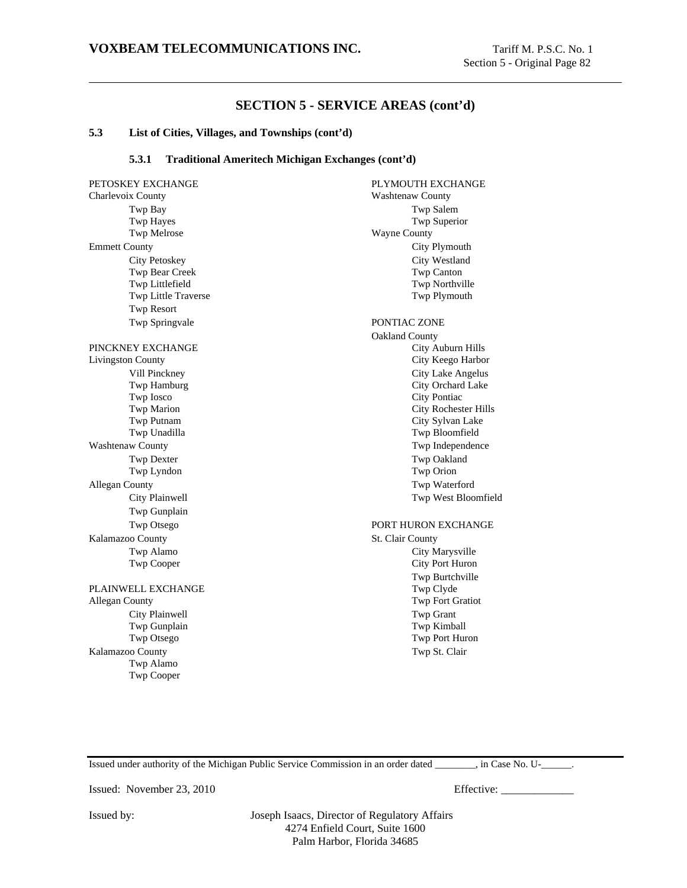#### **5.3 List of Cities, Villages, and Townships (cont'd)**

### **5.3.1 Traditional Ameritech Michigan Exchanges (cont'd)**

PETOSKEY EXCHANGE PLYMOUTH EXCHANGE Charlevoix County Washtenaw County Twp Bay Twp Salem Twp Hayes Twp Superior Twp Melrose Wayne County Emmett County City Plymouth City Petoskey City Westland Twp Bear Creek Twp Canton Twp Littlefield Twp Northville Twp Little Traverse Twp Plymouth Twp Resort Twp Springvale PONTIAC ZONE PINCKNEY EXCHANGE City Auburn Hills Livingston County City Keego Harbor Vill Pinckney City Lake Angelus Twp Hamburg City Orchard Lake Two Iosco City Pontiac Twp Marion City Rochester Hills Twp Putnam City Sylvan Lake Twp Unadilla Twp Bloomfield Washtenaw County **Two Independence** Two Independence Twp Dexter Twp Oakland Twp Lyndon Twp Orion Allegan County Twp Waterford City Plainwell Twp West Bloomfield Twp Gunplain Twp Otsego PORT HURON EXCHANGE Kalamazoo County St. Clair County Twp Alamo City Marysville Twp Cooper City Port Huron PLAINWELL EXCHANGE Twp Clyde Allegan County Twp Fort Gratiot City Plainwell Twp Grant Twp Gunplain Twp Kimball Twp Otsego Twp Port Huron Kalamazoo County Twp St. Clair Twp Alamo Twp Cooper

Oakland County Twp Burtchville

Issued under authority of the Michigan Public Service Commission in an order dated \_\_\_\_\_\_\_\_, in Case No. U-\_\_\_\_\_\_.

Issued: November 23, 2010 Effective: \_\_\_\_\_\_\_\_\_\_\_\_\_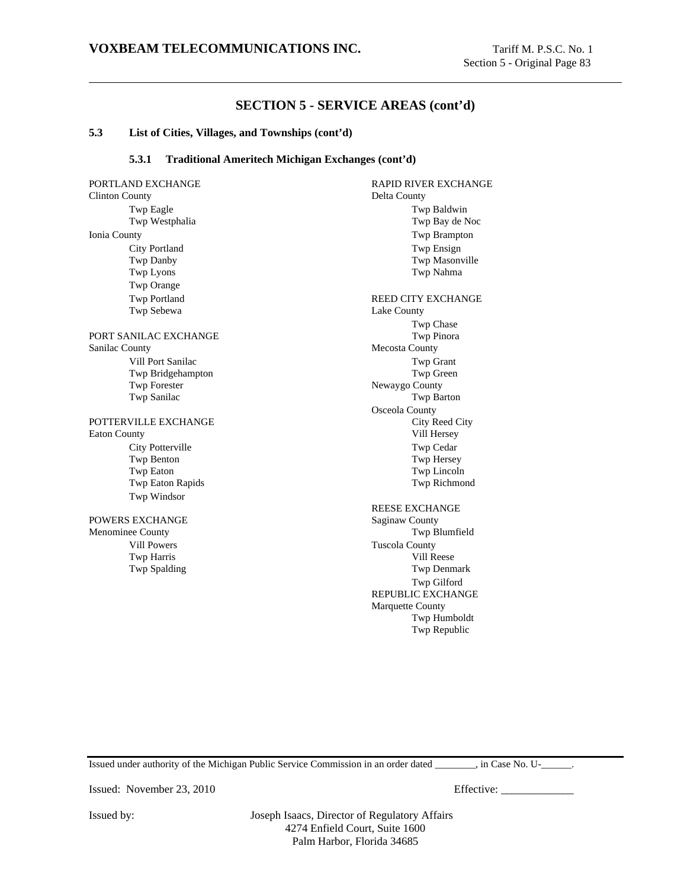#### **5.3 List of Cities, Villages, and Townships (cont'd)**

### **5.3.1 Traditional Ameritech Michigan Exchanges (cont'd)**

Clinton County Delta County Twp Eagle Twp Baldwin<br>
Twp Westphalia 
Twp Westphalia Ionia County Twp Brampton City Portland Twp Ensign<br>
Twp Danby Twp Mason<br>
Twp Mason Twp Lyons Twp Nahma Twp Orange Twp Portland REED CITY EXCHANGE Twp Sebewa Lake County PORT SANILAC EXCHANGE Twp Pinora Sanilac County Mecosta County Vill Port Sanilac Twp Grant Twp Bridgehampton Twp Green Twp Forester Newaygo County Twp Sanilac Two Sanilac Two Sanilac Two Santon POTTERVILLE EXCHANGE City Reed City Eaton County Vill Hersey City Potterville Twp Cedar Twp Benton Twp Hersey Twp Eaton Two Lincoln Twp Eaton Rapids Twp Richmond Twp Windsor POWERS EXCHANGE Saginaw County Menominee County **Twp Blumfield Twp Blumfield** Vill Powers Tuscola County Twp Harris Vill Reese Twp Spalding Twp Denmark

PORTLAND EXCHANGE RAPID RIVER EXCHANGE Twp Bay de Noc Twp Masonville Twp Chase Osceola County REESE EXCHANGE Twp Gilford REPUBLIC EXCHANGE Marquette County Twp Humboldt

Twp Republic

Issued under authority of the Michigan Public Service Commission in an order dated  $\Box$ , in Case No. U- $\Box$ .

Issued: November 23, 2010 Effective: \_\_\_\_\_\_\_\_\_\_\_\_\_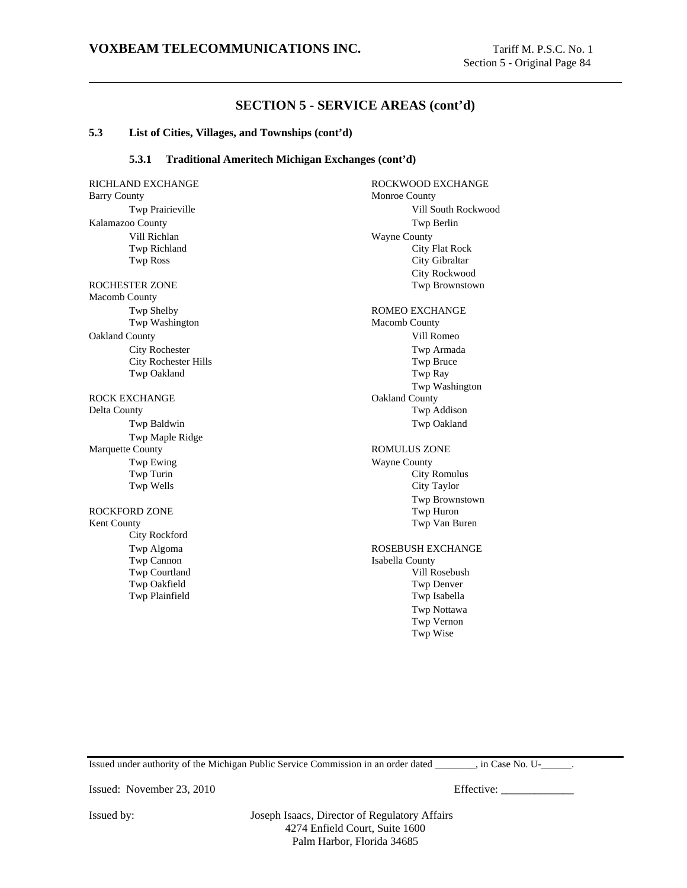#### **5.3 List of Cities, Villages, and Townships (cont'd)**

### **5.3.1 Traditional Ameritech Michigan Exchanges (cont'd)**

RICHLAND EXCHANGE ROCKWOOD EXCHANGE Barry County Monroe County Twp Prairieville **Vill South Rockwood** Kalamazoo County Twp Berlin Vill Richlan Wayne County Twp Richland City Flat Rock Twp Ross City Gibraltar ROCHESTER ZONE Twp Brownstown Macomb County Twp Shelby ROMEO EXCHANGE Twp Washington Macomb County Oakland County Vill Romeo City Rochester Twp Armada City Rochester Hills Twp Bruce Twp Oakland Twp Ray ROCK EXCHANGE Oakland County Delta County Twp Addison Twp Baldwin Twp Oakland Twp Maple Ridge Marquette County **Natural Example 2018** ROMULUS ZONE Twp Ewing Wayne County<br>Twp Turin City 1 Twp Wells City Taylor ROCKFORD ZONE Kent County Twp Van Buren City Rockford Twp Algoma<br>
ROSEBUSH EXCHANGE Twp Cannon Isabella County Twp Courtland Vill Rosebush Twp Oakfield Twp Denver Twp Plainfield Twp Isabella

City Rockwood Twp Washington City Romulus Twp Brownstown Twp Nottawa Twp Vernon Twp Wise

Issued under authority of the Michigan Public Service Commission in an order dated \_\_\_\_\_\_\_\_, in Case No. U-\_\_\_\_\_\_.

Issued: November 23, 2010 Effective: \_\_\_\_\_\_\_\_\_\_\_\_\_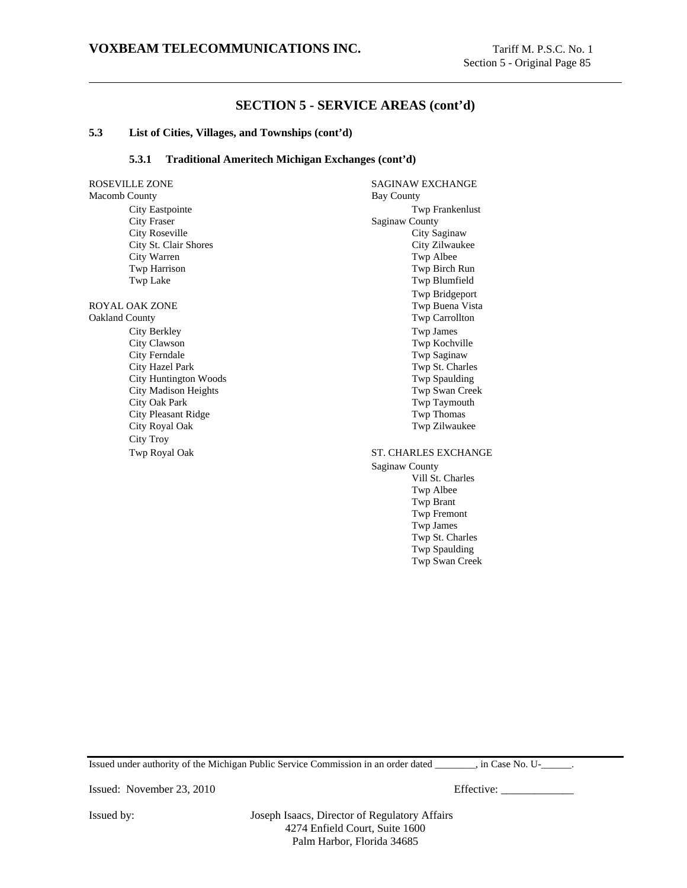### **5.3 List of Cities, Villages, and Townships (cont'd)**

### **5.3.1 Traditional Ameritech Michigan Exchanges (cont'd)**

ROSEVILLE ZONE SAGINAW EXCHANGE Macomb County Bay County City Eastpointe Twp Frankenlust City Fraser Saginaw County City Roseville City Saginaw City St. Clair Shores City Zilwaukee City Warren Twp Albee Twp Harrison Twp Birch Run Twp Lake Twp Blumfield ROYAL OAK ZONE TWP Buena Vista Oakland County Twp Carrollton City Berkley Twp James City Clawson Twp Kochville City Ferndale Twp Saginaw City Hazel Park Twp St. Charles City Huntington Woods Twp Spaulding City Madison Heights Twp Swan Creek<br>City Oak Park Twp Taymouth City Pleasant Ridge Twp Thomas<br>
City Royal Oak Twp Zilwauk City Troy Twp Royal Oak ST. CHARLES EXCHANGE

Twp Bridgeport Twp Taymouth Twp Zilwaukee

Saginaw County Vill St. Charles Twp Albee Twp Brant Twp Fremont Twp James Twp St. Charles Twp Spaulding Twp Swan Creek

Issued under authority of the Michigan Public Service Commission in an order dated \_\_\_\_\_\_\_\_, in Case No. U-\_\_\_\_\_\_.

Issued: November 23, 2010 Effective: \_\_\_\_\_\_\_\_\_\_\_\_\_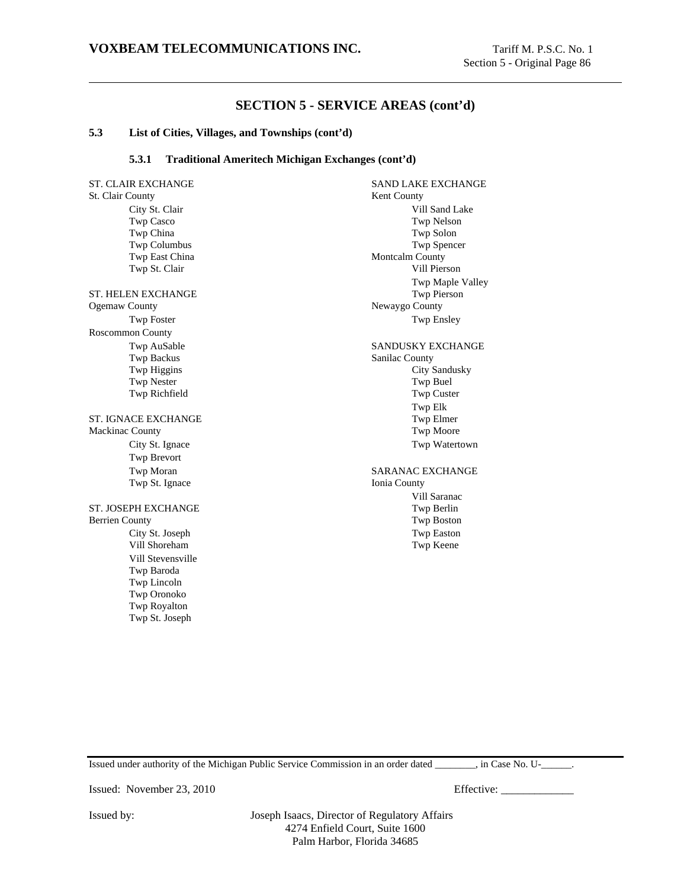### **5.3 List of Cities, Villages, and Townships (cont'd)**

### **5.3.1 Traditional Ameritech Michigan Exchanges (cont'd)**

ST. CLAIR EXCHANGE SAND LAKE EXCHANGE St. Clair County Kent County City St. Clair Vill Sand Lake Twp Casco Twp Nelson Twp China Twp Solon Twp Columbus Twp Spencer Twp East China Montcalm County Twp St. Clair Vill Pierson ST. HELEN EXCHANGE Twp Pierson Ogemaw County Newaygo County Twp Foster Twp Ensley Roscommon County Twp AuSable SANDUSKY EXCHANGE Twp Backus Sanilac County Twp Higgins City Sandusky Twp Nester Twp Buel Twp Richfield Twp Custer ST. IGNACE EXCHANGE Mackinac County Twp Moore City St. Ignace Twp Watertown Twp Brevort Twp Moran SARANAC EXCHANGE Twp St. Ignace Ionia County ST. JOSEPH EXCHANGE Twp Berlin Berrien County Twp Boston City St. Joseph Twp Easton Vill Shoreham Twp Keene Vill Stevensville Twp Baroda Twp Lincoln Twp Oronoko Twp Royalton Twp St. Joseph

Twp Maple Valley Twp Elk<br>Twp Elmer Vill Saranac

Issued under authority of the Michigan Public Service Commission in an order dated \_\_\_\_\_\_\_\_, in Case No. U-\_\_\_\_\_\_.

Issued: November 23, 2010 Effective: \_\_\_\_\_\_\_\_\_\_\_\_\_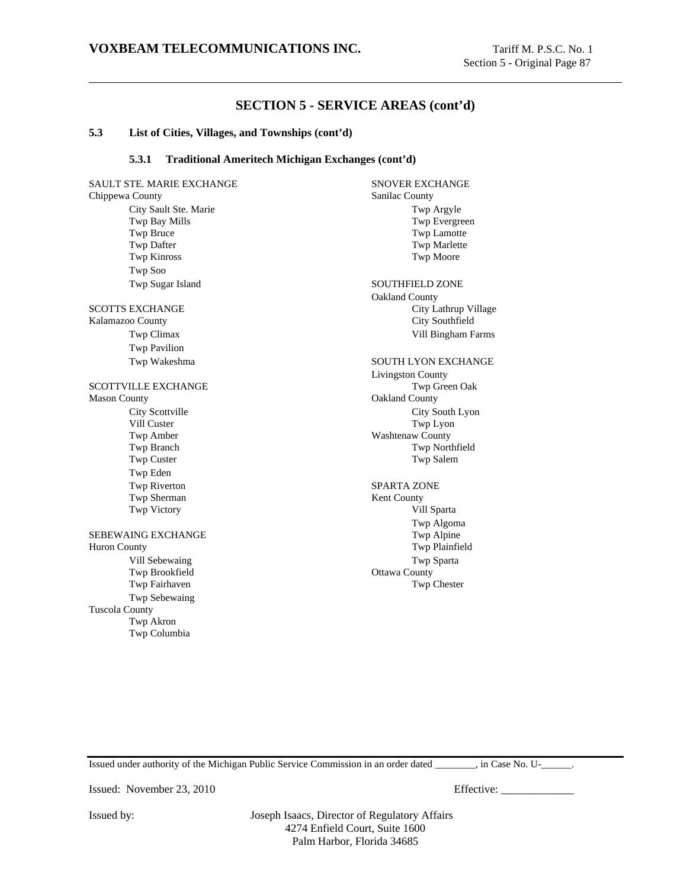#### **5.3 List of Cities, Villages, and Townships (cont'd)**

### **5.3.1 Traditional Ameritech Michigan Exchanges (cont'd)**

SAULT STE. MARIE EXCHANGE SNOVER EXCHANGE Chippewa County Sanilac County City Sault Ste. Marie Twp Argyle Twp Bay Mills Twp Evergreen Twp Bruce Twp Lamotte Twp Dafter Twp Marlette Twp Kinross Twp Moore Twp Soo Twp Sugar Island SOUTHFIELD ZONE SCOTTS EXCHANGE City Lathrup Village Kalamazoo County City Southfield Twp Climax Vill Bingham Farms Twp Pavilion Twp Wakeshma SOUTH LYON EXCHANGE SCOTTVILLE EXCHANGE Twp Green Oak Mason County **Oakland County Oakland County** City Scottville City South Lyon Vill Custer Twp Lyon Twp Amber Washtenaw County Twp Branch Twp Northfield Twp Custer Twp Salem Twp Eden Twp Riverton SPARTA ZONE Twp Sherman Kent County Twp Victory Vill Sparta SEBEWAING EXCHANGE Twp Alpine Huron County Twp Plainfield Vill Sebewaing Twp Sparta Twp Brookfield **Ottawa County** Twp Fairhaven Twp Chester Twp Sebewaing Tuscola County Twp Akron Twp Columbia

Oakland County Livingston County Twp Algoma

Issued under authority of the Michigan Public Service Commission in an order dated  $\Box$ , in Case No. U- $\Box$ .

Issued: November 23, 2010 Effective: \_\_\_\_\_\_\_\_\_\_\_\_\_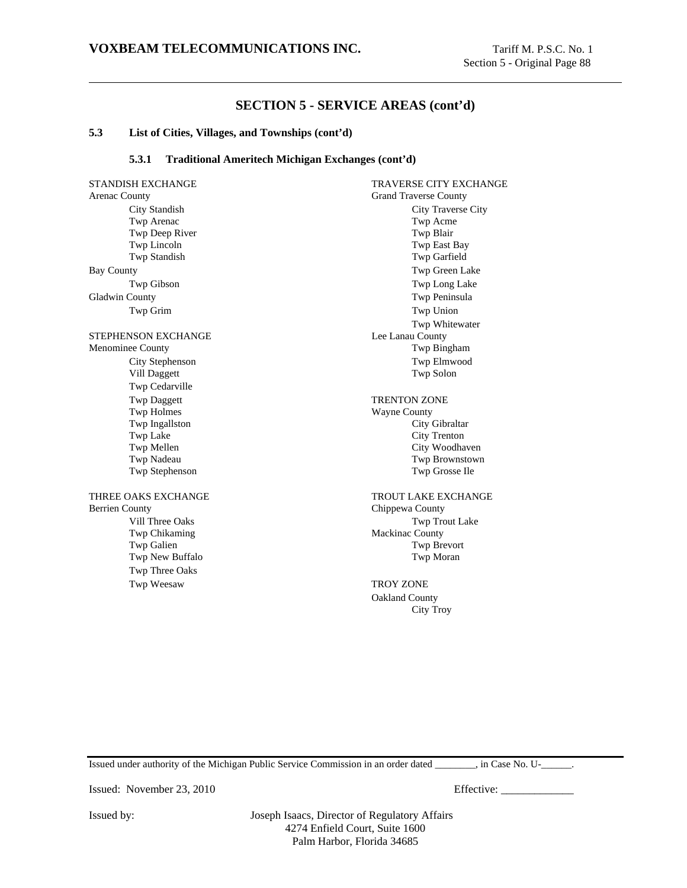### **5.3 List of Cities, Villages, and Townships (cont'd)**

### **5.3.1 Traditional Ameritech Michigan Exchanges (cont'd)**

STANDISH EXCHANGE TRAVERSE CITY EXCHANGE Arenac County Grand Traverse County City Standish City Traverse City Twp Arenac Twp Acme Twp Deep River Twp Blair Twp Lincoln Twp East Bay Twp Standish Twp Garfield Bay County Twp Green Lake Twp Gibson Twp Long Lake Gladwin County **Two Peninsula** Two Peninsula Twp Grim Twp Union STEPHENSON EXCHANGE Lee Lanau County Menominee County Twp Bingham City Stephenson Twp Elmwood Vill Daggett Twp Cedarville Twp Daggett TRENTON ZONE Twp Holmes Wayne County Twp Ingallston City Gibraltar Two Lake City Trenton Twp Mellen City Woodhaven Twp Nadeau Twp Brownstown Twp Stephenson Twp Grosse Ile THREE OAKS EXCHANGE THROUT LAKE EXCHANGE Berrien County Chippewa County Vill Three Oaks Twp Trout Lake Twp Chikaming Mackinac County Twp Galien Twp Brevort Twp New Buffalo Twp Moran Twp Three Oaks Twp Weesaw TROY ZONE

Twp Whitewater Oakland County City Troy

Issued under authority of the Michigan Public Service Commission in an order dated \_\_\_\_\_\_\_\_, in Case No. U-\_\_\_\_\_\_.

Issued: November 23, 2010 Effective: \_\_\_\_\_\_\_\_\_\_\_\_\_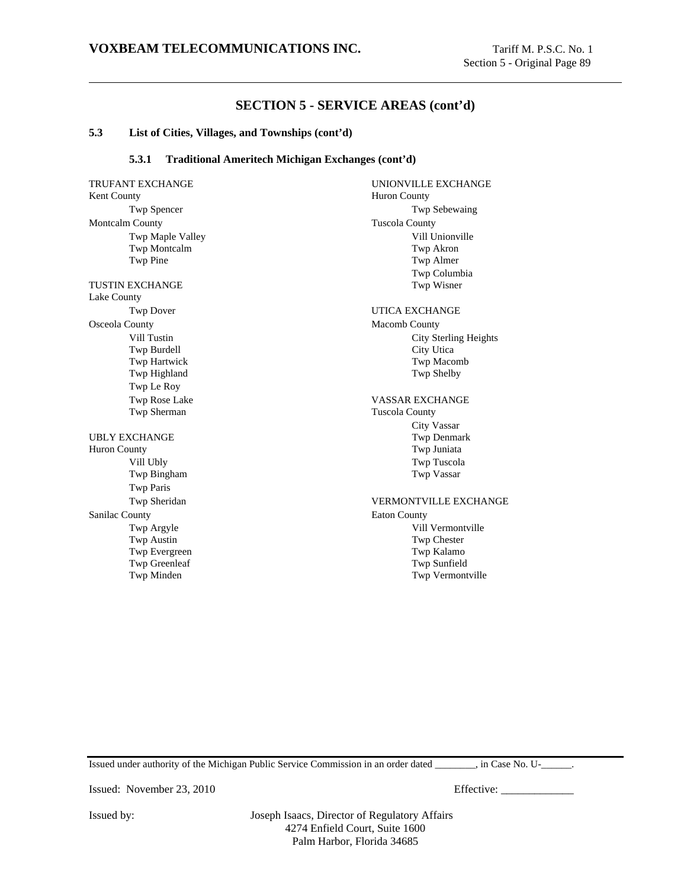#### **5.3 List of Cities, Villages, and Townships (cont'd)**

### **5.3.1 Traditional Ameritech Michigan Exchanges (cont'd)**

Kent County **Huron County** Twp Spencer Twp Sebewaing Montcalm County Tuscola County Twp Maple Valley Vill Unionville Twp Montcalm Twp Akron Twp Pine Twp Almer TUSTIN EXCHANGE Lake County Twp Dover UTICA EXCHANGE Osceola County **Macomb County** Macomb County **Macomb County** Vill Tustin City Sterling Heights Twp Burdell City Utica Twp Hartwick Twp Macomb Twp Highland Twp Shelby Twp Le Roy Twp Rose Lake VASSAR EXCHANGE<br>Twp Sherman Tuscola County UBLY EXCHANGE Twp Denmark Huron County Twp Juniata Vill Ubly Twp Tuscola Twp Bingham Twp Paris Twp Sheridan VERMONTVILLE EXCHANGE Sanilac County **Eaton County** Twp Argyle Vill Vermontville Twp Austin Twp Chester Twp Evergreen Twp Kalamo Twp Greenleaf Twp Sunfield<br>
Twp Minden Twp Minden Twp Minden

TRUFANT EXCHANGE UNIONVILLE EXCHANGE Twp Columbia Tuscola County City Vassar Twp Vermontville

Issued under authority of the Michigan Public Service Commission in an order dated \_\_\_\_\_\_\_\_, in Case No. U-\_\_\_\_\_\_.

Issued: November 23, 2010 Effective: \_\_\_\_\_\_\_\_\_\_\_\_\_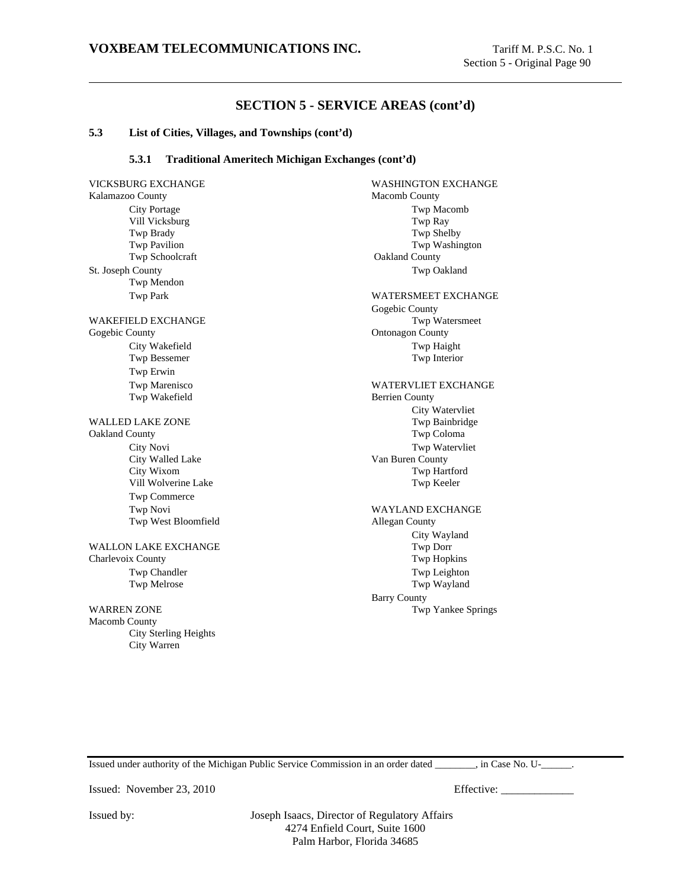#### **5.3 List of Cities, Villages, and Townships (cont'd)**

### **5.3.1 Traditional Ameritech Michigan Exchanges (cont'd)**

VICKSBURG EXCHANGE WASHINGTON EXCHANGE Kalamazoo County Macomb County City Portage Twp Macomb Vill Vicksburg Twp Ray Twp Brady Twp Shelby Twp Pavilion Twp Washington Twp Schoolcraft **Oakland County** St. Joseph County Twp Oakland Twp Mendon Twp Park WATERSMEET EXCHANGE WAKEFIELD EXCHANGE Twp Watersmeet Gogebic County **Ontonagon** County City Wakefield Twp Haight Twp Bessemer Twp Interior Twp Erwin Twp Marenisco WATERVLIET EXCHANGE Twp Wakefield Berrien County WALLED LAKE ZONE Twp Bainbridge Oakland County Twp Coloma City Novi Twp Watervliet City Walled Lake Van Buren County City Wixom Twp Hartford Vill Wolverine Lake Twp Keeler Twp Commerce Twp Novi WAYLAND EXCHANGE Twp West Bloomfield **Allegan County** WALLON LAKE EXCHANGE TWO DOTE Charlevoix County Twp Hopkins Twp Chandler Twp Leighton Twp Melrose Twp Wayland WARREN ZONE Two Yankee Springs and the US and the US and the US and the US and the US and the US and the US and the US and the US and the US and the US and the US and the US and the US and the US and the US and the US and Macomb County City Sterling Heights City Warren

Gogebic County City Watervliet City Wayland Barry County

Issued under authority of the Michigan Public Service Commission in an order dated \_\_\_\_\_\_\_\_, in Case No. U-\_\_\_\_\_\_.

Issued: November 23, 2010 Effective: \_\_\_\_\_\_\_\_\_\_\_\_\_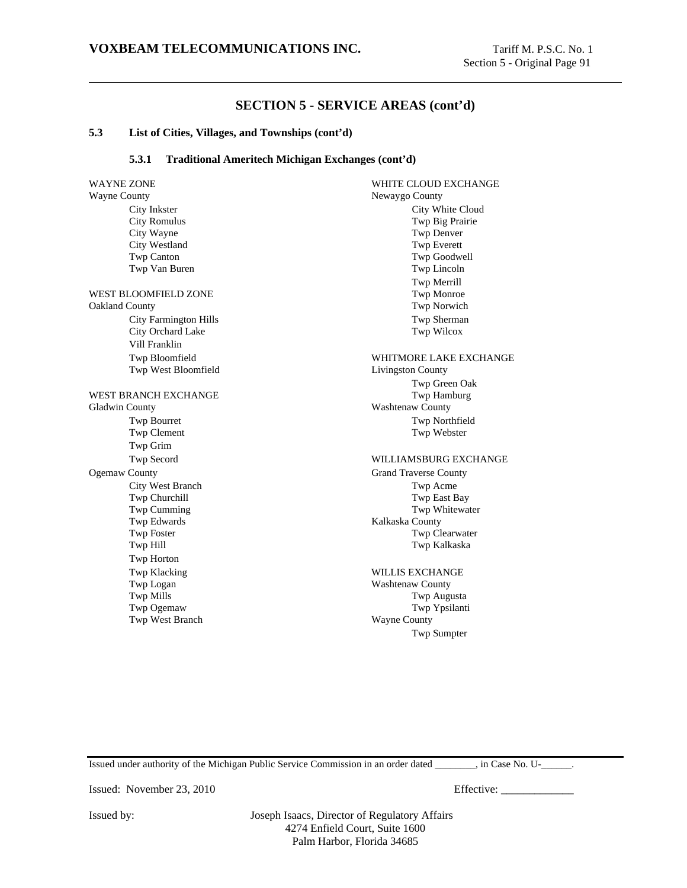### **5.3 List of Cities, Villages, and Townships (cont'd)**

### **5.3.1 Traditional Ameritech Michigan Exchanges (cont'd)**

WAYNE ZONE WHITE CLOUD EXCHANGE Wayne County Newaygo County City Inkster City White Cloud City Romulus Twp Big Prairie City Wayne Twp Denver City Westland Twp Everett Twp Canton Twp Goodwell Twp Van Buren Twp Lincoln WEST BLOOMFIELD ZONE TWO TWO TWO TWO MONTONS Oakland County Twp Norwich City Farmington Hills Twp Sherman City Orchard Lake Twp Wilcox Vill Franklin Twp Bloomfield WHITMORE LAKE EXCHANGE Twp West Bloomfield Livingston County WEST BRANCH EXCHANGE Gladwin County **Washtenaw County** Twp Bourret Twp Northfield Twp Clement Twp Webster Twp Grim Twp Secord WILLIAMSBURG EXCHANGE Ogemaw County Grand Traverse County City West Branch Twp Acme Twp Churchill Twp East Bay Twp Cumming Twp Whitewater Twp Edwards **Kalkaska County** Twp Foster Twp Clearwater Twp Hill Twp Kalkaska Twp Horton Twp Klacking WILLIS EXCHANGE Twp Logan Washtenaw County Twp Mills Twp Augusta Twp Ogemaw Twp Ypsilanti Twp West Branch Wayne County

Twp Merrill Twp Green Oak Twp Sumpter

Issued under authority of the Michigan Public Service Commission in an order dated  $\qquad \qquad$ , in Case No. U- $\qquad \qquad$ .

Issued: November 23, 2010 Effective: \_\_\_\_\_\_\_\_\_\_\_\_\_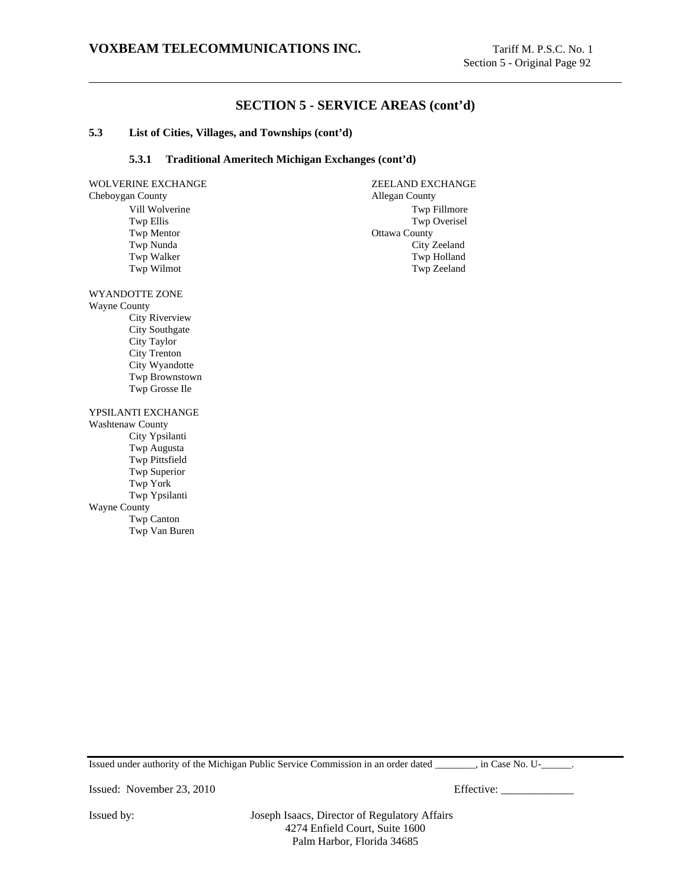### **5.3 List of Cities, Villages, and Townships (cont'd)**

### **5.3.1 Traditional Ameritech Michigan Exchanges (cont'd)**

| WOLVERINE EXCHANGE | <b>ZEELAND EXCHANGE</b> |
|--------------------|-------------------------|
| Cheboygan County   | <b>Allegan County</b>   |
| Vill Wolverine     | Twp Fillmore            |
| Twp Ellis          | Twp Overisel            |
| <b>Twp Mentor</b>  | Ottawa County           |
| Twp Nunda          | City Zeeland            |
| Twp Walker         | Twp Holland             |
| Twp Wilmot         | Twp Zeeland             |
|                    |                         |
|                    |                         |

WYANDOTTE ZONE Wayne County City Riverview City Southgate

City Taylor City Trenton City Wyandotte Twp Brownstown Twp Grosse Ile

YPSILANTI EXCHANGE

Washtenaw County City Ypsilanti Twp Augusta Twp Pittsfield Twp Superior Twp York Twp Ypsilanti Wayne County Twp Canton Twp Van Buren

Issued under authority of the Michigan Public Service Commission in an order dated \_\_\_\_\_\_\_\_, in Case No. U-\_\_\_\_\_\_.

Issued: November 23, 2010 Effective: \_\_\_\_\_\_\_\_\_\_\_\_\_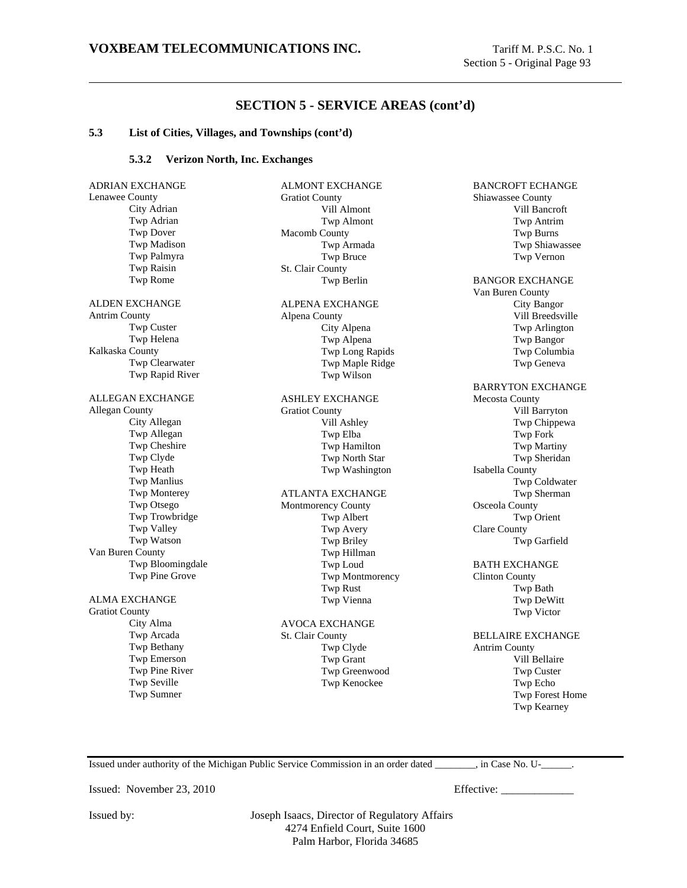#### **5.3 List of Cities, Villages, and Townships (cont'd)**

#### **5.3.2 Verizon North, Inc. Exchanges**

ADRIAN EXCHANGE Lenawee County City Adrian Twp Adrian Twp Dover Twp Madison Twp Palmyra Twp Raisin Twp Rome ALDEN EXCHANGE Antrim County Twp Custer Twp Helena Kalkaska County Twp Clearwater Twp Rapid River ALLEGAN EXCHANGE Allegan County City Allegan Twp Allegan Twp Cheshire Twp Clyde Twp Heath Twp Manlius Twp Monterey Twp Otsego Twp Trowbridge Twp Valley Twp Watson Van Buren County Twp Bloomingdale Twp Pine Grove ALMA EXCHANGE Gratiot County City Alma Twp Arcada Twp Bethany Twp Emerson Twp Pine River Twp Seville Twp Sumner

ALMONT EXCHANGE Gratiot County Vill Almont Twp Almont Macomb County Twp Armada Twp Bruce St. Clair County Twp Berlin ALPENA EXCHANGE Alpena County City Alpena Twp Alpena Twp Long Rapids Twp Maple Ridge Twp Wilson ASHLEY EXCHANGE Gratiot County Vill Ashley Twp Elba Twp Hamilton Twp North Star Twp Washington ATLANTA EXCHANGE Montmorency County Twp Albert Twp Avery Twp Briley Twp Hillman Twp Loud Twp Montmorency Twp Rust Twp Vienna AVOCA EXCHANGE St. Clair County Twp Clyde Twp Grant Twp Greenwood

BANCROFT ECHANGE Shiawassee County Vill Bancroft Twp Antrim Twp Burns Twp Shiawassee Twp Vernon BANGOR EXCHANGE Van Buren County City Bangor Vill Breedsville Twp Arlington Twp Bangor Twp Columbia Twp Geneva BARRYTON EXCHANGE Mecosta County Vill Barryton Twp Chippewa Twp Fork Twp Martiny Twp Sheridan Isabella County Twp Coldwater Twp Sherman Osceola County Twp Orient Clare County Twp Garfield BATH EXCHANGE Clinton County Twp Bath Twp DeWitt Twp Victor BELLAIRE EXCHANGE Antrim County Vill Bellaire Twp Custer Twp Echo Twp Forest Home

Issued under authority of the Michigan Public Service Commission in an order dated \_\_\_\_\_\_\_\_, in Case No. U-\_\_\_\_\_\_.

Issued: November 23, 2010 Effective:

Twp Kearney

Issued by: Joseph Isaacs, Director of Regulatory Affairs 4274 Enfield Court, Suite 1600 Palm Harbor, Florida 34685

Twp Kenockee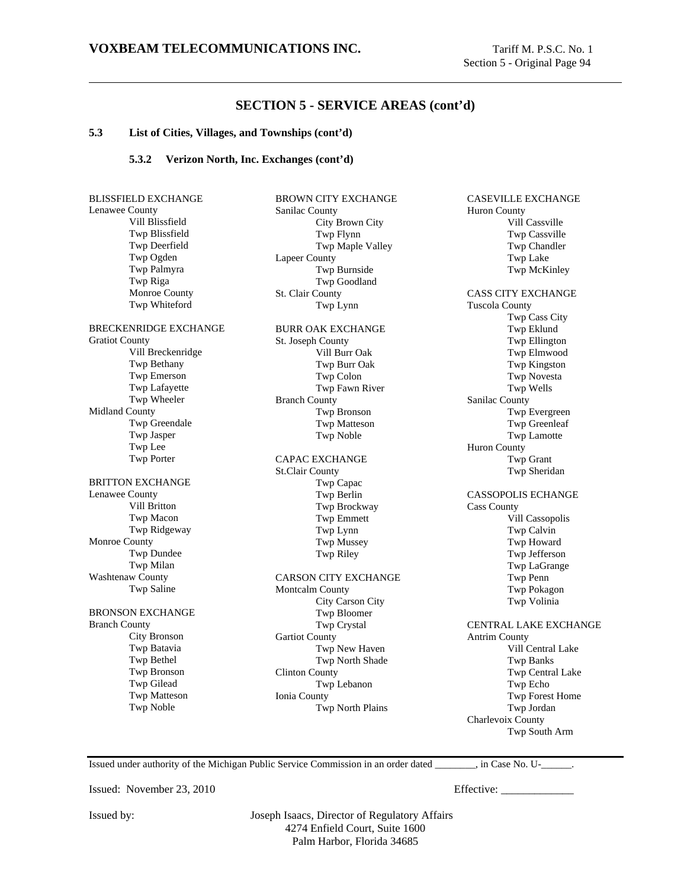#### **5.3 List of Cities, Villages, and Townships (cont'd)**

### **5.3.2 Verizon North, Inc. Exchanges (cont'd)**

| <b>BLISSFIELD EXCHANGE</b>   | <b>BROWN CITY EXCHANGE</b>  | CASEVILLE EXCHANGE                 |
|------------------------------|-----------------------------|------------------------------------|
| Lenawee County               | Sanilac County              | <b>Huron County</b>                |
| Vill Blissfield              | City Brown City             | Vill Cassville                     |
| Twp Blissfield               | Twp Flynn                   | Twp Cassville                      |
| Twp Deerfield                | Twp Maple Valley            | Twp Chandler                       |
| Twp Ogden                    | <b>Lapeer County</b>        | <b>Twp Lake</b>                    |
| Twp Palmyra                  | Twp Burnside                | Twp McKinley                       |
| Twp Riga                     | Twp Goodland                |                                    |
| Monroe County                | St. Clair County            | <b>CASS CITY EXCHANGE</b>          |
| Twp Whiteford                | Twp Lynn                    | <b>Tuscola County</b>              |
|                              |                             | Twp Cass City                      |
| <b>BRECKENRIDGE EXCHANGE</b> | <b>BURR OAK EXCHANGE</b>    | Twp Eklund                         |
| <b>Gratiot County</b>        | St. Joseph County           | Twp Ellington                      |
| Vill Breckenridge            | Vill Burr Oak               | Twp Elmwood                        |
| Twp Bethany                  | Twp Burr Oak                | Twp Kingston                       |
| Twp Emerson                  | Twp Colon                   | Twp Novesta                        |
| Twp Lafayette                | Twp Fawn River              | Twp Wells                          |
| Twp Wheeler                  | <b>Branch County</b>        | Sanilac County                     |
| <b>Midland County</b>        | Twp Bronson                 | Twp Evergreen                      |
| Twp Greendale                | Twp Matteson                | Twp Greenleaf                      |
| Twp Jasper                   | Twp Noble                   | Twp Lamotte                        |
| Twp Lee                      |                             | Huron County                       |
| Twp Porter                   | <b>CAPAC EXCHANGE</b>       | Twp Grant                          |
|                              | <b>St.Clair County</b>      | Twp Sheridan                       |
| <b>BRITTON EXCHANGE</b>      | Twp Capac                   |                                    |
| Lenawee County               | Twp Berlin                  | <b>CASSOPOLIS ECHANGE</b>          |
| Vill Britton                 | Twp Brockway                | <b>Cass County</b>                 |
| Twp Macon                    | <b>Twp Emmett</b>           | Vill Cassopolis                    |
| Twp Ridgeway                 | Twp Lynn                    | Twp Calvin                         |
| Monroe County                | <b>Twp Mussey</b>           | Twp Howard                         |
| Twp Dundee                   | Twp Riley                   | Twp Jefferson                      |
| Twp Milan                    |                             | Twp LaGrange                       |
| Washtenaw County             | <b>CARSON CITY EXCHANGE</b> | Twp Penn                           |
| Twp Saline                   | Montcalm County             | Twp Pokagon                        |
|                              | City Carson City            | Twp Volinia                        |
| <b>BRONSON EXCHANGE</b>      | Twp Bloomer                 |                                    |
| <b>Branch County</b>         | Twp Crystal                 | <b>CENTRAL LAKE EXCHAI</b>         |
| City Bronson                 | <b>Gartiot County</b>       | <b>Antrim County</b>               |
| Twp Batavia                  | Twp New Haven               | Vill Central Lake                  |
| Twp Bethel                   | Twp North Shade             | <b>Twp Banks</b>                   |
| Twp Bronson                  | <b>Clinton County</b>       | Twp Central Lake                   |
| Twp Gilead                   | Twp Lebanon                 | Twp Echo                           |
| <b>Twp Matteson</b>          | Ionia County                | Twp Forest Home                    |
| Twp Noble                    | Twp North Plains            | Twp Jordan                         |
|                              |                             | Charlevoix County                  |
|                              |                             | $-1$ $-1$<br>$\mathbf{r}$ $\alpha$ |

on County Vill Cassville Twp Cassville Twp Chandler Twp Lake Twp McKinley **S CITY EXCHANGE** ola County Twp Cass City Twp Eklund Twp Ellington Twp Elmwood Twp Kingston Twp Novesta Twp Wells lac County Twp Evergreen Twp Greenleaf Twp Lamotte n County Twp Grant Twp Sheridan SOPOLIS ECHANGE County Vill Cassopolis Twp Calvin Twp Howard Twp Jefferson Twp LaGrange Twp Penn Twp Pokagon Twp Volinia TRAL LAKE EXCHANGE im County Vill Central Lake Twp Banks Twp Central Lake Twp Echo Twp Forest Home Twp Jordan levoix County

Issued under authority of the Michigan Public Service Commission in an order dated \_\_\_\_\_\_\_\_, in Case No. U-\_\_\_\_\_\_.

Issued: November 23, 2010 Effective: \_\_\_\_\_\_\_\_\_\_\_\_\_

Twp South Arm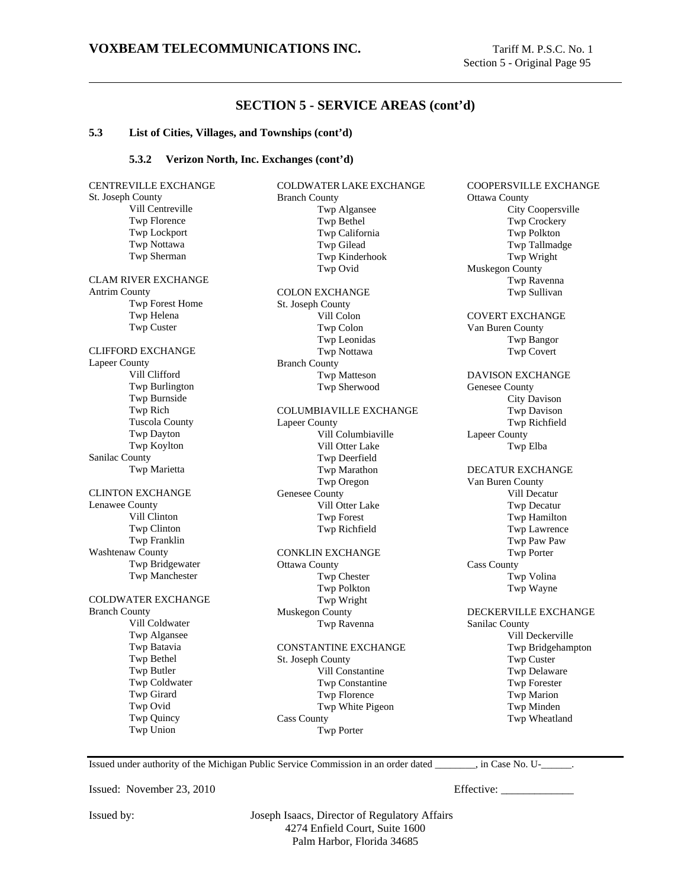#### **5.3 List of Cities, Villages, and Townships (cont'd)**

#### **5.3.2 Verizon North, Inc. Exchanges (cont'd)**

CENTREVILLE EXCHANGE St. Joseph County Vill Centreville Twp Florence Twp Lockport Twp Nottawa Twp Sherman CLAM RIVER EXCHANGE Antrim County Twp Forest Home Twp Helena Twp Custer CLIFFORD EXCHANGE Lapeer County Vill Clifford Twp Burlington Twp Burnside Twp Rich Tuscola County Twp Dayton Twp Koylton Sanilac County Twp Marietta CLINTON EXCHANGE Lenawee County Vill Clinton Twp Clinton Twp Franklin Washtenaw County Twp Bridgewater Twp Manchester COLDWATER EXCHANGE Branch County Vill Coldwater Twp Algansee Twp Batavia Twp Bethel Twp Butler Twp Coldwater Twp Girard Twp Ovid Twp Quincy Twp Union

COLDWATER LAKE EXCHANGE Branch County Twp Algansee Twp Bethel Twp California Twp Gilead Twp Kinderhook Twp Ovid COLON EXCHANGE St. Joseph County Vill Colon Twp Colon Twp Leonidas Twp Nottawa Branch County Twp Matteson Twp Sherwood COLUMBIAVILLE EXCHANGE Lapeer County Vill Columbiaville Vill Otter Lake Twp Deerfield Twp Marathon Twp Oregon Genesee County Vill Otter Lake Twp Forest Twp Richfield CONKLIN EXCHANGE Ottawa County Twp Chester Twp Polkton Twp Wright Muskegon County Twp Ravenna CONSTANTINE EXCHANGE St. Joseph County Vill Constantine Twp Constantine Twp Florence Twp White Pigeon Cass County Twp Porter

COOPERSVILLE EXCHANGE Ottawa County City Coopersville Twp Crockery Twp Polkton Twp Tallmadge Twp Wright Muskegon County Twp Ravenna Twp Sullivan COVERT EXCHANGE Van Buren County Twp Bangor Twp Covert DAVISON EXCHANGE Genesee County City Davison Twp Davison Twp Richfield Lapeer County Twp Elba DECATUR EXCHANGE Van Buren County Vill Decatur Twp Decatur Twp Hamilton Twp Lawrence Twp Paw Paw Twp Porter Cass County Twp Volina Twp Wayne DECKERVILLE EXCHANGE Sanilac County Vill Deckerville Twp Bridgehampton Twp Custer Twp Delaware Twp Forester Twp Marion Twp Minden Twp Wheatland

Issued under authority of the Michigan Public Service Commission in an order dated \_\_\_\_\_\_\_\_, in Case No. U-\_\_\_\_\_\_.

Issued: November 23, 2010 Effective: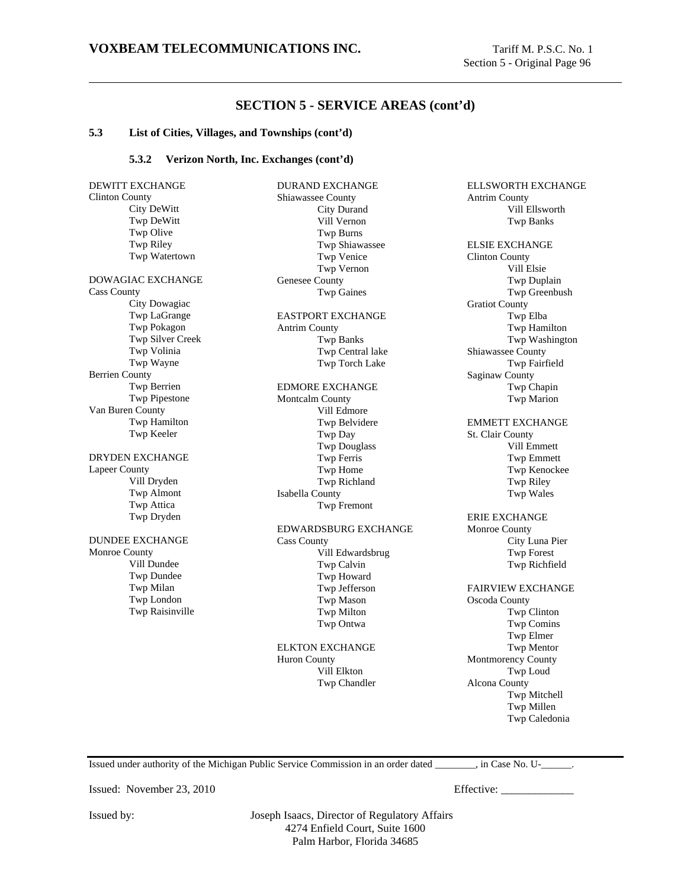ELLSWORTH EXCHANGE

Vill Ellsworth

Antrim County

# **SECTION 5 - SERVICE AREAS (cont'd)**

#### **5.3 List of Cities, Villages, and Townships (cont'd)**

#### **5.3.2 Verizon North, Inc. Exchanges (cont'd)**

DEWITT EXCHANGE Clinton County City DeWitt Twp DeWitt Twp Olive Twp Riley Twp Watertown DOWAGIAC EXCHANGE Cass County City Dowagiac Twp LaGrange Twp Pokagon Twp Silver Creek Twp Volinia Twp Wayne Berrien County Twp Berrien Twp Pipestone Van Buren County Twp Hamilton Twp Keeler DRYDEN EXCHANGE Lapeer County Vill Dryden Twp Almont Twp Attica Twp Dryden DUNDEE EXCHANGE Monroe County Vill Dundee Twp Dundee Twp Milan Twp London Twp Raisinville

DURAND EXCHANGE Shiawassee County City Durand Vill Vernon Twp Burns Twp Shiawassee Twp Venice Twp Vernon Genesee County Twp Gaines EASTPORT EXCHANGE Antrim County Twp Banks Twp Central lake Twp Torch Lake EDMORE EXCHANGE Montcalm County Vill Edmore Twp Belvidere Twp Day Twp Douglass Twp Ferris Twp Home Twp Richland Isabella County Twp Fremont EDWARDSBURG EXCHANGE Cass County Vill Edwardsbrug Twp Calvin Twp Howard Twp Jefferson Twp Mason Twp Milton Twp Ontwa ELKTON EXCHANGE Huron County

Vill Elkton Twp Chandler

Twp Banks ELSIE EXCHANGE Clinton County Vill Elsie Twp Duplain Twp Greenbush Gratiot County Twp Elba Twp Hamilton Twp Washington Shiawassee County Twp Fairfield Saginaw County Twp Chapin Twp Marion EMMETT EXCHANGE St. Clair County Vill Emmett Twp Emmett Twp Kenockee Twp Riley Twp Wales ERIE EXCHANGE Monroe County City Luna Pier Twp Forest Twp Richfield FAIRVIEW EXCHANGE Oscoda County Twp Clinton

Twp Comins Twp Elmer Twp Mentor Montmorency County Twp Loud Alcona County Twp Mitchell Twp Millen Twp Caledonia

Issued under authority of the Michigan Public Service Commission in an order dated \_\_\_\_\_\_\_\_, in Case No. U-\_\_\_\_\_\_.

Issued: November 23, 2010 Effective: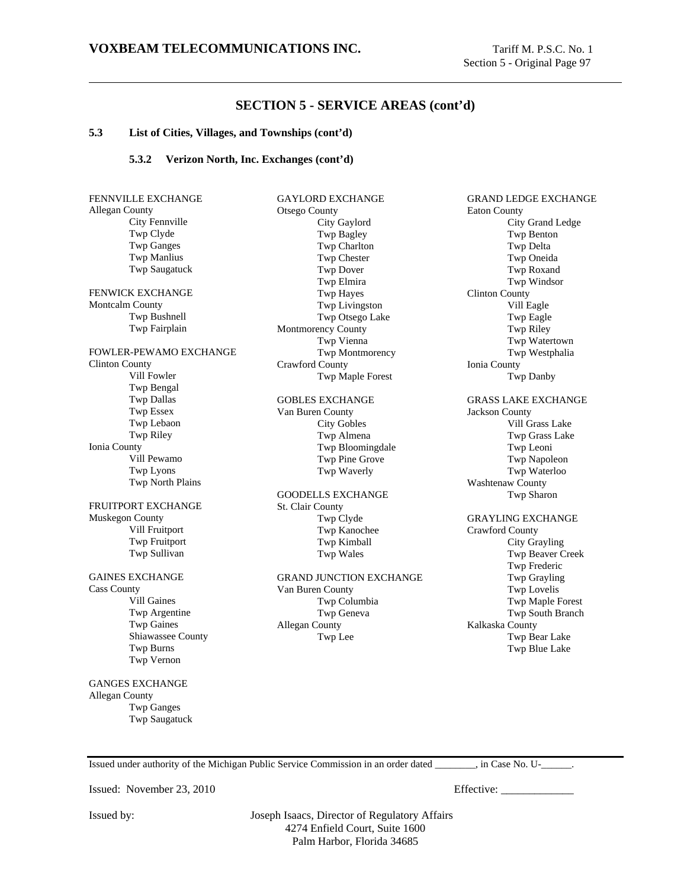#### **5.3 List of Cities, Villages, and Townships (cont'd)**

#### **5.3.2 Verizon North, Inc. Exchanges (cont'd)**

| FENNVILLE EXCHANGE               |  |  |
|----------------------------------|--|--|
| Allegan County<br>City Fennville |  |  |
| Twp Clyde                        |  |  |
| <b>Twp Ganges</b>                |  |  |
| <b>Twp Manlius</b>               |  |  |
| <b>Twp Saugatuck</b>             |  |  |
|                                  |  |  |
| FENWICK EXCHANGE                 |  |  |
| Montcalm County                  |  |  |
| Twp Bushnell                     |  |  |
| Twp Fairplain                    |  |  |
| FOWLER-PEWAMO EXCHANGE           |  |  |
| Clinton County                   |  |  |
| Vill Fowler                      |  |  |
| Twp Bengal                       |  |  |
| <b>Twp Dallas</b>                |  |  |
| <b>Twp Essex</b>                 |  |  |
| Twp Lebaon                       |  |  |
| Twp Riley                        |  |  |
| Ionia County                     |  |  |
| Vill Pewamo                      |  |  |
| Twp Lyons                        |  |  |
| Twp North Plains                 |  |  |
| FRUITPORT EXCHANGE               |  |  |
| Muskegon County                  |  |  |
| Vill Fruitport                   |  |  |
| Twp Fruitport                    |  |  |
| Twp Sullivan                     |  |  |
| <b>GAINES EXCHANGE</b>           |  |  |
| <b>Cass County</b>               |  |  |
| <b>Vill Gaines</b>               |  |  |
| Twp Argentine                    |  |  |
| <b>Twp Gaines</b>                |  |  |
| Shiawassee County                |  |  |
| Twp Burns                        |  |  |
| Twp Vernon                       |  |  |
| <b>GANGES EXCHANGE</b>           |  |  |
| <b>Allegan County</b>            |  |  |
| <b>Twp Ganges</b>                |  |  |
| <b>Twp Saugatuck</b>             |  |  |

GAYLORD EXCHANGE Otsego County City Gaylord Twp Bagley Twp Charlton Twp Chester Twp Dover Twp Elmira Twp Hayes Twp Livingston Twp Otsego Lake Montmorency County Twp Vienna Twp Montmorency Crawford County Twp Maple Forest

GOBLES EXCHANGE Van Buren County City Gobles Twp Almena Twp Bloomingdale Twp Pine Grove Twp Waverly

GOODELLS EXCHANGE St. Clair County Twp Clyde Twp Kanochee Twp Kimball Twp Wales

GRAND JUNCTION EXCHANGE Van Buren County Twp Columbia Twp Geneva Allegan County Twp Lee

GRAND LEDGE EXCHANGE Eaton County City Grand Ledge Twp Benton Twp Delta Twp Oneida Twp Roxand Twp Windsor Clinton County Vill Eagle Twp Eagle Twp Riley Twp Watertown Twp Westphalia Ionia County Twp Danby GRASS LAKE EXCHANGE Jackson County Vill Grass Lake Twp Grass Lake Twp Leoni Twp Napoleon Twp Waterloo Washtenaw County Twp Sharon GRAYLING EXCHANGE Crawford County City Grayling Twp Beaver Creek Twp Frederic Twp Grayling Twp Lovelis Twp Maple Forest Twp South Branch Kalkaska County Twp Bear Lake Twp Blue Lake

Issued under authority of the Michigan Public Service Commission in an order dated \_\_\_\_\_\_\_\_, in Case No. U-\_\_\_\_\_\_.

Issued: November 23, 2010 Effective: \_\_\_\_\_\_\_\_\_\_\_\_\_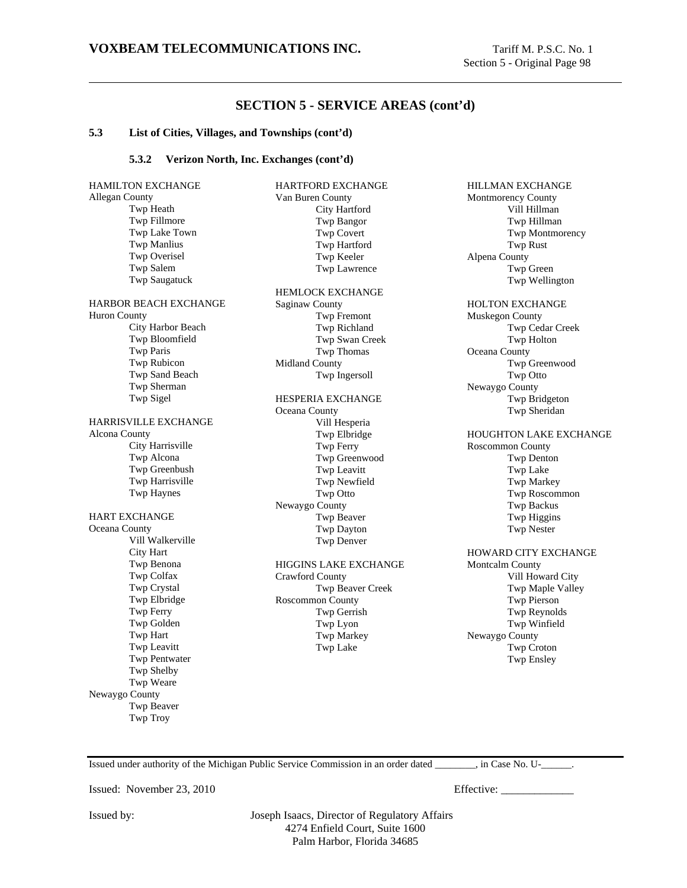### **5.3 List of Cities, Villages, and Townships (cont'd)**

#### **5.3.2 Verizon North, Inc. Exchanges (cont'd)**

| <b>HAMILTON EXCHANGE</b>     | <b>HARTFORD EXCHANGE</b>     |
|------------------------------|------------------------------|
| Allegan County               | Van Buren County             |
| Twp Heath                    | City Hartford                |
| Twp Fillmore                 | Twp Bangor                   |
| Twp Lake Town                | <b>Twp Covert</b>            |
| <b>Twp Manlius</b>           | Twp Hartford                 |
| Twp Overisel                 | Twp Keeler                   |
| Twp Salem                    | Twp Lawrence                 |
| Twp Saugatuck                |                              |
|                              | <b>HEMLOCK EXCHANGE</b>      |
| <b>HARBOR BEACH EXCHANGE</b> | <b>Saginaw County</b>        |
| <b>Huron County</b>          | Twp Fremont                  |
| City Harbor Beach            | Twp Richland                 |
| Twp Bloomfield               | Twp Swan Creek               |
| Twp Paris                    | Twp Thomas                   |
| Twp Rubicon                  | Midland County               |
| Twp Sand Beach               | Twp Ingersoll                |
| Twp Sherman                  |                              |
| Twp Sigel                    | <b>HESPERIA EXCHANGE</b>     |
|                              | Oceana County                |
| HARRISVILLE EXCHANGE         | Vill Hesperia                |
| Alcona County                | Twp Elbridge                 |
| City Harrisville             | Twp Ferry                    |
| Twp Alcona                   | Twp Greenwood                |
| Twp Greenbush                | Twp Leavitt                  |
| Twp Harrisville              | Twp Newfield                 |
| <b>Twp Haynes</b>            | Twp Otto                     |
|                              | Newaygo County               |
| <b>HART EXCHANGE</b>         | Twp Beaver                   |
| Oceana County                | Twp Dayton                   |
| Vill Walkerville             | Twp Denver                   |
| City Hart                    |                              |
| Twp Benona                   | <b>HIGGINS LAKE EXCHANGE</b> |
| Twp Colfax                   | Crawford County              |
| Twp Crystal                  |                              |
| Twp Elbridge                 | Twp Beaver Creek             |
| Twp Ferry                    | Roscommon County             |
|                              | Twp Gerrish                  |
| Twp Golden                   | Twp Lyon                     |
| Twp Hart                     | Twp Markey                   |
| Twp Leavitt                  | Twp Lake                     |
| <b>Twp Pentwater</b>         |                              |
| Twp Shelby                   |                              |
| Twp Weare                    |                              |
| Newaygo County               |                              |
| Twp Beaver                   |                              |
| <b>Twp Troy</b>              |                              |

HILLMAN EXCHANGE Montmorency County Vill Hillman Twp Hillman Twp Montmorency Twp Rust Alpena County Twp Green Twp Wellington HOLTON EXCHANGE Muskegon County Twp Cedar Creek Twp Holton Oceana County Twp Greenwood Twp Otto Newaygo County Twp Bridgeton Twp Sheridan HOUGHTON LAKE EXCHANGE Roscommon County Twp Denton Twp Lake Twp Markey Twp Roscommon Twp Backus Twp Higgins Twp Nester HOWARD CITY EXCHANGE Montcalm County Vill Howard City Twp Maple Valley Twp Pierson Twp Reynolds Twp Winfield Newaygo County Twp Croton Twp Ensley

Issued under authority of the Michigan Public Service Commission in an order dated \_\_\_\_\_\_\_\_, in Case No. U-\_\_\_\_\_\_.

Issued: November 23, 2010 Effective: \_\_\_\_\_\_\_\_\_\_\_\_\_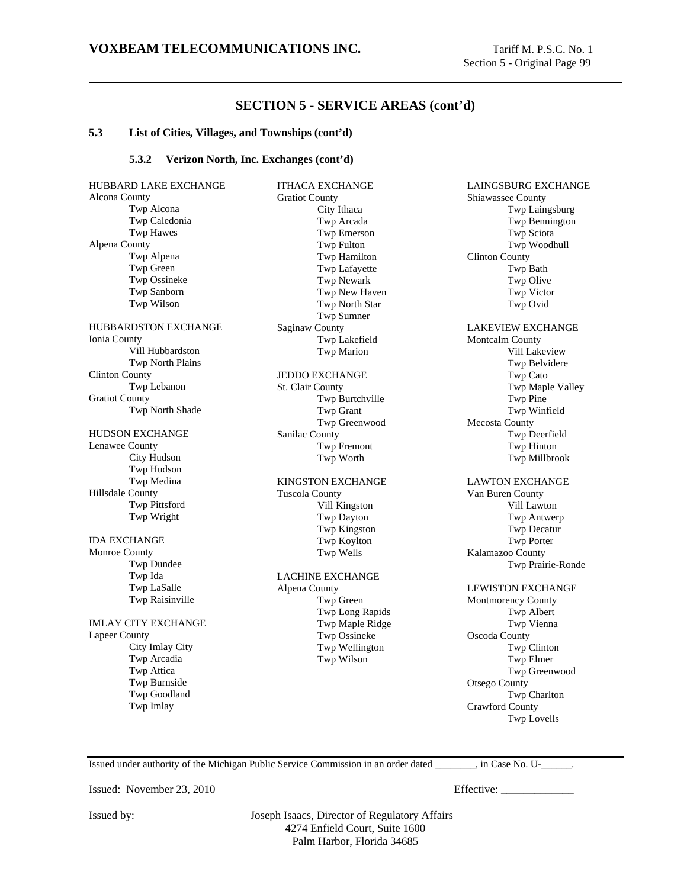#### **5.3 List of Cities, Villages, and Townships (cont'd)**

#### **5.3.2 Verizon North, Inc. Exchanges (cont'd)**

HUBBARD LAKE EXCHANGE Alcona County Twp Alcona Twp Caledonia Twp Hawes Alpena County Twp Alpena Twp Green Twp Ossineke Twp Sanborn Twp Wilson HUBBARDSTON EXCHANGE Ionia County Vill Hubbardston Twp North Plains Clinton County Twp Lebanon Gratiot County Twp North Shade HUDSON EXCHANGE Lenawee County City Hudson Twp Hudson Twp Medina Hillsdale County Twp Pittsford Twp Wright IDA EXCHANGE Monroe County Twp Dundee Twp Ida Twp LaSalle Twp Raisinville IMLAY CITY EXCHANGE Lapeer County City Imlay City Twp Arcadia Twp Attica Twp Burnside Twp Goodland Twp Imlay

ITHACA EXCHANGE Gratiot County City Ithaca Twp Arcada Twp Emerson Twp Fulton Twp Hamilton Twp Lafayette Twp Newark Twp New Haven Twp North Star Twp Sumner Saginaw County Twp Lakefield Twp Marion JEDDO EXCHANGE St. Clair County Twp Burtchville Twp Grant Twp Greenwood Sanilac County Twp Fremont Twp Worth KINGSTON EXCHANGE Tuscola County Vill Kingston Twp Dayton Twp Kingston Twp Koylton Twp Wells LACHINE EXCHANGE Alpena County Twp Green Twp Long Rapids Twp Maple Ridge Twp Ossineke Twp Wellington Twp Wilson

LAINGSBURG EXCHANGE Shiawassee County Twp Laingsburg Twp Bennington Twp Sciota Twp Woodhull Clinton County Twp Bath Twp Olive Twp Victor Twp Ovid LAKEVIEW EXCHANGE Montcalm County Vill Lakeview Twp Belvidere Twp Cato Twp Maple Valley Twp Pine Twp Winfield Mecosta County Twp Deerfield Twp Hinton Twp Millbrook LAWTON EXCHANGE Van Buren County Vill Lawton Twp Antwerp Twp Decatur Twp Porter Kalamazoo County Twp Prairie-Ronde LEWISTON EXCHANGE Montmorency County Twp Albert Twp Vienna Oscoda County Twp Clinton Twp Elmer Twp Greenwood Otsego County Twp Charlton Crawford County Twp Lovells

Issued under authority of the Michigan Public Service Commission in an order dated \_\_\_\_\_\_\_\_, in Case No. U-\_\_\_\_\_\_.

Issued: November 23, 2010 Effective: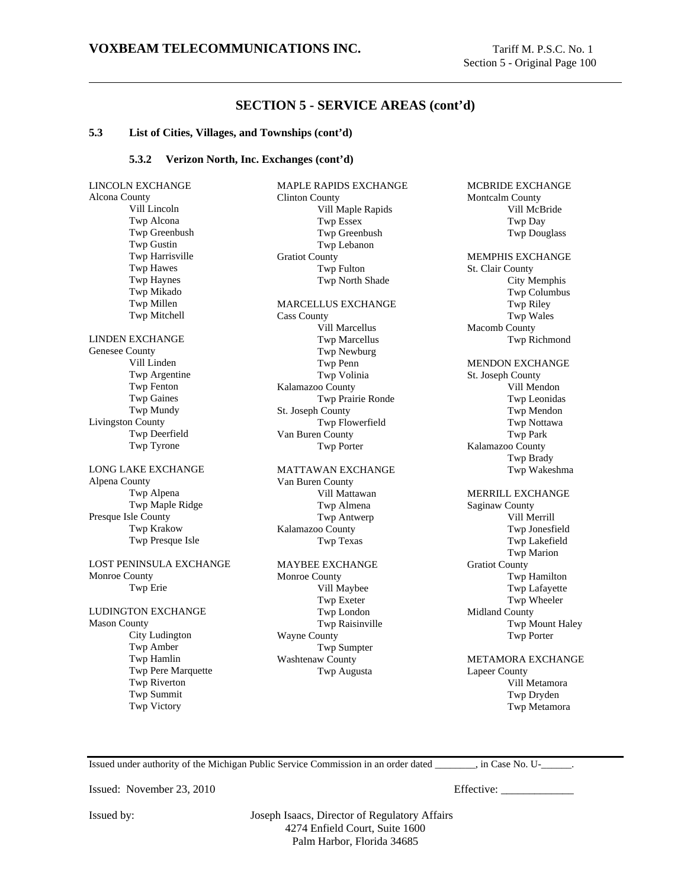MCBRIDE EXCHANGE

# **SECTION 5 - SERVICE AREAS (cont'd)**

#### **5.3 List of Cities, Villages, and Townships (cont'd)**

#### **5.3.2 Verizon North, Inc. Exchanges (cont'd)**

LINCOLN EXCHANGE Alcona County Vill Lincoln Twp Alcona Twp Greenbush Twp Gustin Twp Harrisville Twp Hawes Twp Haynes Twp Mikado Twp Millen Twp Mitchell LINDEN EXCHANGE Genesee County Vill Linden Twp Argentine Twp Fenton Twp Gaines Twp Mundy Livingston County Twp Deerfield Twp Tyrone LONG LAKE EXCHANGE Alpena County Twp Alpena Twp Maple Ridge Presque Isle County Twp Krakow Twp Presque Isle LOST PENINSULA EXCHANGE Monroe County Twp Erie LUDINGTON EXCHANGE Mason County City Ludington Twp Amber Twp Hamlin Twp Pere Marquette Twp Riverton Twp Summit Twp Victory

MAPLE RAPIDS EXCHANGE Clinton County Vill Maple Rapids Twp Essex Twp Greenbush Twp Lebanon Gratiot County Twp Fulton Twp North Shade MARCELLUS EXCHANGE Cass County Vill Marcellus Twp Marcellus Twp Newburg Twp Penn Twp Volinia Kalamazoo County Twp Prairie Ronde St. Joseph County Twp Flowerfield Van Buren County Twp Porter MATTAWAN EXCHANGE Van Buren County Vill Mattawan Twp Almena Twp Antwerp Kalamazoo County

Twp Texas

#### MAYBEE EXCHANGE Monroe County

Vill Maybee Twp Exeter Twp London Twp Raisinville Wayne County Twp Sumpter Washtenaw County Twp Augusta

Montcalm County Vill McBride Twp Day Twp Douglass MEMPHIS EXCHANGE St. Clair County City Memphis Twp Columbus Twp Riley Twp Wales Macomb County Twp Richmond MENDON EXCHANGE St. Joseph County Vill Mendon Twp Leonidas Twp Mendon Twp Nottawa Twp Park Kalamazoo County Twp Brady Twp Wakeshma MERRILL EXCHANGE Saginaw County Vill Merrill Twp Jonesfield Twp Lakefield

Twp Marion Gratiot County Twp Hamilton Twp Lafayette Twp Wheeler Midland County Twp Mount Haley Twp Porter

METAMORA EXCHANGE Lapeer County Vill Metamora Twp Dryden Twp Metamora

Issued under authority of the Michigan Public Service Commission in an order dated \_\_\_\_\_\_\_\_, in Case No. U-\_\_\_\_\_\_.

Issued: November 23, 2010 Effective: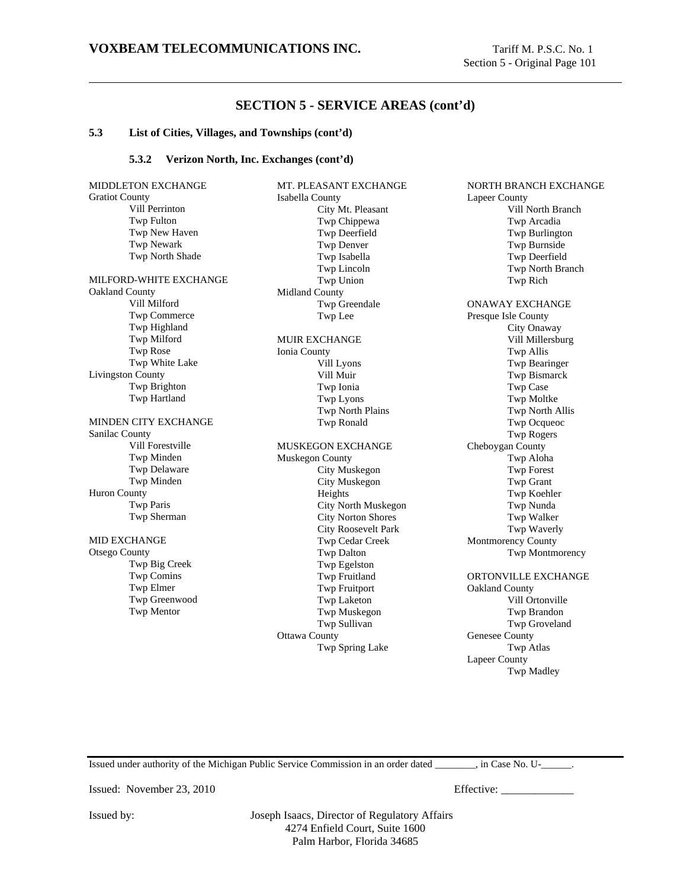#### **5.3 List of Cities, Villages, and Townships (cont'd)**

#### **5.3.2 Verizon North, Inc. Exchanges (cont'd)**

MIDDLETON EXCHANGE Gratiot County Vill Perrinton Twp Fulton Twp New Haven Twp Newark Twp North Shade MILFORD-WHITE EXCHANGE Oakland County Vill Milford Twp Commerce Twp Highland Twp Milford Twp Rose Twp White Lake Livingston County Twp Brighton Twp Hartland MINDEN CITY EXCHANGE Sanilac County Vill Forestville Twp Minden Twp Delaware Twp Minden Huron County Twp Paris Twp Sherman MID EXCHANGE Otsego County Twp Big Creek Twp Comins Twp Elmer Twp Greenwood Twp Mentor

MT. PLEASANT EXCHANGE Isabella County City Mt. Pleasant Twp Chippewa Twp Deerfield Twp Denver Twp Isabella Twp Lincoln Twp Union Midland County Twp Greendale Twp Lee MUIR EXCHANGE Ionia County Vill Lyons Vill Muir Twp Ionia Twp Lyons Twp North Plains Twp Ronald MUSKEGON EXCHANGE Muskegon County City Muskegon City Muskegon Heights City North Muskegon City Norton Shores City Roosevelt Park Twp Cedar Creek Twp Dalton Twp Egelston Twp Fruitland Twp Fruitport Twp Laketon Twp Muskegon Twp Sullivan Ottawa County Twp Spring Lake

NORTH BRANCH EXCHANGE Lapeer County Vill North Branch Twp Arcadia Twp Burlington Twp Burnside Twp Deerfield Twp North Branch Twp Rich ONAWAY EXCHANGE Presque Isle County City Onaway Vill Millersburg Twp Allis Twp Bearinger Twp Bismarck Twp Case Twp Moltke Twp North Allis Twp Ocqueoc Twp Rogers Cheboygan County Twp Aloha Twp Forest Twp Grant Twp Koehler Twp Nunda Twp Walker Twp Waverly Montmorency County Twp Montmorency ORTONVILLE EXCHANGE Oakland County Vill Ortonville Twp Brandon Twp Groveland Genesee County Twp Atlas Lapeer County Twp Madley

Issued under authority of the Michigan Public Service Commission in an order dated \_\_\_\_\_\_\_\_, in Case No. U-\_\_\_\_\_\_.

Issued: November 23, 2010 Effective: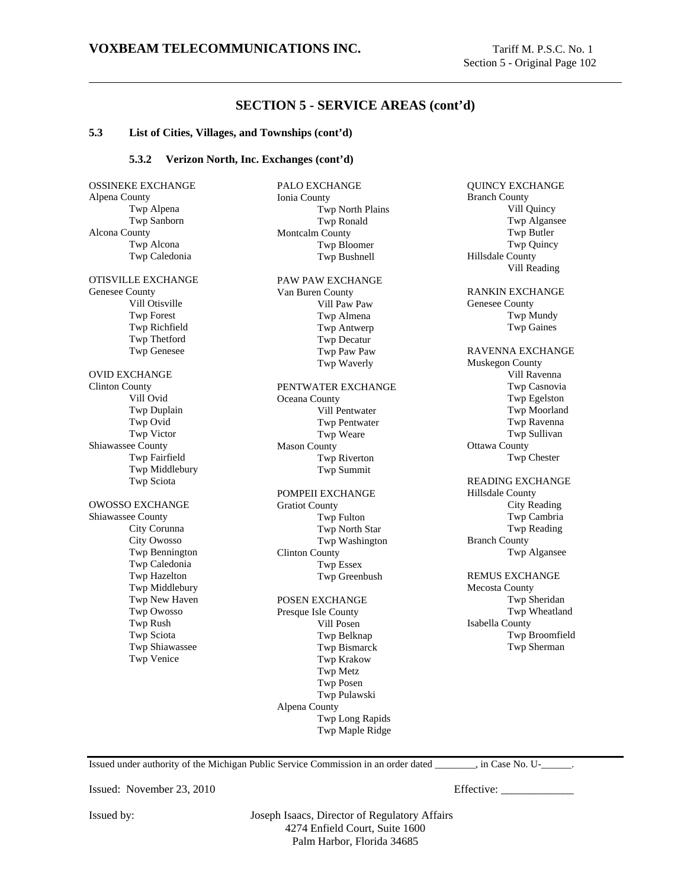#### **5.3 List of Cities, Villages, and Townships (cont'd)**

#### **5.3.2 Verizon North, Inc. Exchanges (cont'd)**

OSSINEKE EXCHANGE Alpena County Twp Alpena Twp Sanborn Alcona County Twp Alcona Twp Caledonia OTISVILLE EXCHANGE Genesee County Vill Otisville Twp Forest Twp Richfield Twp Thetford Twp Genesee OVID EXCHANGE Clinton County Vill Ovid Twp Duplain Twp Ovid Twp Victor Shiawassee County Twp Fairfield Twp Middlebury Twp Sciota OWOSSO EXCHANGE Shiawassee County City Corunna City Owosso Twp Bennington Twp Caledonia Twp Hazelton Twp Middlebury Twp New Haven Twp Owosso Twp Rush Twp Sciota Twp Shiawassee Twp Venice

PALO EXCHANGE Ionia County Twp North Plains Twp Ronald Montcalm County Twp Bloomer Twp Bushnell PAW PAW EXCHANGE Van Buren County Vill Paw Paw Twp Almena Twp Antwerp Twp Decatur Twp Paw Paw Twp Waverly PENTWATER EXCHANGE Oceana County Vill Pentwater Twp Pentwater Twp Weare Mason County Twp Riverton Twp Summit POMPEII EXCHANGE Gratiot County Twp Fulton Twp North Star Twp Washington Clinton County Twp Essex Twp Greenbush POSEN EXCHANGE Presque Isle County Vill Posen Twp Belknap Twp Bismarck Twp Krakow Twp Metz Twp Posen Twp Pulawski Alpena County Twp Long Rapids Twp Maple Ridge

QUINCY EXCHANGE Branch County Vill Quincy Twp Algansee Twp Butler Twp Quincy Hillsdale County Vill Reading RANKIN EXCHANGE Genesee County Twp Mundy Twp Gaines RAVENNA EXCHANGE Muskegon County Vill Ravenna Twp Casnovia Twp Egelston Twp Moorland Twp Ravenna Twp Sullivan Ottawa County Twp Chester READING EXCHANGE Hillsdale County City Reading Twp Cambria Twp Reading Branch County Twp Algansee REMUS EXCHANGE Mecosta County Twp Sheridan Twp Wheatland Isabella County Twp Broomfield Twp Sherman

Issued under authority of the Michigan Public Service Commission in an order dated \_\_\_\_\_\_\_\_, in Case No. U-\_\_\_\_\_\_.

Issued: November 23, 2010 Effective: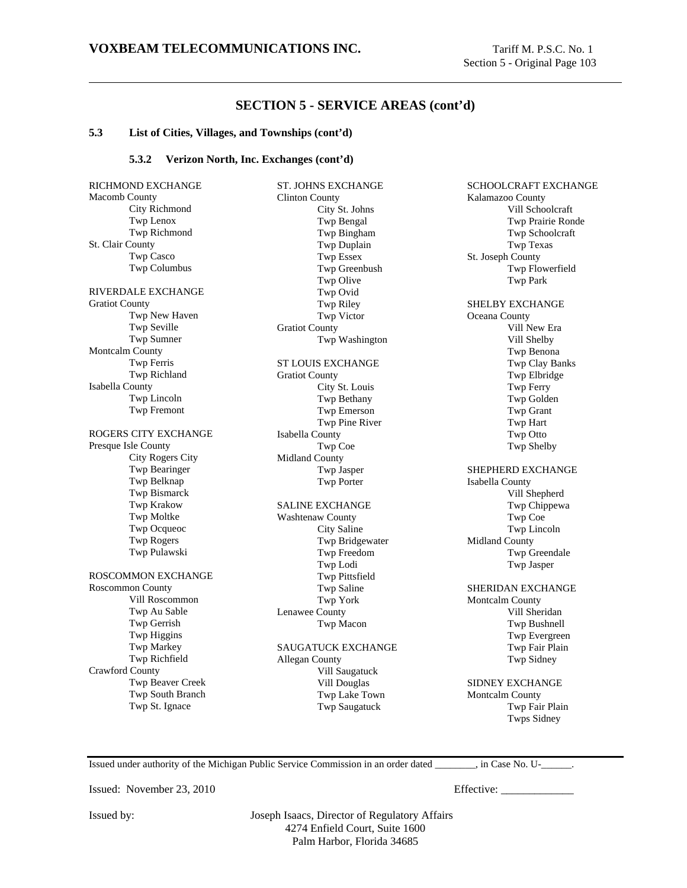#### **5.3 List of Cities, Villages, and Townships (cont'd)**

#### **5.3.2 Verizon North, Inc. Exchanges (cont'd)**

RICHMOND EXCHANGE Macomb County City Richmond Twp Lenox Twp Richmond St. Clair County Twp Casco Twp Columbus RIVERDALE EXCHANGE Gratiot County Twp New Haven Twp Seville Twp Sumner Montcalm County Twp Ferris Twp Richland Isabella County Twp Lincoln Twp Fremont ROGERS CITY EXCHANGE Presque Isle County City Rogers City Twp Bearinger Twp Belknap Twp Bismarck Twp Krakow Twp Moltke Twp Ocqueoc Twp Rogers Twp Pulawski ROSCOMMON EXCHANGE Roscommon County Vill Roscommon Twp Au Sable Twp Gerrish Twp Higgins Twp Markey Twp Richfield Crawford County Twp Beaver Creek Twp South Branch Twp St. Ignace

ST. JOHNS EXCHANGE Clinton County City St. Johns Twp Bengal Twp Bingham Twp Duplain Twp Essex Twp Greenbush Twp Olive Twp Ovid Twp Riley Twp Victor Gratiot County Twp Washington ST LOUIS EXCHANGE Gratiot County City St. Louis Twp Bethany Twp Emerson Twp Pine River Isabella County Twp Coe Midland County Twp Jasper Twp Porter SALINE EXCHANGE Washtenaw County City Saline Twp Bridgewater Twp Freedom Twp Lodi Twp Pittsfield Twp Saline Twp York Lenawee County Twp Macon SAUGATUCK EXCHANGE Allegan County

Vill Saugatuck Vill Douglas Twp Lake Town Twp Saugatuck

SCHOOLCRAFT EXCHANGE Kalamazoo County Vill Schoolcraft Twp Prairie Ronde Twp Schoolcraft Twp Texas St. Joseph County Twp Flowerfield Twp Park SHELBY EXCHANGE Oceana County Vill New Era Vill Shelby Twp Benona Twp Clay Banks Twp Elbridge Twp Ferry Twp Golden Twp Grant Twp Hart Twp Otto Twp Shelby SHEPHERD EXCHANGE Isabella County Vill Shepherd Twp Chippewa Twp Coe Twp Lincoln Midland County Twp Greendale Twp Jasper SHERIDAN EXCHANGE Montcalm County Vill Sheridan Twp Bushnell Twp Evergreen Twp Fair Plain Twp Sidney SIDNEY EXCHANGE

Montcalm County Twp Fair Plain Twps Sidney

Issued under authority of the Michigan Public Service Commission in an order dated \_\_\_\_\_\_\_\_, in Case No. U-\_\_\_\_\_\_.

Issued: November 23, 2010 Effective: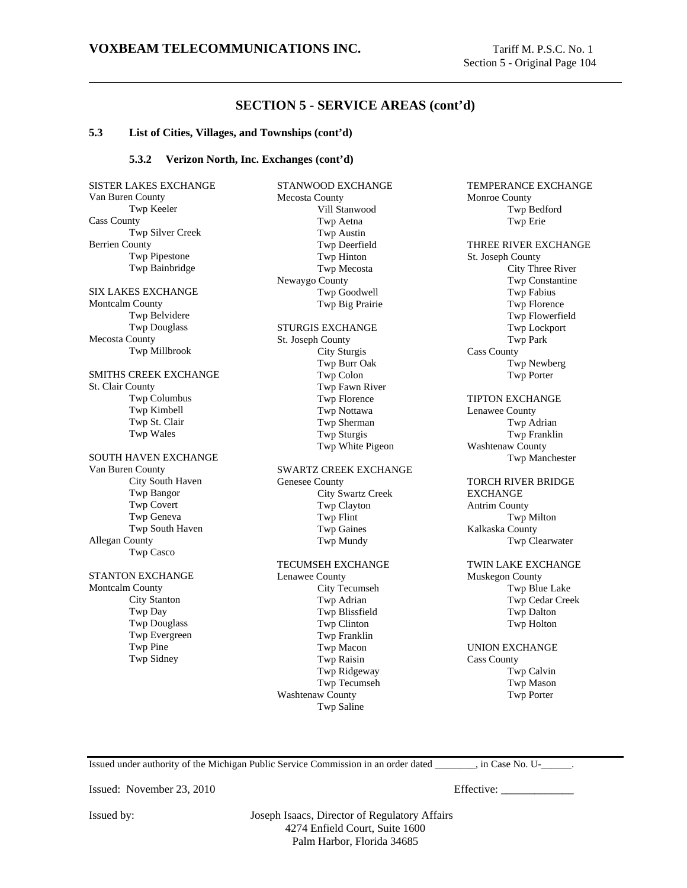TEMPERANCE EXCHANGE

Monroe County

# **SECTION 5 - SERVICE AREAS (cont'd)**

#### **5.3 List of Cities, Villages, and Townships (cont'd)**

#### **5.3.2 Verizon North, Inc. Exchanges (cont'd)**

SISTER LAKES EXCHANGE Van Buren County Twp Keeler Cass County Twp Silver Creek Berrien County Twp Pipestone Twp Bainbridge SIX LAKES EXCHANGE Montcalm County Twp Belvidere Twp Douglass Mecosta County Twp Millbrook SMITHS CREEK EXCHANGE St. Clair County Twp Columbus Twp Kimbell Twp St. Clair Twp Wales SOUTH HAVEN EXCHANGE Van Buren County City South Haven Twp Bangor Twp Covert Twp Geneva Twp South Haven Allegan County Twp Casco STANTON EXCHANGE Montcalm County City Stanton Twp Day Twp Douglass Twp Evergreen Twp Pine Twp Sidney

STANWOOD EXCHANGE Mecosta County Vill Stanwood Twp Aetna Twp Austin Twp Deerfield Twp Hinton Twp Mecosta Newaygo County Twp Goodwell Twp Big Prairie STURGIS EXCHANGE St. Joseph County City Sturgis Twp Burr Oak Twp Colon Twp Fawn River Twp Florence Twp Nottawa Twp Sherman Twp Sturgis Twp White Pigeon SWARTZ CREEK EXCHANGE Genesee County City Swartz Creek Twp Clayton Twp Flint Twp Gaines Twp Mundy TECUMSEH EXCHANGE Lenawee County City Tecumseh Twp Adrian Twp Blissfield Twp Clinton Twp Franklin Twp Macon Twp Raisin Twp Ridgeway Twp Tecumseh

Twp Bedford Twp Erie THREE RIVER EXCHANGE St. Joseph County City Three River Twp Constantine Twp Fabius Twp Florence Twp Flowerfield Twp Lockport Twp Park Cass County Twp Newberg Twp Porter TIPTON EXCHANGE Lenawee County Twp Adrian Twp Franklin Washtenaw County Twp Manchester TORCH RIVER BRIDGE EXCHANGE Antrim County Twp Milton Kalkaska County Twp Clearwater TWIN LAKE EXCHANGE Muskegon County Twp Blue Lake Twp Cedar Creek Twp Dalton Twp Holton UNION EXCHANGE Cass County Twp Calvin Twp Mason

Issued under authority of the Michigan Public Service Commission in an order dated \_\_\_\_\_\_\_\_, in Case No. U-\_\_\_\_\_\_.

Issued: November 23, 2010 Effective:

Twp Porter

Issued by: Joseph Isaacs, Director of Regulatory Affairs 4274 Enfield Court, Suite 1600 Palm Harbor, Florida 34685

Washtenaw County

Twp Saline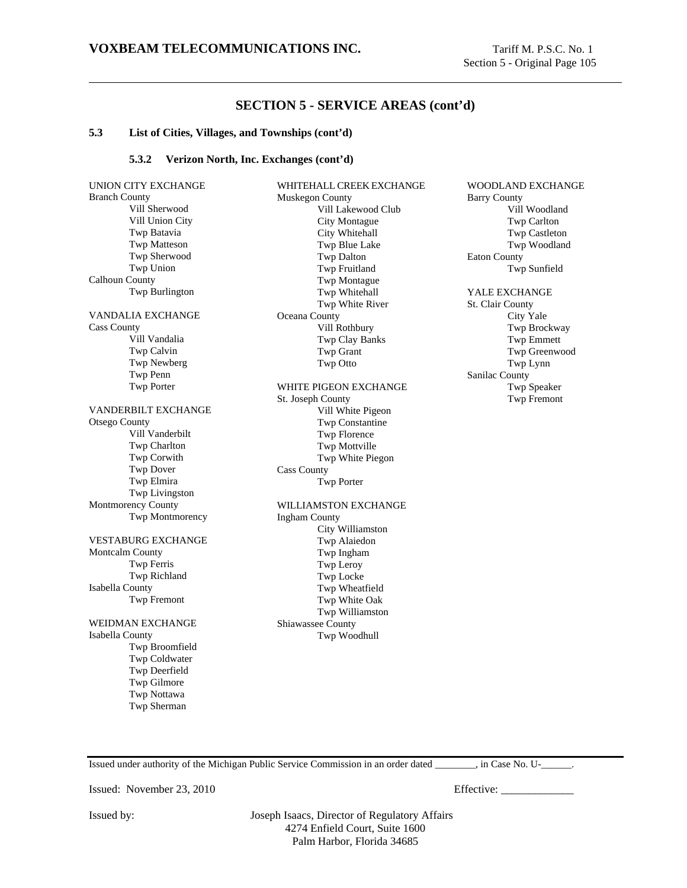#### **5.3 List of Cities, Villages, and Townships (cont'd)**

#### **5.3.2 Verizon North, Inc. Exchanges (cont'd)**

UNION CITY EXCHANGE Branch County Vill Sherwood Vill Union City Twp Batavia Twp Matteson Twp Sherwood Twp Union Calhoun County Twp Burlington VANDALIA EXCHANGE Cass County Vill Vandalia Twp Calvin Twp Newberg Twp Penn Twp Porter VANDERBILT EXCHANGE Otsego County Vill Vanderbilt Twp Charlton Twp Corwith Twp Dover Twp Elmira Twp Livingston Montmorency County Twp Montmorency VESTABURG EXCHANGE Montcalm County Twp Ferris Twp Richland Isabella County Twp Fremont WEIDMAN EXCHANGE Isabella County Twp Broomfield Twp Coldwater Twp Deerfield Twp Gilmore Twp Nottawa Twp Sherman

WHITEHALL CREEK EXCHANGE Muskegon County Vill Lakewood Club City Montague City Whitehall Twp Blue Lake Twp Dalton Twp Fruitland Twp Montague Twp Whitehall Twp White River Oceana County Vill Rothbury Twp Clay Banks Twp Grant Twp Otto WHITE PIGEON EXCHANGE St. Joseph County Vill White Pigeon Twp Constantine Twp Florence Twp Mottville Twp White Piegon Cass County Twp Porter WILLIAMSTON EXCHANGE Ingham County

City Williamston Twp Alaiedon Twp Ingham Twp Leroy Twp Locke Twp Wheatfield Twp White Oak Twp Williamston Shiawassee County Twp Woodhull

WOODLAND EXCHANGE Barry County Vill Woodland Twp Carlton Twp Castleton Twp Woodland Eaton County Twp Sunfield

# YALE EXCHANGE

St. Clair County City Yale Twp Brockway Twp Emmett Twp Greenwood Twp Lynn Sanilac County Twp Speaker Twp Fremont

Issued under authority of the Michigan Public Service Commission in an order dated  $\qquad \qquad$ , in Case No. U- $\qquad \qquad$ .

Issued: November 23, 2010 Effective: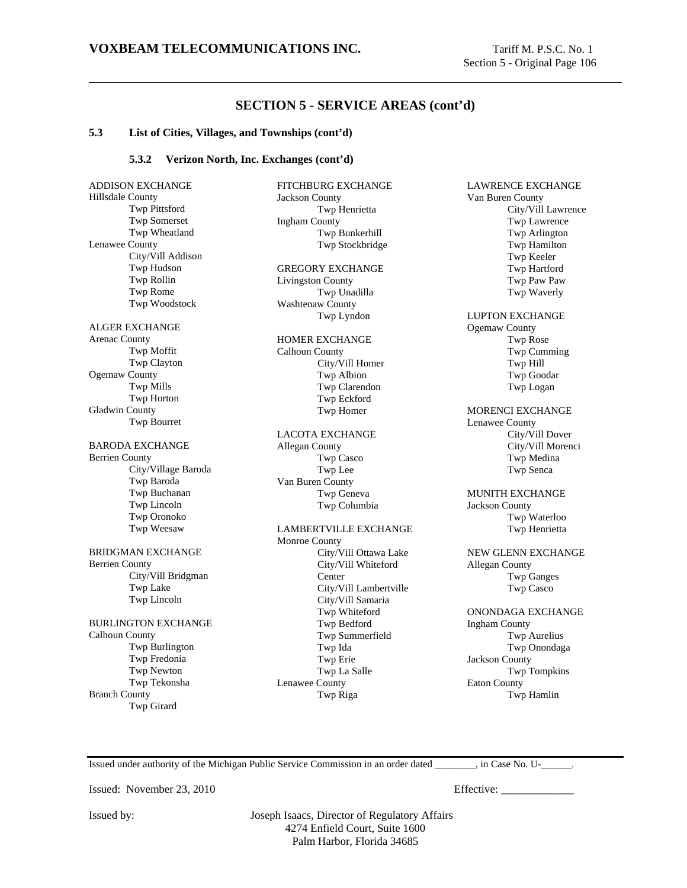LAWRENCE EXCHANGE

# **SECTION 5 - SERVICE AREAS (cont'd)**

FITCHBURG EXCHANGE

Twp Henrietta

Jackson County

#### **5.3 List of Cities, Villages, and Townships (cont'd)**

#### **5.3.2 Verizon North, Inc. Exchanges (cont'd)**

ADDISON EXCHANGE Hillsdale County Twp Pittsford Twp Somerset Twp Wheatland Lenawee County City/Vill Addison Twp Hudson Twp Rollin Twp Rome Twp Woodstock ALGER EXCHANGE Arenac County Twp Moffit Twp Clayton Ogemaw County Twp Mills Twp Horton Gladwin County Twp Bourret BARODA EXCHANGE Berrien County City/Village Baroda Twp Baroda Twp Buchanan Twp Lincoln Twp Oronoko Twp Weesaw BRIDGMAN EXCHANGE Berrien County City/Vill Bridgman Twp Lake Twp Lincoln BURLINGTON EXCHANGE Calhoun County Twp Burlington Twp Fredonia Twp Newton Twp Tekonsha Branch County Twp Girard

Ingham County Twp Bunkerhill Twp Stockbridge GREGORY EXCHANGE Livingston County Twp Unadilla Washtenaw County Twp Lyndon HOMER EXCHANGE Calhoun County City/Vill Homer Twp Albion Twp Clarendon Twp Eckford Twp Homer LACOTA EXCHANGE Allegan County Twp Casco Twp Lee Van Buren County Twp Geneva Twp Columbia LAMBERTVILLE EXCHANGE Monroe County City/Vill Ottawa Lake City/Vill Whiteford Center City/Vill Lambertville City/Vill Samaria Twp Whiteford Twp Bedford Twp Summerfield Twp Ida Twp Erie Twp La Salle Lenawee County

Van Buren County City/Vill Lawrence Twp Lawrence Twp Arlington Twp Hamilton Twp Keeler Twp Hartford Twp Paw Paw Twp Waverly LUPTON EXCHANGE Ogemaw County Twp Rose Twp Cumming Twp Hill Twp Goodar Twp Logan MORENCI EXCHANGE Lenawee County City/Vill Dover City/Vill Morenci Twp Medina Twp Senca MUNITH EXCHANGE Jackson County Twp Waterloo Twp Henrietta NEW GLENN EXCHANGE Allegan County Twp Ganges Twp Casco ONONDAGA EXCHANGE

Ingham County Twp Aurelius Twp Onondaga Jackson County Twp Tompkins Eaton County Twp Hamlin

Issued under authority of the Michigan Public Service Commission in an order dated \_\_\_\_\_\_\_\_, in Case No. U-\_\_\_\_\_\_.

Issued: November 23, 2010 Effective:

Issued by: Joseph Isaacs, Director of Regulatory Affairs 4274 Enfield Court, Suite 1600 Palm Harbor, Florida 34685

Twp Riga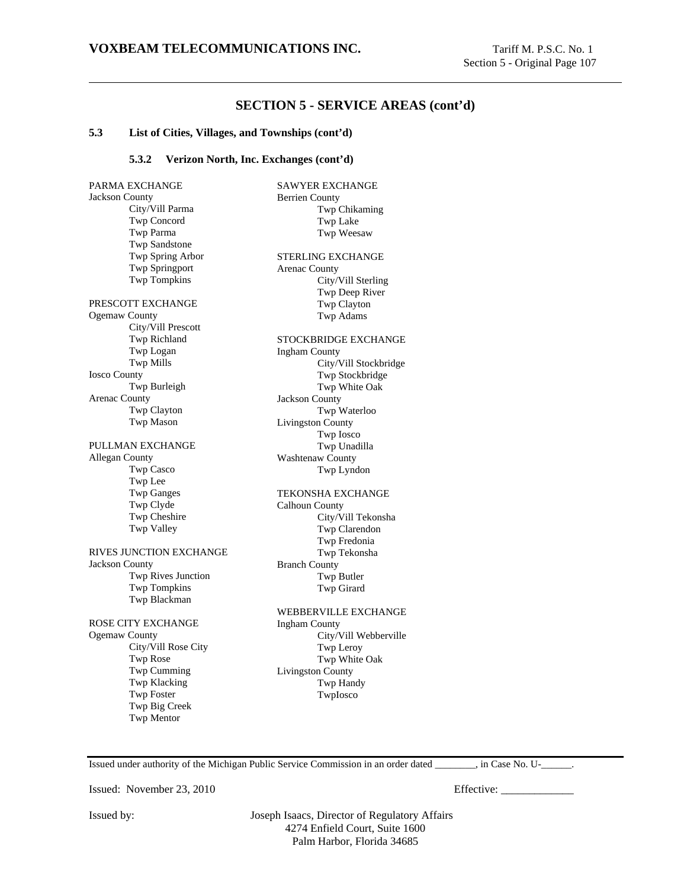## **SECTION 5 - SERVICE AREAS (cont'd)**

## **5.3 List of Cities, Villages, and Townships (cont'd)**

## **5.3.2 Verizon North, Inc. Exchanges (cont'd)**

PARMA EXCHANGE Jackson County City/Vill Parma Twp Concord Twp Parma Twp Sandstone Twp Spring Arbor Twp Springport Twp Tompkins PRESCOTT EXCHANGE Ogemaw County City/Vill Prescott Twp Richland Twp Logan Twp Mills Iosco County Twp Burleigh Arenac County Twp Clayton Twp Mason PULLMAN EXCHANGE Allegan County Twp Casco Twp Lee Twp Ganges Twp Clyde Twp Cheshire Twp Valley RIVES JUNCTION EXCHANGE Jackson County Twp Rives Junction Twp Tompkins Twp Blackman ROSE CITY EXCHANGE Ogemaw County City/Vill Rose City Twp Rose Twp Cumming Twp Klacking Twp Foster Twp Big Creek Twp Mentor SAWYER EXCHANGE Berrien County Twp Chikaming Twp Lake Twp Weesaw STERLING EXCHANGE Arenac County City/Vill Sterling Twp Deep River Twp Clayton Twp Adams STOCKBRIDGE EXCHANGE Ingham County City/Vill Stockbridge Twp Stockbridge Twp White Oak Jackson County Twp Waterloo Livingston County Twp Iosco Twp Unadilla Washtenaw County Twp Lyndon TEKONSHA EXCHANGE Calhoun County City/Vill Tekonsha Twp Clarendon Twp Fredonia Twp Tekonsha Branch County Twp Butler Twp Girard WEBBERVILLE EXCHANGE Ingham County City/Vill Webberville Twp Leroy Twp White Oak Livingston County Twp Handy TwpIosco

Issued under authority of the Michigan Public Service Commission in an order dated \_\_\_\_\_\_\_\_, in Case No. U-\_\_\_\_\_\_.

Issued: November 23, 2010 Effective: \_\_\_\_\_\_\_\_\_\_\_\_\_

Issued by: Joseph Isaacs, Director of Regulatory Affairs 4274 Enfield Court, Suite 1600 Palm Harbor, Florida 34685